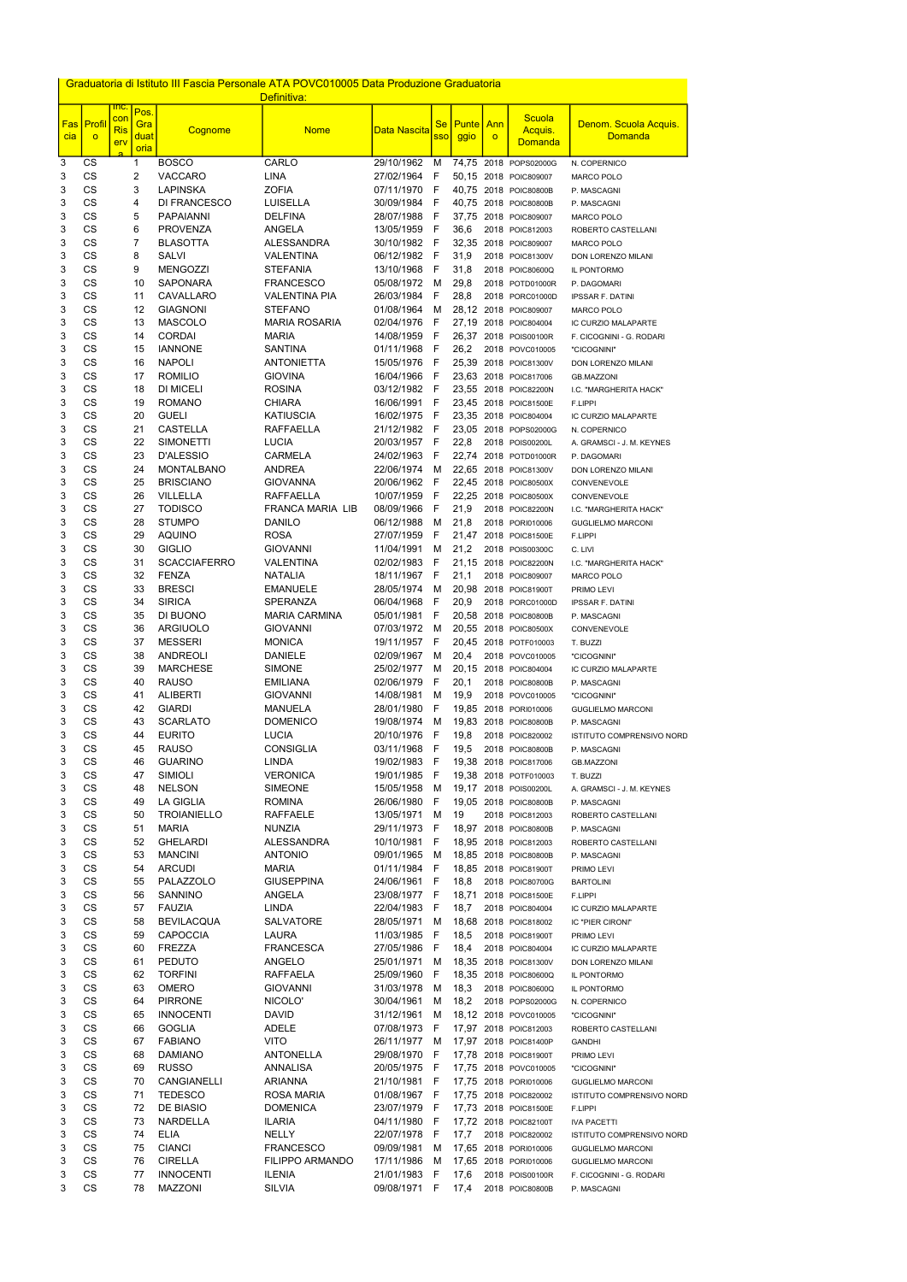|            |                        |                   |                         |                                      | Graduatoria di Istituto III Fascia Personale ATA POVC010005 Data Produzione Graduatoria |                                    |                              |                |         |                                                |                                                    |
|------------|------------------------|-------------------|-------------------------|--------------------------------------|-----------------------------------------------------------------------------------------|------------------------------------|------------------------------|----------------|---------|------------------------------------------------|----------------------------------------------------|
|            |                        | <u>inc.</u>       | Pos.                    |                                      | Definitiva:                                                                             |                                    |                              |                |         |                                                |                                                    |
| <b>Fas</b> | Profil                 | con<br><b>Ris</b> | Gra                     | Cognome                              | <b>Nome</b>                                                                             | <u>Data Nascita</u>                | <b>Se</b>                    | <b>Punte</b>   | Ann     | Scuola<br>Acquis.                              | Denom. Scuola Acquis.                              |
| cia        | $\circ$                | erv               | duat<br>oria            |                                      |                                                                                         |                                    | <b>SSO</b>                   | ggio           | $\circ$ | <b>Domanda</b>                                 | <b>Domanda</b>                                     |
| 3          | CS                     |                   | 1                       | <b>BOSCO</b>                         | CARLO                                                                                   | 29/10/1962                         | M                            |                |         | 74,75 2018 POPS02000G                          | N. COPERNICO                                       |
| 3          | CS                     |                   | $\overline{\mathbf{c}}$ | <b>VACCARO</b>                       | <b>LINA</b>                                                                             | 27/02/1964                         | $\mathsf{F}$                 | 50,15          |         | 2018 POIC809007                                | <b>MARCO POLO</b>                                  |
| 3          | <b>CS</b>              |                   | 3                       | <b>LAPINSKA</b>                      | <b>ZOFIA</b>                                                                            | 07/11/1970                         | F                            | 40,75          |         | 2018 POIC80800B                                | P. MASCAGNI                                        |
| 3<br>3     | <b>CS</b><br>CS        |                   | 4<br>5                  | DI FRANCESCO<br><b>PAPAIANNI</b>     | LUISELLA<br><b>DELFINA</b>                                                              | 30/09/1984<br>28/07/1988           | $\mathsf{F}$<br>$\mathsf{F}$ | 40,75<br>37,75 |         | 2018 POIC80800B<br>2018 POIC809007             | P. MASCAGNI<br><b>MARCO POLO</b>                   |
| 3          | CS                     |                   | 6                       | <b>PROVENZA</b>                      | ANGELA                                                                                  | 13/05/1959                         | $\mathsf{F}$                 | 36,6           |         | 2018 POIC812003                                | ROBERTO CASTELLANI                                 |
| 3          | <b>CS</b>              |                   | 7                       | <b>BLASOTTA</b>                      | <b>ALESSANDRA</b>                                                                       | 30/10/1982                         | - F                          | 32,35          |         | 2018 POIC809007                                | <b>MARCO POLO</b>                                  |
| 3          | <b>CS</b>              |                   | 8                       | <b>SALVI</b>                         | <b>VALENTINA</b>                                                                        | 06/12/1982                         | - F                          | 31,9           |         | 2018 POIC81300V                                | DON LORENZO MILANI                                 |
| 3          | CS<br>CS               |                   | 9<br>10                 | <b>MENGOZZI</b><br><b>SAPONARA</b>   | <b>STEFANIA</b><br><b>FRANCESCO</b>                                                     | 13/10/1968<br>05/08/1972           | $\mathsf{F}$<br>M            | 31,8<br>29,8   |         | 2018 POIC80600Q                                | IL PONTORMO                                        |
| 3<br>3     | CS                     |                   | 11                      | CAVALLARO                            | <b>VALENTINA PIA</b>                                                                    | 26/03/1984                         | F                            | 28,8           |         | 2018 POTD01000R<br>2018 PORC01000D             | P. DAGOMARI<br><b>IPSSAR F. DATINI</b>             |
| 3          | CS                     |                   | 12                      | <b>GIAGNONI</b>                      | <b>STEFANO</b>                                                                          | 01/08/1964                         | M                            | 28,12          |         | 2018 POIC809007                                | <b>MARCO POLO</b>                                  |
| 3          | CS                     |                   | 13                      | <b>MASCOLO</b>                       | <b>MARIA ROSARIA</b>                                                                    | 02/04/1976                         | F                            | 27.19          |         | 2018 POIC804004                                | IC CURZIO MALAPARTE                                |
| 3          | CS                     |                   | 14                      | <b>CORDAI</b>                        | <b>MARIA</b>                                                                            | 14/08/1959                         | $\mathsf{F}$                 |                |         | 26,37 2018 POIS00100R                          | F. CICOGNINI - G. RODARI                           |
| 3<br>3     | CS<br><b>CS</b>        |                   | 15<br>16                | <b>IANNONE</b><br><b>NAPOLI</b>      | <b>SANTINA</b><br><b>ANTONIETTA</b>                                                     | 01/11/1968<br>15/05/1976           | -F<br>- F                    | 26,2<br>25,39  |         | 2018 POVC010005<br>2018 POIC81300V             | "CICOGNINI"<br>DON LORENZO MILANI                  |
| 3          | CS                     |                   | 17                      | <b>ROMILIO</b>                       | <b>GIOVINA</b>                                                                          | 16/04/1966                         | $\mathsf{F}$                 | 23,63          |         | 2018 POIC817006                                | <b>GB.MAZZONI</b>                                  |
| 3          | CS                     |                   | 18                      | <b>DI MICELI</b>                     | <b>ROSINA</b>                                                                           | 03/12/1982                         | - F                          | 23,55          |         | 2018 POIC82200N                                | I.C. "MARGHERITA HACK"                             |
| 3          | <b>CS</b>              |                   | 19                      | <b>ROMANO</b>                        | <b>CHIARA</b>                                                                           | 16/06/1991                         | F                            | 23,45          |         | 2018 POIC81500E                                | F.LIPPI                                            |
| 3          | <b>CS</b><br>CS        |                   | 20<br>21                | <b>GUELI</b><br><b>CASTELLA</b>      | <b>KATIUSCIA</b>                                                                        | 16/02/1975                         | -F<br>- F                    |                |         | 23,35 2018 POIC804004                          | IC CURZIO MALAPARTE                                |
| 3<br>3     | CS                     |                   | 22                      | <b>SIMONETTI</b>                     | <b>RAFFAELLA</b><br><b>LUCIA</b>                                                        | 21/12/1982<br>20/03/1957           | $-F$                         | 23,05<br>22,8  |         | 2018 POPS02000G<br>2018 POIS00200L             | N. COPERNICO<br>A. GRAMSCI - J. M. KEYNES          |
| 3          | CS                     |                   | 23                      | <b>D'ALESSIO</b>                     | <b>CARMELA</b>                                                                          | 24/02/1963                         | $\mathsf{F}$                 | 22,74          |         | 2018 POTD01000R                                | P. DAGOMARI                                        |
| 3          | <b>CS</b>              |                   | 24                      | <b>MONTALBANO</b>                    | <b>ANDREA</b>                                                                           | 22/06/1974                         | M                            | 22,65          |         | 2018 POIC81300V                                | DON LORENZO MILANI                                 |
| 3          | CS                     |                   | 25                      | <b>BRISCIANO</b>                     | <b>GIOVANNA</b>                                                                         | 20/06/1962                         | - F                          | 22,45          |         | 2018 POIC80500X                                | CONVENEVOLE                                        |
| 3          | CS                     |                   | 26                      | <b>VILLELLA</b>                      | <b>RAFFAELLA</b>                                                                        | 10/07/1959                         | F                            | 22,25          |         | 2018 POIC80500X                                | CONVENEVOLE                                        |
| 3<br>3     | CS<br>CS               |                   | 27<br>28                | <b>TODISCO</b><br><b>STUMPO</b>      | FRANCA MARIA LIB<br><b>DANILO</b>                                                       | 08/09/1966<br>06/12/1988           | $\mathsf{F}$<br>M            | 21,9<br>21,8   |         | 2018 POIC82200N<br>2018 PORI010006             | I.C. "MARGHERITA HACK"<br><b>GUGLIELMO MARCONI</b> |
| 3          | CS                     |                   | 29                      | <b>AQUINO</b>                        | <b>ROSA</b>                                                                             | 27/07/1959                         | F                            | 21,47          |         | 2018 POIC81500E                                | F.LIPPI                                            |
| 3          | CS                     |                   | 30                      | <b>GIGLIO</b>                        | <b>GIOVANNI</b>                                                                         | 11/04/1991                         | M                            | 21,2           |         | 2018 POIS00300C                                | C. LIVI                                            |
| 3          | CS                     |                   | 31                      | <b>SCACCIAFERRO</b>                  | VALENTINA                                                                               | 02/02/1983                         | - F                          |                |         | 21,15 2018 POIC82200N                          | I.C. "MARGHERITA HACK"                             |
| 3          | <b>CS</b>              |                   | 32                      | <b>FENZA</b>                         | <b>NATALIA</b>                                                                          | 18/11/1967 F                       |                              | 21,1           |         | 2018 POIC809007                                | <b>MARCO POLO</b>                                  |
| 3<br>3     | <b>CS</b><br><b>CS</b> |                   | 33<br>34                | <b>BRESCI</b><br><b>SIRICA</b>       | <b>EMANUELE</b><br>SPERANZA                                                             | 28/05/1974<br>06/04/1968           | M<br>- F                     | 20,9           |         | 20,98 2018 POIC81900T<br>2018 PORC01000D       | PRIMO LEVI                                         |
| 3          | <b>CS</b>              |                   | 35                      | DI BUONO                             | <b>MARIA CARMINA</b>                                                                    | 05/01/1981                         | - F                          |                |         | 20,58 2018 POIC80800B                          | <b>IPSSAR F. DATINI</b><br>P. MASCAGNI             |
| 3          | <b>CS</b>              |                   | 36                      | <b>ARGIUOLO</b>                      | <b>GIOVANNI</b>                                                                         | 07/03/1972                         | M                            |                |         | 20,55 2018 POIC80500X                          | CONVENEVOLE                                        |
| 3          | <b>CS</b>              |                   | 37                      | <b>MESSERI</b>                       | <b>MONICA</b>                                                                           | 19/11/1957 F                       |                              |                |         | 20,45 2018 POTF010003                          | T. BUZZI                                           |
| 3          | CS                     |                   | 38                      | ANDREOLI                             | <b>DANIELE</b>                                                                          | 02/09/1967                         | M                            | 20,4           |         | 2018 POVC010005                                | "CICOGNINI"                                        |
| 3<br>3     | CS<br><b>CS</b>        |                   | 39<br>40                | <b>MARCHESE</b><br><b>RAUSO</b>      | <b>SIMONE</b><br><b>EMILIANA</b>                                                        | 25/02/1977<br>02/06/1979           | M<br>- F                     | 20,1           |         | 20,15 2018 POIC804004                          | IC CURZIO MALAPARTE                                |
| 3          | <b>CS</b>              |                   | 41                      | <b>ALIBERTI</b>                      | <b>GIOVANNI</b>                                                                         | 14/08/1981                         | M                            | 19,9           |         | 2018 POIC80800B<br>2018 POVC010005             | P. MASCAGNI<br>"CICOGNINI"                         |
| 3          | CS                     |                   | 42                      | <b>GIARDI</b>                        | <b>MANUELA</b>                                                                          | 28/01/1980                         | - F                          |                |         | 19,85 2018 PORI010006                          | <b>GUGLIELMO MARCONI</b>                           |
| 3          | CS                     |                   | 43                      | <b>SCARLATO</b>                      | <b>DOMENICO</b>                                                                         | 19/08/1974                         | - M                          |                |         | 19,83 2018 POIC80800B                          | P. MASCAGNI                                        |
| 3          | CS                     |                   | 44                      | <b>EURITO</b>                        | <b>LUCIA</b>                                                                            | 20/10/1976                         | - F                          | 19,8           |         | 2018 POIC820002                                | ISTITUTO COMPRENSIVO NORD                          |
| 3          | CS                     |                   | 45                      | <b>RAUSO</b>                         | <b>CONSIGLIA</b>                                                                        | 03/11/1968 F                       |                              | 19,5           |         | 2018 POIC80800B                                | P. MASCAGNI                                        |
| 3<br>3     | CS<br>CS               |                   | 46<br>47                | <b>GUARINO</b><br><b>SIMIOLI</b>     | <b>LINDA</b><br><b>VERONICA</b>                                                         | 19/02/1983 F<br>19/01/1985         | - F                          |                |         | 19,38 2018 POIC817006<br>19,38 2018 POTF010003 | <b>GB.MAZZONI</b><br>T. BUZZI                      |
| 3          | <b>CS</b>              |                   | 48                      | <b>NELSON</b>                        | <b>SIMEONE</b>                                                                          | 15/05/1958                         | M                            |                |         | 19,17 2018 POIS00200L                          | A. GRAMSCI - J. M. KEYNES                          |
| 3          | <b>CS</b>              |                   | 49                      | <b>LA GIGLIA</b>                     | <b>ROMINA</b>                                                                           | 26/06/1980                         | - F                          |                |         | 19,05 2018 POIC80800B                          | P. MASCAGNI                                        |
| 3          | <b>CS</b>              |                   | 50                      | <b>TROIANIELLO</b>                   | <b>RAFFAELE</b>                                                                         | 13/05/1971                         | M                            | 19             |         | 2018 POIC812003                                | ROBERTO CASTELLANI                                 |
| 3          | <b>CS</b>              |                   | 51                      | <b>MARIA</b>                         | <b>NUNZIA</b>                                                                           | 29/11/1973                         | - F                          |                |         | 18,97 2018 POIC80800B                          | P. MASCAGNI                                        |
| 3<br>3     | <b>CS</b><br><b>CS</b> |                   | 52<br>53                | <b>GHELARDI</b><br><b>MANCINI</b>    | <b>ALESSANDRA</b><br><b>ANTONIO</b>                                                     | 10/10/1981<br>09/01/1965           | - F<br>M                     |                |         | 18,95 2018 POIC812003<br>18,85 2018 POIC80800B | ROBERTO CASTELLANI<br>P. MASCAGNI                  |
| 3          | CS                     |                   | 54                      | <b>ARCUDI</b>                        | <b>MARIA</b>                                                                            | 01/11/1984                         | - F                          |                |         | 18,85 2018 POIC81900T                          | PRIMO LEVI                                         |
| 3          | CS                     |                   | 55                      | PALAZZOLO                            | <b>GIUSEPPINA</b>                                                                       | 24/06/1961 F                       |                              | 18,8           |         | 2018 POIC80700G                                | <b>BARTOLINI</b>                                   |
| 3          | CS                     |                   | 56                      | SANNINO                              | ANGELA                                                                                  | 23/08/1977 F                       |                              | 18,71          |         | 2018 POIC81500E                                | F.LIPPI                                            |
| 3          | <b>CS</b>              |                   | 57                      | <b>FAUZIA</b>                        | <b>LINDA</b>                                                                            | 22/04/1983                         | - F                          | 18,7           |         | 2018 POIC804004                                | IC CURZIO MALAPARTE                                |
| 3<br>3     | <b>CS</b><br>CS        |                   | 58<br>59                | <b>BEVILACQUA</b><br><b>CAPOCCIA</b> | <b>SALVATORE</b><br><b>LAURA</b>                                                        | 28/05/1971<br>11/03/1985           | M<br>- F                     | 18,5           |         | 18,68 2018 POIC818002<br>2018 POIC81900T       | IC "PIER CIRONI"<br>PRIMO LEVI                     |
| 3          | CS                     |                   | 60                      | <b>FREZZA</b>                        | <b>FRANCESCA</b>                                                                        | 27/05/1986                         | - F                          | 18,4           |         | 2018 POIC804004                                | IC CURZIO MALAPARTE                                |
| 3          | CS                     |                   | 61                      | <b>PEDUTO</b>                        | <b>ANGELO</b>                                                                           | 25/01/1971                         | M                            |                |         | 18,35 2018 POIC81300V                          | DON LORENZO MILANI                                 |
| 3          | CS                     |                   | 62                      | <b>TORFINI</b>                       | RAFFAELA                                                                                | 25/09/1960                         | - F                          |                |         | 18,35 2018 POIC80600Q                          | IL PONTORMO                                        |
| 3          | CS                     |                   | 63                      | <b>OMERO</b>                         | <b>GIOVANNI</b>                                                                         | 31/03/1978                         | M                            | 18,3           |         | 2018 POIC80600Q                                | IL PONTORMO                                        |
| 3<br>3     | CS<br>CS               |                   | 64<br>65                | <b>PIRRONE</b><br><b>INNOCENTI</b>   | NICOLO'<br><b>DAVID</b>                                                                 | 30/04/1961<br>31/12/1961           | M<br>M                       | 18,2           |         | 2018 POPS02000G<br>18,12 2018 POVC010005       | N. COPERNICO<br>"CICOGNINI"                        |
| 3          | <b>CS</b>              |                   | 66                      | <b>GOGLIA</b>                        | <b>ADELE</b>                                                                            | 07/08/1973                         | $-F$                         |                |         | 17,97 2018 POIC812003                          | ROBERTO CASTELLANI                                 |
| 3          | CS                     |                   | 67                      | <b>FABIANO</b>                       | <b>VITO</b>                                                                             | 26/11/1977 M 17,97 2018 POIC81400P |                              |                |         |                                                | GANDHI                                             |
| 3          | СS                     |                   | 68                      | <b>DAMIANO</b>                       | <b>ANTONELLA</b>                                                                        | 29/08/1970 F                       |                              |                |         | 17,78 2018 POIC81900T                          | PRIMO LEVI                                         |
| 3          | CS                     |                   | 69                      | <b>RUSSO</b>                         | ANNALISA                                                                                | 20/05/1975 F                       |                              |                |         | 17,75 2018 POVC010005                          | "CICOGNINI"                                        |
| 3          | CS                     |                   | 70                      | CANGIANELLI                          | ARIANNA                                                                                 | 21/10/1981 F                       |                              |                |         | 17,75 2018 PORI010006                          | <b>GUGLIELMO MARCONI</b>                           |
| 3<br>3     | CS<br>CS               |                   | 71<br>72                | <b>TEDESCO</b><br>DE BIASIO          | ROSA MARIA<br><b>DOMENICA</b>                                                           | 01/08/1967 F<br>23/07/1979 F       |                              |                |         | 17,75 2018 POIC820002<br>17,73 2018 POIC81500E | ISTITUTO COMPRENSIVO NORD<br>F.LIPPI               |
| 3          | CS                     |                   | 73                      | NARDELLA                             | <b>ILARIA</b>                                                                           | 04/11/1980 F                       |                              |                |         | 17,72 2018 POIC82100T                          | <b>IVA PACETTI</b>                                 |
| 3          | CS                     |                   | 74                      | ELIA                                 | <b>NELLY</b>                                                                            | 22/07/1978                         | - F                          | 17,7           |         | 2018 POIC820002                                | ISTITUTO COMPRENSIVO NORD                          |
| 3          | CS                     |                   | 75                      | <b>CIANCI</b>                        | <b>FRANCESCO</b>                                                                        | 09/09/1981                         | M                            |                |         | 17,65 2018 PORI010006                          | <b>GUGLIELMO MARCONI</b>                           |
| 3          | CS                     |                   | 76                      | <b>CIRELLA</b>                       | <b>FILIPPO ARMANDO</b>                                                                  | 17/11/1986                         | M                            |                |         | 17,65 2018 PORI010006                          | <b>GUGLIELMO MARCONI</b>                           |
| 3<br>3     | CS<br>CS               |                   | 77<br>78                | <b>INNOCENTI</b><br><b>MAZZONI</b>   | ILENIA<br>SILVIA                                                                        | 21/01/1983 F<br>09/08/1971 F       |                              | 17,6<br>17,4   |         | 2018 POIS00100R<br>2018 POIC80800B             | F. CICOGNINI - G. RODARI<br>P. MASCAGNI            |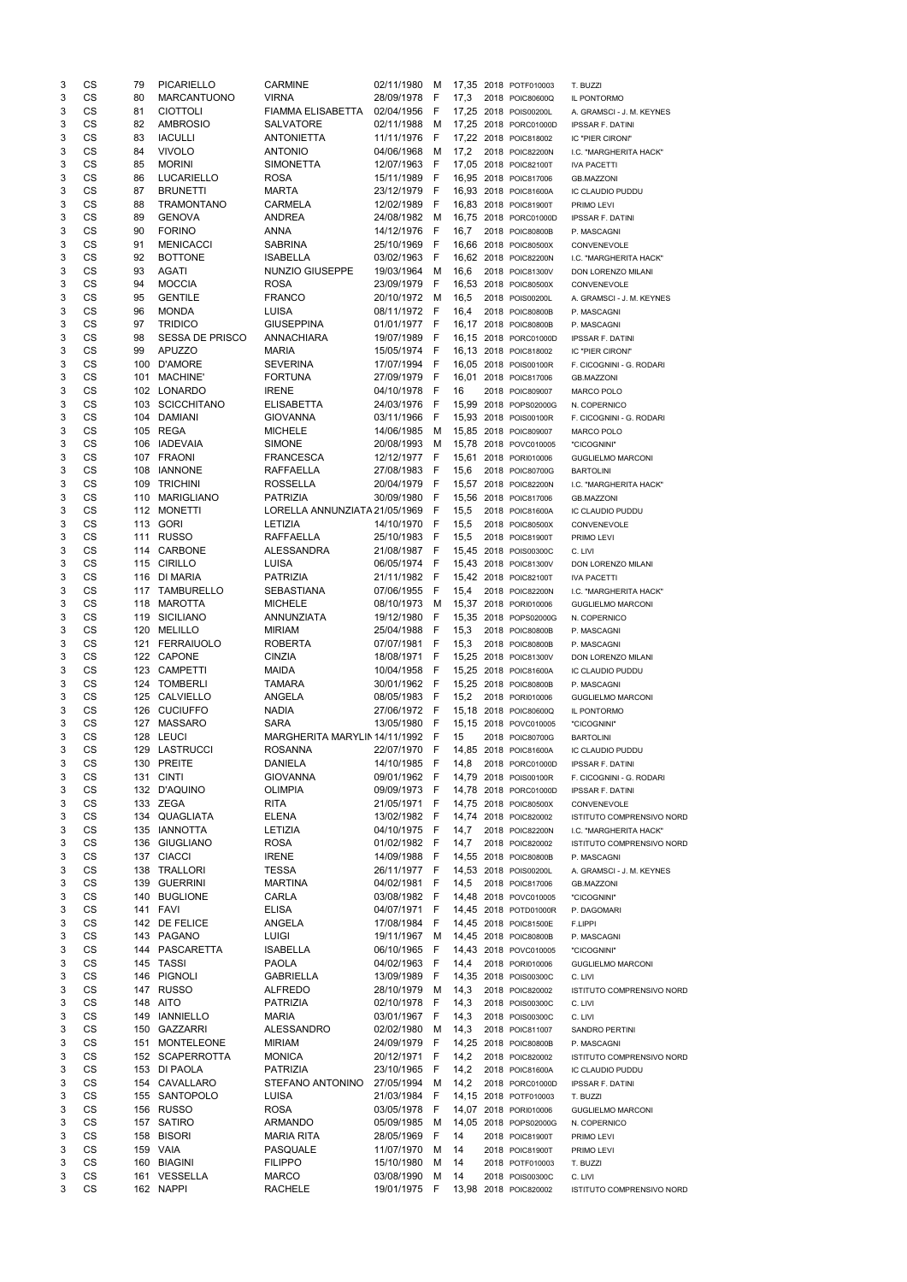| 3 | CS        | 79  | <b>PICARIELLO</b>      | <b>CARMINE</b>                | 02/11/1980   | M    |       | 17,35 2018 POTF010003 | T. BUZZI                  |
|---|-----------|-----|------------------------|-------------------------------|--------------|------|-------|-----------------------|---------------------------|
| 3 | CS        | 80  | <b>MARCANTUONO</b>     | <b>VIRNA</b>                  | 28/09/1978   | - F  | 17,3  | 2018 POIC80600Q       | IL PONTORMO               |
| 3 | CS        | 81  | <b>CIOTTOLI</b>        | <b>FIAMMA ELISABETTA</b>      | 02/04/1956 F |      |       | 17,25 2018 POIS00200L | A. GRAMSCI - J. M. KEYNES |
| 3 | CS        | 82  | <b>AMBROSIO</b>        | <b>SALVATORE</b>              | 02/11/1988   | M    |       | 17,25 2018 PORC01000D | <b>IPSSAR F. DATINI</b>   |
| 3 | CS        | 83  | <b>IACULLI</b>         | <b>ANTONIETTA</b>             | 11/11/1976   | - F  |       | 17,22 2018 POIC818002 | IC "PIER CIRONI"          |
| 3 | <b>CS</b> | 84  | <b>VIVOLO</b>          | <b>ANTONIO</b>                | 04/06/1968   | M    | 17,2  | 2018 POIC82200N       | I.C. "MARGHERITA HACK"    |
| 3 | <b>CS</b> | 85  | <b>MORINI</b>          | <b>SIMONETTA</b>              | 12/07/1963 F |      |       | 17,05 2018 POIC82100T | <b>IVA PACETTI</b>        |
| 3 | CS        | 86  | <b>LUCARIELLO</b>      | <b>ROSA</b>                   | 15/11/1989 F |      |       | 16,95 2018 POIC817006 | <b>GB.MAZZONI</b>         |
| 3 | CS        | 87  | <b>BRUNETTI</b>        | <b>MARTA</b>                  | 23/12/1979   | $-F$ |       | 16,93 2018 POIC81600A | IC CLAUDIO PUDDU          |
| 3 | <b>CS</b> | 88  | <b>TRAMONTANO</b>      | <b>CARMELA</b>                | 12/02/1989 F |      |       | 16,83 2018 POIC81900T | PRIMO LEVI                |
| 3 | CS        | 89  | <b>GENOVA</b>          | <b>ANDREA</b>                 | 24/08/1982 M |      |       | 16,75 2018 PORC01000D | <b>IPSSAR F. DATINI</b>   |
| 3 | CS        | 90  | <b>FORINO</b>          | <b>ANNA</b>                   | 14/12/1976   | - F  | 16,7  | 2018 POIC80800B       | P. MASCAGNI               |
| 3 | CS        | 91  | <b>MENICACCI</b>       | <b>SABRINA</b>                | 25/10/1969   | - F  |       | 16,66 2018 POIC80500X | CONVENEVOLE               |
| 3 | <b>CS</b> | 92  | <b>BOTTONE</b>         | <b>ISABELLA</b>               | 03/02/1963 F |      |       | 16,62 2018 POIC82200N | I.C. "MARGHERITA HACK"    |
| 3 | CS        | 93  | <b>AGATI</b>           | NUNZIO GIUSEPPE               | 19/03/1964   | M    | 16,6  | 2018 POIC81300V       | DON LORENZO MILANI        |
| 3 | CS        | 94  | <b>MOCCIA</b>          | <b>ROSA</b>                   | 23/09/1979   | - F  |       | 16,53 2018 POIC80500X | CONVENEVOLE               |
| 3 | CS        | 95  | <b>GENTILE</b>         | <b>FRANCO</b>                 | 20/10/1972   | M    | 16,5  | 2018 POIS00200L       | A. GRAMSCI - J. M. KEYNES |
| 3 | CS        | 96  | <b>MONDA</b>           | LUISA                         | 08/11/1972   | - F  | 16,4  | 2018 POIC80800B       | P. MASCAGNI               |
| 3 | CS        | 97  | <b>TRIDICO</b>         | <b>GIUSEPPINA</b>             | 01/01/1977 F |      |       | 16,17 2018 POIC80800B | P. MASCAGNI               |
| 3 | CS        | 98  | <b>SESSA DE PRISCO</b> | <b>ANNACHIARA</b>             | 19/07/1989   | - F  |       | 16,15 2018 PORC01000D | <b>IPSSAR F. DATINI</b>   |
| 3 | CS        | 99  | <b>APUZZO</b>          | <b>MARIA</b>                  | 15/05/1974 F |      |       | 16,13 2018 POIC818002 | IC "PIER CIRONI"          |
| 3 | <b>CS</b> | 100 | <b>D'AMORE</b>         | <b>SEVERINA</b>               | 17/07/1994 F |      |       | 16,05 2018 POIS00100R | F. CICOGNINI - G. RODARI  |
| 3 | CS        | 101 | <b>MACHINE'</b>        | <b>FORTUNA</b>                | 27/09/1979 F |      | 16,01 | 2018 POIC817006       |                           |
| 3 | CS        | 102 | LONARDO                | <b>IRENE</b>                  | 04/10/1978 F |      | 16    |                       | <b>GB.MAZZONI</b>         |
|   |           |     |                        |                               |              |      |       | 2018 POIC809007       | MARCO POLO                |
| 3 | CS        | 103 | <b>SCICCHITANO</b>     | <b>ELISABETTA</b>             | 24/03/1976   | $-F$ |       | 15,99 2018 POPS02000G | N. COPERNICO              |
| 3 | CS        | 104 | <b>DAMIANI</b>         | <b>GIOVANNA</b>               | 03/11/1966   | - F  |       | 15,93 2018 POIS00100R | F. CICOGNINI - G. RODARI  |
| 3 | CS        |     | 105 REGA               | <b>MICHELE</b>                | 14/06/1985   | M    |       | 15,85 2018 POIC809007 | <b>MARCO POLO</b>         |
| 3 | CS        | 106 | IADEVAIA               | <b>SIMONE</b>                 | 20/08/1993   | M    |       | 15,78 2018 POVC010005 | "CICOGNINI"               |
| 3 | CS        |     | 107 FRAONI             | <b>FRANCESCA</b>              | 12/12/1977 F |      |       | 15,61 2018 PORI010006 | <b>GUGLIELMO MARCONI</b>  |
| 3 | <b>CS</b> | 108 | <b>IANNONE</b>         | <b>RAFFAELLA</b>              | 27/08/1983   | $-F$ | 15,6  | 2018 POIC80700G       | <b>BARTOLINI</b>          |
| 3 | CS        | 109 | <b>TRICHINI</b>        | <b>ROSSELLA</b>               | 20/04/1979 F |      |       | 15,57 2018 POIC82200N | I.C. "MARGHERITA HACK"    |
| 3 | CS        | 110 | <b>MARIGLIANO</b>      | <b>PATRIZIA</b>               | 30/09/1980   | - F  |       | 15,56 2018 POIC817006 | <b>GB.MAZZONI</b>         |
| 3 | CS        |     | 112 MONETTI            | LORELLA ANNUNZIATA 21/05/1969 |              | - F  | 15,5  | 2018 POIC81600A       | IC CLAUDIO PUDDU          |
| 3 | CS        |     | 113 GORI               | <b>LETIZIA</b>                | 14/10/1970   | - F  | 15,5  | 2018 POIC80500X       | CONVENEVOLE               |
| 3 | CS        | 111 | <b>RUSSO</b>           | <b>RAFFAELLA</b>              | 25/10/1983 F |      | 15,5  | 2018 POIC81900T       | PRIMO LEVI                |
| 3 | CS        |     | 114 CARBONE            | <b>ALESSANDRA</b>             | 21/08/1987 F |      |       | 15,45 2018 POIS00300C | C. LIVI                   |
| 3 | CS        | 115 | <b>CIRILLO</b>         | LUISA                         | 06/05/1974 F |      |       | 15,43 2018 POIC81300V | DON LORENZO MILANI        |
| 3 | CS        | 116 | DI MARIA               | <b>PATRIZIA</b>               | 21/11/1982 F |      |       | 15,42 2018 POIC82100T | <b>IVA PACETTI</b>        |
| 3 | <b>CS</b> | 117 | TAMBURELLO             | <b>SEBASTIANA</b>             | 07/06/1955 F |      | 15,4  | 2018 POIC82200N       | I.C. "MARGHERITA HACK"    |
| 3 | CS        | 118 | <b>MAROTTA</b>         | <b>MICHELE</b>                | 08/10/1973   | M    | 15,37 | 2018 PORI010006       | <b>GUGLIELMO MARCONI</b>  |
| 3 | <b>CS</b> | 119 | <b>SICILIANO</b>       | ANNUNZIATA                    | 19/12/1980   | F    | 15,35 | 2018 POPS02000G       | N. COPERNICO              |
| 3 | <b>CS</b> | 120 | <b>MELILLO</b>         | <b>MIRIAM</b>                 | 25/04/1988   | - F  | 15,3  | 2018 POIC80800B       | P. MASCAGNI               |
| 3 | <b>CS</b> | 121 | FERRAIUOLO             | <b>ROBERTA</b>                | 07/07/1981 F |      | 15,3  | 2018 POIC80800B       | P. MASCAGNI               |
| 3 | CS        |     | 122 CAPONE             | <b>CINZIA</b>                 | 18/08/1971 F |      |       | 15,25 2018 POIC81300V | DON LORENZO MILANI        |
| 3 | CS        | 123 | <b>CAMPETTI</b>        | <b>MAIDA</b>                  | 10/04/1958   | - F  |       | 15,25 2018 POIC81600A | <b>IC CLAUDIO PUDDU</b>   |
| 3 | CS        |     | 124 TOMBERLI           | <b>TAMARA</b>                 | 30/01/1962   | - F  |       | 15,25 2018 POIC80800B | P. MASCAGNI               |
| 3 | <b>CS</b> | 125 | CALVIELLO              | ANGELA                        | 08/05/1983   | - F  | 15,2  | 2018 PORI010006       | <b>GUGLIELMO MARCONI</b>  |
| 3 | <b>CS</b> | 126 | <b>CUCIUFFO</b>        | <b>NADIA</b>                  | 27/06/1972 F |      |       | 15,18 2018 POIC80600Q | IL PONTORMO               |
| 3 | CS        | 127 | <b>MASSARO</b>         | <b>SARA</b>                   | 13/05/1980   | - F  |       | 15,15 2018 POVC010005 |                           |
| 3 | CS        | 128 | <b>LEUCI</b>           | MARGHERITA MARYLIN 14/11/1992 |              | - F  | 15    | 2018 POIC80700G       | "CICOGNINI"               |
| 3 | CS        | 129 | LASTRUCCI              | <b>ROSANNA</b>                | 22/07/1970   | - F  |       | 14,85 2018 POIC81600A | <b>BARTOLINI</b>          |
|   |           |     |                        |                               |              |      |       |                       | IC CLAUDIO PUDDU          |
| 3 | CS        |     | 130 PREITE             | <b>DANIELA</b>                | 14/10/1985   | - F  | 14,8  | 2018 PORC01000D       | <b>IPSSAR F. DATINI</b>   |
| 3 | CS        | 131 | <b>CINTI</b>           | <b>GIOVANNA</b>               | 09/01/1962 F |      | 14,79 | 2018 POIS00100R       | F. CICOGNINI - G. RODARI  |
| 3 | CS        |     | 132 D'AQUINO           | <b>OLIMPIA</b>                | 09/09/1973 F |      |       | 14,78 2018 PORC01000D | <b>IPSSAR F. DATINI</b>   |
| 3 | <b>CS</b> |     | 133 ZEGA               | <b>RITA</b>                   | 21/05/1971 F |      |       | 14,75 2018 POIC80500X | CONVENEVOLE               |
| 3 | CS        |     | 134 QUAGLIATA          | <b>ELENA</b>                  | 13/02/1982   | - F  | 14,74 | 2018 POIC820002       | ISTITUTO COMPRENSIVO NORD |
| 3 | CS        | 135 | IANNOTTA               | <b>LETIZIA</b>                | 04/10/1975   | - F  | 14,7  | 2018 POIC82200N       | I.C. "MARGHERITA HACK"    |
| 3 | CS        | 136 | <b>GIUGLIANO</b>       | <b>ROSA</b>                   | 01/02/1982   | - F  | 14,7  | 2018 POIC820002       | ISTITUTO COMPRENSIVO NORD |
| 3 | <b>CS</b> |     | 137 CIACCI             | <b>IRENE</b>                  | 14/09/1988   | - F  |       | 14,55 2018 POIC80800B | P. MASCAGNI               |
| 3 | <b>CS</b> | 138 | TRALLORI               | <b>TESSA</b>                  | 26/11/1977 F |      |       | 14,53 2018 POIS00200L | A. GRAMSCI - J. M. KEYNES |
| 3 | CS        | 139 | <b>GUERRINI</b>        | <b>MARTINA</b>                | 04/02/1981 F |      | 14,5  | 2018 POIC817006       | <b>GB.MAZZONI</b>         |
| 3 | CS        | 140 | <b>BUGLIONE</b>        | CARLA                         | 03/08/1982 F |      |       | 14,48 2018 POVC010005 | "CICOGNINI"               |
| 3 | <b>CS</b> | 141 | FAVI                   | <b>ELISA</b>                  | 04/07/1971   | - F  |       | 14,45 2018 POTD01000R | P. DAGOMARI               |
| 3 | <b>CS</b> |     | 142 DE FELICE          | ANGELA                        | 17/08/1984   | - F  |       | 14,45 2018 POIC81500E | F.LIPPI                   |
| 3 | CS        | 143 | PAGANO                 | <b>LUIGI</b>                  | 19/11/1967   | M    |       | 14,45 2018 POIC80800B | P. MASCAGNI               |
| 3 | CS        | 144 | PASCARETTA             | <b>ISABELLA</b>               | 06/10/1965   | -F   |       | 14,43 2018 POVC010005 | "CICOGNINI"               |
| 3 | <b>CS</b> |     | 145 TASSI              | <b>PAOLA</b>                  | 04/02/1963   | -F   | 14,4  | 2018 PORI010006       | <b>GUGLIELMO MARCONI</b>  |
| 3 | <b>CS</b> | 146 | PIGNOLI                | <b>GABRIELLA</b>              | 13/09/1989   | - F  | 14,35 | 2018 POIS00300C       | C. LIVI                   |
| 3 | CS        |     | 147 RUSSO              | <b>ALFREDO</b>                | 28/10/1979   | M    | 14,3  | 2018 POIC820002       | ISTITUTO COMPRENSIVO NORD |
| 3 | CS        | 148 | <b>AITO</b>            | <b>PATRIZIA</b>               | 02/10/1978   | - F  | 14,3  | 2018 POIS00300C       | C. LIVI                   |
| 3 | CS        | 149 | <b>IANNIELLO</b>       | <b>MARIA</b>                  | 03/01/1967 F |      | 14,3  | 2018 POIS00300C       | C. LIVI                   |
| 3 | <b>CS</b> |     | 150 GAZZARRI           | <b>ALESSANDRO</b>             | 02/02/1980   | M    | 14,3  | 2018 POIC811007       | <b>SANDRO PERTINI</b>     |
| 3 | CS        |     | 151 MONTELEONE         | <b>MIRIAM</b>                 | 24/09/1979   | E    |       | 14,25 2018 POIC80800B | P. MASCAGNI               |
| 3 | CS        |     | 152 SCAPERROTTA        | <b>MONICA</b>                 | 20/12/1971 F |      | 14,2  | 2018 POIC820002       | ISTITUTO COMPRENSIVO NORD |
| 3 | CS        |     | 153 DI PAOLA           | <b>PATRIZIA</b>               | 23/10/1965 F |      | 14,2  | 2018 POIC81600A       | IC CLAUDIO PUDDU          |
| 3 | CS        |     | 154 CAVALLARO          | STEFANO ANTONINO              | 27/05/1994 M |      | 14,2  | 2018 PORC01000D       | <b>IPSSAR F. DATINI</b>   |
| 3 | CS        |     | 155 SANTOPOLO          | LUISA                         | 21/03/1984 F |      |       | 14,15 2018 POTF010003 | T. BUZZI                  |
| 3 | CS        |     | 156 RUSSO              | <b>ROSA</b>                   | 03/05/1978   | - F  |       | 14,07 2018 PORI010006 | <b>GUGLIELMO MARCONI</b>  |
| 3 | CS        |     | 157 SATIRO             | <b>ARMANDO</b>                | 05/09/1985   | M    |       | 14,05 2018 POPS02000G | N. COPERNICO              |
| 3 | CS        |     | 158 BISORI             | <b>MARIA RITA</b>             | 28/05/1969   | -F   | 14    | 2018 POIC81900T       | PRIMO LEVI                |
| 3 | CS        |     | 159 VAIA               | PASQUALE                      | 11/07/1970   | M    | 14    | 2018 POIC81900T       | PRIMO LEVI                |
| 3 | CS        |     | 160 BIAGINI            | <b>FILIPPO</b>                | 15/10/1980   | м    | 14    | 2018 POTF010003       | T. BUZZI                  |
| 3 | CS        |     | 161 VESSELLA           | <b>MARCO</b>                  | 03/08/1990   | M    | 14    | 2018 POIS00300C       | C. LIVI                   |
| 3 | CS        |     | 162 NAPPI              | RACHELE                       | 19/01/1975 F |      |       | 13,98 2018 POIC820002 | ISTITUTO COMPRENSIVO NORD |
|   |           |     |                        |                               |              |      |       |                       |                           |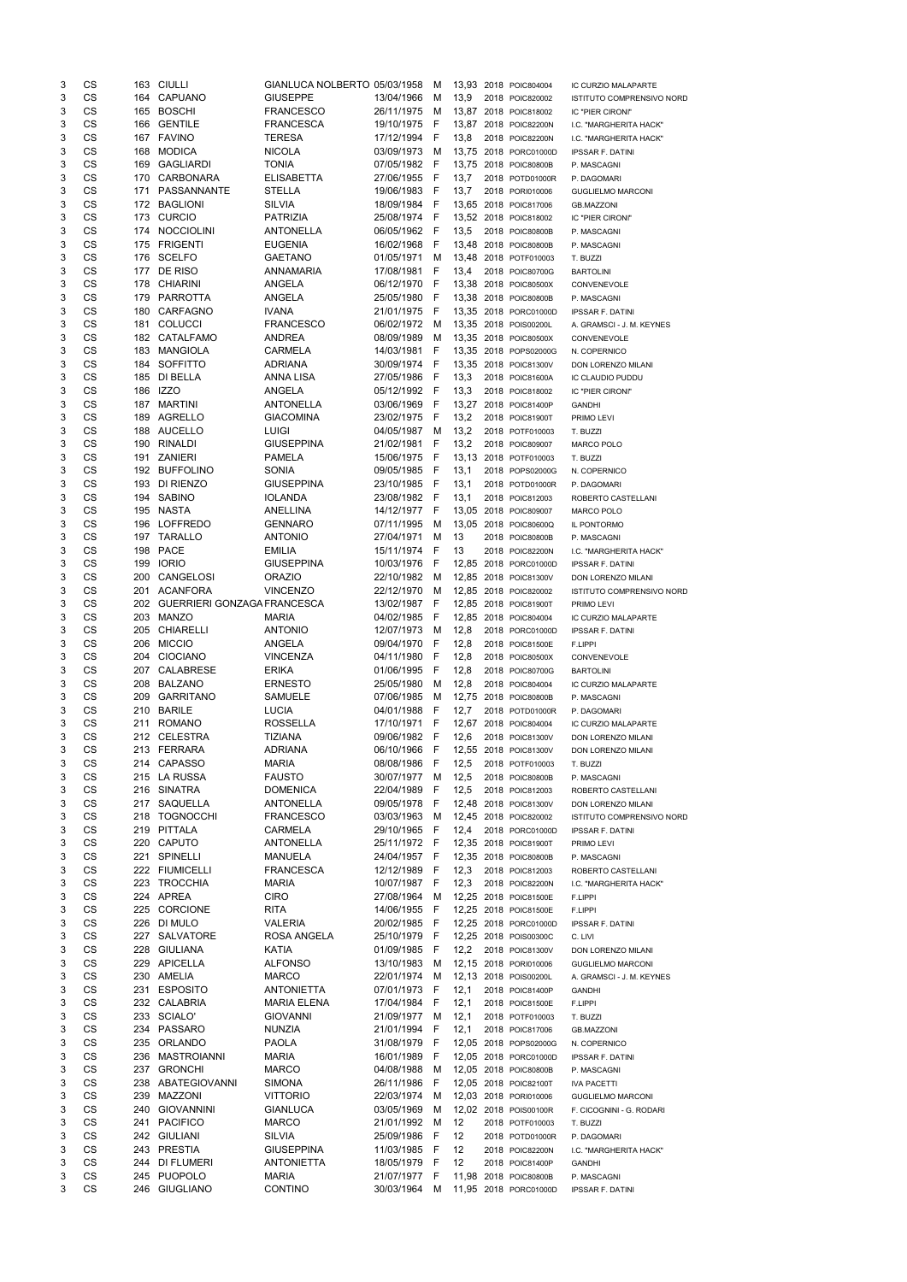| 3      | CS        |     | 163 CIULLI                   | GIANLUCA NOLBERTO 05/03/1958 |                              | - M          |       | 13,93 2018 POIC804004                          | IC CURZIO MALAPARTE                    |
|--------|-----------|-----|------------------------------|------------------------------|------------------------------|--------------|-------|------------------------------------------------|----------------------------------------|
| 3      | CS        |     | 164 CAPUANO                  | <b>GIUSEPPE</b>              | 13/04/1966                   | M            | 13,9  | 2018 POIC820002                                | ISTITUTO COMPRENSIVO NORD              |
| 3      | CS        |     | 165 BOSCHI                   | <b>FRANCESCO</b>             | 26/11/1975                   | M            |       | 13,87 2018 POIC818002                          | IC "PIER CIRONI"                       |
| 3      | CS        | 166 | <b>GENTILE</b>               | <b>FRANCESCA</b>             | 19/10/1975                   | - F          |       | 13,87 2018 POIC82200N                          | I.C. "MARGHERITA HACK"                 |
| 3      | CS        |     | 167 FAVINO                   | <b>TERESA</b>                | 17/12/1994                   | - F          | 13,8  | 2018 POIC82200N                                | I.C. "MARGHERITA HACK"                 |
| 3      | CS        | 168 | <b>MODICA</b>                | <b>NICOLA</b>                | 03/09/1973                   | M            |       | 13,75 2018 PORC01000D                          | <b>IPSSAR F. DATINI</b>                |
| 3      | CS        | 169 | GAGLIARDI                    | <b>TONIA</b>                 | 07/05/1982 F                 |              |       | 13,75 2018 POIC80800B                          | P. MASCAGNI                            |
| 3      | CS        |     | 170 CARBONARA                | <b>ELISABETTA</b>            | 27/06/1955                   | - F          | 13,7  | 2018 POTD01000R                                | P. DAGOMARI                            |
| 3      | CS        |     | 171 PASSANNANTE              | <b>STELLA</b>                | 19/06/1983 F                 |              | 13,7  | 2018 PORI010006                                | <b>GUGLIELMO MARCONI</b>               |
| 3      | CS        |     | 172 BAGLIONI                 | <b>SILVIA</b>                | 18/09/1984 F                 |              |       | 13,65 2018 POIC817006                          | <b>GB.MAZZONI</b>                      |
| 3      | CS        |     | 173 CURCIO                   | <b>PATRIZIA</b>              | 25/08/1974 F                 |              |       | 13,52 2018 POIC818002                          | IC "PIER CIRONI"                       |
| 3      | CS        |     | 174 NOCCIOLINI               | <b>ANTONELLA</b>             | 06/05/1962 F                 |              | 13,5  | 2018 POIC80800B                                | P. MASCAGNI                            |
| 3      | <b>CS</b> |     | 175 FRIGENTI                 | <b>EUGENIA</b>               | 16/02/1968                   | - F          |       | 13,48 2018 POIC80800B                          | P. MASCAGNI                            |
| 3      | <b>CS</b> |     | 176 SCELFO                   | <b>GAETANO</b>               | 01/05/1971                   | M            |       | 13,48 2018 POTF010003                          | T. BUZZI                               |
| 3      | CS        |     | 177 DE RISO                  | <b>ANNAMARIA</b>             | 17/08/1981                   | - F          | 13,4  | 2018 POIC80700G                                | <b>BARTOLINI</b>                       |
| 3      | CS        |     | 178 CHIARINI                 | ANGELA                       | 06/12/1970                   | - F          |       | 13,38 2018 POIC80500X                          | CONVENEVOLE                            |
| 3      | CS        |     | 179 PARROTTA                 | <b>ANGELA</b>                | 25/05/1980                   | - F          |       | 13,38 2018 POIC80800B                          | P. MASCAGNI                            |
| 3      | CS        |     | 180 CARFAGNO                 | <b>IVANA</b>                 | 21/01/1975                   | - F          |       | 13,35 2018 PORC01000D                          | <b>IPSSAR F. DATINI</b>                |
| 3      | CS        | 181 | <b>COLUCCI</b>               | <b>FRANCESCO</b>             | 06/02/1972                   | M            |       | 13,35 2018 POIS00200L                          | A. GRAMSCI - J. M. KEYNES              |
| 3      | CS        |     | 182 CATALFAMO                | <b>ANDREA</b>                | 08/09/1989                   | M            |       | 13,35 2018 POIC80500X                          | CONVENEVOLE                            |
| 3      | CS        | 183 | <b>MANGIOLA</b>              | <b>CARMELA</b>               | 14/03/1981                   | - F          |       | 13,35 2018 POPS02000G                          | N. COPERNICO                           |
| 3      | CS        | 184 | SOFFITTO                     | <b>ADRIANA</b>               | 30/09/1974                   | - F          |       | 13,35 2018 POIC81300V                          | DON LORENZO MILANI                     |
| 3      | CS        | 185 | DI BELLA                     | ANNA LISA                    | 27/05/1986                   | - F          | 13,3  | 2018 POIC81600A                                | IC CLAUDIO PUDDU                       |
| 3      | CS        |     | 186 IZZO                     | <b>ANGELA</b>                | 05/12/1992 F                 |              | 13,3  | 2018 POIC818002                                | IC "PIER CIRONI"                       |
| 3      | CS        | 187 | <b>MARTINI</b>               | <b>ANTONELLA</b>             | 03/06/1969 F                 |              |       | 13,27 2018 POIC81400P                          | <b>GANDHI</b>                          |
| 3      | CS        |     | 189 AGRELLO                  | <b>GIACOMINA</b>             | 23/02/1975                   | - F          | 13,2  | 2018 POIC81900T                                |                                        |
| 3      | CS        |     | 188 AUCELLO                  | <b>LUIGI</b>                 | 04/05/1987                   | M            | 13,2  |                                                | PRIMO LEVI                             |
|        |           |     |                              |                              |                              |              |       | 2018 POTF010003                                | T. BUZZI                               |
| 3      | CS        | 190 | <b>RINALDI</b>               | <b>GIUSEPPINA</b>            | 21/02/1981                   | - F          | 13,2  | 2018 POIC809007                                | MARCO POLO                             |
| 3      | <b>CS</b> |     | 191 ZANIERI                  | <b>PAMELA</b>                | 15/06/1975                   | - F          |       | 13,13 2018 POTF010003                          | T. BUZZI                               |
| 3      | <b>CS</b> |     | 192 BUFFOLINO                | <b>SONIA</b>                 | 09/05/1985                   | - F          | 13,1  | 2018 POPS02000G                                | N. COPERNICO                           |
| 3      | <b>CS</b> | 193 | DI RIENZO                    | <b>GIUSEPPINA</b>            | 23/10/1985                   | - F          | 13,1  | 2018 POTD01000R                                | P. DAGOMARI                            |
| 3      | CS        |     | 194 SABINO                   | <b>IOLANDA</b>               | 23/08/1982 F                 |              | 13,1  | 2018 POIC812003                                | ROBERTO CASTELLANI                     |
| 3      | CS        |     | 195 NASTA                    | ANELLINA                     | 14/12/1977 F                 |              |       | 13,05 2018 POIC809007                          | MARCO POLO                             |
| 3      | CS        |     | 196 LOFFREDO                 | <b>GENNARO</b>               | 07/11/1995                   | M            |       | 13,05 2018 POIC80600Q                          | IL PONTORMO                            |
| 3      | CS        |     | 197 TARALLO                  | <b>ANTONIO</b>               | 27/04/1971                   | M            | 13    | 2018 POIC80800B                                | P. MASCAGNI                            |
| 3      | CS        |     | 198 PACE                     | <b>EMILIA</b>                | 15/11/1974 F                 |              | 13    | 2018 POIC82200N                                | I.C. "MARGHERITA HACK"                 |
| 3      | CS        |     | 199 IORIO                    | <b>GIUSEPPINA</b>            | 10/03/1976 F                 |              |       | 12,85 2018 PORC01000D                          | <b>IPSSAR F. DATINI</b>                |
| 3      | CS        | 200 | CANGELOSI                    | <b>ORAZIO</b>                | 22/10/1982                   | M            |       | 12,85 2018 POIC81300V                          | DON LORENZO MILANI                     |
| 3      | <b>CS</b> | 201 | <b>ACANFORA</b>              | <b>VINCENZO</b>              | 22/12/1970                   | M            |       | 12,85 2018 POIC820002                          | ISTITUTO COMPRENSIVO NORD              |
| 3      | CS        | 202 | GUERRIERI GONZAGA FRANCESCA  |                              | 13/02/1987 F                 |              |       | 12,85 2018 POIC81900T                          | PRIMO LEVI                             |
| 3      | CS        | 203 | <b>MANZO</b>                 | <b>MARIA</b>                 | 04/02/1985                   | - F          |       | 12,85 2018 POIC804004                          | IC CURZIO MALAPARTE                    |
| 3      | CS        | 205 | <b>CHIARELLI</b>             | <b>ANTONIO</b>               | 12/07/1973                   | M            | 12,8  | 2018 PORC01000D                                | <b>IPSSAR F. DATINI</b>                |
| 3      | CS        | 206 | <b>MICCIO</b>                | <b>ANGELA</b>                | 09/04/1970                   | - F          | 12,8  | 2018 POIC81500E                                | F.LIPPI                                |
| 3      | CS        | 204 | <b>CIOCIANO</b>              | <b>VINCENZA</b>              | 04/11/1980                   | - F          | 12,8  | 2018 POIC80500X                                | CONVENEVOLE                            |
| 3      | CS        | 207 | CALABRESE                    | <b>ERIKA</b>                 | 01/06/1995                   | - F          | 12,8  | 2018 POIC80700G                                | <b>BARTOLINI</b>                       |
| 3      | <b>CS</b> | 208 | <b>BALZANO</b>               | <b>ERNESTO</b>               | 25/05/1980                   | M            | 12,8  | 2018 POIC804004                                | <b>IC CURZIO MALAPARTE</b>             |
| 3      | <b>CS</b> | 209 | <b>GARRITANO</b>             | SAMUELE                      | 07/06/1985                   | M            |       | 12,75 2018 POIC80800B                          | P. MASCAGNI                            |
| 3      | CS        | 210 | <b>BARILE</b>                | <b>LUCIA</b>                 | 04/01/1988                   | - F          | 12,7  | 2018 POTD01000R                                | P. DAGOMARI                            |
| 3      | CS        | 211 | <b>ROMANO</b>                | <b>ROSSELLA</b>              | 17/10/1971                   | - F          | 12,67 | 2018 POIC804004                                | IC CURZIO MALAPARTE                    |
| 3      | <b>CS</b> |     | 212 CELESTRA                 | <b>TIZIANA</b>               | 09/06/1982                   | - F          | 12,6  | 2018 POIC81300V                                | DON LORENZO MILANI                     |
| 3      | CS        |     | 213 FERRARA                  | <b>ADRIANA</b>               | 06/10/1966                   | - F          |       | 12,55 2018 POIC81300V                          | DON LORENZO MILANI                     |
| 3      | CS        | 214 | <b>CAPASSO</b>               | <b>MARIA</b>                 | 08/08/1986                   | -F           | 12,5  |                                                |                                        |
|        |           |     |                              |                              |                              |              |       | 2018 POTF010003                                | T. BUZZI                               |
| 3      | CS        |     | 215 LA RUSSA                 | <b>FAUSTO</b>                | 30/07/1977                   | M            | 12,5  | 2018 POIC80800B                                | P. MASCAGNI                            |
| 3      | <b>CS</b> | 216 | <b>SINATRA</b>               | <b>DOMENICA</b>              | 22/04/1989                   | $\mathsf{F}$ | 12,5  | 2018 POIC812003                                | ROBERTO CASTELLANI                     |
| 3      | <b>CS</b> | 217 | SAQUELLA                     | <b>ANTONELLA</b>             | 09/05/1978                   | - F          |       | 12,48 2018 POIC81300V                          | DON LORENZO MILANI                     |
| 3      | <b>CS</b> | 218 | <b>TOGNOCCHI</b>             | <b>FRANCESCO</b>             | 03/03/1963                   | M            |       | 12,45 2018 POIC820002                          | ISTITUTO COMPRENSIVO NORD              |
| 3      | CS        | 219 | PITTALA                      | <b>CARMELA</b>               | 29/10/1965                   | - F          | 12,4  | 2018 PORC01000D                                | <b>IPSSAR F. DATINI</b>                |
| 3      | CS        | 220 | <b>CAPUTO</b>                | <b>ANTONELLA</b>             | 25/11/1972 F                 |              |       | 12,35 2018 POIC81900T                          | PRIMO LEVI                             |
| 3      | CS        | 221 | <b>SPINELLI</b>              | <b>MANUELA</b>               | 24/04/1957 F                 |              |       | 12,35 2018 POIC80800B                          | P. MASCAGNI                            |
| 3      | CS        |     | 222 FIUMICELLI               | <b>FRANCESCA</b>             | 12/12/1989                   | - F          | 12,3  | 2018 POIC812003                                | ROBERTO CASTELLANI                     |
| 3      | CS        | 223 | <b>TROCCHIA</b>              | <b>MARIA</b>                 | 10/07/1987                   | - F          | 12,3  | 2018 POIC82200N                                | I.C. "MARGHERITA HACK"                 |
| 3      | CS        |     | 224 APREA                    | <b>CIRO</b>                  | 27/08/1964                   | M            |       | 12,25 2018 POIC81500E                          | F.LIPPI                                |
| 3      | <b>CS</b> | 225 | <b>CORCIONE</b>              | <b>RITA</b>                  | 14/06/1955                   | - F          |       | 12,25 2018 POIC81500E                          | F.LIPPI                                |
| 3      | <b>CS</b> | 226 | DI MULO                      | <b>VALERIA</b>               | 20/02/1985                   | - F          |       | 12,25 2018 PORC01000D                          | <b>IPSSAR F. DATINI</b>                |
| 3      | CS        |     | 227 SALVATORE                | ROSA ANGELA                  | 25/10/1979                   | - F          |       | 12,25 2018 POIS00300C                          | C. LIVI                                |
| 3      | CS        | 228 | GIULIANA                     | KATIA                        | 01/09/1985                   | - F          | 12,2  | 2018 POIC81300V                                | DON LORENZO MILANI                     |
| 3      | CS        |     | 229 APICELLA                 | <b>ALFONSO</b>               | 13/10/1983                   | M            |       | 12,15 2018 PORI010006                          | <b>GUGLIELMO MARCONI</b>               |
| 3      | CS        |     | 230 AMELIA                   | <b>MARCO</b>                 | 22/01/1974                   | M            |       | 12,13 2018 POIS00200L                          | A. GRAMSCI - J. M. KEYNES              |
| 3      | CS        | 231 | <b>ESPOSITO</b>              | <b>ANTONIETTA</b>            | 07/01/1973                   | - F          | 12,1  | 2018 POIC81400P                                | <b>GANDHI</b>                          |
| 3      | CS        | 232 | <b>CALABRIA</b>              | <b>MARIA ELENA</b>           | 17/04/1984                   | - F          | 12,1  | 2018 POIC81500E                                | F.LIPPI                                |
| 3      | CS        | 233 | SCIALO'                      | <b>GIOVANNI</b>              | 21/09/1977                   | M            | 12,1  | 2018 POTF010003                                | T. BUZZI                               |
| 3      | <b>CS</b> | 234 | PASSARO                      | <b>NUNZIA</b>                | 21/01/1994                   | $\mathsf{F}$ | 12,1  | 2018 POIC817006                                | <b>GB.MAZZONI</b>                      |
| 3      | CS        |     | 235 ORLANDO                  | <b>PAOLA</b>                 | 31/08/1979                   | $\mathsf F$  |       | 12,05 2018 POPS02000G                          | N. COPERNICO                           |
| 3      | CS        |     | 236 MASTROIANNI              | <b>MARIA</b>                 | 16/01/1989 F                 |              |       | 12,05 2018 PORC01000D                          | <b>IPSSAR F. DATINI</b>                |
| 3      | CS        |     | 237 GRONCHI                  | <b>MARCO</b>                 | 04/08/1988                   | M            |       | 12,05 2018 POIC80800B                          | P. MASCAGNI                            |
| 3      | CS        |     | 238 ABATEGIOVANNI            | <b>SIMONA</b>                | 26/11/1986                   | - F          |       | 12,05 2018 POIC82100T                          | <b>IVA PACETTI</b>                     |
| 3      | CS        | 239 | MAZZONI                      | <b>VITTORIO</b>              | 22/03/1974                   | M            |       | 12,03 2018 PORI010006                          | <b>GUGLIELMO MARCONI</b>               |
| 3      | CS        | 240 | <b>GIOVANNINI</b>            | <b>GIANLUCA</b>              | 03/05/1969                   | M            |       | 12,02 2018 POIS00100R                          | F. CICOGNINI - G. RODARI               |
| 3      | CS        |     | 241 PACIFICO                 | <b>MARCO</b>                 | 21/01/1992                   | M            | 12    |                                                |                                        |
|        | CS        |     | 242 GIULIANI                 | <b>SILVIA</b>                |                              |              |       | 2018 POTF010003                                | T. BUZZI                               |
| 3      |           |     |                              |                              | 25/09/1986                   | - F          | 12    | 2018 POTD01000R                                | P. DAGOMARI                            |
| 3      |           |     |                              |                              |                              |              |       |                                                |                                        |
|        | CS        |     | 243 PRESTIA                  | <b>GIUSEPPINA</b>            | 11/03/1985                   | - F          | 12    | 2018 POIC82200N                                | I.C. "MARGHERITA HACK"                 |
| 3      | CS        |     | 244 DI FLUMERI               | <b>ANTONIETTA</b>            | 18/05/1979                   | - F          | 12    | 2018 POIC81400P                                | <b>GANDHI</b>                          |
| 3<br>3 | CS<br>CS  |     | 245 PUOPOLO<br>246 GIUGLIANO | <b>MARIA</b><br>CONTINO      | 21/07/1977 F<br>30/03/1964 M |              |       | 11,98 2018 POIC80800B<br>11,95 2018 PORC01000D | P. MASCAGNI<br><b>IPSSAR F. DATINI</b> |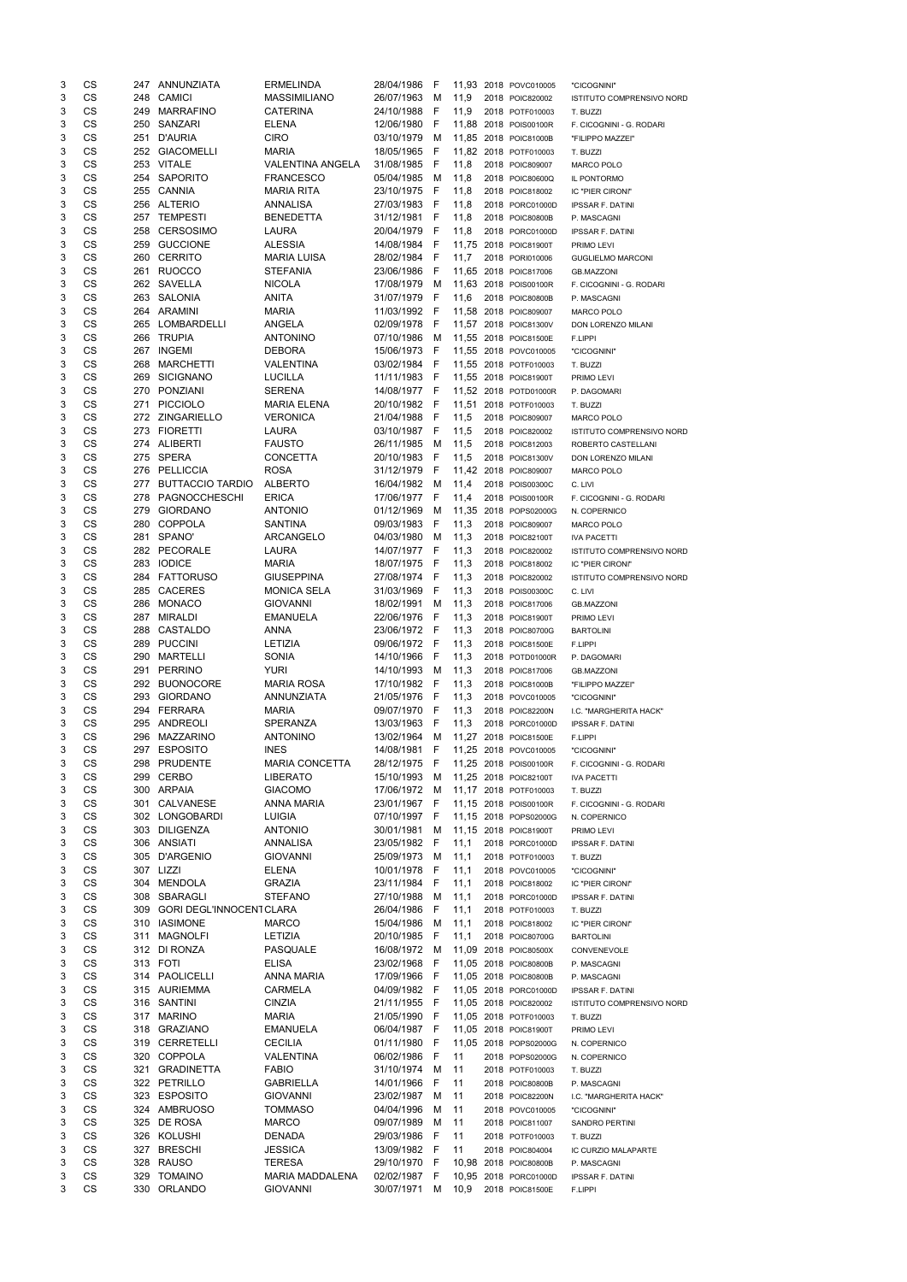| 3      | CS              |            | 247 ANNUNZIATA                  | <b>ERMELINDA</b>                        | 28/04/1986                 | F            |              | 11,93 2018 POVC010005                          | "CICOGNINI"                              |
|--------|-----------------|------------|---------------------------------|-----------------------------------------|----------------------------|--------------|--------------|------------------------------------------------|------------------------------------------|
| 3      | CS              | 248        | <b>CAMICI</b>                   | <b>MASSIMILIANO</b>                     | 26/07/1963                 | м            | 11,9         | 2018 POIC820002                                | <b>ISTITUTO COMPRENSIVO NORD</b>         |
| 3      | CS              | 249        | <b>MARRAFINO</b>                | <b>CATERINA</b>                         | 24/10/1988                 | F            | 11,9         | 2018 POTF010003                                | T. BUZZI                                 |
| 3<br>3 | CS<br>CS        | 250<br>251 | SANZARI<br><b>D'AURIA</b>       | <b>ELENA</b><br><b>CIRO</b>             | 12/06/1980<br>03/10/1979   | F            |              | 11,88 2018 POIS00100R                          | F. CICOGNINI - G. RODARI                 |
| 3      | CS              |            | 252 GIACOMELLI                  | MARIA                                   | 18/05/1965                 | M<br>-F      |              | 11,85 2018 POIC81000B<br>11,82 2018 POTF010003 | "FILIPPO MAZZEI"<br>T. BUZZI             |
| 3      | CS              |            | 253 VITALE                      | <b>VALENTINA ANGELA</b>                 | 31/08/1985                 | F            | 11,8         | 2018 POIC809007                                | <b>MARCO POLO</b>                        |
| 3      | CS              |            | 254 SAPORITO                    | <b>FRANCESCO</b>                        | 05/04/1985                 | M            | 11,8         | 2018 POIC80600Q                                | IL PONTORMO                              |
| 3      | CS              |            | 255 CANNIA                      | <b>MARIA RITA</b>                       | 23/10/1975                 | F            | 11,8         | 2018 POIC818002                                | IC "PIER CIRONI"                         |
| 3      | CS              |            | 256 ALTERIO                     | <b>ANNALISA</b>                         | 27/03/1983                 | F            | 11,8         | 2018 PORC01000D                                | <b>IPSSAR F. DATINI</b>                  |
| 3      | CS              |            | 257 TEMPESTI                    | <b>BENEDETTA</b>                        | 31/12/1981                 | F            | 11,8         | 2018 POIC80800B                                | P. MASCAGNI                              |
| 3      | CS              | 258        | <b>CERSOSIMO</b>                | LAURA                                   | 20/04/1979                 | -F           | 11,8         | 2018 PORC01000D                                | <b>IPSSAR F. DATINI</b>                  |
| 3      | <b>CS</b>       |            | 259 GUCCIONE                    | <b>ALESSIA</b>                          | 14/08/1984                 | - F          |              | 11,75 2018 POIC81900T                          | PRIMO LEVI                               |
| 3      | CS              | 260        | <b>CERRITO</b>                  | <b>MARIA LUISA</b>                      | 28/02/1984                 | - F          | 11,7         | 2018 PORI010006                                | <b>GUGLIELMO MARCONI</b>                 |
| 3      | CS<br><b>CS</b> |            | 261 RUOCCO                      | <b>STEFANIA</b>                         | 23/06/1986                 | -F           |              | 11,65 2018 POIC817006                          | <b>GB.MAZZONI</b>                        |
| 3<br>3 | <b>CS</b>       |            | 262 SAVELLA<br>263 SALONIA      | <b>NICOLA</b><br><b>ANITA</b>           | 17/08/1979<br>31/07/1979 F | M            | 11,6         | 11,63 2018 POIS00100R<br>2018 POIC80800B       | F. CICOGNINI - G. RODARI<br>P. MASCAGNI  |
| 3      | CS              |            | 264 ARAMINI                     | <b>MARIA</b>                            | 11/03/1992 F               |              |              | 11,58 2018 POIC809007                          | <b>MARCO POLO</b>                        |
| 3      | CS              | 265        | LOMBARDELLI                     | ANGELA                                  | 02/09/1978                 | -F           |              | 11,57 2018 POIC81300V                          | DON LORENZO MILANI                       |
| 3      | CS              | 266        | <b>TRUPIA</b>                   | <b>ANTONINO</b>                         | 07/10/1986                 | M            |              | 11,55 2018 POIC81500E                          | F.LIPPI                                  |
| 3      | CS              | 267        | <b>INGEMI</b>                   | <b>DEBORA</b>                           | 15/06/1973                 | -F           |              | 11.55 2018 POVC010005                          | "CICOGNINI"                              |
| 3      | CS              | 268        | <b>MARCHETTI</b>                | <b>VALENTINA</b>                        | 03/02/1984                 | - F          |              | 11,55 2018 POTF010003                          | T. BUZZI                                 |
| 3      | CS              | 269        | <b>SICIGNANO</b>                | <b>LUCILLA</b>                          | 11/11/1983                 | - F          |              | 11,55 2018 POIC81900T                          | PRIMO LEVI                               |
| 3      | CS              | 270        | PONZIANI                        | <b>SERENA</b>                           | 14/08/1977 F               |              |              | 11,52 2018 POTD01000R                          | P. DAGOMARI                              |
| 3      | CS              | 271        | <b>PICCIOLO</b>                 | <b>MARIA ELENA</b>                      | 20/10/1982 F               |              |              | 11,51 2018 POTF010003                          | T. BUZZI                                 |
| 3      | CS              |            | 272 ZINGARIELLO                 | <b>VERONICA</b>                         | 21/04/1988                 | - F          | 11,5         | 2018 POIC809007                                | <b>MARCO POLO</b>                        |
| 3<br>3 | CS<br>CS        |            | 273 FIORETTI<br>274 ALIBERTI    | LAURA<br><b>FAUSTO</b>                  | 03/10/1987<br>26/11/1985   | F<br>M       | 11,5<br>11,5 | 2018 POIC820002                                | ISTITUTO COMPRENSIVO NORD                |
| 3      | <b>CS</b>       |            | 275 SPERA                       | <b>CONCETTA</b>                         | 20/10/1983                 | F            | 11,5         | 2018 POIC812003<br>2018 POIC81300V             | ROBERTO CASTELLANI<br>DON LORENZO MILANI |
| 3      | <b>CS</b>       |            | 276 PELLICCIA                   | <b>ROSA</b>                             | 31/12/1979                 | - F          |              | 11,42 2018 POIC809007                          | <b>MARCO POLO</b>                        |
| 3      | CS              | 277        | <b>BUTTACCIO TARDIO</b>         | <b>ALBERTO</b>                          | 16/04/1982 M               |              | 11,4         | 2018 POIS00300C                                | C. LIVI                                  |
| 3      | CS              | 278        | PAGNOCCHESCHI                   | <b>ERICA</b>                            | 17/06/1977                 | - F          | 11,4         | 2018 POIS00100R                                | F. CICOGNINI - G. RODARI                 |
| 3      | CS              | 279        | <b>GIORDANO</b>                 | <b>ANTONIO</b>                          | 01/12/1969                 | M            |              | 11,35 2018 POPS02000G                          | N. COPERNICO                             |
| 3      | CS              | 280        | <b>COPPOLA</b>                  | <b>SANTINA</b>                          | 09/03/1983                 | F            | 11,3         | 2018 POIC809007                                | <b>MARCO POLO</b>                        |
| 3      | CS              |            | 281 SPANO'                      | <b>ARCANGELO</b>                        | 04/03/1980                 | м            | 11,3         | 2018 POIC82100T                                | <b>IVA PACETTI</b>                       |
| 3      | CS              |            | 282 PECORALE                    | LAURA                                   | 14/07/1977 F               |              | 11,3         | 2018 POIC820002                                | ISTITUTO COMPRENSIVO NORD                |
| 3      | CS              |            | 283 IODICE                      | <b>MARIA</b>                            | 18/07/1975                 | $\mathsf{F}$ | 11,3         | 2018 POIC818002                                | IC "PIER CIRONI"                         |
| 3      | CS              | 284        | <b>FATTORUSO</b>                | <b>GIUSEPPINA</b>                       | 27/08/1974                 | F            | 11,3         | 2018 POIC820002                                | <b>ISTITUTO COMPRENSIVO NORD</b>         |
| 3<br>3 | CS<br>CS        | 285<br>286 | <b>CACERES</b><br><b>MONACO</b> | <b>MONICA SELA</b><br><b>GIOVANNI</b>   | 31/03/1969<br>18/02/1991   | F<br>м       | 11,3<br>11,3 | 2018 POIS00300C<br>2018 POIC817006             | C. LIVI<br><b>GB.MAZZONI</b>             |
| 3      | CS              | 287        | <b>MIRALDI</b>                  | <b>EMANUELA</b>                         | 22/06/1976                 | -F           | 11,3         | 2018 POIC81900T                                | PRIMO LEVI                               |
| 3      | CS              | 288        | CASTALDO                        | ANNA                                    | 23/06/1972 F               |              | 11,3         | 2018 POIC80700G                                | <b>BARTOLINI</b>                         |
| 3      | CS              | 289        | <b>PUCCINI</b>                  | <b>LETIZIA</b>                          | 09/06/1972                 | - F          | 11,3         | 2018 POIC81500E                                | F.LIPPI                                  |
| 3      | CS              | 290        | <b>MARTELLI</b>                 | <b>SONIA</b>                            | 14/10/1966                 | F            | 11,3         | 2018 POTD01000R                                | P. DAGOMARI                              |
| 3      | CS              | 291        | <b>PERRINO</b>                  | <b>YURI</b>                             | 14/10/1993                 | M            | 11,3         | 2018 POIC817006                                | <b>GB.MAZZONI</b>                        |
| 3      | <b>CS</b>       | 292        | <b>BUONOCORE</b>                | <b>MARIA ROSA</b>                       | 17/10/1982                 | -F           | 11,3         | 2018 POIC81000B                                | "FILIPPO MAZZEI"                         |
| 3      | CS              | 293        | <b>GIORDANO</b>                 | ANNUNZIATA                              | 21/05/1976                 | -F           | 11,3         | 2018 POVC010005                                | "CICOGNINI"                              |
| 3      | CS              | 294        | FERRARA                         | <b>MARIA</b>                            | 09/07/1970                 | - F          | 11,3         | 2018 POIC82200N                                | I.C. "MARGHERITA HACK"                   |
| 3<br>3 | CS<br><b>CS</b> | 295<br>296 | ANDREOLI<br><b>MAZZARINO</b>    | SPERANZA<br><b>ANTONINO</b>             | 13/03/1963<br>13/02/1964   | -F<br>M      | 11,3         | 2018 PORC01000D<br>11,27 2018 POIC81500E       | <b>IPSSAR F. DATINI</b><br>F.LIPPI       |
| 3      | CS              | 297        | <b>ESPOSITO</b>                 | <b>INES</b>                             | 14/08/1981                 | F            |              | 11,25 2018 POVC010005                          | "CICOGNINI"                              |
| 3      | CS              | 298        | <b>PRUDENTE</b>                 | <b>MARIA CONCETTA</b>                   | 28/12/1975                 | F            |              | 11,25 2018 POIS00100R                          | F. CICOGNINI - G. RODARI                 |
| 3      | CS              | 299        | <b>CERBO</b>                    | <b>LIBERATO</b>                         | 15/10/1993                 | M            |              | 11,25 2018 POIC82100T                          | <b>IVA PACETTI</b>                       |
| 3      | CS              |            | 300 ARPAIA                      | <b>GIACOMO</b>                          | 17/06/1972                 | M            |              | 11,17 2018 POTF010003                          | T. BUZZI                                 |
| 3      | CS              | 301        | <b>CALVANESE</b>                | ANNA MARIA                              | 23/01/1967                 | -F           |              | 11,15 2018 POIS00100R                          | F. CICOGNINI - G. RODARI                 |
| 3      | CS              | 302        | LONGOBARDI                      | <b>LUIGIA</b>                           | 07/10/1997                 | F            |              | 11,15 2018 POPS02000G                          | N. COPERNICO                             |
| 3      | CS              | 303        | <b>DILIGENZA</b>                | <b>ANTONIO</b>                          | 30/01/1981                 | м            |              | 11,15 2018 POIC81900T                          | PRIMO LEVI                               |
| 3      | CS              |            | 306 ANSIATI                     | <b>ANNALISA</b>                         | 23/05/1982                 | -F           | 11,1         | 2018 PORC01000D                                | <b>IPSSAR F. DATINI</b>                  |
| 3      | CS              | 305        | D'ARGENIO                       | <b>GIOVANNI</b>                         | 25/09/1973                 | M            | 11,1         | 2018 POTF010003                                | T. BUZZI                                 |
| 3<br>3 | CS<br>CS        | 304        | 307 LIZZI<br><b>MENDOLA</b>     | <b>ELENA</b><br><b>GRAZIA</b>           | 10/01/1978<br>23/11/1984   | F<br>F       | 11,1<br>11,1 | 2018 POVC010005<br>2018 POIC818002             | "CICOGNINI"<br>IC "PIER CIRONI"          |
| 3      | CS              | 308        | SBARAGLI                        | <b>STEFANO</b>                          | 27/10/1988                 | M            | 11,1         | 2018 PORC01000D                                | <b>IPSSAR F. DATINI</b>                  |
| 3      | <b>CS</b>       | 309        | <b>GORI DEGL'INNOCENT CLARA</b> |                                         | 26/04/1986                 | F            | 11,1         | 2018 POTF010003                                | T. BUZZI                                 |
| 3      | CS              | 310        | <b>IASIMONE</b>                 | <b>MARCO</b>                            | 15/04/1986                 | м            | 11,1         | 2018 POIC818002                                | IC "PIER CIRONI"                         |
| 3      | CS              | 311        | <b>MAGNOLFI</b>                 | <b>LETIZIA</b>                          | 20/10/1985                 | -F           | 11,1         | 2018 POIC80700G                                | <b>BARTOLINI</b>                         |
| 3      | CS              | 312        | DI RONZA                        | <b>PASQUALE</b>                         | 16/08/1972                 | M            |              | 11,09 2018 POIC80500X                          | CONVENEVOLE                              |
| 3      | <b>CS</b>       |            | 313 FOTI                        | <b>ELISA</b>                            | 23/02/1968                 | -F           |              | 11,05 2018 POIC80800B                          | P. MASCAGNI                              |
| 3      | CS              |            | 314 PAOLICELLI                  | <b>ANNA MARIA</b>                       | 17/09/1966                 | -F           |              | 11,05 2018 POIC80800B                          | P. MASCAGNI                              |
| 3      | CS              |            | 315 AURIEMMA                    | <b>CARMELA</b>                          | 04/09/1982                 | -F           |              | 11,05 2018 PORC01000D                          | <b>IPSSAR F. DATINI</b>                  |
| 3<br>3 | CS<br>CS        | 317        | 316 SANTINI<br><b>MARINO</b>    | <b>CINZIA</b><br><b>MARIA</b>           | 21/11/1955<br>21/05/1990   | F<br>-F      |              | 11,05 2018 POIC820002<br>11,05 2018 POTF010003 | ISTITUTO COMPRENSIVO NORD                |
| 3      |                 |            | 318 GRAZIANO                    | <b>EMANUELA</b>                         | 06/04/1987                 | -F           |              | 11,05 2018 POIC81900T                          | T. BUZZI<br>PRIMO LEVI                   |
| 3      |                 |            |                                 | <b>CECILIA</b>                          | 01/11/1980                 | F            |              | 11,05 2018 POPS02000G                          | N. COPERNICO                             |
|        | CS<br>CS        |            | 319 CERRETELLI                  |                                         |                            |              |              | 2018 POPS02000G                                |                                          |
| 3      | CS              |            | 320 COPPOLA                     | VALENTINA                               | 06/02/1986                 | F            | 11           |                                                | N. COPERNICO                             |
| 3      | CS              | 321        | <b>GRADINETTA</b>               | <b>FABIO</b>                            | 31/10/1974                 | M            | 11           | 2018 POTF010003                                | T. BUZZI                                 |
| 3      | CS              |            | 322 PETRILLO                    | <b>GABRIELLA</b>                        | 14/01/1966                 | E            | 11           | 2018 POIC80800B                                | P. MASCAGNI                              |
| 3      | CS              |            | 323 ESPOSITO                    | <b>GIOVANNI</b>                         | 23/02/1987                 | M            | 11           | 2018 POIC82200N                                | I.C. "MARGHERITA HACK"                   |
| 3      | CS              |            | 324 AMBRUOSO                    | <b>TOMMASO</b>                          | 04/04/1996                 | M            | 11           | 2018 POVC010005                                | "CICOGNINI"                              |
| 3      | CS              | 325        | DE ROSA                         | <b>MARCO</b>                            | 09/07/1989                 | M            | 11           | 2018 POIC811007                                | <b>SANDRO PERTINI</b>                    |
| 3      | CS              |            | 326 KOLUSHI                     | <b>DENADA</b>                           | 29/03/1986                 | F            | 11           | 2018 POTF010003                                | T. BUZZI                                 |
| 3      | CS              |            | 327 BRESCHI                     | <b>JESSICA</b>                          | 13/09/1982                 | -F           | 11           | 2018 POIC804004                                | IC CURZIO MALAPARTE                      |
| 3<br>3 | CS<br>CS        |            | 328 RAUSO<br>329 TOMAINO        | <b>TERESA</b><br><b>MARIA MADDALENA</b> | 29/10/1970<br>02/02/1987   | - F<br>-F    |              | 10,98 2018 POIC80800B<br>10,95 2018 PORC01000D | P. MASCAGNI<br><b>IPSSAR F. DATINI</b>   |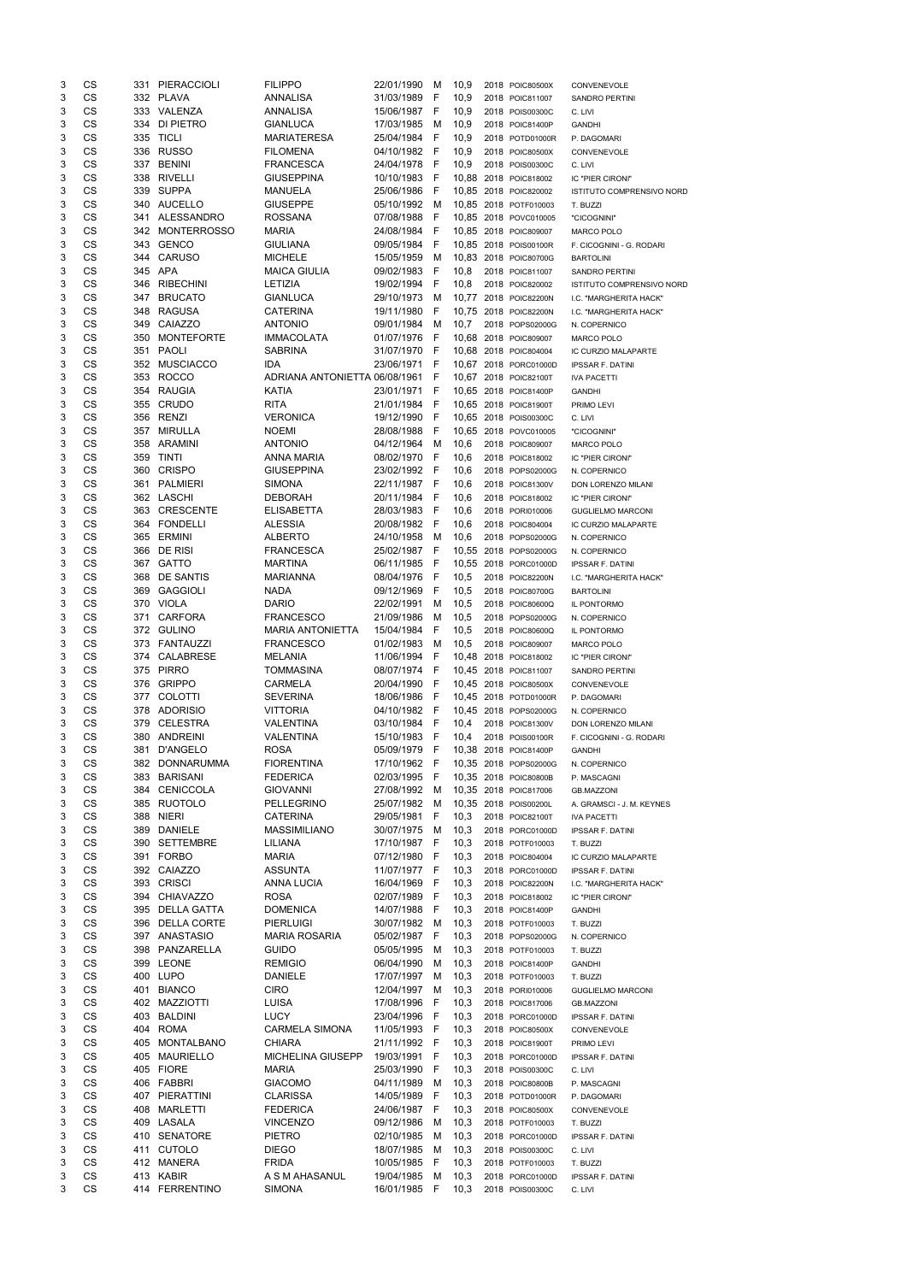| 3 | CS        |     | 331 PIERACCIOLI    | <b>FILIPPO</b>                  | 22/01/1990   | м    | 10,9         | 2018 POIC80500X       | CONVENEVOLE                      |
|---|-----------|-----|--------------------|---------------------------------|--------------|------|--------------|-----------------------|----------------------------------|
| 3 | CS        |     | 332 PLAVA          | <b>ANNALISA</b>                 | 31/03/1989   | F    | 10,9         | 2018 POIC811007       | SANDRO PERTINI                   |
| 3 | CS        |     | 333 VALENZA        | <b>ANNALISA</b>                 | 15/06/1987   | - F  | 10,9         | 2018 POIS00300C       | C. LIVI                          |
| 3 | CS        | 334 | DI PIETRO          | <b>GIANLUCA</b>                 | 17/03/1985   | м    | 10,9         | 2018 POIC81400P       | <b>GANDHI</b>                    |
| 3 | CS        |     | 335 TICLI          | <b>MARIATERESA</b>              | 25/04/1984   | - F  | 10,9         | 2018 POTD01000R       | P. DAGOMARI                      |
| 3 | CS        |     | 336 RUSSO          | <b>FILOMENA</b>                 | 04/10/1982 F |      | 10,9         | 2018 POIC80500X       | CONVENEVOLE                      |
| 3 | CS        |     | 337 BENINI         | <b>FRANCESCA</b>                | 24/04/1978 F |      | 10,9         | 2018 POIS00300C       | C. LIVI                          |
| 3 | CS        |     | 338 RIVELLI        | <b>GIUSEPPINA</b>               | 10/10/1983 F |      |              | 10,88 2018 POIC818002 | IC "PIER CIRONI"                 |
| 3 | <b>CS</b> |     | 339 SUPPA          | <b>MANUELA</b>                  | 25/06/1986 F |      |              | 10,85 2018 POIC820002 | <b>ISTITUTO COMPRENSIVO NORD</b> |
| 3 | CS        |     | 340 AUCELLO        | <b>GIUSEPPE</b>                 | 05/10/1992 M |      |              | 10,85 2018 POTF010003 | T. BUZZI                         |
| 3 | CS        |     | 341 ALESSANDRO     | <b>ROSSANA</b>                  | 07/08/1988   | - F  |              | 10,85 2018 POVC010005 | "CICOGNINI"                      |
| 3 | <b>CS</b> |     | 342 MONTERROSSO    | <b>MARIA</b>                    | 24/08/1984 F |      |              | 10,85 2018 POIC809007 | <b>MARCO POLO</b>                |
| 3 | <b>CS</b> |     | 343 GENCO          | <b>GIULIANA</b>                 | 09/05/1984   | $-F$ |              | 10,85 2018 POIS00100R | F. CICOGNINI - G. RODARI         |
| 3 | CS        | 344 | <b>CARUSO</b>      | <b>MICHELE</b>                  | 15/05/1959   | M    |              | 10,83 2018 POIC80700G |                                  |
| 3 | CS        |     | 345 APA            | <b>MAICA GIULIA</b>             | 09/02/1983   | - F  | 10,8         |                       | <b>BARTOLINI</b>                 |
|   | <b>CS</b> |     |                    |                                 |              |      |              | 2018 POIC811007       | <b>SANDRO PERTINI</b>            |
| 3 |           |     | 346 RIBECHINI      | <b>LETIZIA</b>                  | 19/02/1994 F |      | 10,8         | 2018 POIC820002       | ISTITUTO COMPRENSIVO NORD        |
| 3 | <b>CS</b> |     | 347 BRUCATO        | <b>GIANLUCA</b>                 | 29/10/1973   | M    |              | 10,77 2018 POIC82200N | I.C. "MARGHERITA HACK"           |
| 3 | CS        | 348 | <b>RAGUSA</b>      | <b>CATERINA</b>                 | 19/11/1980   | - F  |              | 10,75 2018 POIC82200N | I.C. "MARGHERITA HACK"           |
| 3 | CS        | 349 | CAIAZZO            | <b>ANTONIO</b>                  | 09/01/1984   | M    | 10,7         | 2018 POPS02000G       | N. COPERNICO                     |
| 3 | CS        | 350 | <b>MONTEFORTE</b>  | <b>IMMACOLATA</b>               | 01/07/1976   | - F  |              | 10,68 2018 POIC809007 | <b>MARCO POLO</b>                |
| 3 | CS        |     | 351 PAOLI          | <b>SABRINA</b>                  | 31/07/1970 F |      |              | 10.68 2018 POIC804004 | IC CURZIO MALAPARTE              |
| 3 | CS        |     | 352 MUSCIACCO      | IDA                             | 23/06/1971 F |      |              | 10.67 2018 PORC01000D | <b>IPSSAR F. DATINI</b>          |
| 3 | CS        | 353 | <b>ROCCO</b>       | ADRIANA ANTONIETTA 06/08/1961 F |              |      |              | 10,67 2018 POIC82100T | <b>IVA PACETTI</b>               |
| 3 | CS        |     | 354 RAUGIA         | KATIA                           | 23/01/1971   | - F  |              | 10,65 2018 POIC81400P | <b>GANDHI</b>                    |
| 3 | <b>CS</b> |     | 355 CRUDO          | <b>RITA</b>                     | 21/01/1984 F |      |              | 10,65 2018 POIC81900T | PRIMO LEVI                       |
| 3 | CS        |     | 356 RENZI          | <b>VERONICA</b>                 | 19/12/1990   | - F  |              | 10,65 2018 POIS00300C | C. LIVI                          |
| 3 | CS        | 357 | <b>MIRULLA</b>     | <b>NOEMI</b>                    | 28/08/1988   | - F  |              | 10,65 2018 POVC010005 | "CICOGNINI"                      |
| 3 | <b>CS</b> |     | 358 ARAMINI        | <b>ANTONIO</b>                  | 04/12/1964   | M    | 10,6         | 2018 POIC809007       | <b>MARCO POLO</b>                |
| 3 | <b>CS</b> | 359 | <b>TINTI</b>       | <b>ANNA MARIA</b>               | 08/02/1970   | - F  | 10,6         | 2018 POIC818002       | IC "PIER CIRONI"                 |
| 3 | CS        | 360 | <b>CRISPO</b>      | <b>GIUSEPPINA</b>               | 23/02/1992 F |      | 10,6         | 2018 POPS02000G       | N. COPERNICO                     |
| 3 | CS        |     | 361 PALMIERI       | <b>SIMONA</b>                   | 22/11/1987 F |      | 10,6         | 2018 POIC81300V       | DON LORENZO MILANI               |
| 3 | CS        |     | 362 LASCHI         | <b>DEBORAH</b>                  | 20/11/1984   | $-F$ | 10,6         | 2018 POIC818002       | IC "PIER CIRONI"                 |
| 3 | <b>CS</b> |     | 363 CRESCENTE      | <b>ELISABETTA</b>               | 28/03/1983   | - F  | 10,6         | 2018 PORI010006       | <b>GUGLIELMO MARCONI</b>         |
| 3 | <b>CS</b> |     | 364 FONDELLI       | <b>ALESSIA</b>                  | 20/08/1982   | - F  | 10,6         | 2018 POIC804004       | IC CURZIO MALAPARTE              |
| 3 | CS        |     | 365 ERMINI         | <b>ALBERTO</b>                  | 24/10/1958   | M    | 10,6         | 2018 POPS02000G       | N. COPERNICO                     |
| 3 | CS        |     | 366 DE RISI        | <b>FRANCESCA</b>                | 25/02/1987 F |      |              | 10,55 2018 POPS02000G | N. COPERNICO                     |
| 3 | CS        |     | 367 GATTO          | <b>MARTINA</b>                  | 06/11/1985   | F    |              | 10,55 2018 PORC01000D | <b>IPSSAR F. DATINI</b>          |
| 3 | CS        | 368 | DE SANTIS          | <b>MARIANNA</b>                 | 08/04/1976   | - F  | 10,5         | 2018 POIC82200N       | I.C. "MARGHERITA HACK"           |
| 3 | CS        | 369 | <b>GAGGIOLI</b>    | <b>NADA</b>                     | 09/12/1969   | - F  | 10,5         | 2018 POIC80700G       | <b>BARTOLINI</b>                 |
| 3 | CS        |     | 370 VIOLA          | <b>DARIO</b>                    | 22/02/1991   | M    | 10,5         | 2018 POIC80600Q       |                                  |
| 3 | CS        | 371 | <b>CARFORA</b>     | <b>FRANCESCO</b>                | 21/09/1986   | M    |              |                       | IL PONTORMO                      |
| 3 | CS        |     | 372 GULINO         | <b>MARIA ANTONIETTA</b>         | 15/04/1984   | - F  | 10,5<br>10,5 | 2018 POPS02000G       | N. COPERNICO                     |
|   | <b>CS</b> |     | 373 FANTAUZZI      |                                 | 01/02/1983   |      |              | 2018 POIC80600Q       | IL PONTORMO                      |
| 3 |           |     |                    | <b>FRANCESCO</b>                |              | M    | 10,5         | 2018 POIC809007       | MARCO POLO                       |
| 3 | CS        | 374 | <b>CALABRESE</b>   | <b>MELANIA</b>                  | 11/06/1994   | - F  |              | 10,48 2018 POIC818002 | IC "PIER CIRONI"                 |
| 3 | <b>CS</b> |     | 375 PIRRO          | <b>TOMMASINA</b>                | 08/07/1974 F |      |              | 10,45 2018 POIC811007 | <b>SANDRO PERTINI</b>            |
| 3 | <b>CS</b> |     | 376 GRIPPO         | <b>CARMELA</b>                  | 20/04/1990   | - F  |              | 10,45 2018 POIC80500X | CONVENEVOLE                      |
| 3 | CS        | 377 | <b>COLOTTI</b>     | <b>SEVERINA</b>                 | 18/06/1986   | – F  |              | 10,45 2018 POTD01000R | P. DAGOMARI                      |
| 3 | CS        |     | 378 ADORISIO       | <b>VITTORIA</b>                 | 04/10/1982 F |      |              | 10,45 2018 POPS02000G | N. COPERNICO                     |
| 3 | <b>CS</b> | 379 | <b>CELESTRA</b>    | <b>VALENTINA</b>                | 03/10/1984 F |      | 10,4         | 2018 POIC81300V       | DON LORENZO MILANI               |
| 3 | <b>CS</b> |     | 380 ANDREINI       | VALENTINA                       | 15/10/1983   | - F  | 10,4         | 2018 POIS00100R       | F. CICOGNINI - G. RODARI         |
| 3 | CS        | 381 | D'ANGELO           | <b>ROSA</b>                     | 05/09/1979   | - F  |              | 10,38 2018 POIC81400P | <b>GANDHI</b>                    |
| 3 | CS        | 382 | DONNARUMMA         | <b>FIORENTINA</b>               | 17/10/1962   | - F  |              | 10,35 2018 POPS02000G | N. COPERNICO                     |
| 3 | CS        | 383 | <b>BARISANI</b>    | <b>FEDERICA</b>                 | 02/03/1995   | - F  |              | 10,35 2018 POIC80800B | P. MASCAGNI                      |
| 3 | CS        | 384 | CENICCOLA          | <b>GIOVANNI</b>                 | 27/08/1992   | M    |              | 10,35 2018 POIC817006 | <b>GB.MAZZONI</b>                |
| 3 | CS        |     | 385 RUOTOLO        | <b>PELLEGRINO</b>               | 25/07/1982   | M    |              | 10,35 2018 POIS00200L | A. GRAMSCI - J. M. KEYNES        |
| 3 | CS        | 388 | <b>NIERI</b>       | <b>CATERINA</b>                 | 29/05/1981   | - F  | 10,3         | 2018 POIC82100T       | <b>IVA PACETTI</b>               |
| 3 | CS        | 389 | <b>DANIELE</b>     | <b>MASSIMILIANO</b>             | 30/07/1975   | M    | 10,3         | 2018 PORC01000D       | <b>IPSSAR F. DATINI</b>          |
| 3 | CS        |     | 390 SETTEMBRE      | LILIANA                         | 17/10/1987 F |      | 10,3         | 2018 POTF010003       | T. BUZZI                         |
| 3 | CS        |     | 391 FORBO          | <b>MARIA</b>                    | 07/12/1980 F |      | 10,3         | 2018 POIC804004       | IC CURZIO MALAPARTE              |
| 3 | <b>CS</b> |     | 392 CAIAZZO        | <b>ASSUNTA</b>                  | 11/07/1977 F |      | 10,3         | 2018 PORC01000D       | <b>IPSSAR F. DATINI</b>          |
| 3 | CS        | 393 | <b>CRISCI</b>      | <b>ANNA LUCIA</b>               | 16/04/1969   | - F  | 10,3         | 2018 POIC82200N       | I.C. "MARGHERITA HACK"           |
| 3 | CS        | 394 | CHIAVAZZO          | <b>ROSA</b>                     | 02/07/1989   | -F   | 10,3         | 2018 POIC818002       | IC "PIER CIRONI"                 |
| 3 | <b>CS</b> | 395 | <b>DELLA GATTA</b> | <b>DOMENICA</b>                 | 14/07/1988   | - F  | 10,3         | 2018 POIC81400P       | <b>GANDHI</b>                    |
| 3 | CS        | 396 | <b>DELLA CORTE</b> | <b>PIERLUIGI</b>                | 30/07/1982   | M    | 10,3         | 2018 POTF010003       | T. BUZZI                         |
| 3 | CS        |     | 397 ANASTASIO      | <b>MARIA ROSARIA</b>            | 05/02/1987   | - F  | 10,3         | 2018 POPS02000G       | N. COPERNICO                     |
| 3 | <b>CS</b> | 398 | PANZARELLA         | <b>GUIDO</b>                    | 05/05/1995   | M    | 10,3         | 2018 POTF010003       | T. BUZZI                         |
| 3 | <b>CS</b> | 399 | <b>LEONE</b>       | <b>REMIGIO</b>                  | 06/04/1990   | м    | 10,3         | 2018 POIC81400P       | <b>GANDHI</b>                    |
| 3 | CS        |     | 400 LUPO           | <b>DANIELE</b>                  | 17/07/1997   | M    | 10,3         | 2018 POTF010003       | T. BUZZI                         |
| 3 | CS        | 401 | <b>BIANCO</b>      | <b>CIRO</b>                     | 12/04/1997   | M    | 10,3         | 2018 PORI010006       | <b>GUGLIELMO MARCONI</b>         |
| 3 | CS        | 402 | <b>MAZZIOTTI</b>   | LUISA                           | 17/08/1996   | -F   | 10,3         | 2018 POIC817006       | <b>GB.MAZZONI</b>                |
| 3 | CS        | 403 | <b>BALDINI</b>     | LUCY                            | 23/04/1996   | - F  | 10,3         | 2018 PORC01000D       | <b>IPSSAR F. DATINI</b>          |
| 3 | CS        | 404 | <b>ROMA</b>        | <b>CARMELA SIMONA</b>           | 11/05/1993   | - F  | 10,3         | 2018 POIC80500X       | CONVENEVOLE                      |
| 3 | <b>CS</b> |     | 405 MONTALBANO     | <b>CHIARA</b>                   | 21/11/1992 F |      | 10,3         | 2018 POIC81900T       | PRIMO LEVI                       |
| 3 | CS        |     | 405 MAURIELLO      | MICHELINA GIUSEPP               | 19/03/1991 F |      | 10,3         | 2018 PORC01000D       | <b>IPSSAR F. DATINI</b>          |
| 3 | CS        |     | 405 FIORE          | <b>MARIA</b>                    | 25/03/1990 F |      | 10,3         | 2018 POIS00300C       | C. LIVI                          |
| 3 | CS        |     | 406 FABBRI         | <b>GIACOMO</b>                  | 04/11/1989   | M    | 10,3         | 2018 POIC80800B       | P. MASCAGNI                      |
| 3 | CS        |     | 407 PIERATTINI     | <b>CLARISSA</b>                 | 14/05/1989   | - F  | 10,3         | 2018 POTD01000R       | P. DAGOMARI                      |
| 3 | CS        | 408 | MARLETTI           | <b>FEDERICA</b>                 | 24/06/1987   | - F  | 10,3         | 2018 POIC80500X       | CONVENEVOLE                      |
| 3 | CS        |     | 409 LASALA         | <b>VINCENZO</b>                 | 09/12/1986   | M    | 10,3         | 2018 POTF010003       |                                  |
| 3 | CS        |     | 410 SENATORE       | <b>PIETRO</b>                   | 02/10/1985   | M    | 10,3         |                       | T. BUZZI                         |
|   | CS        |     |                    |                                 |              |      |              | 2018 PORC01000D       | <b>IPSSAR F. DATINI</b>          |
| 3 |           |     | 411 CUTOLO         | <b>DIEGO</b>                    | 18/07/1985   | M    | 10,3         | 2018 POIS00300C       | C. LIVI                          |
| 3 | CS        |     | 412 MANERA         | <b>FRIDA</b>                    | 10/05/1985   | - F  | 10,3         | 2018 POTF010003       | T. BUZZI                         |
| 3 | CS        |     | 413 KABIR          | A S M AHASANUL                  | 19/04/1985   | M    | 10,3         | 2018 PORC01000D       | <b>IPSSAR F. DATINI</b>          |
| 3 | CS        |     | 414 FERRENTINO     | <b>SIMONA</b>                   | 16/01/1985   | -F   | 10,3         | 2018 POIS00300C       | C. LIVI                          |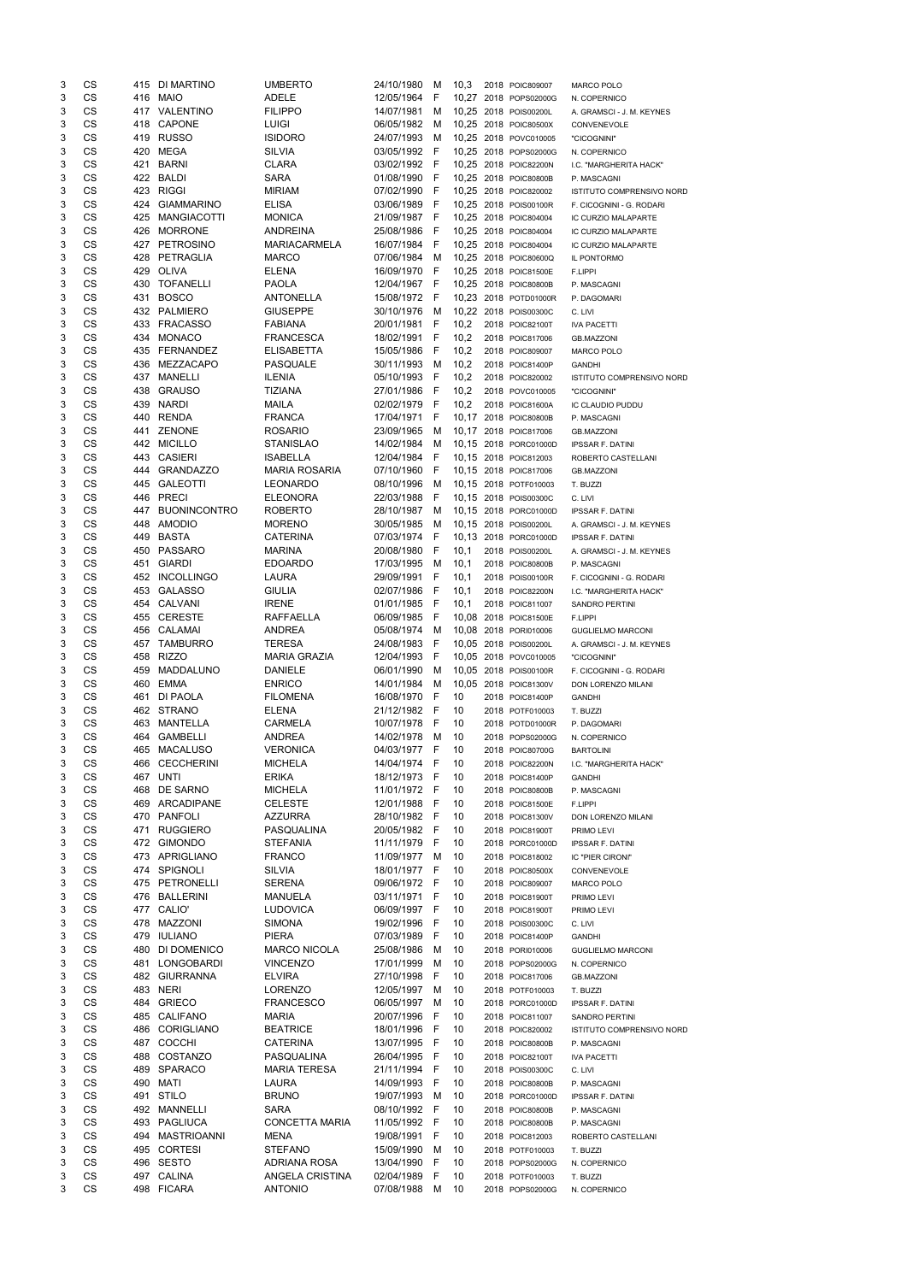| 3      | CS              |            | 415 DI MARTINO                     | <b>UMBERTO</b>                      | 24/10/1980                 | м          | 10,3     | 2018 POIC809007                                | <b>MARCO POLO</b>                               |
|--------|-----------------|------------|------------------------------------|-------------------------------------|----------------------------|------------|----------|------------------------------------------------|-------------------------------------------------|
| 3      | CS              | 416        | <b>MAIO</b>                        | <b>ADELE</b>                        | 12/05/1964                 | F          |          | 10,27 2018 POPS02000G                          | N. COPERNICO                                    |
| 3      | CS              |            | 417 VALENTINO                      | <b>FILIPPO</b>                      | 14/07/1981                 | м          |          | 10,25 2018 POIS00200L                          | A. GRAMSCI - J. M. KEYNES                       |
| 3      | CS              | 418        | <b>CAPONE</b>                      | <b>LUIGI</b>                        | 06/05/1982                 | M          |          | 10,25 2018 POIC80500X                          | CONVENEVOLE                                     |
| 3<br>3 | CS<br>CS        | 420        | 419 RUSSO<br>MEGA                  | <b>ISIDORO</b><br><b>SILVIA</b>     | 24/07/1993<br>03/05/1992 F | м          |          | 10,25 2018 POVC010005                          | "CICOGNINI"                                     |
| 3      | CS              | 421        | <b>BARNI</b>                       | <b>CLARA</b>                        | 03/02/1992 F               |            |          | 10,25 2018 POPS02000G<br>10,25 2018 POIC82200N | N. COPERNICO<br>I.C. "MARGHERITA HACK"          |
| 3      | CS              |            | 422 BALDI                          | <b>SARA</b>                         | 01/08/1990                 | - F        |          | 10,25 2018 POIC80800B                          | P. MASCAGNI                                     |
| 3      | CS              | 423        | <b>RIGGI</b>                       | <b>MIRIAM</b>                       | 07/02/1990                 | - F        |          | 10,25 2018 POIC820002                          | ISTITUTO COMPRENSIVO NORD                       |
| 3      | CS              | 424        | <b>GIAMMARINO</b>                  | <b>ELISA</b>                        | 03/06/1989                 | - F        |          | 10,25 2018 POIS00100R                          | F. CICOGNINI - G. RODARI                        |
| 3      | CS              | 425        | MANGIACOTTI                        | <b>MONICA</b>                       | 21/09/1987 F               |            |          | 10,25 2018 POIC804004                          | IC CURZIO MALAPARTE                             |
| 3      | CS              | 426        | <b>MORRONE</b>                     | <b>ANDREINA</b>                     | 25/08/1986                 | - F        |          | 10,25 2018 POIC804004                          | IC CURZIO MALAPARTE                             |
| 3      | CS              |            | 427 PETROSINO                      | <b>MARIACARMELA</b>                 | 16/07/1984                 | - F        |          | 10,25 2018 POIC804004                          | IC CURZIO MALAPARTE                             |
| 3      | <b>CS</b>       | 428        | PETRAGLIA                          | <b>MARCO</b>                        | 07/06/1984                 | M          |          | 10,25 2018 POIC80600Q                          | IL PONTORMO                                     |
| 3      | <b>CS</b>       | 429        | OLIVA                              | <b>ELENA</b>                        | 16/09/1970                 | - F        |          | 10,25 2018 POIC81500E                          | F.LIPPI                                         |
| 3      | CS              | 430        | <b>TOFANELLI</b>                   | <b>PAOLA</b>                        | 12/04/1967 F               |            | 10,25    | 2018 POIC80800B                                | P. MASCAGNI                                     |
| 3<br>3 | CS<br><b>CS</b> | 431<br>432 | <b>BOSCO</b><br>PALMIERO           | <b>ANTONELLA</b><br><b>GIUSEPPE</b> | 15/08/1972 F<br>30/10/1976 | M          |          | 10,23 2018 POTD01000R<br>10,22 2018 POIS00300C | P. DAGOMARI<br>C. LIVI                          |
| 3      | <b>CS</b>       | 433        | <b>FRACASSO</b>                    | <b>FABIANA</b>                      | 20/01/1981 F               |            | 10,2     | 2018 POIC82100T                                | <b>IVA PACETTI</b>                              |
| 3      | CS              | 434        | <b>MONACO</b>                      | <b>FRANCESCA</b>                    | 18/02/1991 F               |            | 10,2     | 2018 POIC817006                                | <b>GB.MAZZONI</b>                               |
| 3      | CS              | 435        | <b>FERNANDEZ</b>                   | <b>ELISABETTA</b>                   | 15/05/1986                 | - F        | 10,2     | 2018 POIC809007                                | <b>MARCO POLO</b>                               |
| 3      | CS              | 436        | MEZZACAPO                          | <b>PASQUALE</b>                     | 30/11/1993                 | M          | 10,2     | 2018 POIC81400P                                | <b>GANDHI</b>                                   |
| 3      | CS              | 437        | MANELLI                            | <b>ILENIA</b>                       | 05/10/1993                 | - F        | 10,2     | 2018 POIC820002                                | <b>ISTITUTO COMPRENSIVO NORD</b>                |
| 3      | CS              | 438        | <b>GRAUSO</b>                      | <b>TIZIANA</b>                      | 27/01/1986                 | - F        | 10,2     | 2018 POVC010005                                | "CICOGNINI"                                     |
| 3      | CS              | 439        | <b>NARDI</b>                       | <b>MAILA</b>                        | 02/02/1979                 | - F        | 10,2     | 2018 POIC81600A                                | IC CLAUDIO PUDDU                                |
| 3      | CS              | 440        | <b>RENDA</b>                       | <b>FRANCA</b>                       | 17/04/1971                 | - F        |          | 10,17 2018 POIC80800B                          | P. MASCAGNI                                     |
| 3      | CS<br>CS        | 441        | <b>ZENONE</b>                      | <b>ROSARIO</b>                      | 23/09/1965                 | М          |          | 10,17 2018 POIC817006                          | <b>GB.MAZZONI</b>                               |
| 3<br>3 | <b>CS</b>       | 442<br>443 | <b>MICILLO</b><br><b>CASIERI</b>   | <b>STANISLAO</b><br><b>ISABELLA</b> | 14/02/1984<br>12/04/1984   | М<br>- F   |          | 10,15 2018 PORC01000D<br>10,15 2018 POIC812003 | <b>IPSSAR F. DATINI</b>                         |
| 3      | CS              |            | 444 GRANDAZZO                      | <b>MARIA ROSARIA</b>                | 07/10/1960                 | - F        |          | 10,15 2018 POIC817006                          | ROBERTO CASTELLANI<br><b>GB.MAZZONI</b>         |
| 3      | CS              | 445        | <b>GALEOTTI</b>                    | <b>LEONARDO</b>                     | 08/10/1996                 | M          |          | 10,15 2018 POTF010003                          | T. BUZZI                                        |
| 3      | CS              | 446        | <b>PRECI</b>                       | <b>ELEONORA</b>                     | 22/03/1988                 | -F         |          | 10,15 2018 POIS00300C                          | C. LIVI                                         |
| 3      | CS              | 447        | <b>BUONINCONTRO</b>                | <b>ROBERTO</b>                      | 28/10/1987                 | M          |          | 10,15 2018 PORC01000D                          | <b>IPSSAR F. DATINI</b>                         |
| 3      | CS              | 448        | <b>AMODIO</b>                      | <b>MORENO</b>                       | 30/05/1985                 | M          |          | 10,15 2018 POIS00200L                          | A. GRAMSCI - J. M. KEYNES                       |
| 3      | CS              | 449        | <b>BASTA</b>                       | <b>CATERINA</b>                     | 07/03/1974                 | - F        |          | 10,13 2018 PORC01000D                          | <b>IPSSAR F. DATINI</b>                         |
| 3      | <b>CS</b>       |            | 450 PASSARO                        | <b>MARINA</b>                       | 20/08/1980                 | - F        | 10,1     | 2018 POIS00200L                                | A. GRAMSCI - J. M. KEYNES                       |
| 3      | СS              | 451        | <b>GIARDI</b>                      | <b>EDOARDO</b>                      | 17/03/1995                 | M          | 10,1     | 2018 POIC80800B                                | P. MASCAGNI                                     |
| 3      | CS              | 452        | <b>INCOLLINGO</b>                  | <b>LAURA</b>                        | 29/09/1991                 | F          | 10,1     | 2018 POIS00100R                                | F. CICOGNINI - G. RODARI                        |
| 3      | CS              | 453<br>454 | <b>GALASSO</b>                     | <b>GIULIA</b><br><b>IRENE</b>       | 02/07/1986<br>01/01/1985 F | - F        | 10,1     | 2018 POIC82200N                                | I.C. "MARGHERITA HACK"                          |
| 3<br>3 | CS<br>CS        | 455        | CALVANI<br><b>CERESTE</b>          | <b>RAFFAELLA</b>                    | 06/09/1985                 | - F        | 10,1     | 2018 POIC811007<br>10,08 2018 POIC81500E       | <b>SANDRO PERTINI</b><br>F.LIPPI                |
| 3      | CS              | 456        | CALAMAI                            | <b>ANDREA</b>                       | 05/08/1974                 | M          | 10,08    | 2018 PORI010006                                | <b>GUGLIELMO MARCONI</b>                        |
| 3      | <b>CS</b>       | 457        | <b>TAMBURRO</b>                    | <b>TERESA</b>                       | 24/08/1983                 | -F         | 10,05    | 2018 POIS00200L                                | A. GRAMSCI - J. M. KEYNES                       |
| 3      | <b>CS</b>       | 458        | <b>RIZZO</b>                       | <b>MARIA GRAZIA</b>                 | 12/04/1993                 | - F        |          | 10,05 2018 POVC010005                          | "CICOGNINI"                                     |
| 3      | <b>CS</b>       | 459        | MADDALUNO                          | <b>DANIELE</b>                      | 06/01/1990                 | м          |          | 10,05 2018 POIS00100R                          | F. CICOGNINI - G. RODARI                        |
| 3      | CS              | 460        | <b>EMMA</b>                        | <b>ENRICO</b>                       | 14/01/1984                 | м          |          | 10,05 2018 POIC81300V                          | DON LORENZO MILANI                              |
| 3      | <b>CS</b>       | 461        | DI PAOLA                           | <b>FILOMENA</b>                     | 16/08/1970                 | -F         | 10       | 2018 POIC81400P                                | <b>GANDHI</b>                                   |
| 3      | <b>CS</b>       |            | 462 STRANO                         | <b>ELENA</b>                        | 21/12/1982                 | - F        | 10       | 2018 POTF010003                                | T. BUZZI                                        |
| 3      | CS              | 463        | MANTELLA                           | <b>CARMELA</b>                      | 10/07/1978                 | - F        | 10       | 2018 POTD01000R                                | P. DAGOMARI                                     |
| 3<br>3 | CS<br><b>CS</b> | 464<br>465 | <b>GAMBELLI</b><br><b>MACALUSO</b> | <b>ANDREA</b><br><b>VERONICA</b>    | 14/02/1978<br>04/03/1977   | M<br>- F   | 10<br>10 | 2018 POPS02000G                                | N. COPERNICO                                    |
| 3      | <b>CS</b>       | 466        | <b>CECCHERINI</b>                  | <b>MICHELA</b>                      | 14/04/1974                 | - F        | 10       | 2018 POIC80700G<br>2018 POIC82200N             | <b>BARTOLINI</b><br>I.C. "MARGHERITA HACK"      |
| 3      | CS              | 467        | <b>UNTI</b>                        | <b>ERIKA</b>                        | 18/12/1973                 | -F         | 10       | 2018 POIC81400P                                | <b>GANDHI</b>                                   |
| 3      | <b>CS</b>       | 468        | DE SARNO                           | <b>MICHELA</b>                      | 11/01/1972 F               |            | 10       | 2018 POIC80800B                                | P. MASCAGNI                                     |
| 3      | CS              | 469        | ARCADIPANE                         | <b>CELESTE</b>                      | 12/01/1988                 | - F        | 10       | 2018 POIC81500E                                | F.LIPPI                                         |
| 3      | CS              | 470        | <b>PANFOLI</b>                     | <b>AZZURRA</b>                      | 28/10/1982 F               |            | 10       | 2018 POIC81300V                                | DON LORENZO MILANI                              |
| 3      | CS              | 471        | <b>RUGGIERO</b>                    | PASQUALINA                          | 20/05/1982 F               |            | 10       | 2018 POIC81900T                                | PRIMO LEVI                                      |
| 3      | CS              | 472        | <b>GIMONDO</b>                     | STEFANIA                            | 11/11/1979                 | - F        | 10       | 2018 PORC01000D                                | <b>IPSSAR F. DATINI</b>                         |
| 3      | CS<br><b>CS</b> | 473<br>474 | APRIGLIANO                         | <b>FRANCO</b>                       | 11/09/1977                 | M          | 10       | 2018 POIC818002                                | IC "PIER CIRONI"                                |
| 3      | <b>CS</b>       |            | SPIGNOLI                           | <b>SILVIA</b>                       | 18/01/1977                 | -F         | 10       | 2018 POIC80500X                                | CONVENEVOLE                                     |
| 3<br>3 | <b>CS</b>       | 475<br>476 | PETRONELLI<br><b>BALLERINI</b>     | <b>SERENA</b><br><b>MANUELA</b>     | 09/06/1972<br>03/11/1971   | - F<br>- F | 10<br>10 | 2018 POIC809007<br>2018 POIC81900T             | <b>MARCO POLO</b><br>PRIMO LEVI                 |
| 3      | CS              |            | 477 CALIO'                         | <b>LUDOVICA</b>                     | 06/09/1997                 | - F        | 10       | 2018 POIC81900T                                | PRIMO LEVI                                      |
| 3      | <b>CS</b>       | 478        | MAZZONI                            | <b>SIMONA</b>                       | 19/02/1996                 | -F         | 10       | 2018 POIS00300C                                | C. LIVI                                         |
| 3      | <b>CS</b>       | 479        | <b>IULIANO</b>                     | <b>PIERA</b>                        | 07/03/1989                 | -F         | 10       | 2018 POIC81400P                                | <b>GANDHI</b>                                   |
| 3      | CS              | 480        | DI DOMENICO                        | <b>MARCO NICOLA</b>                 | 25/08/1986                 | M          | 10       | 2018 PORI010006                                | <b>GUGLIELMO MARCONI</b>                        |
| 3      | CS              | 481        | LONGOBARDI                         | <b>VINCENZO</b>                     | 17/01/1999                 | м          | 10       | 2018 POPS02000G                                | N. COPERNICO                                    |
| 3      | <b>CS</b>       | 482        | <b>GIURRANNA</b>                   | <b>ELVIRA</b>                       | 27/10/1998                 | F          | 10       | 2018 POIC817006                                | <b>GB.MAZZONI</b>                               |
| 3      | <b>CS</b>       | 483        | <b>NERI</b>                        | <b>LORENZO</b>                      | 12/05/1997                 | M          | 10       | 2018 POTF010003                                | T. BUZZI                                        |
| 3      | CS              | 484        | <b>GRIECO</b>                      | <b>FRANCESCO</b>                    | 06/05/1997                 | м          | 10       | 2018 PORC01000D                                | <b>IPSSAR F. DATINI</b>                         |
| 3<br>3 | CS<br>CS        | 485<br>486 | <b>CALIFANO</b><br>CORIGLIANO      | <b>MARIA</b><br><b>BEATRICE</b>     | 20/07/1996<br>18/01/1996   | F<br>-F    | 10<br>10 | 2018 POIC811007<br>2018 POIC820002             | SANDRO PERTINI                                  |
| 3      | CS              |            | 487 COCCHI                         | <b>CATERINA</b>                     | 13/07/1995 F               |            | 10       | 2018 POIC80800B                                | <b>ISTITUTO COMPRENSIVO NORD</b><br>P. MASCAGNI |
| 3      | CS              |            | 488 COSTANZO                       | PASQUALINA                          | 26/04/1995 F               |            | 10       | 2018 POIC82100T                                | <b>IVA PACETTI</b>                              |
| 3      | CS              |            | 489 SPARACO                        | <b>MARIA TERESA</b>                 | 21/11/1994                 | - F        | 10       | 2018 POIS00300C                                | C. LIVI                                         |
| 3      | CS              | 490        | MATI                               | <b>LAURA</b>                        | 14/09/1993                 | - F        | 10       | 2018 POIC80800B                                | P. MASCAGNI                                     |
| 3      | CS              |            | 491 STILO                          | <b>BRUNO</b>                        | 19/07/1993                 | M          | 10       | 2018 PORC01000D                                | <b>IPSSAR F. DATINI</b>                         |
| 3      | CS              |            | 492 MANNELLI                       | SARA                                | 08/10/1992 F               |            | 10       | 2018 POIC80800B                                | P. MASCAGNI                                     |
| 3      | CS              |            | 493 PAGLIUCA                       | <b>CONCETTA MARIA</b>               | 11/05/1992 F               |            | 10       | 2018 POIC80800B                                | P. MASCAGNI                                     |
| 3      | CS              |            | 494 MASTRIOANNI                    | <b>MENA</b>                         | 19/08/1991                 | - F        | 10       | 2018 POIC812003                                | ROBERTO CASTELLANI                              |
| 3      | CS              |            | 495 CORTESI                        | <b>STEFANO</b>                      | 15/09/1990                 | M          | 10       | 2018 POTF010003                                | T. BUZZI                                        |
| 3      | CS              |            | 496 SESTO                          | ADRIANA ROSA                        | 13/04/1990                 | -F         | 10       | 2018 POPS02000G                                | N. COPERNICO                                    |
| 3<br>3 | CS<br>CS        |            | 497 CALINA<br>498 FICARA           | ANGELA CRISTINA<br><b>ANTONIO</b>   | 02/04/1989<br>07/08/1988   | -F<br>М    | 10<br>10 | 2018 POTF010003<br>2018 POPS02000G             | T. BUZZI<br>N. COPERNICO                        |
|        |                 |            |                                    |                                     |                            |            |          |                                                |                                                 |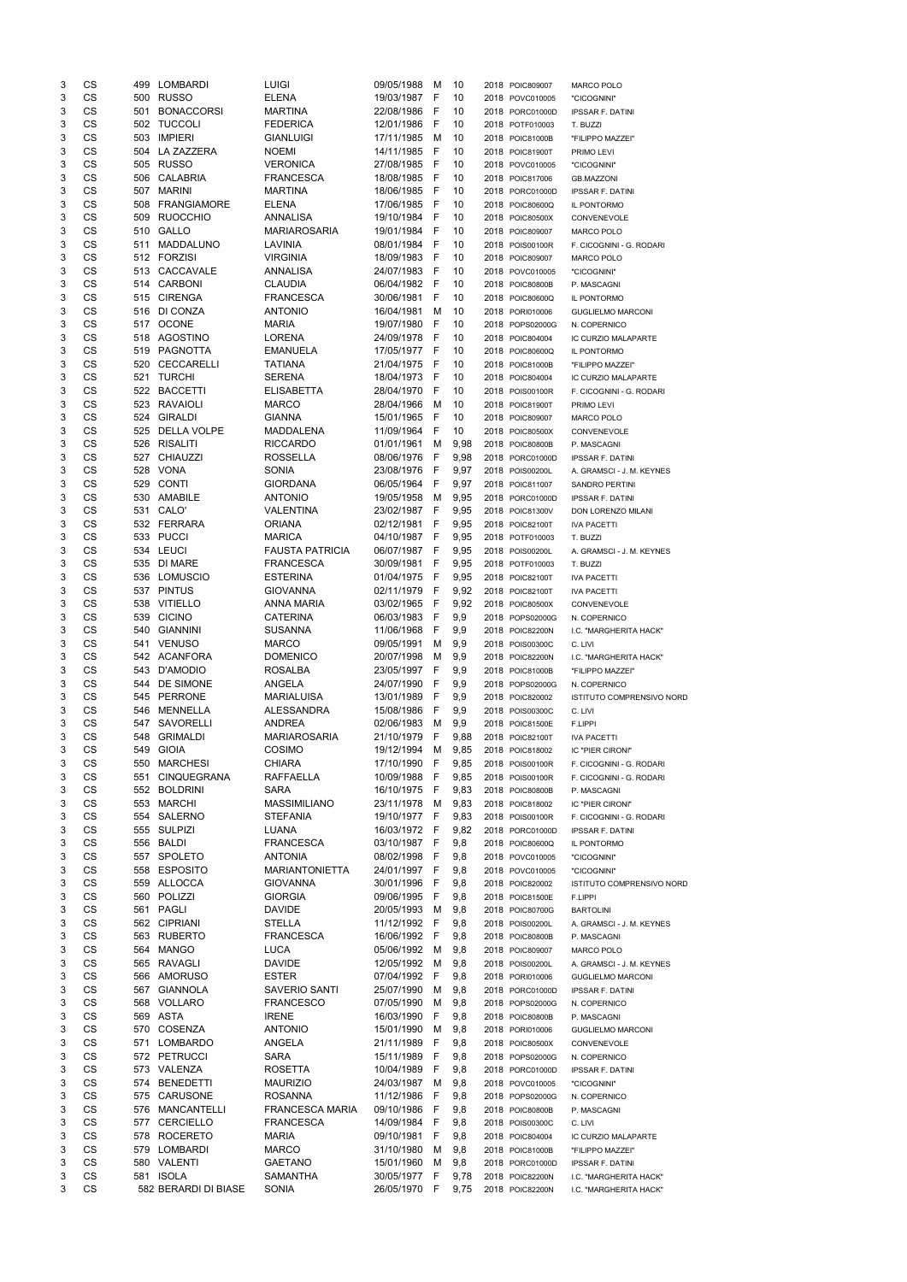| 3      | CS                     | 499        | LOMBARDI                         | <b>LUIGI</b>                        | 09/05/1988               | M           | 10           | 2018 POIC809007                    | <b>MARCO POLO</b>                           |
|--------|------------------------|------------|----------------------------------|-------------------------------------|--------------------------|-------------|--------------|------------------------------------|---------------------------------------------|
| 3      | CS                     | 500        | <b>RUSSO</b>                     | <b>ELENA</b>                        | 19/03/1987               | F           | 10           | 2018 POVC010005                    | "CICOGNINI"                                 |
| 3      | CS<br>CS               | 501        | <b>BONACCORSI</b>                | <b>MARTINA</b>                      | 22/08/1986               | F           | 10           | 2018 PORC01000D                    | <b>IPSSAR F. DATINI</b>                     |
| 3<br>3 | CS                     | 502<br>503 | <b>TUCCOLI</b><br><b>IMPIERI</b> | <b>FEDERICA</b><br><b>GIANLUIGI</b> | 12/01/1986<br>17/11/1985 | F<br>м      | 10<br>10     | 2018 POTF010003<br>2018 POIC81000B | T. BUZZI<br>"FILIPPO MAZZEI"                |
| 3      | CS                     | 504        | LA ZAZZERA                       | <b>NOEMI</b>                        | 14/11/1985               | F           | 10           | 2018 POIC81900T                    | PRIMO LEVI                                  |
| 3      | <b>CS</b>              |            | 505 RUSSO                        | <b>VERONICA</b>                     | 27/08/1985               | F           | 10           | 2018 POVC010005                    | "CICOGNINI"                                 |
| 3      | <b>CS</b>              | 506        | CALABRIA                         | <b>FRANCESCA</b>                    | 18/08/1985               | -F          | 10           | 2018 POIC817006                    | <b>GB.MAZZONI</b>                           |
| 3      | CS                     | 507        | <b>MARINI</b>                    | <b>MARTINA</b>                      | 18/06/1985               | F           | 10           | 2018 PORC01000D                    | <b>IPSSAR F. DATINI</b>                     |
| 3      | CS                     | 508        | <b>FRANGIAMORE</b>               | <b>ELENA</b>                        | 17/06/1985               | -F          | 10           | 2018 POIC80600Q                    | IL PONTORMO                                 |
| 3      | <b>CS</b>              | 509        | <b>RUOCCHIO</b>                  | <b>ANNALISA</b>                     | 19/10/1984               | F           | 10           | 2018 POIC80500X                    | CONVENEVOLE                                 |
| 3      | <b>CS</b>              | 510        | GALLO                            | <b>MARIAROSARIA</b>                 | 19/01/1984               | -F          | 10           | 2018 POIC809007                    | <b>MARCO POLO</b>                           |
| 3      | CS                     | 511        | MADDALUNO                        | LAVINIA                             | 08/01/1984               | - F         | 10           | 2018 POIS00100R                    | F. CICOGNINI - G. RODARI                    |
| 3      | CS                     |            | 512 FORZISI                      | <b>VIRGINIA</b>                     | 18/09/1983               | - F         | 10           | 2018 POIC809007                    | MARCO POLO                                  |
| 3      | <b>CS</b>              |            | 513 CACCAVALE                    | ANNALISA                            | 24/07/1983               | -F          | 10           | 2018 POVC010005                    | "CICOGNINI"                                 |
| 3      | <b>CS</b>              | 514        | CARBONI                          | <b>CLAUDIA</b>                      | 06/04/1982               | - F         | 10           | 2018 POIC80800B                    | P. MASCAGNI                                 |
| 3<br>3 | CS<br>CS               | 515<br>516 | <b>CIRENGA</b><br>DI CONZA       | <b>FRANCESCA</b><br><b>ANTONIO</b>  | 30/06/1981<br>16/04/1981 | F<br>м      | 10<br>10     | 2018 POIC80600Q                    | IL PONTORMO                                 |
| 3      | CS                     | 517        | <b>OCONE</b>                     | <b>MARIA</b>                        | 19/07/1980               | F           | 10           | 2018 PORI010006<br>2018 POPS02000G | <b>GUGLIELMO MARCONI</b><br>N. COPERNICO    |
| 3      | CS                     | 518        | AGOSTINO                         | <b>LORENA</b>                       | 24/09/1978               | F           | 10           | 2018 POIC804004                    | IC CURZIO MALAPARTE                         |
| 3      | CS                     | 519        | PAGNOTTA                         | <b>EMANUELA</b>                     | 17/05/1977 F             |             | 10           | 2018 POIC80600Q                    | IL PONTORMO                                 |
| 3      | CS                     | 520        | CECCARELLI                       | <b>TATIANA</b>                      | 21/04/1975               | -F          | 10           | 2018 POIC81000B                    | "FILIPPO MAZZEI"                            |
| 3      | <b>CS</b>              | 521        | <b>TURCHI</b>                    | <b>SERENA</b>                       | 18/04/1973               | -F          | 10           | 2018 POIC804004                    | IC CURZIO MALAPARTE                         |
| 3      | <b>CS</b>              | 522        | <b>BACCETTI</b>                  | <b>ELISABETTA</b>                   | 28/04/1970               | F           | 10           | 2018 POIS00100R                    | F. CICOGNINI - G. RODARI                    |
| 3      | CS                     | 523        | <b>RAVAIOLI</b>                  | <b>MARCO</b>                        | 28/04/1966               | M           | 10           | 2018 POIC81900T                    | PRIMO LEVI                                  |
| 3      | CS                     | 524        | <b>GIRALDI</b>                   | <b>GIANNA</b>                       | 15/01/1965               | F           | 10           | 2018 POIC809007                    | MARCO POLO                                  |
| 3      | CS                     | 525        | <b>DELLA VOLPE</b>               | <b>MADDALENA</b>                    | 11/09/1964               | F           | 10           | 2018 POIC80500X                    | CONVENEVOLE                                 |
| 3      | <b>CS</b>              |            | 526 RISALITI                     | <b>RICCARDO</b>                     | 01/01/1961               | м           | 9,98         | 2018 POIC80800B                    | P. MASCAGNI                                 |
| 3      | CS                     | 527        | <b>CHIAUZZI</b>                  | <b>ROSSELLA</b>                     | 08/06/1976               | F           | 9,98         | 2018 PORC01000D                    | <b>IPSSAR F. DATINI</b>                     |
| 3      | CS                     |            | 528 VONA                         | SONIA                               | 23/08/1976               | F           | 9,97         | 2018 POIS00200L                    | A. GRAMSCI - J. M. KEYNES                   |
| 3      | CS                     | 529        | <b>CONTI</b>                     | <b>GIORDANA</b>                     | 06/05/1964               | F           | 9,97         | 2018 POIC811007                    | <b>SANDRO PERTINI</b>                       |
| 3<br>3 | <b>CS</b><br><b>CS</b> | 531        | 530 AMABILE<br>CALO'             | <b>ANTONIO</b>                      | 19/05/1958<br>23/02/1987 | M<br>F      | 9,95         | 2018 PORC01000D                    | <b>IPSSAR F. DATINI</b>                     |
| 3      | CS                     |            | 532 FERRARA                      | VALENTINA<br><b>ORIANA</b>          | 02/12/1981               | F           | 9,95<br>9,95 | 2018 POIC81300V<br>2018 POIC82100T | DON LORENZO MILANI<br><b>IVA PACETTI</b>    |
| 3      | CS                     |            | 533 PUCCI                        | <b>MARICA</b>                       | 04/10/1987               | -F          | 9,95         | 2018 POTF010003                    | T. BUZZI                                    |
| 3      | <b>CS</b>              |            | 534 LEUCI                        | <b>FAUSTA PATRICIA</b>              | 06/07/1987               | F           | 9,95         | 2018 POIS00200L                    | A. GRAMSCI - J. M. KEYNES                   |
| 3      | CS                     | 535        | <b>DI MARE</b>                   | FRANCESCA                           | 30/09/1981               | <b>F</b>    | 9,95         | 2018 POTF010003                    | T. BUZZI                                    |
| 3      | CS                     | 536        | <b>LOMUSCIO</b>                  | <b>ESTERINA</b>                     | 01/04/1975               | F           | 9,95         | 2018 POIC82100T                    | <b>IVA PACETTI</b>                          |
| 3      | CS                     | 537        | <b>PINTUS</b>                    | <b>GIOVANNA</b>                     | 02/11/1979               | -F          | 9,92         | 2018 POIC82100T                    | <b>IVA PACETTI</b>                          |
| 3      | <b>CS</b>              | 538        | <b>VITIELLO</b>                  | <b>ANNA MARIA</b>                   | 03/02/1965               | -F          | 9,92         | 2018 POIC80500X                    | CONVENEVOLE                                 |
| 3      | <b>CS</b>              | 539        | <b>CICINO</b>                    | <b>CATERINA</b>                     | 06/03/1983               | F           | 9,9          | 2018 POPS02000G                    | N. COPERNICO                                |
| 3      | <b>CS</b>              | 540        | <b>GIANNINI</b>                  | <b>SUSANNA</b>                      | 11/06/1968               | F           | 9,9          | 2018 POIC82200N                    | I.C. "MARGHERITA HACK"                      |
| 3      | <b>CS</b>              | 541        | <b>VENUSO</b>                    | <b>MARCO</b>                        | 09/05/1991               | М           | 9,9          | 2018 POIS00300C                    | C. LIVI                                     |
| 3      | <b>CS</b>              |            | 542 ACANFORA                     | <b>DOMENICO</b>                     | 20/07/1998               | М           | 9,9          | 2018 POIC82200N                    | I.C. "MARGHERITA HACK"                      |
| 3      | <b>CS</b>              | 543        | D'AMODIO                         | <b>ROSALBA</b>                      | 23/05/1997               | $\mathsf F$ | 9,9          | 2018 POIC81000B                    | "FILIPPO MAZZEI"                            |
| 3      | CS                     | 544        | DE SIMONE                        | <b>ANGELA</b>                       | 24/07/1990               | F           | 9,9          | 2018 POPS02000G                    | N. COPERNICO                                |
| 3      | CS                     | 545        | PERRONE                          | <b>MARIALUISA</b>                   | 13/01/1989               | F           | 9,9          | 2018 POIC820002                    | <b>ISTITUTO COMPRENSIVO NORD</b>            |
| 3<br>3 | <b>CS</b><br><b>CS</b> | 546<br>547 | MENNELLA<br>SAVORELLI            | <b>ALESSANDRA</b><br><b>ANDREA</b>  | 15/08/1986<br>02/06/1983 | F<br>м      | 9,9<br>9,9   | 2018 POIS00300C                    | C. LIVI                                     |
| 3      | CS                     | 548        | <b>GRIMALDI</b>                  | <b>MARIAROSARIA</b>                 | 21/10/1979               | F           | 9,88         | 2018 POIC81500E<br>2018 POIC82100T | F.LIPPI<br><b>IVA PACETTI</b>               |
| 3      | CS                     | 549        | <b>GIOIA</b>                     | COSIMO                              | 19/12/1994               | M           | 9,85         | 2018 POIC818002                    | IC "PIER CIRONI"                            |
| 3      | CS                     | 550        | <b>MARCHESI</b>                  | <b>CHIARA</b>                       | 17/10/1990               | F           | 9,85         | 2018 POIS00100R                    | F. CICOGNINI - G. RODARI                    |
| 3      | <b>CS</b>              | 551        | <b>CINQUEGRANA</b>               | <b>RAFFAELLA</b>                    | 10/09/1988               | F           | 9,85         | 2018 POIS00100R                    | F. CICOGNINI - G. RODARI                    |
| 3      | CS                     | 552        | <b>BOLDRINI</b>                  | SARA                                | 16/10/1975               | -F          | 9,83         | 2018 POIC80800B                    | P. MASCAGNI                                 |
| 3      | CS                     | 553        | <b>MARCHI</b>                    | <b>MASSIMILIANO</b>                 | 23/11/1978               | м           | 9,83         | 2018 POIC818002                    | IC "PIER CIRONI"                            |
| 3      | <b>CS</b>              | 554        | SALERNO                          | <b>STEFANIA</b>                     | 19/10/1977               | -F          | 9,83         | 2018 POIS00100R                    | F. CICOGNINI - G. RODARI                    |
| 3      | <b>CS</b>              |            | 555 SULPIZI                      | LUANA                               | 16/03/1972               | -F          | 9,82         | 2018 PORC01000D                    | <b>IPSSAR F. DATINI</b>                     |
| 3      | <b>CS</b>              |            | 556 BALDI                        | <b>FRANCESCA</b>                    | 03/10/1987               | - F         | 9,8          | 2018 POIC80600Q                    | IL PONTORMO                                 |
| 3      | CS                     | 557        | SPOLETO                          | <b>ANTONIA</b>                      | 08/02/1998               | F           | 9,8          | 2018 POVC010005                    | "CICOGNINI"                                 |
| 3      | <b>CS</b>              |            | 558 ESPOSITO                     | <b>MARIANTONIETTA</b>               | 24/01/1997               | - F         | 9,8          | 2018 POVC010005                    | "CICOGNINI"                                 |
| 3      | <b>CS</b>              |            | 559 ALLOCCA                      | <b>GIOVANNA</b>                     | 30/01/1996               | F           | 9,8          | 2018 POIC820002                    | ISTITUTO COMPRENSIVO NORD                   |
| 3      | <b>CS</b>              | 560        | POLIZZI                          | <b>GIORGIA</b>                      | 09/06/1995               | F           | 9,8          | 2018 POIC81500E                    | F.LIPPI                                     |
| 3<br>3 | CS<br>CS               | 561        | PAGLI<br>562 CIPRIANI            | <b>DAVIDE</b><br><b>STELLA</b>      | 20/05/1993<br>11/12/1992 | м<br>F      | 9,8<br>9,8   | 2018 POIC80700G                    | <b>BARTOLINI</b>                            |
| 3      | <b>CS</b>              |            | 563 RUBERTO                      | <b>FRANCESCA</b>                    | 16/06/1992               | F           | 9,8          | 2018 POIS00200L<br>2018 POIC80800B | A. GRAMSCI - J. M. KEYNES<br>P. MASCAGNI    |
| 3      | <b>CS</b>              | 564        | <b>MANGO</b>                     | <b>LUCA</b>                         | 05/06/1992               | M           | 9,8          | 2018 POIC809007                    | MARCO POLO                                  |
| 3      | CS                     | 565        | <b>RAVAGLI</b>                   | <b>DAVIDE</b>                       | 12/05/1992               | м           | 9,8          | 2018 POIS00200L                    | A. GRAMSCI - J. M. KEYNES                   |
| 3      | CS                     | 566        | <b>AMORUSO</b>                   | <b>ESTER</b>                        | 07/04/1992               | F           | 9,8          | 2018 PORI010006                    | <b>GUGLIELMO MARCONI</b>                    |
| 3      | CS                     | 567        | <b>GIANNOLA</b>                  | <b>SAVERIO SANTI</b>                | 25/07/1990               | М           | 9,8          | 2018 PORC01000D                    | <b>IPSSAR F. DATINI</b>                     |
| 3      | <b>CS</b>              | 568        | VOLLARO                          | <b>FRANCESCO</b>                    | 07/05/1990               | M           | 9,8          | 2018 POPS02000G                    | N. COPERNICO                                |
| 3      | CS                     | 569        | ASTA                             | <b>IRENE</b>                        | 16/03/1990               | F           | 9,8          | 2018 POIC80800B                    | P. MASCAGNI                                 |
| 3      | CS                     | 570        | COSENZA                          | <b>ANTONIO</b>                      | 15/01/1990               | M           | 9,8          | 2018 PORI010006                    | <b>GUGLIELMO MARCONI</b>                    |
| 3      | CS                     |            | 571 LOMBARDO                     | ANGELA                              | 21/11/1989               | F           | 9,8          | 2018 POIC80500X                    | CONVENEVOLE                                 |
| 3      | CS                     |            | 572 PETRUCCI                     | SARA                                | 15/11/1989 F             |             | 9,8          | 2018 POPS02000G                    | N. COPERNICO                                |
| 3      | CS                     |            | 573 VALENZA                      | <b>ROSETTA</b>                      | 10/04/1989               | - F         | 9,8          | 2018 PORC01000D                    | <b>IPSSAR F. DATINI</b>                     |
| 3      | CS                     |            | 574 BENEDETTI                    | <b>MAURIZIO</b>                     | 24/03/1987               | M           | 9,8          | 2018 POVC010005                    | "CICOGNINI"                                 |
| 3      | CS                     |            | 575 CARUSONE                     | <b>ROSANNA</b>                      | 11/12/1986               | F           | 9,8          | 2018 POPS02000G                    | N. COPERNICO                                |
| 3      | CS                     |            | 576 MANCANTELLI                  | FRANCESCA MARIA                     | 09/10/1986 F             |             | 9,8          | 2018 POIC80800B                    | P. MASCAGNI                                 |
| 3      | CS                     |            | 577 CERCIELLO                    | <b>FRANCESCA</b>                    | 14/09/1984               | - F         | 9,8          | 2018 POIS00300C                    | C. LIVI                                     |
| 3<br>3 | CS<br>CS               |            | 578 ROCERETO<br>579 LOMBARDI     | <b>MARIA</b><br><b>MARCO</b>        | 09/10/1981<br>31/10/1980 | - F         | 9,8<br>9,8   | 2018 POIC804004                    | IC CURZIO MALAPARTE                         |
| 3      | CS                     |            | 580 VALENTI                      | <b>GAETANO</b>                      | 15/01/1960               | M<br>M      | 9,8          | 2018 POIC81000B<br>2018 PORC01000D | "FILIPPO MAZZEI"<br><b>IPSSAR F. DATINI</b> |
| 3      | CS                     |            | 581 ISOLA                        | SAMANTHA                            | 30/05/1977 F             |             | 9,78         | 2018 POIC82200N                    | I.C. "MARGHERITA HACK"                      |
| 3      | CS                     |            | 582 BERARDI DI BIASE             | SONIA                               | 26/05/1970 F             |             | 9,75         | 2018 POIC82200N                    | I.C. "MARGHERITA HACK"                      |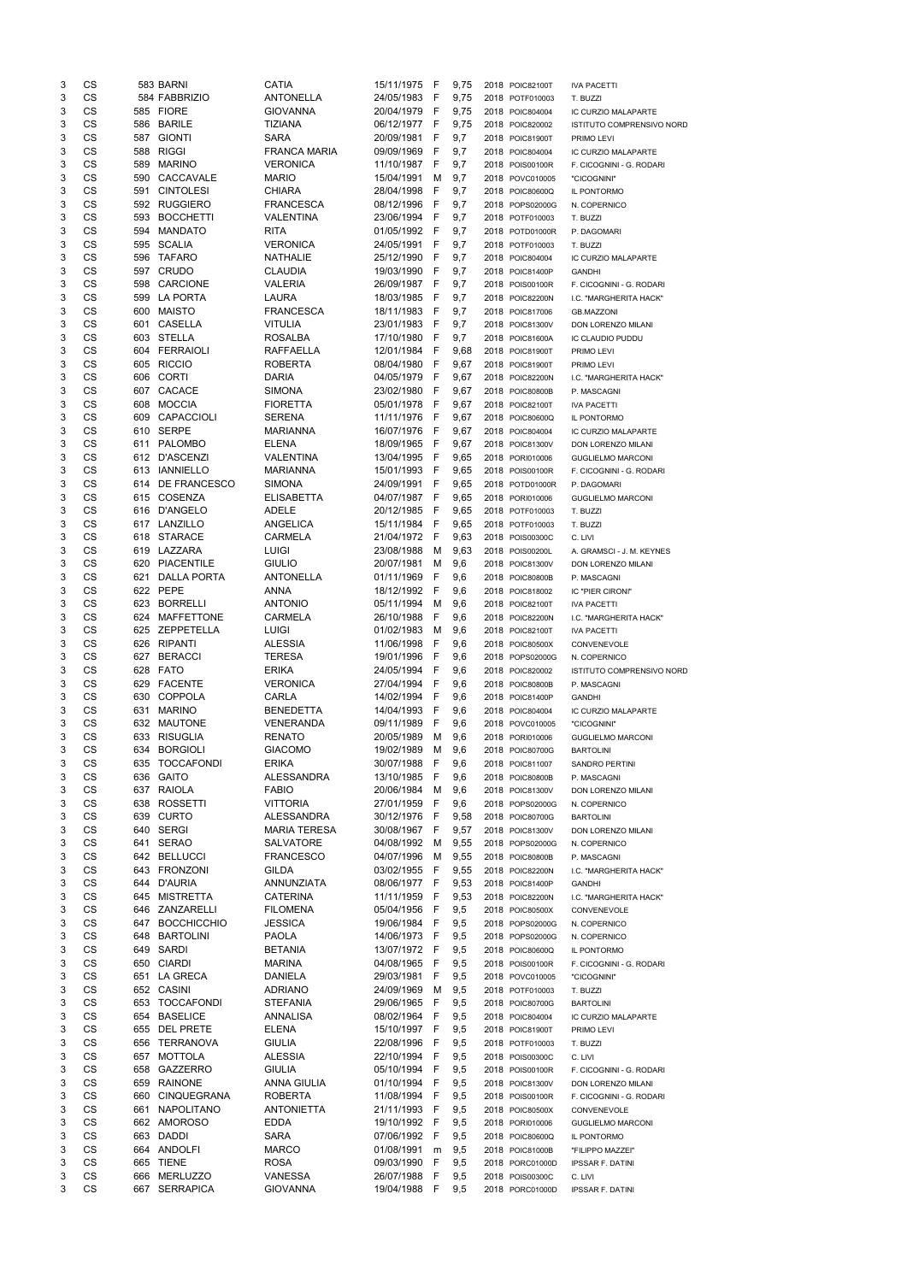| 3      | CS        |     | 583 BARNI                           | CATIA                           | 15/11/1975 F                 |              | 9,75       | 2018 POIC82100T                    | <b>IVA PACETTI</b>                             |
|--------|-----------|-----|-------------------------------------|---------------------------------|------------------------------|--------------|------------|------------------------------------|------------------------------------------------|
| 3      | CS        |     | 584 FABBRIZIO                       | <b>ANTONELLA</b>                | 24/05/1983                   | F            | 9,75       | 2018 POTF010003                    | T. BUZZI                                       |
| 3      | <b>CS</b> |     | 585 FIORE                           | <b>GIOVANNA</b>                 | 20/04/1979                   | F            | 9,75       | 2018 POIC804004                    | IC CURZIO MALAPARTE                            |
| 3      | CS        |     | 586 BARILE                          | <b>TIZIANA</b>                  | 06/12/1977 F                 |              | 9,75       | 2018 POIC820002                    | ISTITUTO COMPRENSIVO NORD                      |
| 3      | CS        |     | 587 GIONTI                          | <b>SARA</b>                     | 20/09/1981                   | -F           | 9,7        | 2018 POIC81900T                    | PRIMO LEVI                                     |
| 3      | CS        |     | 588 RIGGI                           | <b>FRANCA MARIA</b>             | 09/09/1969                   | F            | 9,7        | 2018 POIC804004                    | IC CURZIO MALAPARTE                            |
| 3      | CS        | 589 | <b>MARINO</b>                       | <b>VERONICA</b>                 | 11/10/1987                   | -F           | 9,7        | 2018 POIS00100R                    | F. CICOGNINI - G. RODARI                       |
| 3      | CS        | 590 | CACCAVALE                           | <b>MARIO</b>                    | 15/04/1991                   | M            | 9,7        | 2018 POVC010005                    | "CICOGNINI"                                    |
| 3      | <b>CS</b> | 591 | <b>CINTOLESI</b>                    | <b>CHIARA</b>                   | 28/04/1998                   | F            | 9,7        | 2018 POIC80600Q                    | IL PONTORMO                                    |
| 3      | CS        |     | 592 RUGGIERO                        | <b>FRANCESCA</b>                | 08/12/1996                   | F            | 9,7        | 2018 POPS02000G                    | N. COPERNICO                                   |
| 3      | CS        | 593 | <b>BOCCHETTI</b>                    | VALENTINA                       | 23/06/1994                   | F            | 9,7        | 2018 POTF010003                    | T. BUZZI                                       |
| 3      | <b>CS</b> | 594 | <b>MANDATO</b>                      | <b>RITA</b>                     | 01/05/1992                   | F            | 9,7        | 2018 POTD01000R                    | P. DAGOMARI                                    |
| 3      | <b>CS</b> |     | 595 SCALIA                          | <b>VERONICA</b>                 | 24/05/1991                   | - F          | 9,7        | 2018 POTF010003                    | T. BUZZI                                       |
| 3      | CS        |     | 596 TAFARO                          | <b>NATHALIE</b>                 | 25/12/1990                   | - F          | 9,7        | 2018 POIC804004                    | IC CURZIO MALAPARTE                            |
| 3      | CS        |     | 597 CRUDO                           | <b>CLAUDIA</b>                  | 19/03/1990                   | - F          | 9,7        | 2018 POIC81400P                    | <b>GANDHI</b>                                  |
| 3      | <b>CS</b> | 598 | <b>CARCIONE</b>                     | <b>VALERIA</b>                  | 26/09/1987                   | - F          | 9,7        | 2018 POIS00100R                    | F. CICOGNINI - G. RODARI                       |
| 3      | <b>CS</b> | 599 | <b>LA PORTA</b>                     | <b>LAURA</b>                    | 18/03/1985                   | -F           | 9,7        | 2018 POIC82200N                    | I.C. "MARGHERITA HACK"                         |
| 3      | CS        | 600 | <b>MAISTO</b>                       | <b>FRANCESCA</b>                | 18/11/1983                   | -F           | 9,7        | 2018 POIC817006                    | <b>GB.MAZZONI</b>                              |
| 3      | CS        | 601 | <b>CASELLA</b>                      | <b>VITULIA</b>                  | 23/01/1983                   | -F           | 9,7        | 2018 POIC81300V                    | DON LORENZO MILANI                             |
| 3      | CS        | 603 | <b>STELLA</b>                       | <b>ROSALBA</b>                  | 17/10/1980                   | F            | 9,7        | 2018 POIC81600A                    | IC CLAUDIO PUDDU                               |
| 3      | CS        | 604 | <b>FERRAIOLI</b>                    | <b>RAFFAELLA</b>                | 12/01/1984                   | F            | 9,68       | 2018 POIC81900T                    | PRIMO LEVI                                     |
| 3      | CS        |     | 605 RICCIO                          | <b>ROBERTA</b>                  | 08/04/1980                   | - F          | 9,67       | 2018 POIC81900T                    | PRIMO LEVI                                     |
| 3      | CS        | 606 | <b>CORTI</b>                        | <b>DARIA</b>                    | 04/05/1979                   | -F           | 9,67       | 2018 POIC82200N                    | I.C. "MARGHERITA HACK"                         |
| 3      | CS        | 607 | CACACE                              | <b>SIMONA</b>                   | 23/02/1980                   | - F          | 9,67       | 2018 POIC80800B                    | P. MASCAGNI                                    |
| 3      | <b>CS</b> | 608 | <b>MOCCIA</b>                       | <b>FIORETTA</b>                 | 05/01/1978                   | - F          | 9,67       | 2018 POIC82100T                    | <b>IVA PACETTI</b>                             |
| 3      | CS        | 609 | CAPACCIOLI                          | <b>SERENA</b>                   | 11/11/1976 F                 |              | 9,67       | 2018 POIC80600Q                    | IL PONTORMO                                    |
| 3      | CS        | 610 | <b>SERPE</b>                        | <b>MARIANNA</b>                 | 16/07/1976                   | -F           | 9,67       | 2018 POIC804004                    | IC CURZIO MALAPARTE                            |
| 3      | <b>CS</b> | 611 | PALOMBO                             | <b>ELENA</b>                    | 18/09/1965                   | F            | 9,67       | 2018 POIC81300V                    | DON LORENZO MILANI                             |
| 3      | <b>CS</b> | 612 | <b>D'ASCENZI</b>                    | VALENTINA                       | 13/04/1995 F                 |              | 9,65       | 2018 PORI010006                    | <b>GUGLIELMO MARCONI</b>                       |
| 3      | CS        | 613 | <b>IANNIELLO</b>                    | <b>MARIANNA</b>                 | 15/01/1993                   | - F          | 9,65       | 2018 POIS00100R                    | F. CICOGNINI - G. RODARI                       |
| 3      | CS        | 614 | DE FRANCESCO                        | <b>SIMONA</b>                   | 24/09/1991 F                 |              | 9,65       | 2018 POTD01000R                    | P. DAGOMARI                                    |
| 3      | CS        |     | 615 COSENZA                         | <b>ELISABETTA</b>               | 04/07/1987 F                 |              | 9,65       | 2018 PORI010006                    | <b>GUGLIELMO MARCONI</b>                       |
| 3      | <b>CS</b> |     | 616 D'ANGELO                        | <b>ADELE</b>                    | 20/12/1985                   | - F          | 9,65       | 2018 POTF010003                    | T. BUZZI                                       |
| 3      | <b>CS</b> |     | 617 LANZILLO                        | ANGELICA                        | 15/11/1984                   | - F          | 9,65       | 2018 POTF010003                    | T. BUZZI                                       |
| 3      | CS        |     | 618 STARACE                         | <b>CARMELA</b>                  | 21/04/1972                   | - F          | 9,63       | 2018 POIS00300C                    | C. LIVI                                        |
| 3      | CS        |     | 619 LAZZARA                         | <b>LUIGI</b>                    | 23/08/1988                   | M            | 9,63       | 2018 POIS00200L                    | A. GRAMSCI - J. M. KEYNES                      |
| 3      | CS        |     | 620 PIACENTILE                      | <b>GIULIO</b>                   | 20/07/1981 M                 |              | 9,6        | 2018 POIC81300V                    | DON LORENZO MILANI                             |
| 3      | CS        | 621 | <b>DALLA PORTA</b>                  | <b>ANTONELLA</b>                | 01/11/1969                   | F            | 9,6        | 2018 POIC80800B                    | P. MASCAGNI                                    |
| 3      | CS        |     | 622 PEPE                            | ANNA                            | 18/12/1992                   | F            | 9,6        | 2018 POIC818002                    | IC "PIER CIRONI"                               |
| 3      | CS        | 623 | <b>BORRELLI</b>                     | <b>ANTONIO</b>                  | 05/11/1994                   | м            | 9,6        | 2018 POIC82100T                    | <b>IVA PACETTI</b>                             |
| 3      | CS        | 624 | <b>MAFFETTONE</b>                   | <b>CARMELA</b>                  | 26/10/1988                   | F            | 9,6        | 2018 POIC82200N                    | I.C. "MARGHERITA HACK"                         |
| 3      | <b>CS</b> |     | 625 ZEPPETELLA                      | <b>LUIGI</b>                    | 01/02/1983                   | M            | 9,6        | 2018 POIC82100T                    | <b>IVA PACETTI</b>                             |
| 3      | CS        | 626 | <b>RIPANTI</b>                      | <b>ALESSIA</b>                  | 11/06/1998                   | F            | 9,6        | 2018 POIC80500X                    | CONVENEVOLE                                    |
| 3      | CS        | 627 | <b>BERACCI</b>                      | <b>TERESA</b>                   | 19/01/1996                   | F            | 9,6        | 2018 POPS02000G                    | N. COPERNICO                                   |
| 3      | <b>CS</b> | 628 | <b>FATO</b>                         | <b>ERIKA</b>                    | 24/05/1994                   | F            | 9,6        | 2018 POIC820002                    | ISTITUTO COMPRENSIVO NORD                      |
| 3      | <b>CS</b> |     | 629 FACENTE                         | <b>VERONICA</b>                 | 27/04/1994                   | F            | 9,6        | 2018 POIC80800B                    | P. MASCAGNI                                    |
|        | <b>CS</b> | 630 | <b>COPPOLA</b>                      | CARLA                           | 14/02/1994                   | -F           | 9,6        | 2018 POIC81400P                    | <b>GANDHI</b>                                  |
| 3      |           |     | <b>MARINO</b>                       | <b>BENEDETTA</b>                | 14/04/1993                   | F            | 9,6        | 2018 POIC804004                    | IC CURZIO MALAPARTE                            |
| 3      | <b>CS</b> | 631 |                                     |                                 |                              | F            | 9,6        | 2018 POVC010005                    |                                                |
| 3      | <b>CS</b> |     | 632 MAUTONE                         | <b>VENERANDA</b>                | 09/11/1989                   |              |            |                                    | "CICOGNINI"                                    |
| 3      | <b>CS</b> |     | 633 RISUGLIA                        | <b>RENATO</b>                   | 20/05/1989                   | м            | 9,6        | 2018 PORI010006                    | <b>GUGLIELMO MARCONI</b>                       |
| 3      | CS        | 634 | <b>BORGIOLI</b>                     | <b>GIACOMO</b>                  | 19/02/1989                   | м            | 9,6        | 2018 POIC80700G                    | <b>BARTOLINI</b>                               |
| 3      | CS        | 635 | <b>TOCCAFONDI</b>                   | <b>ERIKA</b>                    | 30/07/1988                   | F            | 9,6        | 2018 POIC811007                    | <b>SANDRO PERTINI</b>                          |
| 3      | <b>CS</b> | 636 | <b>GAITO</b>                        | <b>ALESSANDRA</b>               | 13/10/1985                   | F            | 9,6        | 2018 POIC80800B                    | P. MASCAGNI                                    |
| 3      | <b>CS</b> |     | 637 RAIOLA                          | <b>FABIO</b>                    | 20/06/1984                   | м            | 9,6        | 2018 POIC81300V                    | DON LORENZO MILANI                             |
| 3      | CS        | 638 | <b>ROSSETTI</b>                     | <b>VITTORIA</b>                 | 27/01/1959                   | F            | 9,6        | 2018 POPS02000G                    | N. COPERNICO                                   |
| 3      | CS        | 639 | <b>CURTO</b>                        | <b>ALESSANDRA</b>               | 30/12/1976                   | -F           | 9,58       | 2018 POIC80700G                    | <b>BARTOLINI</b>                               |
| 3      | CS        |     | 640 SERGI                           | <b>MARIA TERESA</b>             | 30/08/1967 F                 |              | 9,57       | 2018 POIC81300V                    | DON LORENZO MILANI                             |
| 3      | CS        |     | 641 SERAO                           | <b>SALVATORE</b>                | 04/08/1992                   | M            | 9,55       | 2018 POPS02000G                    | N. COPERNICO                                   |
| 3      | <b>CS</b> |     | 642 BELLUCCI                        | <b>FRANCESCO</b>                | 04/07/1996                   | M            | 9,55       | 2018 POIC80800B                    | P. MASCAGNI                                    |
| 3      | CS        |     | 643 FRONZONI                        | GILDA                           | 03/02/1955                   | F            | 9,55       | 2018 POIC82200N                    | I.C. "MARGHERITA HACK"                         |
| 3      | CS        | 644 | <b>D'AURIA</b>                      | ANNUNZIATA                      | 08/06/1977                   | - F          | 9,53       | 2018 POIC81400P                    | <b>GANDHI</b>                                  |
| 3      | <b>CS</b> | 645 | <b>MISTRETTA</b>                    | <b>CATERINA</b>                 | 11/11/1959                   | F            | 9,53       | 2018 POIC82200N                    | I.C. "MARGHERITA HACK"                         |
| 3      | <b>CS</b> |     | 646 ZANZARELLI                      | <b>FILOMENA</b>                 | 05/04/1956                   | $\mathsf{F}$ | 9,5        | 2018 POIC80500X                    | CONVENEVOLE                                    |
| 3      | <b>CS</b> |     | 647 BOCCHICCHIO                     | <b>JESSICA</b>                  | 19/06/1984                   | - F          | 9,5        | 2018 POPS02000G                    | N. COPERNICO                                   |
| 3      | <b>CS</b> | 648 | <b>BARTOLINI</b>                    | <b>PAOLA</b>                    | 14/06/1973                   | - F          | 9,5        | 2018 POPS02000G                    | N. COPERNICO                                   |
| 3      | <b>CS</b> | 649 | SARDI                               | <b>BETANIA</b>                  | 13/07/1972                   | - F          | 9,5        | 2018 POIC80600Q                    | IL PONTORMO                                    |
| 3      | <b>CS</b> |     | 650 CIARDI                          | <b>MARINA</b>                   | 04/08/1965                   | -F           | 9,5        | 2018 POIS00100R                    | F. CICOGNINI - G. RODARI                       |
| 3      | <b>CS</b> | 651 | <b>LA GRECA</b>                     | <b>DANIELA</b>                  | 29/03/1981                   | F            | 9,5        | 2018 POVC010005                    | "CICOGNINI"                                    |
| 3      | CS        | 652 | <b>CASINI</b>                       | <b>ADRIANO</b>                  | 24/09/1969                   | м            | 9,5        | 2018 POTF010003                    | T. BUZZI                                       |
| 3      | <b>CS</b> | 653 | <b>TOCCAFONDI</b>                   | <b>STEFANIA</b>                 | 29/06/1965                   | F            | 9,5        | 2018 POIC80700G                    | <b>BARTOLINI</b>                               |
| 3      | CS        | 654 | <b>BASELICE</b><br><b>DEL PRETE</b> | <b>ANNALISA</b>                 | 08/02/1964                   | F            | 9,5        | 2018 POIC804004                    | IC CURZIO MALAPARTE                            |
| 3      | CS        | 655 |                                     | <b>ELENA</b>                    | 15/10/1997 F                 |              | 9,5        | 2018 POIC81900T                    | PRIMO LEVI                                     |
| 3      | <b>CS</b> |     | 656 TERRANOVA                       | <b>GIULIA</b>                   | 22/08/1996 F                 |              | 9,5        | 2018 POTF010003                    | T. BUZZI                                       |
| 3<br>3 | CS        | 658 | 657 MOTTOLA                         | <b>ALESSIA</b><br><b>GIULIA</b> | 22/10/1994 F                 |              | 9,5        | 2018 POIS00300C<br>2018 POIS00100R | C. LIVI                                        |
| 3      | CS        |     | GAZZERRO<br>659 RAINONE             |                                 | 05/10/1994 F<br>01/10/1994 F |              | 9,5<br>9,5 |                                    | F. CICOGNINI - G. RODARI<br>DON LORENZO MILANI |
| 3      | CS<br>CS  | 660 | CINQUEGRANA                         | ANNA GIULIA<br><b>ROBERTA</b>   | 11/08/1994 F                 |              | 9,5        | 2018 POIC81300V<br>2018 POIS00100R | F. CICOGNINI - G. RODARI                       |
| 3      | CS        | 661 | NAPOLITANO                          | <b>ANTONIETTA</b>               | 21/11/1993 F                 |              | 9,5        | 2018 POIC80500X                    | CONVENEVOLE                                    |
| 3      | CS        |     | 662 AMOROSO                         | <b>EDDA</b>                     | 19/10/1992 F                 |              | 9,5        | 2018 PORI010006                    | <b>GUGLIELMO MARCONI</b>                       |
| 3      | CS        |     | 663 DADDI                           | SARA                            | 07/06/1992 F                 |              | 9,5        | 2018 POIC80600Q                    | IL PONTORMO                                    |
| 3      | CS        |     | 664 ANDOLFI                         | <b>MARCO</b>                    | 01/08/1991                   | m            | 9,5        | 2018 POIC81000B                    | "FILIPPO MAZZEI"                               |
| 3      | CS        |     | 665 TIENE                           | <b>ROSA</b>                     | 09/03/1990                   | -F           | 9,5        | 2018 PORC01000D                    | <b>IPSSAR F. DATINI</b>                        |
| 3      | CS        |     | 666 MERLUZZO                        | VANESSA                         | 26/07/1988                   | - F          | 9,5        | 2018 POIS00300C                    | C. LIVI                                        |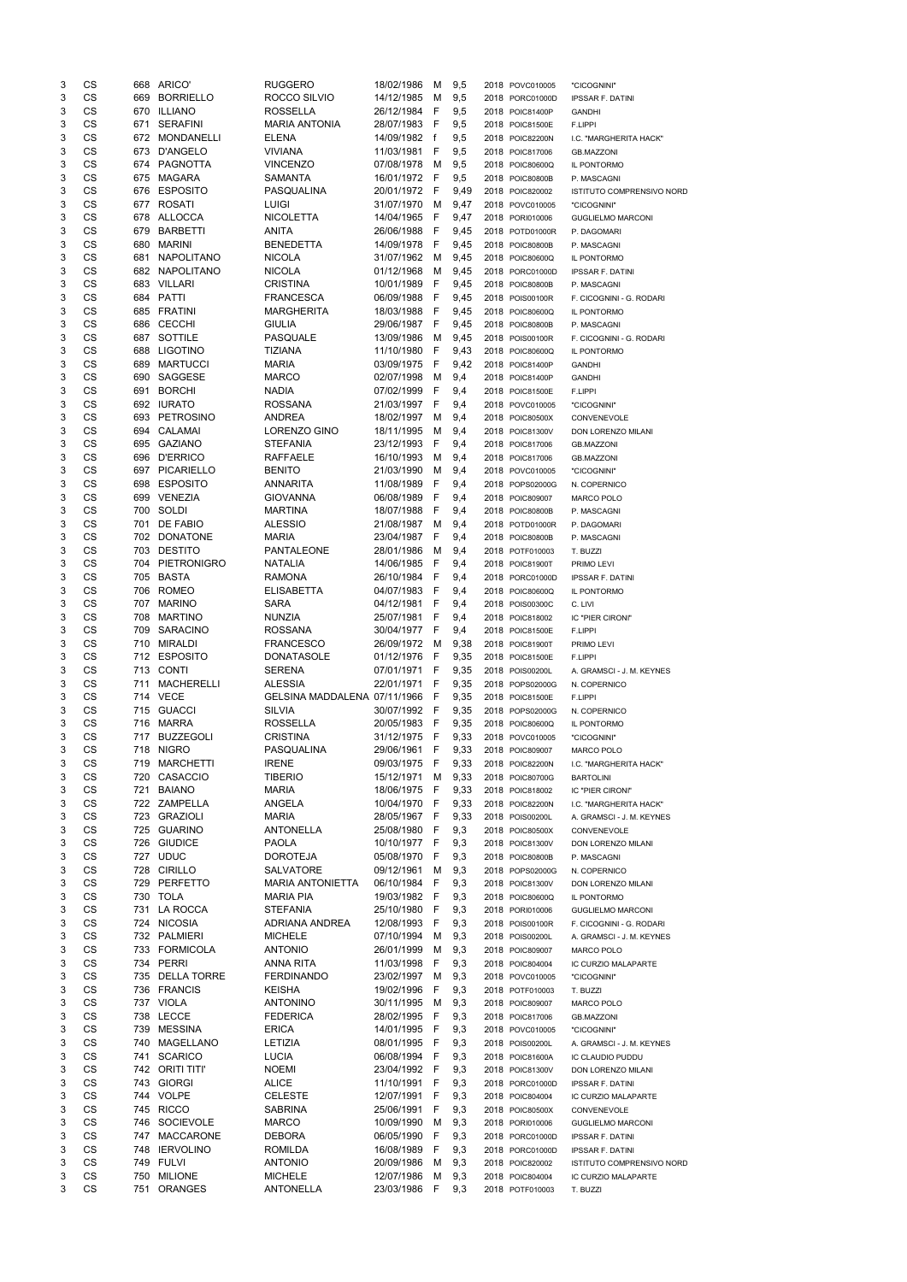| 3 | CS        |     | 668 ARICO'         | <b>RUGGERO</b>               | 18/02/1986 | М  | 9,5  | 2018 POVC010005 | "CICOGNINI"                      |
|---|-----------|-----|--------------------|------------------------------|------------|----|------|-----------------|----------------------------------|
| 3 | CS        | 669 | <b>BORRIELLO</b>   | ROCCO SILVIO                 | 14/12/1985 | м  | 9,5  | 2018 PORC01000D | <b>IPSSAR F. DATINI</b>          |
| 3 | CS        | 670 | <b>ILLIANO</b>     | <b>ROSSELLA</b>              | 26/12/1984 | F  | 9,5  | 2018 POIC81400P | <b>GANDHI</b>                    |
| 3 | CS        | 671 | <b>SERAFINI</b>    | <b>MARIA ANTONIA</b>         | 28/07/1983 | F  | 9,5  | 2018 POIC81500E | F.LIPPI                          |
| 3 | CS        | 672 | MONDANELLI         | <b>ELENA</b>                 | 14/09/1982 | f  | 9,5  | 2018 POIC82200N | I.C. "MARGHERITA HACK"           |
| 3 | CS        | 673 | D'ANGELO           | <b>VIVIANA</b>               | 11/03/1981 | F  | 9,5  | 2018 POIC817006 | <b>GB.MAZZONI</b>                |
| 3 | CS        | 674 | PAGNOTTA           | <b>VINCENZO</b>              | 07/08/1978 | M  | 9,5  | 2018 POIC80600Q | IL PONTORMO                      |
| 3 | CS        | 675 | <b>MAGARA</b>      | <b>SAMANTA</b>               | 16/01/1972 | F  | 9,5  | 2018 POIC80800B | P. MASCAGNI                      |
| 3 | CS        | 676 | <b>ESPOSITO</b>    | PASQUALINA                   | 20/01/1972 | F  | 9,49 | 2018 POIC820002 | <b>ISTITUTO COMPRENSIVO NORD</b> |
| 3 | CS        | 677 | <b>ROSATI</b>      | <b>LUIGI</b>                 | 31/07/1970 | M  | 9,47 | 2018 POVC010005 | "CICOGNINI"                      |
| 3 | <b>CS</b> | 678 | ALLOCCA            | <b>NICOLETTA</b>             | 14/04/1965 | F  | 9,47 | 2018 PORI010006 | <b>GUGLIELMO MARCONI</b>         |
| 3 | CS        | 679 | <b>BARBETTI</b>    | <b>ANITA</b>                 | 26/06/1988 | F  | 9,45 | 2018 POTD01000R | P. DAGOMARI                      |
| 3 | CS        | 680 | <b>MARINI</b>      | <b>BENEDETTA</b>             | 14/09/1978 | F  | 9,45 | 2018 POIC80800B | P. MASCAGNI                      |
| 3 | CS        | 681 | NAPOLITANO         | <b>NICOLA</b>                | 31/07/1962 | M  | 9,45 | 2018 POIC80600Q | IL PONTORMO                      |
| 3 | <b>CS</b> |     | 682 NAPOLITANO     | <b>NICOLA</b>                | 01/12/1968 | M  | 9,45 | 2018 PORC01000D |                                  |
|   | CS        | 683 | VILLARI            | <b>CRISTINA</b>              | 10/01/1989 | F  |      |                 | <b>IPSSAR F. DATINI</b>          |
| 3 |           |     |                    |                              |            |    | 9,45 | 2018 POIC80800B | P. MASCAGNI                      |
| 3 | CS        | 684 | PATTI              | <b>FRANCESCA</b>             | 06/09/1988 | F  | 9,45 | 2018 POIS00100R | F. CICOGNINI - G. RODARI         |
| 3 | CS        | 685 | <b>FRATINI</b>     | <b>MARGHERITA</b>            | 18/03/1988 | F  | 9,45 | 2018 POIC80600Q | IL PONTORMO                      |
| 3 | CS        | 686 | <b>CECCHI</b>      | <b>GIULIA</b>                | 29/06/1987 | F  | 9,45 | 2018 POIC80800B | P. MASCAGNI                      |
| 3 | CS        | 687 | SOTTILE            | <b>PASQUALE</b>              | 13/09/1986 | м  | 9,45 | 2018 POIS00100R | F. CICOGNINI - G. RODARI         |
| 3 | CS        | 688 | <b>LIGOTINO</b>    | TIZIANA                      | 11/10/1980 | F  | 9,43 | 2018 POIC80600Q | IL PONTORMO                      |
| 3 | CS        | 689 | <b>MARTUCCI</b>    | <b>MARIA</b>                 | 03/09/1975 | F  | 9,42 | 2018 POIC81400P | <b>GANDHI</b>                    |
| 3 | CS        | 690 | SAGGESE            | <b>MARCO</b>                 | 02/07/1998 | M  | 9,4  | 2018 POIC81400P | <b>GANDHI</b>                    |
| 3 | CS        | 691 | <b>BORCHI</b>      | <b>NADIA</b>                 | 07/02/1999 | F  | 9,4  | 2018 POIC81500E | F.LIPPI                          |
| 3 | CS        |     | 692 IURATO         | <b>ROSSANA</b>               | 21/03/1997 | F  | 9,4  | 2018 POVC010005 | "CICOGNINI"                      |
| 3 | CS        | 693 | PETROSINO          | <b>ANDREA</b>                | 18/02/1997 | M  | 9,4  | 2018 POIC80500X | CONVENEVOLE                      |
| 3 | CS        | 694 | CALAMAI            | LORENZO GINO                 | 18/11/1995 | M  | 9,4  | 2018 POIC81300V | DON LORENZO MILANI               |
| 3 | CS        | 695 | <b>GAZIANO</b>     | <b>STEFANIA</b>              | 23/12/1993 | F  | 9,4  | 2018 POIC817006 | <b>GB.MAZZONI</b>                |
| 3 | CS        | 696 | <b>D'ERRICO</b>    | <b>RAFFAELE</b>              | 16/10/1993 | M  | 9,4  | 2018 POIC817006 | <b>GB.MAZZONI</b>                |
| 3 | <b>CS</b> | 697 | PICARIELLO         | <b>BENITO</b>                | 21/03/1990 | М  | 9,4  | 2018 POVC010005 | "CICOGNINI"                      |
| 3 | CS        | 698 | <b>ESPOSITO</b>    | <b>ANNARITA</b>              | 11/08/1989 | F  | 9,4  | 2018 POPS02000G | N. COPERNICO                     |
| 3 | CS        | 699 | <b>VENEZIA</b>     | <b>GIOVANNA</b>              | 06/08/1989 | F  | 9,4  | 2018 POIC809007 | MARCO POLO                       |
| 3 | CS        | 700 | SOLDI              | <b>MARTINA</b>               | 18/07/1988 | F  | 9,4  | 2018 POIC80800B | P. MASCAGNI                      |
| 3 | CS        | 701 | <b>DE FABIO</b>    | <b>ALESSIO</b>               | 21/08/1987 | м  | 9,4  | 2018 POTD01000R | P. DAGOMARI                      |
| 3 | CS        | 702 | <b>DONATONE</b>    | <b>MARIA</b>                 | 23/04/1987 | F  | 9,4  | 2018 POIC80800B | P. MASCAGNI                      |
| 3 | CS        |     | 703 DESTITO        | <b>PANTALEONE</b>            | 28/01/1986 | M  | 9,4  | 2018 POTF010003 | T. BUZZI                         |
| 3 | CS        | 704 | PIETRONIGRO        | NATALIA                      | 14/06/1985 | F  | 9,4  | 2018 POIC81900T | PRIMO LEVI                       |
| 3 | CS        | 705 | <b>BASTA</b>       | <b>RAMONA</b>                | 26/10/1984 | F  | 9,4  | 2018 PORC01000D | <b>IPSSAR F. DATINI</b>          |
| 3 | <b>CS</b> | 706 | <b>ROMEO</b>       | <b>ELISABETTA</b>            | 04/07/1983 | F  | 9,4  | 2018 POIC80600Q | IL PONTORMO                      |
| 3 | <b>CS</b> | 707 | <b>MARINO</b>      | <b>SARA</b>                  | 04/12/1981 |    | 9,4  |                 |                                  |
|   |           |     | <b>MARTINO</b>     |                              |            | F  |      | 2018 POIS00300C | C. LIVI                          |
| 3 | CS        | 708 |                    | <b>NUNZIA</b>                | 25/07/1981 | F  | 9,4  | 2018 POIC818002 | IC "PIER CIRONI"                 |
| 3 | CS        | 709 | <b>SARACINO</b>    | <b>ROSSANA</b>               | 30/04/1977 | F  | 9,4  | 2018 POIC81500E | F.LIPPI                          |
| 3 | <b>CS</b> | 710 | <b>MIRALDI</b>     | <b>FRANCESCO</b>             | 26/09/1972 | M  | 9,38 | 2018 POIC81900T | PRIMO LEVI                       |
| 3 | <b>CS</b> |     | 712 ESPOSITO       | <b>DONATASOLE</b>            | 01/12/1976 | F  | 9,35 | 2018 POIC81500E | F.LIPPI                          |
| 3 | CS        |     | 713 CONTI          | <b>SERENA</b>                | 07/01/1971 | F  | 9,35 | 2018 POIS00200L | A. GRAMSCI - J. M. KEYNES        |
| 3 | CS        | 711 | MACHERELLI         | <b>ALESSIA</b>               | 22/01/1971 | F  | 9,35 | 2018 POPS02000G | N. COPERNICO                     |
| 3 | <b>CS</b> |     | 714 VECE           | GELSINA MADDALENA 07/11/1966 |            | F  | 9,35 | 2018 POIC81500E | F.LIPPI                          |
| 3 | CS        | 715 | <b>GUACCI</b>      | <b>SILVIA</b>                | 30/07/1992 | -F | 9,35 | 2018 POPS02000G | N. COPERNICO                     |
| 3 | CS        | 716 | <b>MARRA</b>       | <b>ROSSELLA</b>              | 20/05/1983 | F  | 9,35 | 2018 POIC80600Q | IL PONTORMO                      |
| 3 | CS        | 717 | <b>BUZZEGOLI</b>   | <b>CRISTINA</b>              | 31/12/1975 | F  | 9,33 | 2018 POVC010005 | "CICOGNINI"                      |
| 3 | CS        | 718 | <b>NIGRO</b>       | PASQUALINA                   | 29/06/1961 | F  | 9,33 | 2018 POIC809007 | <b>MARCO POLO</b>                |
| 3 | <b>CS</b> | 719 | <b>MARCHETTI</b>   | <b>IRENE</b>                 | 09/03/1975 | F  | 9,33 | 2018 POIC82200N | I.C. "MARGHERITA HACK"           |
| 3 | CS        | 720 | <b>CASACCIO</b>    | <b>TIBERIO</b>               | 15/12/1971 | м  | 9,33 | 2018 POIC80700G | <b>BARTOLINI</b>                 |
| 3 | CS        | 721 | <b>BAIANO</b>      | <b>MARIA</b>                 | 18/06/1975 | F  | 9,33 | 2018 POIC818002 | IC "PIER CIRONI"                 |
| 3 | CS        |     | 722 ZAMPELLA       | ANGELA                       | 10/04/1970 | F  | 9,33 | 2018 POIC82200N | I.C. "MARGHERITA HACK"           |
| 3 | CS        | 723 | <b>GRAZIOLI</b>    | <b>MARIA</b>                 | 28/05/1967 | F  | 9,33 | 2018 POIS00200L | A. GRAMSCI - J. M. KEYNES        |
| 3 | CS        | 725 | <b>GUARINO</b>     | <b>ANTONELLA</b>             | 25/08/1980 | F  | 9,3  | 2018 POIC80500X | CONVENEVOLE                      |
| 3 | CS        | 726 | <b>GIUDICE</b>     | <b>PAOLA</b>                 | 10/10/1977 | F  | 9,3  | 2018 POIC81300V | DON LORENZO MILANI               |
| 3 | CS        | 727 | <b>UDUC</b>        | <b>DOROTEJA</b>              | 05/08/1970 | F  | 9,3  | 2018 POIC80800B | P. MASCAGNI                      |
| 3 | <b>CS</b> | 728 | <b>CIRILLO</b>     | <b>SALVATORE</b>             | 09/12/1961 | M  | 9,3  | 2018 POPS02000G | N. COPERNICO                     |
| 3 | <b>CS</b> | 729 | <b>PERFETTO</b>    | <b>MARIA ANTONIETTA</b>      | 06/10/1984 | F  | 9,3  | 2018 POIC81300V | DON LORENZO MILANI               |
| 3 | CS        |     | 730 TOLA           | <b>MARIA PIA</b>             | 19/03/1982 | F  | 9,3  | 2018 POIC80600Q | IL PONTORMO                      |
| 3 | CS        | 731 | LA ROCCA           | <b>STEFANIA</b>              | 25/10/1980 | F  | 9,3  | 2018 PORI010006 | <b>GUGLIELMO MARCONI</b>         |
| 3 | <b>CS</b> |     | 724 NICOSIA        | ADRIANA ANDREA               | 12/08/1993 | F  | 9,3  | 2018 POIS00100R | F. CICOGNINI - G. RODARI         |
| 3 | <b>CS</b> |     | 732 PALMIERI       | <b>MICHELE</b>               | 07/10/1994 | М  | 9,3  | 2018 POIS00200L | A. GRAMSCI - J. M. KEYNES        |
| 3 | CS        | 733 | <b>FORMICOLA</b>   | <b>ANTONIO</b>               | 26/01/1999 | M  | 9,3  | 2018 POIC809007 |                                  |
| 3 | CS        | 734 | PERRI              | <b>ANNA RITA</b>             | 11/03/1998 | F  | 9,3  |                 | MARCO POLO                       |
|   | <b>CS</b> |     | <b>DELLA TORRE</b> |                              | 23/02/1997 |    |      | 2018 POIC804004 | IC CURZIO MALAPARTE              |
| 3 |           | 735 |                    | <b>FERDINANDO</b>            |            | м  | 9,3  | 2018 POVC010005 | "CICOGNINI"                      |
| 3 | CS        | 736 | <b>FRANCIS</b>     | <b>KEISHA</b>                | 19/02/1996 | F  | 9,3  | 2018 POTF010003 | T. BUZZI                         |
| 3 | CS        |     | 737 VIOLA          | <b>ANTONINO</b>              | 30/11/1995 | м  | 9,3  | 2018 POIC809007 | MARCO POLO                       |
| 3 | CS        | 738 | <b>LECCE</b>       | <b>FEDERICA</b>              | 28/02/1995 | F  | 9,3  | 2018 POIC817006 | <b>GB.MAZZONI</b>                |
| 3 | <b>CS</b> | 739 | MESSINA            | <b>ERICA</b>                 | 14/01/1995 | F  | 9,3  | 2018 POVC010005 | "CICOGNINI"                      |
|   | CS        |     | 740 MAGELLANO      | LETIZIA                      | 08/01/1995 | F  | 9,3  | 2018 POIS00200L | A. GRAMSCI - J. M. KEYNES        |
| 3 | CS        |     | 741 SCARICO        | <b>LUCIA</b>                 | 06/08/1994 | -F | 9,3  | 2018 POIC81600A | IC CLAUDIO PUDDU                 |
| 3 | CS        |     | 742 ORITI TITI'    | <b>NOEMI</b>                 | 23/04/1992 | F  | 9,3  | 2018 POIC81300V | DON LORENZO MILANI               |
| 3 | CS        |     | 743 GIORGI         | <b>ALICE</b>                 | 11/10/1991 | F  | 9,3  | 2018 PORC01000D | <b>IPSSAR F. DATINI</b>          |
| 3 | CS        |     | 744 VOLPE          | <b>CELESTE</b>               | 12/07/1991 | F  | 9,3  | 2018 POIC804004 | IC CURZIO MALAPARTE              |
| 3 | CS        |     | 745 RICCO          | <b>SABRINA</b>               | 25/06/1991 | F  | 9,3  | 2018 POIC80500X | CONVENEVOLE                      |
| 3 | CS        |     | 746 SOCIEVOLE      | <b>MARCO</b>                 | 10/09/1990 | M  | 9,3  | 2018 PORI010006 | <b>GUGLIELMO MARCONI</b>         |
| 3 | CS        | 747 | MACCARONE          | <b>DEBORA</b>                | 06/05/1990 | F  | 9,3  | 2018 PORC01000D | <b>IPSSAR F. DATINI</b>          |
| 3 | CS        | 748 | <b>IERVOLINO</b>   | ROMILDA                      | 16/08/1989 | F  | 9,3  | 2018 PORC01000D | <b>IPSSAR F. DATINI</b>          |
| 3 | CS        |     | 749 FULVI          | <b>ANTONIO</b>               | 20/09/1986 | M  | 9,3  | 2018 POIC820002 | <b>ISTITUTO COMPRENSIVO NORD</b> |
| 3 | CS        | 750 | <b>MILIONE</b>     | <b>MICHELE</b>               | 12/07/1986 | M  | 9,3  | 2018 POIC804004 | IC CURZIO MALAPARTE              |
| 3 | CS        | 751 | ORANGES            | ANTONELLA                    | 23/03/1986 | F. | 9,3  | 2018 POTF010003 | T. BUZZI                         |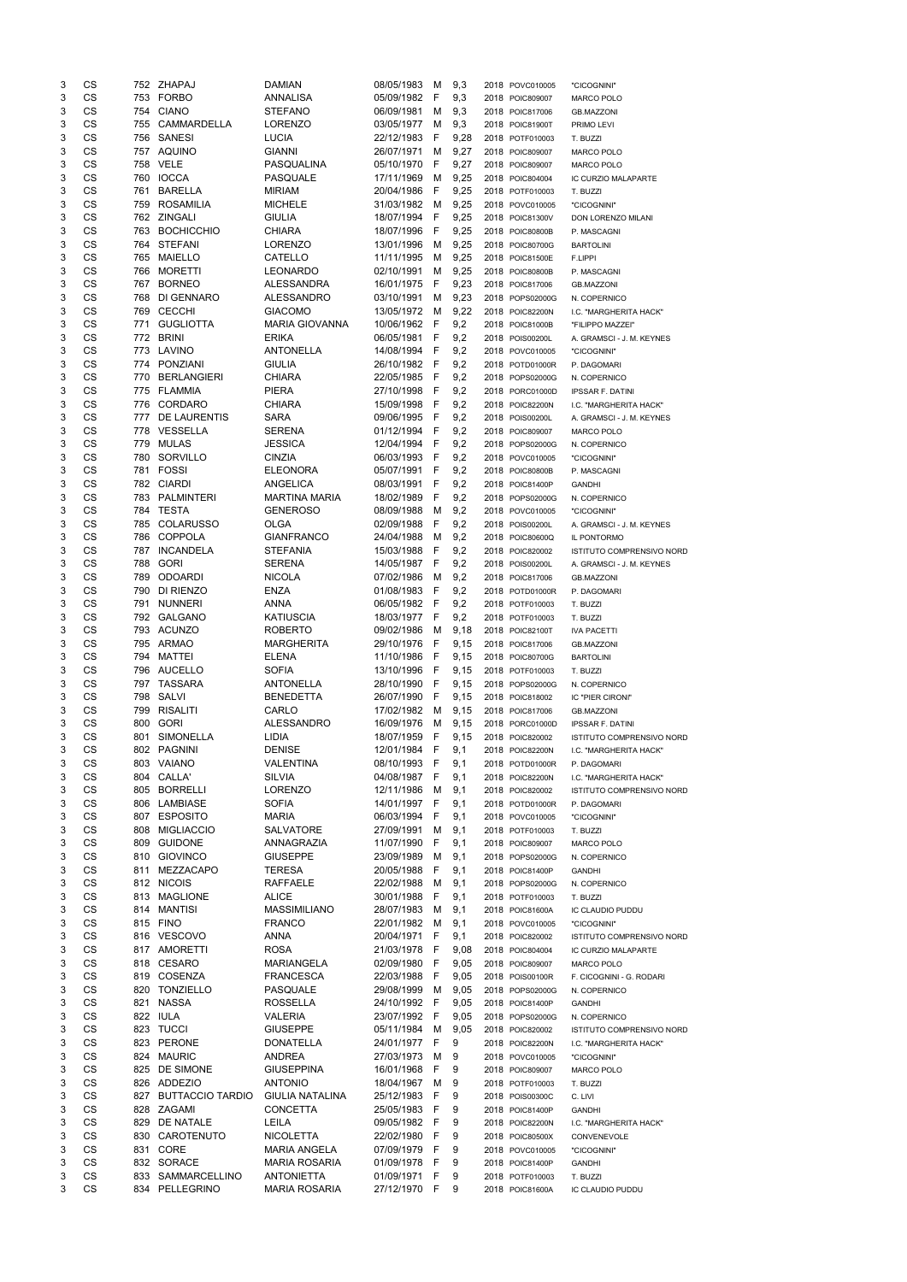| 3      | CS        |     | 752 ZHAPAJ           | <b>DAMIAN</b>             | 08/05/1983 | м      | 9,3  | 2018 POVC010005 | "CICOGNINI"               |
|--------|-----------|-----|----------------------|---------------------------|------------|--------|------|-----------------|---------------------------|
| 3      | CS        |     | 753 FORBO            | <b>ANNALISA</b>           | 05/09/1982 | F      | 9,3  | 2018 POIC809007 | <b>MARCO POLO</b>         |
| 3      | CS        | 754 | <b>CIANO</b>         | <b>STEFANO</b>            | 06/09/1981 | м      | 9,3  | 2018 POIC817006 | <b>GB.MAZZONI</b>         |
| 3      | CS        | 755 | CAMMARDELLA          | <b>LORENZO</b>            | 03/05/1977 | м      | 9,3  | 2018 POIC81900T | PRIMO LEVI                |
| 3      | CS        |     | 756 SANESI           | LUCIA                     | 22/12/1983 | F      | 9,28 | 2018 POTF010003 | T. BUZZI                  |
| 3      | CS        |     | 757 AQUINO           | <b>GIANNI</b>             | 26/07/1971 | M      | 9,27 | 2018 POIC809007 | MARCO POLO                |
| 3      | CS        |     | 758 VELE             | PASQUALINA                | 05/10/1970 | F      | 9,27 | 2018 POIC809007 | <b>MARCO POLO</b>         |
| 3      | CS        |     | 760 IOCCA            | <b>PASQUALE</b>           | 17/11/1969 | м      | 9,25 | 2018 POIC804004 | IC CURZIO MALAPARTE       |
| 3      | CS        | 761 | <b>BARELLA</b>       | <b>MIRIAM</b>             | 20/04/1986 | F      | 9,25 | 2018 POTF010003 | T. BUZZI                  |
| 3      | <b>CS</b> | 759 | ROSAMILIA            | <b>MICHELE</b>            | 31/03/1982 | м      | 9,25 | 2018 POVC010005 | "CICOGNINI"               |
| 3      | <b>CS</b> |     | 762 ZINGALI          | <b>GIULIA</b>             | 18/07/1994 | F      | 9,25 | 2018 POIC81300V | DON LORENZO MILANI        |
| 3      | CS        |     | 763 BOCHICCHIO       | <b>CHIARA</b>             | 18/07/1996 | F      | 9,25 | 2018 POIC80800B | P. MASCAGNI               |
| 3      | CS        |     | 764 STEFANI          | <b>LORENZO</b>            | 13/01/1996 | м      | 9,25 | 2018 POIC80700G | <b>BARTOLINI</b>          |
| 3      | CS        | 765 | <b>MAIELLO</b>       | CATELLO                   | 11/11/1995 | м      | 9,25 | 2018 POIC81500E | F.LIPPI                   |
| 3      | CS        | 766 | <b>MORETTI</b>       | <b>LEONARDO</b>           | 02/10/1991 | м      | 9,25 | 2018 POIC80800B | P. MASCAGNI               |
| 3      | CS        | 767 | <b>BORNEO</b>        | <b>ALESSANDRA</b>         | 16/01/1975 | F      | 9,23 | 2018 POIC817006 | <b>GB.MAZZONI</b>         |
| 3      | CS        | 768 | DI GENNARO           | ALESSANDRO                | 03/10/1991 | м      | 9,23 | 2018 POPS02000G | N. COPERNICO              |
| 3      | CS        | 769 | <b>CECCHI</b>        | <b>GIACOMO</b>            | 13/05/1972 | M      | 9,22 | 2018 POIC82200N | I.C. "MARGHERITA HACK"    |
| 3      | CS        | 771 | <b>GUGLIOTTA</b>     | <b>MARIA GIOVANNA</b>     | 10/06/1962 | F      | 9,2  | 2018 POIC81000B | "FILIPPO MAZZEI"          |
| 3      | CS        | 772 | <b>BRINI</b>         | <b>ERIKA</b>              | 06/05/1981 | F      | 9,2  | 2018 POIS00200L | A. GRAMSCI - J. M. KEYNES |
| 3      | CS        |     | 773 LAVINO           | <b>ANTONELLA</b>          | 14/08/1994 | F      | 9,2  | 2018 POVC010005 | "CICOGNINI"               |
| 3      | CS        |     | 774 PONZIANI         | <b>GIULIA</b>             | 26/10/1982 | F      | 9,2  | 2018 POTD01000R | P. DAGOMARI               |
| 3      | CS        | 770 | <b>BERLANGIERI</b>   | <b>CHIARA</b>             | 22/05/1985 | F      | 9,2  | 2018 POPS02000G | N. COPERNICO              |
| 3      | CS        |     | 775 FLAMMIA          | <b>PIERA</b>              | 27/10/1998 | F      | 9,2  | 2018 PORC01000D | <b>IPSSAR F. DATINI</b>   |
| 3      | CS        | 776 | CORDARO              | <b>CHIARA</b>             | 15/09/1998 | F      | 9,2  | 2018 POIC82200N | I.C. "MARGHERITA HACK"    |
| 3      | <b>CS</b> | 777 | DE LAURENTIS         | <b>SARA</b>               | 09/06/1995 | F      | 9,2  | 2018 POIS00200L | A. GRAMSCI - J. M. KEYNES |
| 3      | <b>CS</b> |     | 778 VESSELLA         | <b>SERENA</b>             | 01/12/1994 | F      | 9,2  | 2018 POIC809007 | <b>MARCO POLO</b>         |
| 3      | CS        |     | 779 MULAS            | <b>JESSICA</b>            | 12/04/1994 | F      | 9,2  | 2018 POPS02000G | N. COPERNICO              |
| 3      | CS        |     | 780 SORVILLO         | <b>CINZIA</b>             | 06/03/1993 | F      | 9,2  | 2018 POVC010005 | "CICOGNINI"               |
| 3      | CS        |     | 781 FOSSI            | <b>ELEONORA</b>           | 05/07/1991 | F      | 9,2  | 2018 POIC80800B |                           |
| 3      | CS        |     | 782 CIARDI           | ANGELICA                  | 08/03/1991 | F      | 9,2  | 2018 POIC81400P | P. MASCAGNI               |
| 3      | <b>CS</b> |     | 783 PALMINTERI       | <b>MARTINA MARIA</b>      | 18/02/1989 | F      | 9,2  | 2018 POPS02000G | <b>GANDHI</b>             |
| 3      | CS        |     | 784 TESTA            | <b>GENEROSO</b>           | 08/09/1988 | м      | 9,2  | 2018 POVC010005 | N. COPERNICO              |
|        | CS        | 785 | <b>COLARUSSO</b>     |                           | 02/09/1988 |        | 9,2  |                 | "CICOGNINI"               |
| 3<br>3 | CS        | 786 | <b>COPPOLA</b>       | OLGA<br><b>GIANFRANCO</b> | 24/04/1988 | F<br>M |      | 2018 POIS00200L | A. GRAMSCI - J. M. KEYNES |
| 3      | CS        |     | 787 INCANDELA        | <b>STEFANIA</b>           | 15/03/1988 | F      | 9,2  | 2018 POIC80600Q | IL PONTORMO               |
|        |           |     |                      |                           |            |        | 9,2  | 2018 POIC820002 | ISTITUTO COMPRENSIVO NORD |
| 3      | CS        | 788 | <b>GORI</b>          | <b>SERENA</b>             | 14/05/1987 | F      | 9,2  | 2018 POIS00200L | A. GRAMSCI - J. M. KEYNES |
| 3      | CS        | 789 | <b>ODOARDI</b>       | <b>NICOLA</b>             | 07/02/1986 | м      | 9,2  | 2018 POIC817006 | <b>GB.MAZZONI</b>         |
| 3      | CS        | 790 | DI RIENZO            | <b>ENZA</b>               | 01/08/1983 | F      | 9,2  | 2018 POTD01000R | P. DAGOMARI               |
| 3      | <b>CS</b> | 791 | <b>NUNNERI</b>       | <b>ANNA</b>               | 06/05/1982 | F      | 9,2  | 2018 POTF010003 | T. BUZZI                  |
| 3      | <b>CS</b> | 792 | <b>GALGANO</b>       | <b>KATIUSCIA</b>          | 18/03/1977 | F      | 9,2  | 2018 POTF010003 | T. BUZZI                  |
| 3      | CS        |     | 793 ACUNZO           | <b>ROBERTO</b>            | 09/02/1986 | м      | 9,18 | 2018 POIC82100T | <b>IVA PACETTI</b>        |
| 3      | <b>CS</b> |     | 795 ARMAO            | <b>MARGHERITA</b>         | 29/10/1976 | F      | 9,15 | 2018 POIC817006 | <b>GB.MAZZONI</b>         |
| 3      | <b>CS</b> | 794 | <b>MATTEI</b>        | <b>ELENA</b>              | 11/10/1986 | F      | 9,15 | 2018 POIC80700G | <b>BARTOLINI</b>          |
| 3      | CS        |     | 796 AUCELLO          | <b>SOFIA</b>              | 13/10/1996 | - F    | 9,15 | 2018 POTF010003 | T. BUZZI                  |
| 3      | CS        |     | 797 TASSARA          | <b>ANTONELLA</b>          | 28/10/1990 | -F     | 9,15 | 2018 POPS02000G | N. COPERNICO              |
| 3      | <b>CS</b> | 798 | SALVI                | <b>BENEDETTA</b>          | 26/07/1990 | F      | 9,15 | 2018 POIC818002 | IC "PIER CIRONI"          |
| 3      | <b>CS</b> | 799 | RISALITI             | CARLO                     | 17/02/1982 | M      | 9,15 | 2018 POIC817006 | <b>GB.MAZZONI</b>         |
| 3      | CS        | 800 | <b>GORI</b>          | <b>ALESSANDRO</b>         | 16/09/1976 | м      | 9,15 | 2018 PORC01000D | <b>IPSSAR F. DATINI</b>   |
| 3      | CS        | 801 | <b>SIMONELLA</b>     | LIDIA                     | 18/07/1959 | F      | 9,15 | 2018 POIC820002 | ISTITUTO COMPRENSIVO NORD |
| 3      | CS        | 802 | <b>PAGNINI</b>       | <b>DENISE</b>             | 12/01/1984 | F      | 9,1  | 2018 POIC82200N | I.C. "MARGHERITA HACK"    |
| 3      | CS        |     | 803 VAIANO           | <b>VALENTINA</b>          | 08/10/1993 | F      | 9,1  | 2018 POTD01000R | P. DAGOMARI               |
| 3      | CS        | 804 | CALLA'               | SILVIA                    | 04/08/1987 | F      | 9,1  | 2018 POIC82200N | I.C. "MARGHERITA HACK"    |
| 3      | CS        | 805 | <b>BORRELLI</b>      | <b>LORENZO</b>            | 12/11/1986 | M      | 9,1  | 2018 POIC820002 | ISTITUTO COMPRENSIVO NORD |
| 3      | CS        | 806 | LAMBIASE             | <b>SOFIA</b>              | 14/01/1997 | F      | 9,1  | 2018 POTD01000R | P. DAGOMARI               |
| 3      | CS        | 807 | <b>ESPOSITO</b>      | <b>MARIA</b>              | 06/03/1994 | F      | 9,1  | 2018 POVC010005 | "CICOGNINI"               |
| 3      | <b>CS</b> | 808 | <b>MIGLIACCIO</b>    | <b>SALVATORE</b>          | 27/09/1991 | М      | 9,1  | 2018 POTF010003 | T. BUZZI                  |
| 3      | <b>CS</b> | 809 | <b>GUIDONE</b>       | ANNAGRAZIA                | 11/07/1990 | F      | 9,1  | 2018 POIC809007 | <b>MARCO POLO</b>         |
| 3      | CS        | 810 | <b>GIOVINCO</b>      | <b>GIUSEPPE</b>           | 23/09/1989 | М      | 9,1  | 2018 POPS02000G | N. COPERNICO              |
| 3      | <b>CS</b> | 811 | MEZZACAPO            | <b>TERESA</b>             | 20/05/1988 | F      | 9,1  | 2018 POIC81400P | <b>GANDHI</b>             |
| 3      | <b>CS</b> |     | 812 NICOIS           | <b>RAFFAELE</b>           | 22/02/1988 | м      | 9,1  | 2018 POPS02000G | N. COPERNICO              |
| 3      | <b>CS</b> | 813 | <b>MAGLIONE</b>      | <b>ALICE</b>              | 30/01/1988 | F      | 9,1  | 2018 POTF010003 | T. BUZZI                  |
| 3      | <b>CS</b> | 814 | <b>MANTISI</b>       | <b>MASSIMILIANO</b>       | 28/07/1983 | M      | 9,1  | 2018 POIC81600A | IC CLAUDIO PUDDU          |
| 3      | <b>CS</b> |     | 815 FINO             | <b>FRANCO</b>             | 22/01/1982 | M      | 9,1  | 2018 POVC010005 | "CICOGNINI"               |
| 3      | <b>CS</b> |     | 816 VESCOVO          | <b>ANNA</b>               | 20/04/1971 | - F    | 9,1  | 2018 POIC820002 | ISTITUTO COMPRENSIVO NORD |
| 3      | CS        |     | 817 AMORETTI         | <b>ROSA</b>               | 21/03/1978 | F      | 9,08 | 2018 POIC804004 | IC CURZIO MALAPARTE       |
| 3      | CS        | 818 | <b>CESARO</b>        | <b>MARIANGELA</b>         | 02/09/1980 | F      | 9,05 | 2018 POIC809007 | <b>MARCO POLO</b>         |
| 3      | CS        | 819 | COSENZA              | <b>FRANCESCA</b>          | 22/03/1988 | F      | 9,05 | 2018 POIS00100R | F. CICOGNINI - G. RODARI  |
| 3      | CS        | 820 | <b>TONZIELLO</b>     | <b>PASQUALE</b>           | 29/08/1999 | M      | 9,05 | 2018 POPS02000G | N. COPERNICO              |
| 3      | CS        | 821 | <b>NASSA</b>         | <b>ROSSELLA</b>           | 24/10/1992 | F      | 9,05 | 2018 POIC81400P | <b>GANDHI</b>             |
| 3      | CS        |     | 822 IULA             | VALERIA                   | 23/07/1992 | F      | 9,05 | 2018 POPS02000G | N. COPERNICO              |
| 3      | <b>CS</b> |     | 823 TUCCI            | <b>GIUSEPPE</b>           | 05/11/1984 | М      | 9,05 | 2018 POIC820002 | ISTITUTO COMPRENSIVO NORD |
| 3      | CS        |     | 823 PERONE           | <b>DONATELLA</b>          | 24/01/1977 | F.     | 9    | 2018 POIC82200N | I.C. "MARGHERITA HACK"    |
| 3      | CS        |     | 824 MAURIC           | <b>ANDREA</b>             | 27/03/1973 | M      | 9    | 2018 POVC010005 | "CICOGNINI"               |
| 3      | CS        |     | 825 DE SIMONE        | <b>GIUSEPPINA</b>         | 16/01/1968 | F      | 9    | 2018 POIC809007 | <b>MARCO POLO</b>         |
| 3      | CS        |     | 826 ADDEZIO          | <b>ANTONIO</b>            | 18/04/1967 | м      | 9    | 2018 POTF010003 | T. BUZZI                  |
| 3      | CS        |     | 827 BUTTACCIO TARDIO | <b>GIULIA NATALINA</b>    | 25/12/1983 | F      | 9    | 2018 POIS00300C | C. LIVI                   |
| 3      | CS        |     | 828 ZAGAMI           | CONCETTA                  | 25/05/1983 | F      | 9    | 2018 POIC81400P | <b>GANDHI</b>             |
| 3      | CS        |     | 829 DE NATALE        | LEILA                     | 09/05/1982 | -F     | 9    | 2018 POIC82200N | I.C. "MARGHERITA HACK"    |
| 3      | CS        |     | 830 CAROTENUTO       | <b>NICOLETTA</b>          | 22/02/1980 | F      | 9    | 2018 POIC80500X | CONVENEVOLE               |
| 3      | CS        |     | 831 CORE             | <b>MARIA ANGELA</b>       | 07/09/1979 | F      | 9    | 2018 POVC010005 | "CICOGNINI"               |
| 3      | CS        |     | 832 SORACE           | <b>MARIA ROSARIA</b>      | 01/09/1978 | F      | 9    | 2018 POIC81400P | <b>GANDHI</b>             |
| 3      | CS        |     | 833 SAMMARCELLINO    | <b>ANTONIETTA</b>         | 01/09/1971 | -F     | 9    | 2018 POTF010003 | T. BUZZI                  |
|        |           |     | 834 PELLEGRINO       | <b>MARIA ROSARIA</b>      | 27/12/1970 | F.     | 9    | 2018 POIC81600A | IC CLAUDIO PUDDU          |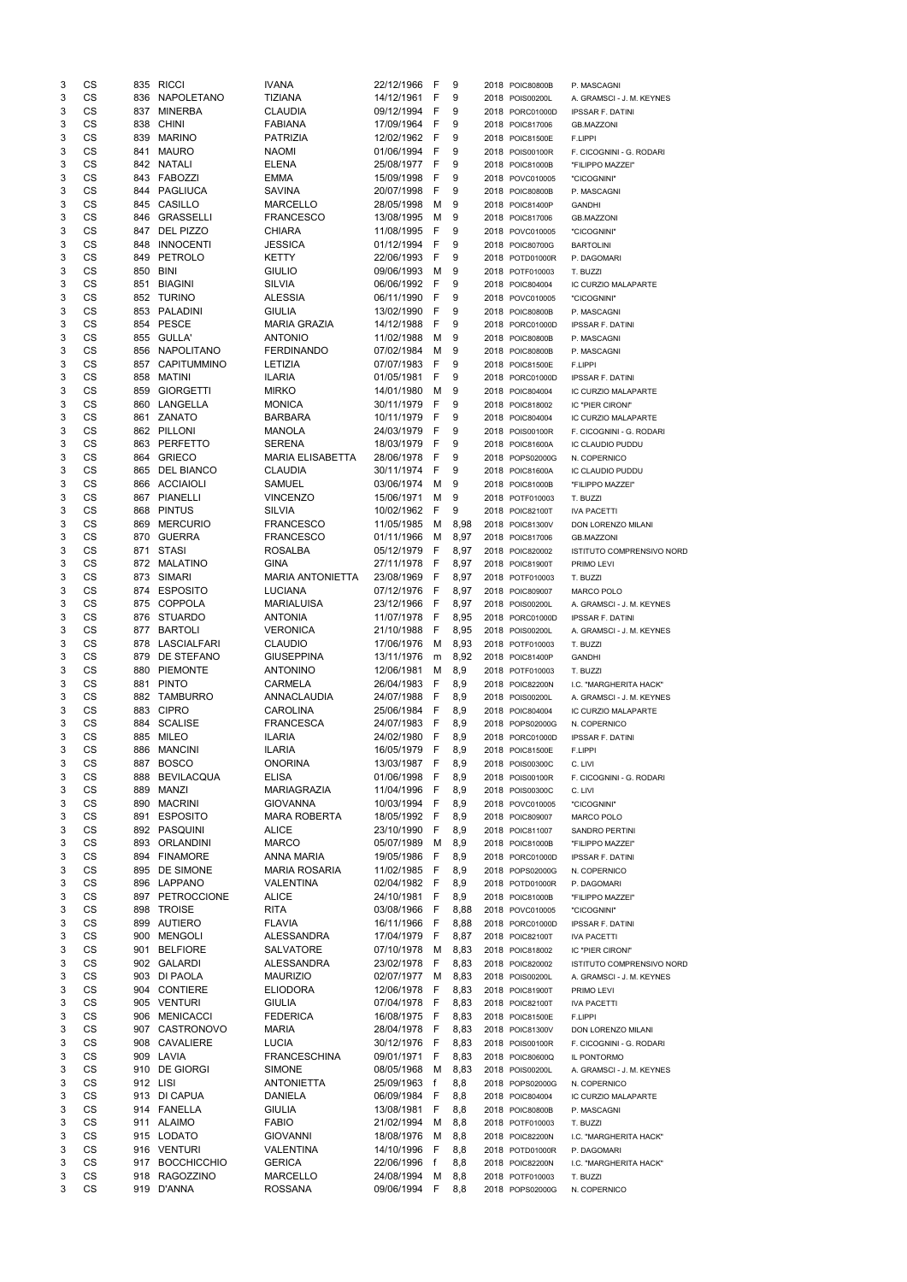| 3 | CS        |     | 835 RICCI        | <b>IVANA</b>            | 22/12/1966   | -F           | 9      | 2018 POIC80800B | P. MASCAGNI                      |
|---|-----------|-----|------------------|-------------------------|--------------|--------------|--------|-----------------|----------------------------------|
| 3 | CS        |     | 836 NAPOLETANO   | <b>TIZIANA</b>          | 14/12/1961   | F            | 9      | 2018 POIS00200L | A. GRAMSCI - J. M. KEYNES        |
| 3 | CS        | 837 | MINERBA          | <b>CLAUDIA</b>          | 09/12/1994   | F            | 9      | 2018 PORC01000D | <b>IPSSAR F. DATINI</b>          |
| 3 | CS        | 838 | CHINI            | <b>FABIANA</b>          | 17/09/1964   | -F           | 9      | 2018 POIC817006 | <b>GB.MAZZONI</b>                |
| 3 | CS        | 839 | <b>MARINO</b>    | PATRIZIA                | 12/02/1962   | - F          | 9      | 2018 POIC81500E | F.LIPPI                          |
| 3 | CS        | 841 | MAURO            | <b>NAOMI</b>            | 01/06/1994   | - F          | 9      | 2018 POIS00100R | F. CICOGNINI - G. RODARI         |
| 3 | CS        |     | 842 NATALI       | <b>ELENA</b>            | 25/08/1977   | - F          | 9      | 2018 POIC81000B | "FILIPPO MAZZEI"                 |
| 3 | CS        |     | 843 FABOZZI      | <b>EMMA</b>             | 15/09/1998   | F            | 9      | 2018 POVC010005 | "CICOGNINI"                      |
| 3 | CS        |     | 844 PAGLIUCA     | <b>SAVINA</b>           | 20/07/1998   | F            | 9      | 2018 POIC80800B | P. MASCAGNI                      |
| 3 | CS        | 845 | CASILLO          | <b>MARCELLO</b>         | 28/05/1998   | м            | - 9    | 2018 POIC81400P | <b>GANDHI</b>                    |
| 3 | CS        | 846 | GRASSELLI        | <b>FRANCESCO</b>        | 13/08/1995   | M            | - 9    | 2018 POIC817006 | <b>GB.MAZZONI</b>                |
| 3 | CS        | 847 | DEL PIZZO        | <b>CHIARA</b>           | 11/08/1995   | -F           | 9      | 2018 POVC010005 | "CICOGNINI"                      |
| 3 | CS        | 848 | <b>INNOCENTI</b> | <b>JESSICA</b>          | 01/12/1994   | F            | 9      | 2018 POIC80700G | <b>BARTOLINI</b>                 |
| 3 | CS        | 849 | PETROLO          | <b>KETTY</b>            | 22/06/1993   | -F           | 9      | 2018 POTD01000R | P. DAGOMARI                      |
| 3 | CS        |     | 850 BINI         | <b>GIULIO</b>           | 09/06/1993   | M            | 9      | 2018 POTF010003 | T. BUZZI                         |
| 3 | CS        | 851 | <b>BIAGINI</b>   | <b>SILVIA</b>           | 06/06/1992   | -F           | 9      |                 |                                  |
|   | CS        |     | 852 TURINO       |                         |              | F            |        | 2018 POIC804004 | IC CURZIO MALAPARTE              |
| 3 |           |     |                  | <b>ALESSIA</b>          | 06/11/1990   |              | 9      | 2018 POVC010005 | "CICOGNINI"                      |
| 3 | CS        |     | 853 PALADINI     | <b>GIULIA</b>           | 13/02/1990   | F            | 9      | 2018 POIC80800B | P. MASCAGNI                      |
| 3 | CS        |     | 854 PESCE        | <b>MARIA GRAZIA</b>     | 14/12/1988   | -F           | 9      | 2018 PORC01000D | <b>IPSSAR F. DATINI</b>          |
| 3 | CS        | 855 | <b>GULLA'</b>    | <b>ANTONIO</b>          | 11/02/1988   | М            | -9     | 2018 POIC80800B | P. MASCAGNI                      |
| 3 | CS        | 856 | NAPOLITANO       | <b>FERDINANDO</b>       | 07/02/1984   | M            | - 9    | 2018 POIC80800B | P. MASCAGNI                      |
| 3 | CS        | 857 | CAPITUMMINO      | LETIZIA                 | 07/07/1983   | -F           | 9      | 2018 POIC81500E | F.LIPPI                          |
| 3 | CS        | 858 | MATINI           | <b>ILARIA</b>           | 01/05/1981   | F            | 9      | 2018 PORC01000D | <b>IPSSAR F. DATINI</b>          |
| 3 | CS        | 859 | <b>GIORGETTI</b> | <b>MIRKO</b>            | 14/01/1980   | M            | 9      | 2018 POIC804004 | IC CURZIO MALAPARTE              |
| 3 | CS        | 860 | LANGELLA         | <b>MONICA</b>           | 30/11/1979   | F            | 9      | 2018 POIC818002 | IC "PIER CIRONI"                 |
| 3 | CS        | 861 | ZANATO           | <b>BARBARA</b>          | 10/11/1979   | -F           | 9      | 2018 POIC804004 | IC CURZIO MALAPARTE              |
| 3 | CS        |     | 862 PILLONI      | <b>MANOLA</b>           | 24/03/1979   | F            | 9      | 2018 POIS00100R | F. CICOGNINI - G. RODARI         |
| 3 | CS        |     | 863 PERFETTO     | <b>SERENA</b>           | 18/03/1979   | -F           | 9      | 2018 POIC81600A | IC CLAUDIO PUDDU                 |
| 3 | CS        |     | 864 GRIECO       | <b>MARIA ELISABETTA</b> | 28/06/1978   | -F           | 9      | 2018 POPS02000G | N. COPERNICO                     |
| 3 | CS        |     | 865 DEL BIANCO   | <b>CLAUDIA</b>          | 30/11/1974   | F            | 9      | 2018 POIC81600A | IC CLAUDIO PUDDU                 |
| 3 | CS        |     | 866 ACCIAIOLI    | SAMUEL                  | 03/06/1974   | M            | - 9    | 2018 POIC81000B | "FILIPPO MAZZEI"                 |
| 3 | CS        |     | 867 PIANELLI     | <b>VINCENZO</b>         | 15/06/1971   | м            | 9      | 2018 POTF010003 | T. BUZZI                         |
| 3 | CS        |     | 868 PINTUS       | SILVIA                  | 10/02/1962   | F            | 9      | 2018 POIC82100T | <b>IVA PACETTI</b>               |
| 3 | CS        | 869 | <b>MERCURIO</b>  | <b>FRANCESCO</b>        | 11/05/1985   | M            | 8,98   | 2018 POIC81300V | DON LORENZO MILANI               |
| 3 | CS        | 870 | <b>GUERRA</b>    | <b>FRANCESCO</b>        | 01/11/1966   | M            | 8,97   | 2018 POIC817006 | <b>GB.MAZZONI</b>                |
| 3 | <b>CS</b> |     | 871 STASI        | <b>ROSALBA</b>          | 05/12/1979 F |              | 8,97   | 2018 POIC820002 | <b>ISTITUTO COMPRENSIVO NORD</b> |
| 3 | CS        | 872 | MALATINO         | <b>GINA</b>             | 27/11/1978   | - F          | 8,97   | 2018 POIC81900T | PRIMO LEVI                       |
| 3 | CS        |     | 873 SIMARI       | <b>MARIA ANTONIETTA</b> | 23/08/1969   | - F          | 8,97   | 2018 POTF010003 | T. BUZZI                         |
| 3 | CS        |     | 874 ESPOSITO     | <b>LUCIANA</b>          | 07/12/1976   | - F          | 8,97   | 2018 POIC809007 | <b>MARCO POLO</b>                |
| 3 | CS        |     | 875 COPPOLA      | <b>MARIALUISA</b>       | 23/12/1966   | - F          | 8,97   | 2018 POIS00200L | A. GRAMSCI - J. M. KEYNES        |
| 3 | CS        | 876 | STUARDO          | <b>ANTONIA</b>          | 11/07/1978   | - F          | 8,95   |                 |                                  |
|   |           |     |                  |                         |              |              |        | 2018 PORC01000D | <b>IPSSAR F. DATINI</b>          |
| 3 | CS        |     | 877 BARTOLI      | <b>VERONICA</b>         | 21/10/1988   | -F           | 8,95   | 2018 POIS00200L | A. GRAMSCI - J. M. KEYNES        |
| 3 | CS        |     | 878 LASCIALFARI  | <b>CLAUDIO</b>          | 17/06/1976   |              | M 8,93 | 2018 POTF010003 | T. BUZZI                         |
| 3 | <b>CS</b> | 879 | DE STEFANO       | <b>GIUSEPPINA</b>       | 13/11/1976   |              | m 8,92 | 2018 POIC81400P | <b>GANDHI</b>                    |
| 3 | CS        | 880 | <b>PIEMONTE</b>  | <b>ANTONINO</b>         | 12/06/1981   | M            | 8,9    | 2018 POTF010003 | T. BUZZI                         |
| 3 | CS        |     | 881 PINTO        | <b>CARMELA</b>          | 26/04/1983   | - F          | 8,9    | 2018 POIC82200N | I.C. "MARGHERITA HACK"           |
| 3 | CS        |     | 882 TAMBURRO     | ANNACLAUDIA             | 24/07/1988   | -F           | 8,9    | 2018 POIS00200L | A. GRAMSCI - J. M. KEYNES        |
| 3 | CS        |     | 883 CIPRO        | CAROLINA                | 25/06/1984   | F            | 8,9    | 2018 POIC804004 | IC CURZIO MALAPARTE              |
| 3 | CS        |     | 884 SCALISE      | <b>FRANCESCA</b>        | 24/07/1983   | -F           | 8,9    | 2018 POPS02000G | N. COPERNICO                     |
| 3 | CS        |     | 885 MILEO        | <b>ILARIA</b>           | 24/02/1980   | - F          | 8,9    | 2018 PORC01000D | <b>IPSSAR F. DATINI</b>          |
| 3 | CS        |     | 886 MANCINI      | <b>ILARIA</b>           | 16/05/1979   | - F          | 8,9    | 2018 POIC81500E | F.LIPPI                          |
| 3 | CS        |     | 887 BOSCO        | <b>ONORINA</b>          | 13/03/1987   | - F          | 8,9    | 2018 POIS00300C | C. LIVI                          |
| 3 | CS        |     | 888 BEVILACQUA   | <b>ELISA</b>            | 01/06/1998   | - F          | 8,9    | 2018 POIS00100R | F. CICOGNINI - G. RODARI         |
| 3 | CS        | 889 | MANZI            | <b>MARIAGRAZIA</b>      | 11/04/1996   | - F          | 8,9    | 2018 POIS00300C | C. LIVI                          |
| 3 | CS        | 890 | MACRINI          | <b>GIOVANNA</b>         | 10/03/1994   | - F          | 8,9    | 2018 POVC010005 | "CICOGNINI"                      |
| 3 | CS        |     | 891 ESPOSITO     | <b>MARA ROBERTA</b>     | 18/05/1992   | - F          | 8,9    | 2018 POIC809007 | <b>MARCO POLO</b>                |
| 3 | CS        |     | 892 PASQUINI     | <b>ALICE</b>            | 23/10/1990   | -F           | 8,9    | 2018 POIC811007 | <b>SANDRO PERTINI</b>            |
| 3 | CS        | 893 | ORLANDINI        | <b>MARCO</b>            | 05/07/1989   | M            | 8,9    | 2018 POIC81000B | "FILIPPO MAZZEI"                 |
| 3 | CS        |     | 894 FINAMORE     | <b>ANNA MARIA</b>       | 19/05/1986   | -F           | 8,9    | 2018 PORC01000D | <b>IPSSAR F. DATINI</b>          |
| 3 | CS        |     | 895 DE SIMONE    | MARIA ROSARIA           | 11/02/1985   | -F           | 8,9    | 2018 POPS02000G | N. COPERNICO                     |
| 3 | <b>CS</b> |     | 896 LAPPANO      | <b>VALENTINA</b>        | 02/04/1982   | - F          | 8,9    | 2018 POTD01000R | P. DAGOMARI                      |
| 3 | CS        |     | 897 PETROCCIONE  | <b>ALICE</b>            | 24/10/1981   | - F          | 8,9    | 2018 POIC81000B | "FILIPPO MAZZEI"                 |
| 3 | CS        |     | 898 TROISE       | <b>RITA</b>             | 03/08/1966   | - F          | 8,88   | 2018 POVC010005 | "CICOGNINI"                      |
| 3 | CS        |     | 899 AUTIERO      | <b>FLAVIA</b>           | 16/11/1966   | - F          | 8,88   | 2018 PORC01000D | <b>IPSSAR F. DATINI</b>          |
| 3 | <b>CS</b> |     | 900 MENGOLI      | <b>ALESSANDRA</b>       | 17/04/1979   | - F          | 8,87   | 2018 POIC82100T | <b>IVA PACETTI</b>               |
| 3 | CS        |     | 901 BELFIORE     | <b>SALVATORE</b>        | 07/10/1978   | M            | 8,83   | 2018 POIC818002 | IC "PIER CIRONI"                 |
| 3 | CS        |     | 902 GALARDI      | ALESSANDRA              | 23/02/1978   | F            | 8,83   | 2018 POIC820002 | ISTITUTO COMPRENSIVO NORD        |
| 3 | CS        |     | 903 DI PAOLA     | <b>MAURIZIO</b>         | 02/07/1977   | M            | 8,83   | 2018 POIS00200L | A. GRAMSCI - J. M. KEYNES        |
| 3 | CS        |     | 904 CONTIERE     | <b>ELIODORA</b>         | 12/06/1978   | - F          | 8,83   | 2018 POIC81900T | PRIMO LEVI                       |
| 3 | CS        |     | 905 VENTURI      | <b>GIULIA</b>           | 07/04/1978   | - F          | 8,83   | 2018 POIC82100T | <b>IVA PACETTI</b>               |
| 3 | CS        | 906 | MENICACCI        | <b>FEDERICA</b>         | 16/08/1975   | - F          | 8,83   | 2018 POIC81500E | F.LIPPI                          |
| 3 | <b>CS</b> |     | 907 CASTRONOVO   | <b>MARIA</b>            | 28/04/1978 F |              |        |                 | <b>DON LORENZO MILANI</b>        |
|   |           |     |                  |                         |              |              | 8,83   | 2018 POIC81300V |                                  |
|   | CS        |     | 908 CAVALIERE    | LUCIA                   | 30/12/1976 F |              | 8,83   | 2018 POIS00100R | F. CICOGNINI - G. RODARI         |
| 3 | CS        |     | 909 LAVIA        | <b>FRANCESCHINA</b>     | 09/01/1971   | -F           | 8,83   | 2018 POIC80600Q | IL PONTORMO                      |
| 3 | CS        |     | 910 DE GIORGI    | <b>SIMONE</b>           | 08/05/1968   | M            | 8,83   | 2018 POIS00200L | A. GRAMSCI - J. M. KEYNES        |
| 3 | CS        |     | 912 LISI         | <b>ANTONIETTA</b>       | 25/09/1963   | f            | 8,8    | 2018 POPS02000G | N. COPERNICO                     |
| 3 | CS        |     | 913 DI CAPUA     | <b>DANIELA</b>          | 06/09/1984   | -F           | 8,8    | 2018 POIC804004 | IC CURZIO MALAPARTE              |
| 3 | CS        |     | 914 FANELLA      | <b>GIULIA</b>           | 13/08/1981   | -F           | 8,8    | 2018 POIC80800B | P. MASCAGNI                      |
| 3 | CS        |     | 911 ALAIMO       | <b>FABIO</b>            | 21/02/1994   | M            | 8,8    | 2018 POTF010003 | T. BUZZI                         |
| 3 | CS        |     | 915 LODATO       | <b>GIOVANNI</b>         | 18/08/1976   | M            | 8,8    | 2018 POIC82200N | I.C. "MARGHERITA HACK"           |
| 3 | CS        |     | 916 VENTURI      | VALENTINA               | 14/10/1996   | -F           | 8,8    | 2018 POTD01000R | P. DAGOMARI                      |
| 3 | CS        |     | 917 BOCCHICCHIO  | <b>GERICA</b>           | 22/06/1996   | $\mathbf{f}$ | 8,8    | 2018 POIC82200N | I.C. "MARGHERITA HACK"           |
| 3 | CS        |     | 918 RAGOZZINO    | <b>MARCELLO</b>         | 24/08/1994   | M            | 8,8    | 2018 POTF010003 | T. BUZZI                         |
|   | CS        |     | 919 D'ANNA       | <b>ROSSANA</b>          | 09/06/1994   | - F -        | 8,8    | 2018 POPS02000G | N. COPERNICO                     |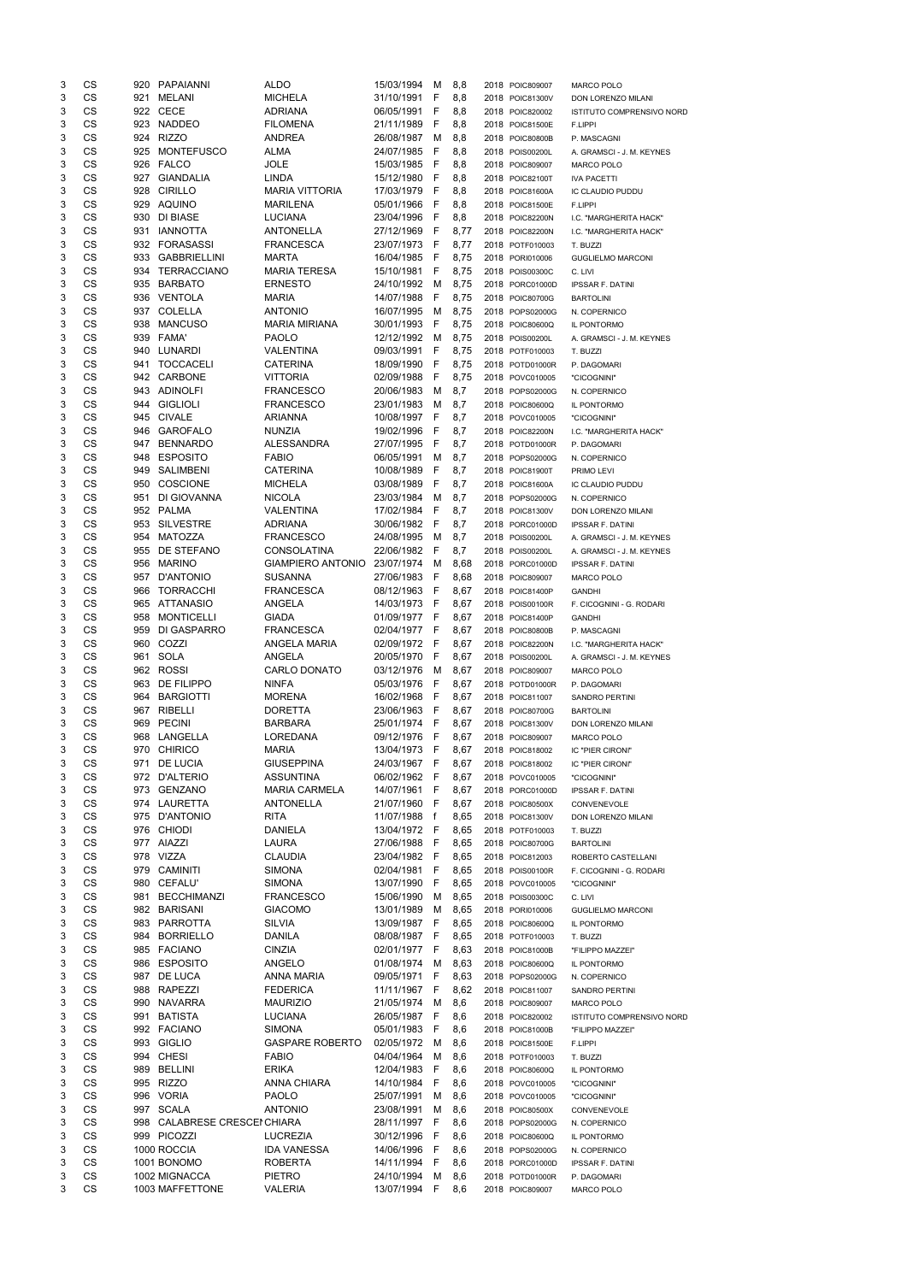| 3 | CS        |     | 920 PAPAIANNI                    | <b>ALDO</b>                     | 15/03/1994       | M   | 8,8  | 2018 POIC809007 | <b>MARCO POLO</b>         |
|---|-----------|-----|----------------------------------|---------------------------------|------------------|-----|------|-----------------|---------------------------|
| 3 | CS        | 921 | MELANI                           | <b>MICHELA</b>                  | 31/10/1991       | -F  | 8,8  | 2018 POIC81300V | DON LORENZO MILANI        |
| 3 | CS        |     | 922 CECE                         | <b>ADRIANA</b>                  | 06/05/1991       | -F  | 8,8  | 2018 POIC820002 | ISTITUTO COMPRENSIVO NORD |
| 3 | CS        |     | 923 NADDEO                       | <b>FILOMENA</b>                 | 21/11/1989       | -F  | 8,8  | 2018 POIC81500E | F.LIPPI                   |
| 3 | CS        |     | 924 RIZZO                        | <b>ANDREA</b>                   | 26/08/1987       | M   | 8,8  | 2018 POIC80800B | P. MASCAGNI               |
|   |           |     |                                  |                                 | 24/07/1985       |     |      |                 |                           |
| 3 | CS        | 925 | <b>MONTEFUSCO</b>                | ALMA                            |                  | - F | 8,8  | 2018 POIS00200L | A. GRAMSCI - J. M. KEYNES |
| 3 | CS        |     | 926 FALCO                        | <b>JOLE</b>                     | 15/03/1985       | - F | 8,8  | 2018 POIC809007 | MARCO POLO                |
| 3 | CS        |     | 927 GIANDALIA                    | <b>LINDA</b>                    | 15/12/1980       | - F | 8,8  | 2018 POIC82100T | <b>IVA PACETTI</b>        |
| 3 | CS        |     | 928 CIRILLO                      | <b>MARIA VITTORIA</b>           | 17/03/1979       | - F | 8,8  | 2018 POIC81600A | IC CLAUDIO PUDDU          |
| 3 | CS        |     | 929 AQUINO                       | <b>MARILENA</b>                 | 05/01/1966       | - F | 8,8  | 2018 POIC81500E | F.LIPPI                   |
| 3 | CS        |     | 930 DI BIASE                     | LUCIANA                         | 23/04/1996       | - F | 8,8  | 2018 POIC82200N | I.C. "MARGHERITA HACK"    |
| 3 | CS        |     | 931 IANNOTTA                     | ANTONELLA                       | 27/12/1969       | - F | 8,77 | 2018 POIC82200N | I.C. "MARGHERITA HACK"    |
| 3 | CS        |     | 932 FORASASSI                    | <b>FRANCESCA</b>                | 23/07/1973       | - F | 8,77 | 2018 POTF010003 | T. BUZZI                  |
| 3 | CS        |     | 933 GABBRIELLINI                 | MARTA                           | 16/04/1985 F     |     | 8,75 | 2018 PORI010006 | <b>GUGLIELMO MARCONI</b>  |
|   | CS        |     | 934 TERRACCIANO                  |                                 |                  |     |      |                 |                           |
| 3 |           |     |                                  | <b>MARIA TERESA</b>             | 15/10/1981 F     |     | 8,75 | 2018 POIS00300C | C. LIVI                   |
| 3 | CS        |     | 935 BARBATO                      | <b>ERNESTO</b>                  | 24/10/1992 M     |     | 8,75 | 2018 PORC01000D | <b>IPSSAR F. DATINI</b>   |
| 3 | <b>CS</b> |     | 936 VENTOLA                      | <b>MARIA</b>                    | 14/07/1988       | - F | 8,75 | 2018 POIC80700G | <b>BARTOLINI</b>          |
| 3 | CS        |     | 937 COLELLA                      | <b>ANTONIO</b>                  | 16/07/1995       | M   | 8,75 | 2018 POPS02000G | N. COPERNICO              |
| 3 | CS        | 938 | <b>MANCUSO</b>                   | <b>MARIA MIRIANA</b>            | 30/01/1993       | - F | 8,75 | 2018 POIC80600Q | IL PONTORMO               |
| 3 | CS        |     | 939 FAMA'                        | <b>PAOLO</b>                    | 12/12/1992       | M   | 8,75 | 2018 POIS00200L | A. GRAMSCI - J. M. KEYNES |
| 3 | CS        |     | 940 LUNARDI                      | <b>VALENTINA</b>                | 09/03/1991 F     |     | 8,75 | 2018 POTF010003 | T. BUZZI                  |
| 3 | CS        | 941 | <b>TOCCACELI</b>                 | <b>CATERINA</b>                 | 18/09/1990 F     |     | 8,75 | 2018 POTD01000R | P. DAGOMARI               |
| 3 | CS        |     | 942 CARBONE                      | <b>VITTORIA</b>                 | 02/09/1988       | -F  | 8,75 | 2018 POVC010005 | "CICOGNINI"               |
|   |           |     |                                  |                                 |                  |     |      |                 |                           |
| 3 | CS        |     | 943 ADINOLFI                     | <b>FRANCESCO</b>                | 20/06/1983       | M   | 8,7  | 2018 POPS02000G | N. COPERNICO              |
| 3 | CS        |     | 944 GIGLIOLI                     | <b>FRANCESCO</b>                | 23/01/1983       | M   | 8,7  | 2018 POIC80600Q | IL PONTORMO               |
| 3 | CS        |     | 945 CIVALE                       | <b>ARIANNA</b>                  | 10/08/1997 F     |     | 8,7  | 2018 POVC010005 | "CICOGNINI"               |
| 3 | CS        |     | 946 GAROFALO                     | <b>NUNZIA</b>                   | 19/02/1996       | - F | 8,7  | 2018 POIC82200N | I.C. "MARGHERITA HACK"    |
| 3 | CS        | 947 | <b>BENNARDO</b>                  | ALESSANDRA                      | 27/07/1995       | F   | 8,7  | 2018 POTD01000R | P. DAGOMARI               |
| 3 | <b>CS</b> |     | 948 ESPOSITO                     | <b>FABIO</b>                    | 06/05/1991       | M   | 8,7  | 2018 POPS02000G | N. COPERNICO              |
| 3 | CS        |     | 949 SALIMBENI                    | <b>CATERINA</b>                 | 10/08/1989       | -F  | 8,7  | 2018 POIC81900T | PRIMO LEVI                |
| 3 | CS        |     | 950 COSCIONE                     | <b>MICHELA</b>                  | 03/08/1989       | - F | 8,7  | 2018 POIC81600A | IC CLAUDIO PUDDU          |
| 3 | CS        |     | 951 DI GIOVANNA                  | <b>NICOLA</b>                   | 23/03/1984       | M   | 8,7  | 2018 POPS02000G |                           |
|   |           |     |                                  |                                 |                  |     |      |                 | N. COPERNICO              |
| 3 | CS        |     | 952 PALMA                        | VALENTINA                       | 17/02/1984       | -F  | 8,7  | 2018 POIC81300V | DON LORENZO MILANI        |
| 3 | CS        |     | 953 SILVESTRE                    | <b>ADRIANA</b>                  | 30/06/1982       | - F | 8,7  | 2018 PORC01000D | <b>IPSSAR F. DATINI</b>   |
| 3 | CS        |     | 954 MATOZZA                      | <b>FRANCESCO</b>                | 24/08/1995       | M   | 8,7  | 2018 POIS00200L | A. GRAMSCI - J. M. KEYNES |
| 3 | CS        |     | 955 DE STEFANO                   | <b>CONSOLATINA</b>              | 22/06/1982 F     |     | 8,7  | 2018 POIS00200L | A. GRAMSCI - J. M. KEYNES |
| 3 | CS        |     | 956 MARINO                       | GIAMPIERO ANTONIO 23/07/1974 M  |                  |     | 8,68 | 2018 PORC01000D | <b>IPSSAR F. DATINI</b>   |
| 3 | CS        |     | 957 D'ANTONIO                    | <b>SUSANNA</b>                  | 27/06/1983       | - F | 8,68 | 2018 POIC809007 | MARCO POLO                |
| 3 | CS        |     | 966 TORRACCHI                    | <b>FRANCESCA</b>                | 08/12/1963       | - F | 8,67 | 2018 POIC81400P | <b>GANDHI</b>             |
| 3 | CS        |     | 965 ATTANASIO                    | ANGELA                          | 14/03/1973       | - F | 8,67 | 2018 POIS00100R | F. CICOGNINI - G. RODARI  |
| 3 | CS        | 958 | <b>MONTICELLI</b>                | <b>GIADA</b>                    | 01/09/1977 F     |     | 8,67 | 2018 POIC81400P | <b>GANDHI</b>             |
|   |           |     | 959 DI GASPARRO                  |                                 |                  |     |      |                 |                           |
| 3 | CS        |     |                                  | <b>FRANCESCA</b>                | 02/04/1977 F     |     | 8,67 | 2018 POIC80800B | P. MASCAGNI               |
| 3 | CS        |     | 960 COZZI                        | ANGELA MARIA                    | 02/09/1972 F     |     | 8,67 | 2018 POIC82200N | I.C. "MARGHERITA HACK"    |
| 3 | CS        | 961 | SOLA                             | ANGELA                          | 20/05/1970       | - F | 8,67 | 2018 POIS00200L | A. GRAMSCI - J. M. KEYNES |
| 3 | CS        |     | 962 ROSSI                        | CARLO DONATO                    | 03/12/1976       | M   | 8,67 | 2018 POIC809007 | <b>MARCO POLO</b>         |
| 3 | CS        |     | 963 DE FILIPPO                   | <b>NINFA</b>                    | 05/03/1976       | - F | 8,67 | 2018 POTD01000R | P. DAGOMARI               |
| 3 | CS        |     | 964 BARGIOTTI                    | <b>MORENA</b>                   | 16/02/1968       | - F | 8,67 | 2018 POIC811007 | <b>SANDRO PERTINI</b>     |
| 3 | CS        |     | 967 RIBELLI                      | <b>DORETTA</b>                  | 23/06/1963       | - F | 8,67 | 2018 POIC80700G | <b>BARTOLINI</b>          |
| 3 | CS        |     | 969 PECINI                       | <b>BARBARA</b>                  | 25/01/1974 F     |     | 8,67 | 2018 POIC81300V | DON LORENZO MILANI        |
| 3 | CS        |     | 968 LANGELLA                     | LOREDANA                        | 09/12/1976       | - F | 8,67 | 2018 POIC809007 | MARCO POLO                |
|   |           |     |                                  |                                 |                  |     |      |                 |                           |
| 3 | CS        |     | 970 CHIRICO                      | <b>MARIA</b>                    | 13/04/1973       | - F | 8,67 | 2018 POIC818002 | IC "PIER CIRONI"          |
| 3 | CS        |     | 971 DE LUCIA                     | <b>GIUSEPPINA</b>               | 24/03/1967 F     |     | 8,67 | 2018 POIC818002 | IC "PIER CIRONI"          |
| 3 | CS        |     | 972 D'ALTERIO                    | <b>ASSUNTINA</b>                | 06/02/1962       | - F | 8,67 | 2018 POVC010005 | "CICOGNINI"               |
| 3 | CS        |     | 973 GENZANO                      | <b>MARIA CARMELA</b>            | 14/07/1961 F     |     | 8,67 | 2018 PORC01000D | <b>IPSSAR F. DATINI</b>   |
| 3 | CS        |     | 974 LAURETTA                     | <b>ANTONELLA</b>                | 21/07/1960       | - F | 8,67 | 2018 POIC80500X | CONVENEVOLE               |
| 3 | CS        |     | 975 D'ANTONIO                    | <b>RITA</b>                     | 11/07/1988       | f   | 8,65 | 2018 POIC81300V | DON LORENZO MILANI        |
| 3 | CS        |     | 976 CHIODI                       | <b>DANIELA</b>                  | 13/04/1972 F     |     | 8,65 | 2018 POTF010003 | T. BUZZI                  |
| 3 | CS        |     | 977 AIAZZI                       | LAURA                           | 27/06/1988       | - F | 8,65 | 2018 POIC80700G | <b>BARTOLINI</b>          |
| 3 | CS        |     | 978 VIZZA                        | <b>CLAUDIA</b>                  | 23/04/1982 F     |     | 8,65 | 2018 POIC812003 | ROBERTO CASTELLANI        |
| 3 | CS        |     | 979 CAMINITI                     | <b>SIMONA</b>                   | 02/04/1981       | - F | 8,65 |                 |                           |
|   |           |     |                                  |                                 |                  |     |      | 2018 POIS00100R | F. CICOGNINI - G. RODARI  |
| 3 | CS        |     | 980 CEFALU'                      | <b>SIMONA</b>                   | 13/07/1990       | F   | 8,65 | 2018 POVC010005 | "CICOGNINI"               |
| 3 | CS        | 981 | <b>BECCHIMANZI</b>               | <b>FRANCESCO</b>                | 15/06/1990       | M   | 8,65 | 2018 POIS00300C | C. LIVI                   |
| 3 | <b>CS</b> |     | 982 BARISANI                     | <b>GIACOMO</b>                  | 13/01/1989       | M   | 8,65 | 2018 PORI010006 | <b>GUGLIELMO MARCONI</b>  |
| 3 | CS        |     | 983 PARROTTA                     | <b>SILVIA</b>                   | 13/09/1987 F     |     | 8,65 | 2018 POIC80600Q | IL PONTORMO               |
| 3 | CS        |     | 984 BORRIELLO                    | <b>DANILA</b>                   | 08/08/1987 F     |     | 8,65 | 2018 POTF010003 | T. BUZZI                  |
| 3 | CS        |     | 985 FACIANO                      | <b>CINZIA</b>                   | 02/01/1977 F     |     | 8,63 | 2018 POIC81000B | "FILIPPO MAZZEI"          |
| 3 | <b>CS</b> |     | 986 ESPOSITO                     | ANGELO                          | 01/08/1974       | M   | 8,63 | 2018 POIC80600Q | IL PONTORMO               |
|   | CS        |     |                                  |                                 |                  |     |      |                 |                           |
| 3 |           |     | 987 DE LUCA                      | ANNA MARIA                      | 09/05/1971       | -F  | 8,63 | 2018 POPS02000G | N. COPERNICO              |
| 3 | CS        |     | 988 RAPEZZI                      | <b>FEDERICA</b>                 | 11/11/1967       | - F | 8,62 | 2018 POIC811007 | <b>SANDRO PERTINI</b>     |
| 3 | CS        |     | 990 NAVARRA                      | <b>MAURIZIO</b>                 | 21/05/1974       | M   | 8,6  | 2018 POIC809007 | <b>MARCO POLO</b>         |
| 3 | CS        | 991 | <b>BATISTA</b>                   | <b>LUCIANA</b>                  | 26/05/1987 F     |     | 8,6  | 2018 POIC820002 | ISTITUTO COMPRENSIVO NORD |
| 3 | CS        |     | 992 FACIANO                      | <b>SIMONA</b>                   | 05/01/1983 F     |     | 8,6  | 2018 POIC81000B | "FILIPPO MAZZEI"          |
| 3 | CS        |     | 993 GIGLIO                       | <b>GASPARE ROBERTO</b>          | 02/05/1972 M 8,6 |     |      | 2018 POIC81500E | F.LIPPI                   |
| 3 | CS        |     | 994 CHESI                        | <b>FABIO</b>                    | 04/04/1964       | M   | 8,6  | 2018 POTF010003 | T. BUZZI                  |
| 3 | CS        | 989 | <b>BELLINI</b>                   | <b>ERIKA</b>                    | 12/04/1983       | F   |      |                 | IL PONTORMO               |
|   |           |     |                                  |                                 |                  |     | 8,6  | 2018 POIC80600Q |                           |
| 3 | CS        |     | 995 RIZZO                        | ANNA CHIARA                     | 14/10/1984       | F   | 8,6  | 2018 POVC010005 | "CICOGNINI"               |
| 3 | CS        |     | 996 VORIA                        | <b>PAOLO</b>                    | 25/07/1991       | M   | 8,6  | 2018 POVC010005 | "CICOGNINI"               |
| 3 | CS        |     | 997 SCALA                        | <b>ANTONIO</b>                  | 23/08/1991       | M   | 8,6  | 2018 POIC80500X | CONVENEVOLE               |
| 3 | CS        |     | 998 CALABRESE CRESCEI CHIARA     |                                 | 28/11/1997       | - F | 8,6  | 2018 POPS02000G | N. COPERNICO              |
| 3 | CS        |     | 999 PICOZZI                      | LUCREZIA                        | 30/12/1996       | -F  | 8,6  | 2018 POIC80600Q | IL PONTORMO               |
| 3 | CS        |     | 1000 ROCCIA                      | <b>IDA VANESSA</b>              | 14/06/1996       | -F  | 8,6  | 2018 POPS02000G | N. COPERNICO              |
|   | CS        |     |                                  | <b>ROBERTA</b>                  |                  |     |      |                 |                           |
| 3 |           |     | 1001 BONOMO                      |                                 | 14/11/1994       | -F  | 8,6  | 2018 PORC01000D | <b>IPSSAR F. DATINI</b>   |
| 3 | CS<br>CS  |     | 1002 MIGNACCA<br>1003 MAFFETTONE | <b>PIETRO</b><br><b>VALERIA</b> | 24/10/1994       | M   | 8,6  | 2018 POTD01000R | P. DAGOMARI               |
| 3 |           |     |                                  |                                 | 13/07/1994       | -F. | 8,6  | 2018 POIC809007 | MARCO POLO                |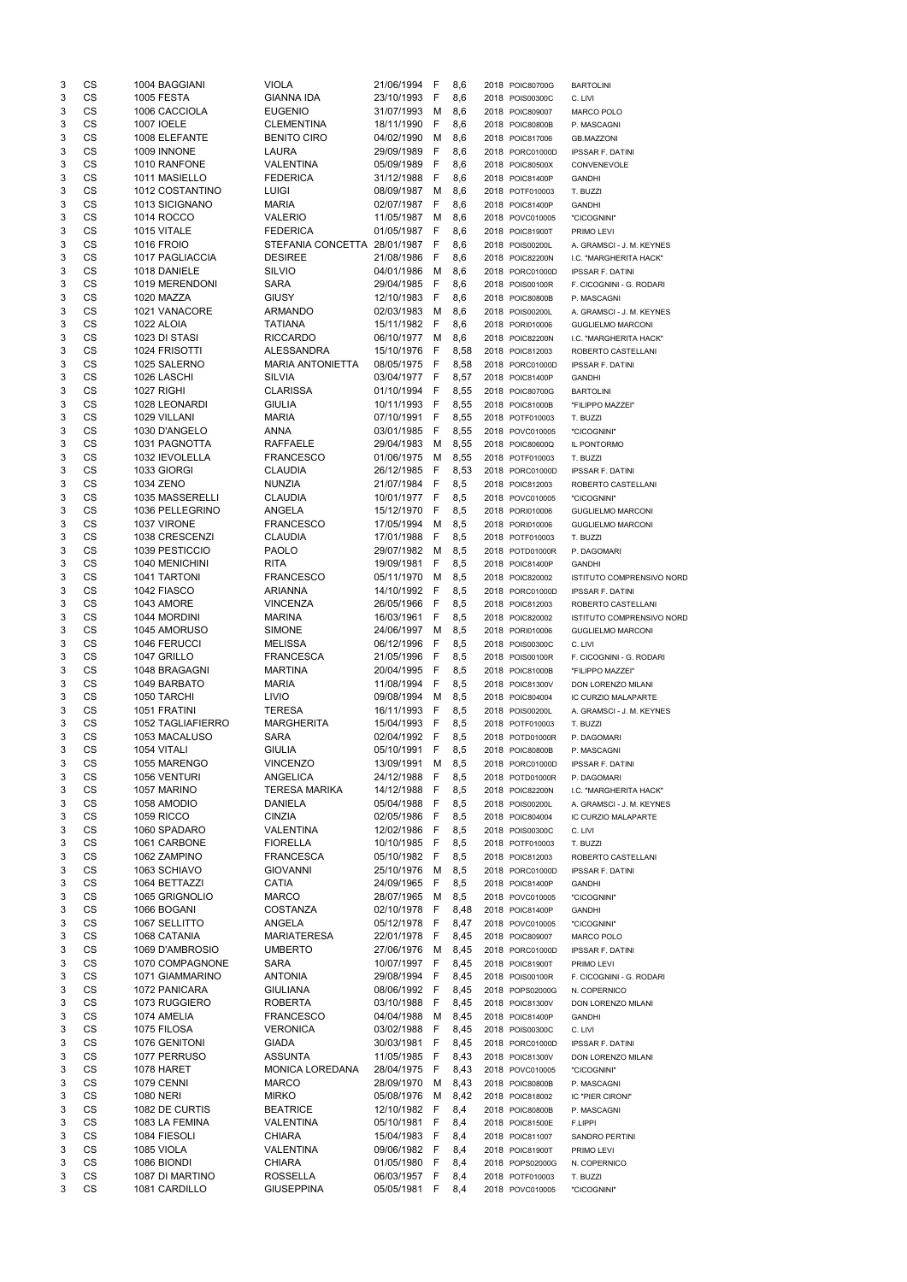| 3      | CS        | 1004 BAGGIANI                    | VIOLA                          | 21/06/1994 F                 |     | 8,6        | 2018 POIC80700G                    | <b>BARTOLINI</b>                 |
|--------|-----------|----------------------------------|--------------------------------|------------------------------|-----|------------|------------------------------------|----------------------------------|
| 3      | <b>CS</b> | <b>1005 FESTA</b>                | <b>GIANNA IDA</b>              | 23/10/1993 F                 |     | 8,6        | 2018 POIS00300C                    | C. LIVI                          |
| 3      | CS        | 1006 CACCIOLA                    | <b>EUGENIO</b>                 | 31/07/1993                   | M   | 8,6        | 2018 POIC809007                    | <b>MARCO POLO</b>                |
| 3      | CS        | 1007 IOELE                       | <b>CLEMENTINA</b>              | 18/11/1990                   | - F | 8,6        | 2018 POIC80800B                    | P. MASCAGNI                      |
| 3      | CS        | 1008 ELEFANTE                    | <b>BENITO CIRO</b>             | 04/02/1990                   | M   | 8,6        | 2018 POIC817006                    | <b>GB.MAZZONI</b>                |
|        |           |                                  | <b>LAURA</b>                   | 29/09/1989 F                 |     |            |                                    |                                  |
| 3      | CS        | 1009 INNONE                      |                                |                              |     | 8,6        | 2018 PORC01000D                    | <b>IPSSAR F. DATINI</b>          |
| 3      | <b>CS</b> | 1010 RANFONE                     | <b>VALENTINA</b>               | 05/09/1989 F                 |     | 8,6        | 2018 POIC80500X                    | CONVENEVOLE                      |
| 3      | CS        | 1011 MASIELLO                    | <b>FEDERICA</b>                | 31/12/1988 F                 |     | 8,6        | 2018 POIC81400P                    | <b>GANDHI</b>                    |
| 3      | CS        | 1012 COSTANTINO                  | LUIGI                          | 08/09/1987 M                 |     | 8,6        | 2018 POTF010003                    | T. BUZZI                         |
| 3      | CS        | 1013 SICIGNANO                   | <b>MARIA</b>                   | 02/07/1987 F                 |     | 8,6        | 2018 POIC81400P                    | <b>GANDHI</b>                    |
| 3      | CS        | 1014 ROCCO                       | VALERIO                        | 11/05/1987 M                 |     | 8,6        | 2018 POVC010005                    | "CICOGNINI"                      |
| 3      | CS        | 1015 VITALE                      | <b>FEDERICA</b>                | 01/05/1987 F                 |     | 8,6        | 2018 POIC81900T                    | PRIMO LEVI                       |
| 3      | <b>CS</b> | <b>1016 FROIO</b>                | STEFANIA CONCETTA 28/01/1987 F |                              |     | 8,6        | 2018 POIS00200L                    | A. GRAMSCI - J. M. KEYNES        |
| 3      | <b>CS</b> | 1017 PAGLIACCIA                  | <b>DESIREE</b>                 | 21/08/1986 F                 |     | 8,6        | 2018 POIC82200N                    |                                  |
|        |           |                                  |                                |                              |     |            |                                    | I.C. "MARGHERITA HACK"           |
| 3      | <b>CS</b> | 1018 DANIELE                     | <b>SILVIO</b>                  | 04/01/1986                   | M   | 8,6        | 2018 PORC01000D                    | <b>IPSSAR F. DATINI</b>          |
| 3      | CS        | 1019 MERENDONI                   | SARA                           | 29/04/1985 F                 |     | 8,6        | 2018 POIS00100R                    | F. CICOGNINI - G. RODARI         |
| 3      | CS        | 1020 MAZZA                       | <b>GIUSY</b>                   | 12/10/1983                   | - F | 8,6        | 2018 POIC80800B                    | P. MASCAGNI                      |
| 3      | <b>CS</b> | 1021 VANACORE                    | ARMANDO                        | 02/03/1983                   | M   | 8,6        | 2018 POIS00200L                    | A. GRAMSCI - J. M. KEYNES        |
| 3      | <b>CS</b> | 1022 ALOIA                       | <b>TATIANA</b>                 | 15/11/1982 F                 |     | 8,6        | 2018 PORI010006                    | <b>GUGLIELMO MARCONI</b>         |
| 3      | CS        | 1023 DI STASI                    | <b>RICCARDO</b>                | 06/10/1977 M                 |     | 8,6        | 2018 POIC82200N                    | I.C. "MARGHERITA HACK"           |
| 3      | CS        | 1024 FRISOTTI                    | ALESSANDRA                     | 15/10/1976 F                 |     | 8,58       | 2018 POIC812003                    | ROBERTO CASTELLANI               |
| 3      | CS        | 1025 SALERNO                     | <b>MARIA ANTONIETTA</b>        | 08/05/1975 F                 |     | 8,58       | 2018 PORC01000D                    | <b>IPSSAR F. DATINI</b>          |
| 3      | CS        | 1026 LASCHI                      | <b>SILVIA</b>                  | 03/04/1977 F                 |     | 8,57       | 2018 POIC81400P                    | <b>GANDHI</b>                    |
|        |           |                                  |                                |                              |     |            |                                    |                                  |
| 3      | CS        | 1027 RIGHI                       | <b>CLARISSA</b>                | 01/10/1994 F                 |     | 8,55       | 2018 POIC80700G                    | <b>BARTOLINI</b>                 |
| 3      | CS        | 1028 LEONARDI                    | <b>GIULIA</b>                  | 10/11/1993 F                 |     | 8,55       | 2018 POIC81000B                    | "FILIPPO MAZZEI"                 |
| 3      | <b>CS</b> | 1029 VILLANI                     | <b>MARIA</b>                   | 07/10/1991 F                 |     | 8,55       | 2018 POTF010003                    | T. BUZZI                         |
| 3      | <b>CS</b> | 1030 D'ANGELO                    | ANNA                           | 03/01/1985 F                 |     | 8,55       | 2018 POVC010005                    | "CICOGNINI"                      |
| 3      | <b>CS</b> | 1031 PAGNOTTA                    | <b>RAFFAELE</b>                | 29/04/1983                   | M   | 8,55       | 2018 POIC80600Q                    | IL PONTORMO                      |
| 3      | <b>CS</b> | 1032 IEVOLELLA                   | <b>FRANCESCO</b>               | 01/06/1975                   | M   | 8,55       | 2018 POTF010003                    | T. BUZZI                         |
| 3      | <b>CS</b> | 1033 GIORGI                      | <b>CLAUDIA</b>                 | 26/12/1985 F                 |     | 8,53       | 2018 PORC01000D                    | <b>IPSSAR F. DATINI</b>          |
| 3      | <b>CS</b> | 1034 ZENO                        | NUNZIA                         | 21/07/1984 F                 |     | 8,5        | 2018 POIC812003                    | ROBERTO CASTELLANI               |
|        | <b>CS</b> | 1035 MASSERELLI                  |                                |                              |     |            |                                    |                                  |
| 3      |           |                                  | <b>CLAUDIA</b>                 | 10/01/1977 F                 |     | 8,5        | 2018 POVC010005                    | "CICOGNINI"                      |
| 3      | CS        | 1036 PELLEGRINO                  | ANGELA                         | 15/12/1970 F                 |     | 8,5        | 2018 PORI010006                    | <b>GUGLIELMO MARCONI</b>         |
| 3      | CS        | 1037 VIRONE                      | <b>FRANCESCO</b>               | 17/05/1994                   | M   | 8,5        | 2018 PORI010006                    | <b>GUGLIELMO MARCONI</b>         |
| 3      | CS        | 1038 CRESCENZI                   | <b>CLAUDIA</b>                 | 17/01/1988 F                 |     | 8,5        | 2018 POTF010003                    | T. BUZZI                         |
| 3      | CS        | 1039 PESTICCIO                   | <b>PAOLO</b>                   | 29/07/1982 M 8.5             |     |            | 2018 POTD01000R                    | P. DAGOMARI                      |
| 3      | CS        | 1040 MENICHINI                   | <b>RITA</b>                    | 19/09/1981 F 8,5             |     |            | 2018 POIC81400P                    | <b>GANDHI</b>                    |
| 3      | CS        | 1041 TARTONI                     | <b>FRANCESCO</b>               | 05/11/1970 M                 |     | 8,5        | 2018 POIC820002                    | <b>ISTITUTO COMPRENSIVO NORD</b> |
| 3      | CS        | 1042 FIASCO                      | <b>ARIANNA</b>                 | 14/10/1992 F                 |     | 8,5        | 2018 PORC01000D                    | <b>IPSSAR F. DATINI</b>          |
| 3      | <b>CS</b> | 1043 AMORE                       | <b>VINCENZA</b>                | 26/05/1966 F                 |     | 8,5        | 2018 POIC812003                    | ROBERTO CASTELLANI               |
| 3      | CS        | 1044 MORDINI                     | <b>MARINA</b>                  | 16/03/1961 F                 |     |            |                                    | <b>ISTITUTO COMPRENSIVO NORD</b> |
|        |           |                                  |                                |                              |     | 8,5        | 2018 POIC820002                    |                                  |
| 3      | CS        | 1045 AMORUSO                     | <b>SIMONE</b>                  | 24/06/1997 M                 |     | 8,5        | 2018 PORI010006                    | <b>GUGLIELMO MARCONI</b>         |
| 3      | <b>CS</b> | 1046 FERUCCI                     | <b>MELISSA</b>                 | 06/12/1996 F                 |     | 8,5        | 2018 POIS00300C                    | C. LIVI                          |
| 3      | <b>CS</b> | 1047 GRILLO                      | <b>FRANCESCA</b>               | 21/05/1996 F                 |     | 8,5        | 2018 POIS00100R                    | F. CICOGNINI - G. RODARI         |
| 3      | <b>CS</b> | 1048 BRAGAGNI                    | <b>MARTINA</b>                 | 20/04/1995 F                 |     | 8,5        | 2018 POIC81000B                    | "FILIPPO MAZZEI"                 |
| 3      | <b>CS</b> | 1049 BARBATO                     | <b>MARIA</b>                   | 11/08/1994 F                 |     | 8,5        | 2018 POIC81300V                    | DON LORENZO MILANI               |
| 3      | <b>CS</b> | 1050 TARCHI                      | <b>LIVIO</b>                   | 09/08/1994                   | M   | 8,5        | 2018 POIC804004                    | IC CURZIO MALAPARTE              |
| 3      | <b>CS</b> | 1051 FRATINI                     | <b>TERESA</b>                  | 16/11/1993                   | - F | 8,5        | 2018 POIS00200L                    | A. GRAMSCI - J. M. KEYNES        |
| 3      | CS        | 1052 TAGLIAFIERRO                | <b>MARGHERITA</b>              | 15/04/1993 F                 |     | 8,5        | 2018 POTF010003                    | T. BUZZI                         |
|        | CS        | 1053 MACALUSO                    | <b>SARA</b>                    | 02/04/1992 F                 |     |            |                                    |                                  |
| 3      |           |                                  |                                |                              |     | 8,5        | 2018 POTD01000R                    | P. DAGOMARI                      |
| 3      | <b>CS</b> | 1054 VITALI                      | <b>GIULIA</b>                  | 05/10/1991 F                 |     | 8,5        | 2018 POIC80800B                    | P. MASCAGNI                      |
| 3      | <b>CS</b> | 1055 MARENGO                     | <b>VINCENZO</b>                | 13/09/1991                   | M   | 8,5        | 2018 PORC01000D                    | <b>IPSSAR F. DATINI</b>          |
| 3      | CS        | 1056 VENTURI                     | ANGELICA                       | 24/12/1988                   | - F | 8,5        | 2018 POTD01000R                    | P. DAGOMARI                      |
| 3      | CS        | 1057 MARINO                      | <b>TERESA MARIKA</b>           | 14/12/1988 F                 |     | 8,5        | 2018 POIC82200N                    | I.C. "MARGHERITA HACK"           |
| 3      | CS        | 1058 AMODIO                      | <b>DANIELA</b>                 | 05/04/1988 F                 |     | 8,5        | 2018 POIS00200L                    | A. GRAMSCI - J. M. KEYNES        |
| 3      | <b>CS</b> | <b>1059 RICCO</b>                | <b>CINZIA</b>                  | 02/05/1986 F                 |     | 8,5        | 2018 POIC804004                    | IC CURZIO MALAPARTE              |
| 3      | CS        | 1060 SPADARO                     | <b>VALENTINA</b>               | 12/02/1986 F                 |     | 8,5        | 2018 POIS00300C                    | C. LIVI                          |
| 3      | CS        | 1061 CARBONE                     | <b>FIORELLA</b>                | 10/10/1985 F                 |     | 8,5        | 2018 POTF010003                    | T. BUZZI                         |
| 3      | CS        | 1062 ZAMPINO                     | <b>FRANCESCA</b>               | 05/10/1982 F                 |     | 8,5        | 2018 POIC812003                    | ROBERTO CASTELLANI               |
| 3      | CS        | 1063 SCHIAVO                     | <b>GIOVANNI</b>                | 25/10/1976 M                 |     |            |                                    |                                  |
|        |           |                                  |                                |                              |     | 8,5        | 2018 PORC01000D                    | <b>IPSSAR F. DATINI</b>          |
| 3      | CS        | 1064 BETTAZZI                    | <b>CATIA</b>                   | 24/09/1965 F                 |     | 8,5        | 2018 POIC81400P                    | <b>GANDHI</b>                    |
| 3      | CS        | 1065 GRIGNOLIO                   | <b>MARCO</b>                   | 28/07/1965 M                 |     | 8,5        | 2018 POVC010005                    | "CICOGNINI"                      |
| 3      | CS        | 1066 BOGANI                      | <b>COSTANZA</b>                | 02/10/1978 F                 |     | 8,48       | 2018 POIC81400P                    | <b>GANDHI</b>                    |
| 3      | <b>CS</b> | 1067 SELLITTO                    | ANGELA                         | 05/12/1978 F                 |     | 8,47       | 2018 POVC010005                    | "CICOGNINI"                      |
| 3      | <b>CS</b> | 1068 CATANIA                     | <b>MARIATERESA</b>             | 22/01/1978 F                 |     | 8,45       | 2018 POIC809007                    | MARCO POLO                       |
| 3      | CS        | 1069 D'AMBROSIO                  | <b>UMBERTO</b>                 | 27/06/1976 M                 |     | 8,45       | 2018 PORC01000D                    | <b>IPSSAR F. DATINI</b>          |
| 3      | CS        | 1070 COMPAGNONE                  | <b>SARA</b>                    | 10/07/1997 F                 |     | 8,45       | 2018 POIC81900T                    |                                  |
|        |           |                                  |                                |                              |     |            |                                    | PRIMO LEVI                       |
| 3      | <b>CS</b> | 1071 GIAMMARINO                  | <b>ANTONIA</b>                 | 29/08/1994 F                 |     | 8,45       | 2018 POIS00100R                    | F. CICOGNINI - G. RODARI         |
| 3      | <b>CS</b> | 1072 PANICARA                    | <b>GIULIANA</b>                | 08/06/1992 F                 |     | 8,45       | 2018 POPS02000G                    | N. COPERNICO                     |
| 3      | CS        | 1073 RUGGIERO                    | <b>ROBERTA</b>                 | 03/10/1988 F                 |     | 8,45       | 2018 POIC81300V                    | DON LORENZO MILANI               |
| 3      | CS        | 1074 AMELIA                      | <b>FRANCESCO</b>               | 04/04/1988                   | M   | 8,45       | 2018 POIC81400P                    | <b>GANDHI</b>                    |
| 3      | <b>CS</b> | 1075 FILOSA                      | <b>VERONICA</b>                | 03/02/1988 F                 |     | 8,45       | 2018 POIS00300C                    | C. LIVI                          |
| 3      | <b>CS</b> | 1076 GENITONI                    | <b>GIADA</b>                   | 30/03/1981 F                 |     | 8,45       | 2018 PORC01000D                    | <b>IPSSAR F. DATINI</b>          |
| 3      | CS        | 1077 PERRUSO                     | <b>ASSUNTA</b>                 | 11/05/1985 F                 |     | 8,43       | 2018 POIC81300V                    | DON LORENZO MILANI               |
|        |           |                                  |                                |                              |     |            |                                    |                                  |
| 3      | CS        | 1078 HARET                       | MONICA LOREDANA                | 28/04/1975 F                 |     | 8,43       | 2018 POVC010005                    | "CICOGNINI"                      |
| 3      | CS        | <b>1079 CENNI</b>                | <b>MARCO</b>                   | 28/09/1970 M                 |     | 8,43       | 2018 POIC80800B                    | P. MASCAGNI                      |
| 3      | CS        | <b>1080 NERI</b>                 | <b>MIRKO</b>                   | 05/08/1976 M                 |     | 8,42       | 2018 POIC818002                    | IC "PIER CIRONI"                 |
| 3      | CS        | 1082 DE CURTIS                   | <b>BEATRICE</b>                | 12/10/1982 F                 |     | 8,4        | 2018 POIC80800B                    | P. MASCAGNI                      |
| 3      | CS        | 1083 LA FEMINA                   | VALENTINA                      | 05/10/1981 F                 |     | 8,4        | 2018 POIC81500E                    | F.LIPPI                          |
| 3      |           |                                  |                                |                              |     | 8,4        | 2018 POIC811007                    | <b>SANDRO PERTINI</b>            |
|        | CS        | 1084 FIESOLI                     | <b>CHIARA</b>                  | 15/04/1983 F                 |     |            |                                    |                                  |
| 3      |           |                                  |                                |                              |     |            | 2018 POIC81900T                    | PRIMO LEVI                       |
|        | CS        | 1085 VIOLA                       | VALENTINA                      | 09/06/1982 F                 |     | 8,4        |                                    |                                  |
| 3      | CS        | 1086 BIONDI                      | <b>CHIARA</b>                  | 01/05/1980 F                 |     | 8,4        | 2018 POPS02000G                    | N. COPERNICO                     |
| 3<br>3 | CS<br>CS  | 1087 DI MARTINO<br>1081 CARDILLO | ROSSELLA<br><b>GIUSEPPINA</b>  | 06/03/1957 F<br>05/05/1981 F |     | 8,4<br>8,4 | 2018 POTF010003<br>2018 POVC010005 | T. BUZZI<br>"CICOGNINI"          |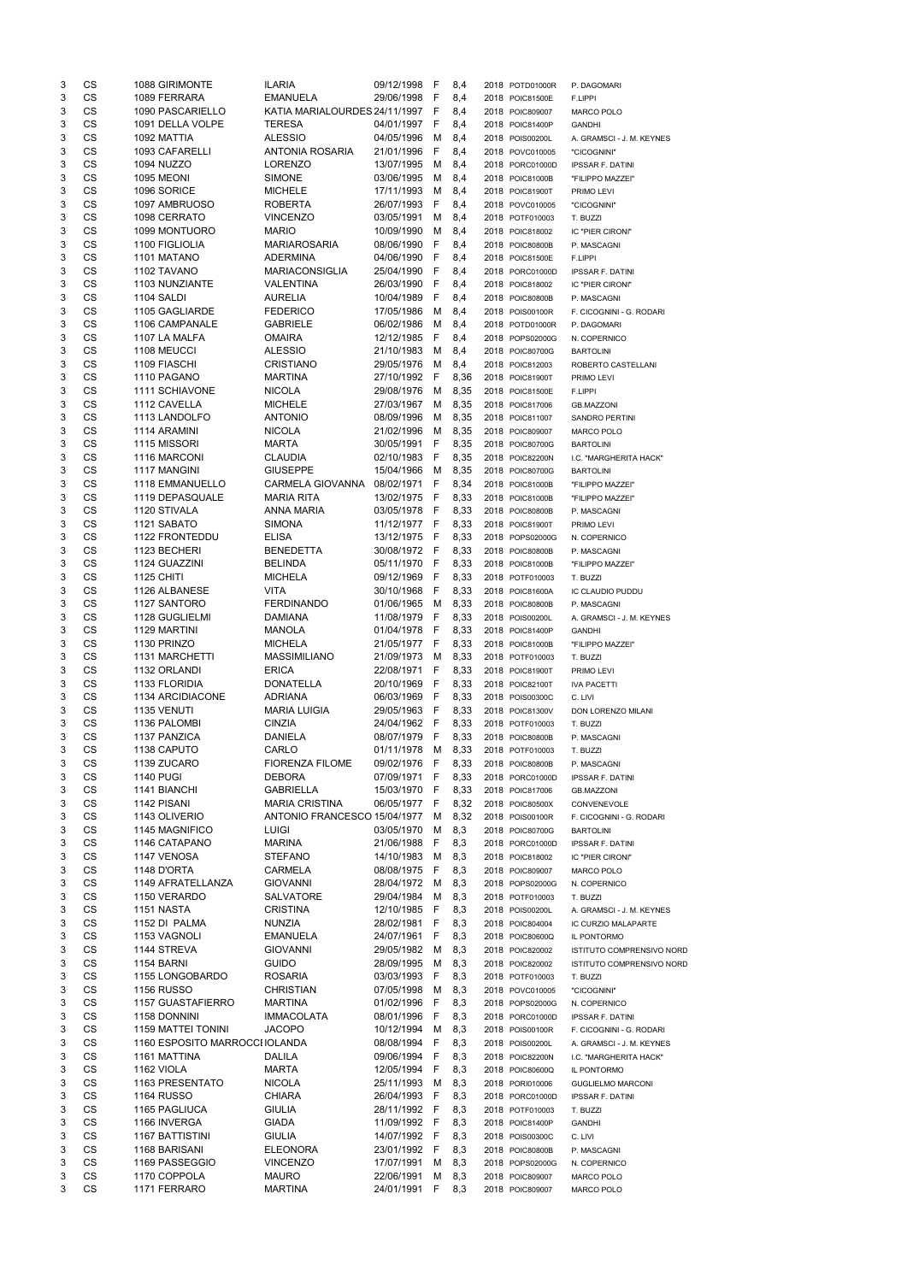| 3      | CS                     | 1088 GIRIMONTE                 | <b>ILARIA</b>                            | 09/12/1998                 | - F      | 8,4          | 2018 POTD01000R                    | P. DAGOMARI                                |
|--------|------------------------|--------------------------------|------------------------------------------|----------------------------|----------|--------------|------------------------------------|--------------------------------------------|
| 3      | CS                     | 1089 FERRARA                   | <b>EMANUELA</b>                          | 29/06/1998 F               |          | 8,4          | 2018 POIC81500E                    | F.LIPPI                                    |
| 3      | CS                     | 1090 PASCARIELLO               | KATIA MARIALOURDES 24/11/1997 F          |                            |          | 8,4          | 2018 POIC809007                    | MARCO POLO                                 |
| 3      | CS                     | 1091 DELLA VOLPE               | <b>TERESA</b>                            | 04/01/1997 F               |          | 8,4          | 2018 POIC81400P                    | <b>GANDHI</b>                              |
| 3      | <b>CS</b><br><b>CS</b> | 1092 MATTIA<br>1093 CAFARELLI  | <b>ALESSIO</b><br><b>ANTONIA ROSARIA</b> | 04/05/1996                 | M        | 8,4          | 2018 POIS00200L                    | A. GRAMSCI - J. M. KEYNES                  |
| 3<br>3 | CS                     | <b>1094 NUZZO</b>              | <b>LORENZO</b>                           | 21/01/1996<br>13/07/1995   | F<br>M   | 8,4<br>8,4   | 2018 POVC010005<br>2018 PORC01000D | "CICOGNINI"<br><b>IPSSAR F. DATINI</b>     |
| 3      | CS                     | <b>1095 MEONI</b>              | <b>SIMONE</b>                            | 03/06/1995                 | M        | 8,4          | 2018 POIC81000B                    | "FILIPPO MAZZEI"                           |
| 3      | CS                     | 1096 SORICE                    | <b>MICHELE</b>                           | 17/11/1993                 | М        | 8,4          | 2018 POIC81900T                    | PRIMO LEVI                                 |
| 3      | CS                     | 1097 AMBRUOSO                  | <b>ROBERTA</b>                           | 26/07/1993                 | F        | 8,4          | 2018 POVC010005                    | "CICOGNINI"                                |
| 3      | CS                     | 1098 CERRATO                   | <b>VINCENZO</b>                          | 03/05/1991                 | M        | 8,4          | 2018 POTF010003                    | T. BUZZI                                   |
| 3      | CS                     | 1099 MONTUORO                  | <b>MARIO</b>                             | 10/09/1990                 | M        | 8,4          | 2018 POIC818002                    | IC "PIER CIRONI"                           |
| 3      | <b>CS</b>              | 1100 FIGLIOLIA                 | <b>MARIAROSARIA</b>                      | 08/06/1990                 | -F       | 8,4          | 2018 POIC80800B                    | P. MASCAGNI                                |
| 3      | <b>CS</b>              | 1101 MATANO                    | <b>ADERMINA</b>                          | 04/06/1990                 | - F      | 8,4          | 2018 POIC81500E                    | F.LIPPI                                    |
| 3      | CS                     | 1102 TAVANO                    | <b>MARIACONSIGLIA</b>                    | 25/04/1990                 | -F       | 8,4          | 2018 PORC01000D                    | <b>IPSSAR F. DATINI</b>                    |
| 3      | CS<br>CS               | 1103 NUNZIANTE<br>1104 SALDI   | <b>VALENTINA</b>                         | 26/03/1990                 | F        | 8,4          | 2018 POIC818002                    | IC "PIER CIRONI"                           |
| 3<br>3 | CS                     | 1105 GAGLIARDE                 | <b>AURELIA</b><br><b>FEDERICO</b>        | 10/04/1989<br>17/05/1986   | F<br>М   | 8,4<br>8,4   | 2018 POIC80800B<br>2018 POIS00100R | P. MASCAGNI<br>F. CICOGNINI - G. RODARI    |
| 3      | CS                     | 1106 CAMPANALE                 | <b>GABRIELE</b>                          | 06/02/1986                 | М        | 8,4          | 2018 POTD01000R                    | P. DAGOMARI                                |
| 3      | CS                     | 1107 LA MALFA                  | <b>OMAIRA</b>                            | 12/12/1985                 | F        | 8,4          | 2018 POPS02000G                    | N. COPERNICO                               |
| 3      | <b>CS</b>              | 1108 MEUCCI                    | <b>ALESSIO</b>                           | 21/10/1983                 | M        | 8,4          | 2018 POIC80700G                    | <b>BARTOLINI</b>                           |
| 3      | <b>CS</b>              | 1109 FIASCHI                   | <b>CRISTIANO</b>                         | 29/05/1976                 | M        | 8,4          | 2018 POIC812003                    | ROBERTO CASTELLANI                         |
| 3      | <b>CS</b>              | 1110 PAGANO                    | <b>MARTINA</b>                           | 27/10/1992                 | F        | 8,36         | 2018 POIC81900T                    | PRIMO LEVI                                 |
| 3      | CS                     | 1111 SCHIAVONE                 | <b>NICOLA</b>                            | 29/08/1976                 | M        | 8,35         | 2018 POIC81500E                    | F.LIPPI                                    |
| 3      | <b>CS</b>              | 1112 CAVELLA                   | <b>MICHELE</b>                           | 27/03/1967                 | M        | 8,35         | 2018 POIC817006                    | <b>GB.MAZZONI</b>                          |
| 3      | <b>CS</b>              | 1113 LANDOLFO                  | <b>ANTONIO</b>                           | 08/09/1996                 | M        | 8,35         | 2018 POIC811007                    | <b>SANDRO PERTINI</b>                      |
| 3<br>3 | CS<br>CS               | 1114 ARAMINI<br>1115 MISSORI   | <b>NICOLA</b><br><b>MARTA</b>            | 21/02/1996<br>30/05/1991   | M<br>- F | 8,35<br>8,35 | 2018 POIC809007                    | MARCO POLO                                 |
| 3      | <b>CS</b>              | 1116 MARCONI                   | <b>CLAUDIA</b>                           | 02/10/1983                 | - F      | 8,35         | 2018 POIC80700G<br>2018 POIC82200N | <b>BARTOLINI</b><br>I.C. "MARGHERITA HACK" |
| 3      | <b>CS</b>              | 1117 MANGINI                   | <b>GIUSEPPE</b>                          | 15/04/1966                 | M        | 8,35         | 2018 POIC80700G                    | <b>BARTOLINI</b>                           |
| 3      | <b>CS</b>              | <b>1118 EMMANUELLO</b>         | CARMELA GIOVANNA                         | 08/02/1971                 | - F      | 8,34         | 2018 POIC81000B                    | "FILIPPO MAZZEI"                           |
| 3      | CS                     | 1119 DEPASQUALE                | <b>MARIA RITA</b>                        | 13/02/1975                 | -F       | 8,33         | 2018 POIC81000B                    | "FILIPPO MAZZEI"                           |
| 3      | CS                     | 1120 STIVALA                   | <b>ANNA MARIA</b>                        | 03/05/1978                 | - F      | 8,33         | 2018 POIC80800B                    | P. MASCAGNI                                |
| 3      | CS                     | 1121 SABATO                    | <b>SIMONA</b>                            | 11/12/1977 F               |          | 8,33         | 2018 POIC81900T                    | PRIMO LEVI                                 |
| 3      | CS                     | 1122 FRONTEDDU                 | <b>ELISA</b>                             | 13/12/1975                 | - F      | 8,33         | 2018 POPS02000G                    | N. COPERNICO                               |
| 3      | <b>CS</b>              | 1123 BECHERI                   | <b>BENEDETTA</b>                         | 30/08/1972 F               |          | 8,33         | 2018 POIC80800B                    | P. MASCAGNI                                |
| 3      | CS                     | 1124 GUAZZINI                  | <b>BELINDA</b>                           | 05/11/1970                 | - F      | 8,33         | 2018 POIC81000B                    | "FILIPPO MAZZEI"                           |
| 3      | CS                     | <b>1125 CHITI</b>              | <b>MICHELA</b>                           | 09/12/1969                 | -F       | 8,33         | 2018 POTF010003                    | T. BUZZI                                   |
| 3      | CS<br>CS               | 1126 ALBANESE                  | <b>VITA</b><br><b>FERDINANDO</b>         | 30/10/1968                 | F        | 8,33         | 2018 POIC81600A                    | IC CLAUDIO PUDDU                           |
| 3<br>3 | CS                     | 1127 SANTORO<br>1128 GUGLIELMI | <b>DAMIANA</b>                           | 01/06/1965<br>11/08/1979   | M<br>F   | 8,33<br>8,33 | 2018 POIC80800B<br>2018 POIS00200L | P. MASCAGNI<br>A. GRAMSCI - J. M. KEYNES   |
| 3      | CS                     | 1129 MARTINI                   | <b>MANOLA</b>                            | 01/04/1978                 | F        | 8,33         | 2018 POIC81400P                    | <b>GANDHI</b>                              |
| 3      | CS                     | 1130 PRINZO                    | <b>MICHELA</b>                           | 21/05/1977                 | - F      | 8,33         | 2018 POIC81000B                    | "FILIPPO MAZZEI"                           |
| 3      | CS                     | 1131 MARCHETTI                 | <b>MASSIMILIANO</b>                      | 21/09/1973                 | M        | 8,33         | 2018 POTF010003                    | T. BUZZI                                   |
| 3      | CS                     | 1132 ORLANDI                   | <b>ERICA</b>                             | 22/08/1971                 | - F      | 8,33         | 2018 POIC81900T                    | PRIMO LEVI                                 |
| 3      | CS                     | 1133 FLORIDIA                  | <b>DONATELLA</b>                         | 20/10/1969                 | - F      | 8,33         | 2018 POIC82100T                    | <b>IVA PACETTI</b>                         |
| 3      | CS                     | 1134 ARCIDIACONE               | <b>ADRIANA</b>                           | 06/03/1969                 | - F      | 8,33         | 2018 POIS00300C                    | C. LIVI                                    |
| 3      | CS                     | 1135 VENUTI                    | <b>MARIA LUIGIA</b>                      | 29/05/1963                 | -F       | 8,33         | 2018 POIC81300V                    | DON LORENZO MILANI                         |
| 3      | CS                     | 1136 PALOMBI                   | <b>CINZIA</b>                            | 24/04/1962                 | - F      | 8,33         | 2018 POTF010003                    | T. BUZZI                                   |
| 3      | CS                     | 1137 PANZICA                   | <b>DANIELA</b>                           | 08/07/1979                 | F        | 8,33         | 2018 POIC80800B                    | P. MASCAGNI                                |
| 3<br>3 | CS<br>CS               | 1138 CAPUTO<br>1139 ZUCARO     | CARLO<br><b>FIORENZA FILOME</b>          | 01/11/1978<br>09/02/1976 F | M        | 8,33<br>8,33 | 2018 POTF010003<br>2018 POIC80800B | T. BUZZI                                   |
| 3      | CS                     | <b>1140 PUGI</b>               | <b>DEBORA</b>                            | 07/09/1971 F               |          | 8,33         | 2018 PORC01000D                    | P. MASCAGNI<br><b>IPSSAR F. DATINI</b>     |
| 3      | CS                     | 1141 BIANCHI                   | <b>GABRIELLA</b>                         | 15/03/1970 F               |          | 8,33         | 2018 POIC817006                    | <b>GB.MAZZONI</b>                          |
| 3      | CS                     | 1142 PISANI                    | <b>MARIA CRISTINA</b>                    | 06/05/1977 F               |          | 8,32         | 2018 POIC80500X                    | CONVENEVOLE                                |
| 3      | CS                     | 1143 OLIVERIO                  | ANTONIO FRANCESCO 15/04/1977             |                            | M        | 8,32         | 2018 POIS00100R                    | F. CICOGNINI - G. RODARI                   |
| 3      | CS                     | 1145 MAGNIFICO                 | <b>LUIGI</b>                             | 03/05/1970                 | М        | 8,3          | 2018 POIC80700G                    | <b>BARTOLINI</b>                           |
| 3      | CS                     | 1146 CATAPANO                  | <b>MARINA</b>                            | 21/06/1988                 | F        | 8,3          | 2018 PORC01000D                    | <b>IPSSAR F. DATINI</b>                    |
| 3      | CS                     | 1147 VENOSA                    | <b>STEFANO</b>                           | 14/10/1983                 | M        | 8,3          | 2018 POIC818002                    | IC "PIER CIRONI"                           |
| 3      | CS                     | 1148 D'ORTA                    | <b>CARMELA</b>                           | 08/08/1975                 | F        | 8,3          | 2018 POIC809007                    | <b>MARCO POLO</b>                          |
| 3      | CS                     | 1149 AFRATELLANZA              | <b>GIOVANNI</b>                          | 28/04/1972                 | M        | 8,3          | 2018 POPS02000G                    | N. COPERNICO                               |
| 3<br>3 | CS<br><b>CS</b>        | 1150 VERARDO<br>1151 NASTA     | <b>SALVATORE</b><br><b>CRISTINA</b>      | 29/04/1984<br>12/10/1985   | M<br>- F | 8,3<br>8,3   | 2018 POTF010003<br>2018 POIS00200L | T. BUZZI<br>A. GRAMSCI - J. M. KEYNES      |
| 3      | <b>CS</b>              | 1152 DI PALMA                  | <b>NUNZIA</b>                            | 28/02/1981                 | -F       | 8,3          | 2018 POIC804004                    | IC CURZIO MALAPARTE                        |
| 3      | CS                     | 1153 VAGNOLI                   | <b>EMANUELA</b>                          | 24/07/1961                 | F        | 8,3          | 2018 POIC80600Q                    | IL PONTORMO                                |
| 3      | CS                     | 1144 STREVA                    | <b>GIOVANNI</b>                          | 29/05/1982                 | М        | 8,3          | 2018 POIC820002                    | ISTITUTO COMPRENSIVO NORD                  |
| 3      | CS                     | <b>1154 BARNI</b>              | <b>GUIDO</b>                             | 28/09/1995                 | М        | 8,3          | 2018 POIC820002                    | <b>ISTITUTO COMPRENSIVO NORD</b>           |
| 3      | CS                     | 1155 LONGOBARDO                | <b>ROSARIA</b>                           | 03/03/1993                 | F        | 8,3          | 2018 POTF010003                    | T. BUZZI                                   |
| 3      | CS                     | <b>1156 RUSSO</b>              | <b>CHRISTIAN</b>                         | 07/05/1998                 | м        | 8,3          | 2018 POVC010005                    | "CICOGNINI"                                |
| 3      | CS                     | 1157 GUASTAFIERRO              | <b>MARTINA</b>                           | 01/02/1996                 | F        | 8,3          | 2018 POPS02000G                    | N. COPERNICO                               |
| 3      | <b>CS</b>              | 1158 DONNINI                   | <b>IMMACOLATA</b>                        | 08/01/1996                 | F        | 8,3          | 2018 PORC01000D                    | <b>IPSSAR F. DATINI</b>                    |
| 3      | <b>CS</b>              | <b>1159 MATTEI TONINI</b>      | <b>JACOPO</b>                            | 10/12/1994                 | M        | 8,3          | 2018 POIS00100R                    | F. CICOGNINI - G. RODARI                   |
| 3      | <b>CS</b>              | 1160 ESPOSITO MARROCCI IOLANDA |                                          | 08/08/1994<br>09/06/1994   | E        | 8,3          | 2018 POIS00200L                    | A. GRAMSCI - J. M. KEYNES                  |
| 3<br>3 | CS<br>CS               | 1161 MATTINA<br>1162 VIOLA     | <b>DALILA</b><br><b>MARTA</b>            | 12/05/1994                 | -F<br>F  | 8,3<br>8,3   | 2018 POIC82200N<br>2018 POIC80600Q | I.C. "MARGHERITA HACK"<br>IL PONTORMO      |
| 3      | CS                     | 1163 PRESENTATO                | <b>NICOLA</b>                            | 25/11/1993                 | M        | 8,3          | 2018 PORI010006                    | <b>GUGLIELMO MARCONI</b>                   |
| 3      | CS                     | <b>1164 RUSSO</b>              | <b>CHIARA</b>                            | 26/04/1993                 | F        | 8,3          | 2018 PORC01000D                    | <b>IPSSAR F. DATINI</b>                    |
| 3      | CS                     | 1165 PAGLIUCA                  | <b>GIULIA</b>                            | 28/11/1992                 | - F      | 8,3          | 2018 POTF010003                    | T. BUZZI                                   |
| 3      | CS                     | 1166 INVERGA                   | <b>GIADA</b>                             | 11/09/1992                 | - F      | 8,3          | 2018 POIC81400P                    | <b>GANDHI</b>                              |
| 3      | CS                     | 1167 BATTISTINI                | <b>GIULIA</b>                            | 14/07/1992                 | -F       | 8,3          | 2018 POIS00300C                    | C. LIVI                                    |
| 3      | CS                     | 1168 BARISANI                  | <b>ELEONORA</b>                          | 23/01/1992                 | F        | 8,3          | 2018 POIC80800B                    | P. MASCAGNI                                |
| 3      | CS                     | 1169 PASSEGGIO                 | <b>VINCENZO</b>                          | 17/07/1991                 | M        | 8,3          | 2018 POPS02000G                    | N. COPERNICO                               |
| 3      | CS                     | 1170 COPPOLA                   | <b>MAURO</b>                             | 22/06/1991                 | М        | 8,3          | 2018 POIC809007                    | <b>MARCO POLO</b>                          |
| 3      | CS                     | 1171 FERRARO                   | <b>MARTINA</b>                           | 24/01/1991                 | F        | 8,3          | 2018 POIC809007                    | MARCO POLO                                 |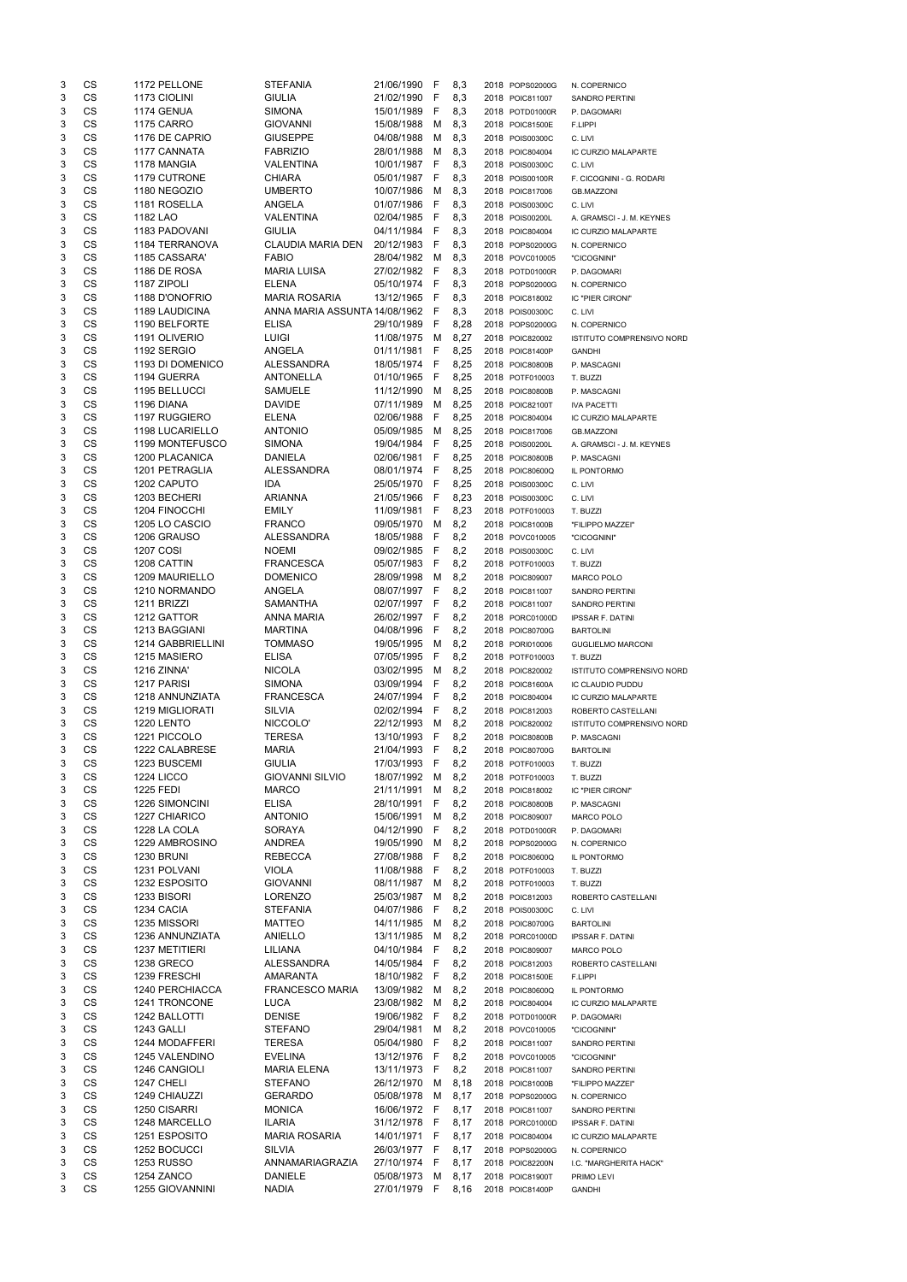| 3      | CS              | 1172 PELLONE                         | <b>STEFANIA</b>                      | 21/06/1990                 | F             | 8,3          | 2018 POPS02000G                    | N. COPERNICO                   |
|--------|-----------------|--------------------------------------|--------------------------------------|----------------------------|---------------|--------------|------------------------------------|--------------------------------|
| 3      | <b>CS</b>       | 1173 CIOLINI                         | <b>GIULIA</b>                        | 21/02/1990                 | F             | 8,3          | 2018 POIC811007                    | <b>SANDRO PERTINI</b>          |
| 3      | <b>CS</b>       | 1174 GENUA                           | <b>SIMONA</b>                        | 15/01/1989                 | F             | 8,3          | 2018 POTD01000R                    | P. DAGOMARI                    |
| 3      | CS              | <b>1175 CARRO</b>                    | <b>GIOVANNI</b>                      | 15/08/1988                 | M             | 8,3          | 2018 POIC81500E                    | F.LIPPI                        |
| 3<br>3 | CS<br>CS        | 1176 DE CAPRIO<br>1177 CANNATA       | <b>GIUSEPPE</b><br><b>FABRIZIO</b>   | 04/08/1988<br>28/01/1988   | M<br>м        | 8,3<br>8,3   | 2018 POIS00300C                    | C. LIVI                        |
| 3      | <b>CS</b>       | 1178 MANGIA                          | <b>VALENTINA</b>                     | 10/01/1987                 | F             | 8,3          | 2018 POIC804004<br>2018 POIS00300C | IC CURZIO MALAPARTE<br>C. LIVI |
| 3      | <b>CS</b>       | 1179 CUTRONE                         | CHIARA                               | 05/01/1987                 | F             | 8,3          | 2018 POIS00100R                    | F. CICOGNINI - G. RODARI       |
| 3      | CS              | 1180 NEGOZIO                         | <b>UMBERTO</b>                       | 10/07/1986                 | M             | 8,3          | 2018 POIC817006                    | <b>GB.MAZZONI</b>              |
| 3      | CS              | 1181 ROSELLA                         | ANGELA                               | 01/07/1986                 | F             | 8,3          | 2018 POIS00300C                    | C. LIVI                        |
| 3      | <b>CS</b>       | 1182 LAO                             | <b>VALENTINA</b>                     | 02/04/1985                 | F             | 8,3          | 2018 POIS00200L                    | A. GRAMSCI - J. M. KEYNES      |
| 3      | <b>CS</b>       | 1183 PADOVANI                        | <b>GIULIA</b>                        | 04/11/1984                 | F             | 8,3          | 2018 POIC804004                    | IC CURZIO MALAPARTE            |
| 3      | CS              | 1184 TERRANOVA                       | CLAUDIA MARIA DEN                    | 20/12/1983                 | F             | 8,3          | 2018 POPS02000G                    | N. COPERNICO                   |
| 3      | CS              | 1185 CASSARA'                        | <b>FABIO</b>                         | 28/04/1982                 | м             | 8,3          | 2018 POVC010005                    | "CICOGNINI"                    |
| 3      | <b>CS</b>       | 1186 DE ROSA                         | <b>MARIA LUISA</b>                   | 27/02/1982                 | F             | 8,3          | 2018 POTD01000R                    | P. DAGOMARI                    |
| 3      | <b>CS</b>       | 1187 ZIPOLI                          | <b>ELENA</b>                         | 05/10/1974                 | F             | 8,3          | 2018 POPS02000G                    | N. COPERNICO                   |
| 3      | CS              | 1188 D'ONOFRIO                       | <b>MARIA ROSARIA</b>                 | 13/12/1965                 | F             | 8,3          | 2018 POIC818002                    | IC "PIER CIRONI"               |
| 3      | CS              | <b>1189 LAUDICINA</b>                | ANNA MARIA ASSUNTA 14/08/1962        |                            | F             | 8,3          | 2018 POIS00300C                    | C. LIVI                        |
| 3      | CS<br>CS        | 1190 BELFORTE                        | <b>ELISA</b>                         | 29/10/1989                 | F             | 8,28         | 2018 POPS02000G                    | N. COPERNICO                   |
| 3<br>3 | CS              | 1191 OLIVERIO<br>1192 SERGIO         | <b>LUIGI</b><br><b>ANGELA</b>        | 11/08/1975<br>01/11/1981   | M<br>F        | 8,27<br>8,25 | 2018 POIC820002<br>2018 POIC81400P | ISTITUTO COMPRENSIVO NORD      |
| 3      | CS              | 1193 DI DOMENICO                     | <b>ALESSANDRA</b>                    | 18/05/1974                 | F             | 8,25         | 2018 POIC80800B                    | <b>GANDHI</b><br>P. MASCAGNI   |
| 3      | <b>CS</b>       | 1194 GUERRA                          | <b>ANTONELLA</b>                     | 01/10/1965                 | F             | 8,25         | 2018 POTF010003                    | T. BUZZI                       |
| 3      | <b>CS</b>       | 1195 BELLUCCI                        | <b>SAMUELE</b>                       | 11/12/1990                 | м             | 8,25         | 2018 POIC80800B                    | P. MASCAGNI                    |
| 3      | CS              | 1196 DIANA                           | <b>DAVIDE</b>                        | 07/11/1989                 | м             | 8,25         | 2018 POIC82100T                    | <b>IVA PACETTI</b>             |
| 3      | CS              | 1197 RUGGIERO                        | <b>ELENA</b>                         | 02/06/1988                 | F             | 8,25         | 2018 POIC804004                    | IC CURZIO MALAPARTE            |
| 3      | <b>CS</b>       | 1198 LUCARIELLO                      | <b>ANTONIO</b>                       | 05/09/1985                 | м             | 8,25         | 2018 POIC817006                    | <b>GB.MAZZONI</b>              |
| 3      | <b>CS</b>       | 1199 MONTEFUSCO                      | <b>SIMONA</b>                        | 19/04/1984                 | F             | 8,25         | 2018 POIS00200L                    | A. GRAMSCI - J. M. KEYNES      |
| 3      | CS              | 1200 PLACANICA                       | <b>DANIELA</b>                       | 02/06/1981                 | F             | 8,25         | 2018 POIC80800B                    | P. MASCAGNI                    |
| 3      | CS              | 1201 PETRAGLIA                       | <b>ALESSANDRA</b>                    | 08/01/1974                 | F             | 8,25         | 2018 POIC80600Q                    | IL PONTORMO                    |
| 3      | CS              | 1202 CAPUTO                          | IDA                                  | 25/05/1970                 | F             | 8,25         | 2018 POIS00300C                    | C. LIVI                        |
| 3      | <b>CS</b>       | 1203 BECHERI                         | <b>ARIANNA</b>                       | 21/05/1966                 | F             | 8,23         | 2018 POIS00300C                    | C. LIVI                        |
| 3      | <b>CS</b>       | 1204 FINOCCHI                        | <b>EMILY</b>                         | 11/09/1981                 | F             | 8,23         | 2018 POTF010003                    | T. BUZZI                       |
| 3      | CS              | 1205 LO CASCIO                       | <b>FRANCO</b>                        | 09/05/1970                 | M             | 8,2          | 2018 POIC81000B                    | "FILIPPO MAZZEI"               |
| 3      | CS              | 1206 GRAUSO                          | <b>ALESSANDRA</b>                    | 18/05/1988                 | F             | 8,2          | 2018 POVC010005                    | "CICOGNINI"                    |
| 3      | <b>CS</b>       | <b>1207 COSI</b>                     | <b>NOEMI</b><br><b>FRANCESCA</b>     | 09/02/1985<br>05/07/1983   | F             | 8,2          | 2018 POIS00300C<br>2018 POTF010003 | C. LIVI                        |
| 3<br>3 | CS<br>CS        | 1208 CATTIN<br><b>1209 MAURIELLO</b> | <b>DOMENICO</b>                      | 28/09/1998                 | <b>F</b><br>м | 8,2<br>8,2   | 2018 POIC809007                    | T. BUZZI<br>MARCO POLO         |
| 3      | CS              | 1210 NORMANDO                        | ANGELA                               | 08/07/1997                 | F             | 8,2          | 2018 POIC811007                    | SANDRO PERTINI                 |
| 3      | <b>CS</b>       | 1211 BRIZZI                          | <b>SAMANTHA</b>                      | 02/07/1997                 | -F            | 8,2          | 2018 POIC811007                    | <b>SANDRO PERTINI</b>          |
| 3      | <b>CS</b>       | 1212 GATTOR                          | <b>ANNA MARIA</b>                    | 26/02/1997                 | F             | 8,2          | 2018 PORC01000D                    | <b>IPSSAR F. DATINI</b>        |
| 3      | CS              | 1213 BAGGIANI                        | <b>MARTINA</b>                       | 04/08/1996                 | F             | 8,2          | 2018 POIC80700G                    | <b>BARTOLINI</b>               |
| 3      | <b>CS</b>       | 1214 GABBRIELLINI                    | <b>TOMMASO</b>                       | 19/05/1995                 | м             | 8,2          | 2018 PORI010006                    | <b>GUGLIELMO MARCONI</b>       |
| 3      | <b>CS</b>       | 1215 MASIERO                         | <b>ELISA</b>                         | 07/05/1995                 | F             | 8,2          | 2018 POTF010003                    | T. BUZZI                       |
| 3      | <b>CS</b>       | <b>1216 ZINNA'</b>                   | <b>NICOLA</b>                        | 03/02/1995                 | М             | 8,2          | 2018 POIC820002                    | ISTITUTO COMPRENSIVO NORD      |
| 3      | CS              | 1217 PARISI                          | <b>SIMONA</b>                        | 03/09/1994                 | F             | 8,2          | 2018 POIC81600A                    | IC CLAUDIO PUDDU               |
| 3      | CS              | 1218 ANNUNZIATA                      | <b>FRANCESCA</b>                     | 24/07/1994                 | F             | 8,2          | 2018 POIC804004                    | IC CURZIO MALAPARTE            |
| 3      | <b>CS</b>       | 1219 MIGLIORATI                      | SILVIA                               | 02/02/1994                 | F             | 8,2          | 2018 POIC812003                    | ROBERTO CASTELLANI             |
| 3      | <b>CS</b>       | <b>1220 LENTO</b>                    | NICCOLO'                             | 22/12/1993                 | M             | 8,2          | 2018 POIC820002                    | ISTITUTO COMPRENSIVO NORD      |
| 3      | CS              | 1221 PICCOLO                         | <b>TERESA</b>                        | 13/10/1993                 | F             | 8,2          | 2018 POIC80800B                    | P. MASCAGNI                    |
| 3<br>3 | CS<br><b>CS</b> | 1222 CALABRESE<br>1223 BUSCEMI       | <b>MARIA</b><br><b>GIULIA</b>        | 21/04/1993<br>17/03/1993   | F<br>F        | 8,2<br>8,2   | 2018 POIC80700G                    | <b>BARTOLINI</b>               |
| 3      | CS              | <b>1224 LICCO</b>                    | <b>GIOVANNI SILVIO</b>               | 18/07/1992                 | м             | 8,2          | 2018 POTF010003<br>2018 POTF010003 | T. BUZZI<br>T. BUZZI           |
| 3      | CS              | <b>1225 FEDI</b>                     | <b>MARCO</b>                         | 21/11/1991                 | м             | 8,2          | 2018 POIC818002                    | IC "PIER CIRONI"               |
| 3      | <b>CS</b>       | 1226 SIMONCINI                       | <b>ELISA</b>                         | 28/10/1991                 | F             | 8,2          | 2018 POIC80800B                    | P. MASCAGNI                    |
| 3      | <b>CS</b>       | 1227 CHIARICO                        | <b>ANTONIO</b>                       | 15/06/1991                 | м             | 8,2          | 2018 POIC809007                    | MARCO POLO                     |
| 3      | <b>CS</b>       | 1228 LA COLA                         | <b>SORAYA</b>                        | 04/12/1990                 | F             | 8,2          | 2018 POTD01000R                    | P. DAGOMARI                    |
| 3      | <b>CS</b>       | 1229 AMBROSINO                       | <b>ANDREA</b>                        | 19/05/1990                 | M             | 8,2          | 2018 POPS02000G                    | N. COPERNICO                   |
| 3      | CS              | <b>1230 BRUNI</b>                    | <b>REBECCA</b>                       | 27/08/1988                 | F             | 8,2          | 2018 POIC80600Q                    | IL PONTORMO                    |
| 3      | <b>CS</b>       | 1231 POLVANI                         | <b>VIOLA</b>                         | 11/08/1988                 | F             | 8,2          | 2018 POTF010003                    | T. BUZZI                       |
| 3      | <b>CS</b>       | 1232 ESPOSITO                        | <b>GIOVANNI</b>                      | 08/11/1987                 | м             | 8,2          | 2018 POTF010003                    | T. BUZZI                       |
| 3      | <b>CS</b>       | 1233 BISORI                          | <b>LORENZO</b>                       | 25/03/1987                 | м             | 8,2          | 2018 POIC812003                    | ROBERTO CASTELLANI             |
| 3      | CS              | 1234 CACIA                           | <b>STEFANIA</b>                      | 04/07/1986                 | F             | 8,2          | 2018 POIS00300C                    | C. LIVI                        |
| 3      | CS              | 1235 MISSORI                         | MATTEO                               | 14/11/1985                 | м             | 8,2          | 2018 POIC80700G                    | <b>BARTOLINI</b>               |
| 3      | <b>CS</b>       | 1236 ANNUNZIATA                      | ANIELLO                              | 13/11/1985                 | м             | 8,2          | 2018 PORC01000D                    | <b>IPSSAR F. DATINI</b>        |
| 3      | <b>CS</b>       | <b>1237 METITIERI</b>                | LILIANA                              | 04/10/1984                 | F             | 8,2          | 2018 POIC809007                    | MARCO POLO                     |
| 3      | CS<br>CS        | <b>1238 GRECO</b><br>1239 FRESCHI    | <b>ALESSANDRA</b><br><b>AMARANTA</b> | 14/05/1984                 | F<br>F        | 8,2<br>8,2   | 2018 POIC812003                    | ROBERTO CASTELLANI             |
| 3<br>3 | <b>CS</b>       | 1240 PERCHIACCA                      | <b>FRANCESCO MARIA</b>               | 18/10/1982<br>13/09/1982   | M             | 8,2          | 2018 POIC81500E<br>2018 POIC80600Q | F.LIPPI<br>IL PONTORMO         |
| 3      | CS              | 1241 TRONCONE                        | <b>LUCA</b>                          | 23/08/1982                 | м             | 8,2          | 2018 POIC804004                    | IC CURZIO MALAPARTE            |
| 3      | CS              | 1242 BALLOTTI                        | <b>DENISE</b>                        | 19/06/1982                 | F             | 8,2          | 2018 POTD01000R                    | P. DAGOMARI                    |
| 3      | <b>CS</b>       | 1243 GALLI                           | <b>STEFANO</b>                       | 29/04/1981                 | м             | 8,2          | 2018 POVC010005                    | "CICOGNINI"                    |
| 3      | CS              | 1244 MODAFFERI                       | <b>TERESA</b>                        | 05/04/1980                 | F.            | 8,2          | 2018 POIC811007                    | SANDRO PERTINI                 |
| 3      | CS              | 1245 VALENDINO                       | <b>EVELINA</b>                       | 13/12/1976 F               |               | 8,2          | 2018 POVC010005                    | "CICOGNINI"                    |
| 3      | CS              | 1246 CANGIOLI                        | <b>MARIA ELENA</b>                   | 13/11/1973                 | F             | 8,2          | 2018 POIC811007                    | SANDRO PERTINI                 |
| 3      | CS              | 1247 CHELI                           | <b>STEFANO</b>                       | 26/12/1970                 | M             | 8,18         | 2018 POIC81000B                    | "FILIPPO MAZZEI"               |
| 3      | CS              | 1249 CHIAUZZI                        | <b>GERARDO</b>                       | 05/08/1978                 | M             | 8,17         | 2018 POPS02000G                    | N. COPERNICO                   |
| 3      | CS              | 1250 CISARRI                         | <b>MONICA</b>                        | 16/06/1972                 | F             | 8,17         | 2018 POIC811007                    | SANDRO PERTINI                 |
| 3      | CS              | 1248 MARCELLO                        | ILARIA                               | 31/12/1978                 | F             | 8,17         | 2018 PORC01000D                    | <b>IPSSAR F. DATINI</b>        |
| 3      | CS              | 1251 ESPOSITO                        | <b>MARIA ROSARIA</b>                 | 14/01/1971                 | F             | 8,17         | 2018 POIC804004                    | IC CURZIO MALAPARTE            |
| 3      | CS              | 1252 BOCUCCI                         | <b>SILVIA</b>                        | 26/03/1977                 | E             | 8,17         | 2018 POPS02000G                    | N. COPERNICO                   |
| 3      |                 |                                      |                                      | 27/10/1974                 | -F            | 8,17         | 2018 POIC82200N                    | I.C. "MARGHERITA HACK"         |
|        | CS              | <b>1253 RUSSO</b>                    | ANNAMARIAGRAZIA                      |                            |               |              |                                    |                                |
| 3<br>3 | CS<br>CS        | 1254 ZANCO<br>1255 GIOVANNINI        | <b>DANIELE</b><br><b>NADIA</b>       | 05/08/1973<br>27/01/1979 F | M             | 8,17<br>8,16 | 2018 POIC81900T<br>2018 POIC81400P | PRIMO LEVI<br><b>GANDHI</b>    |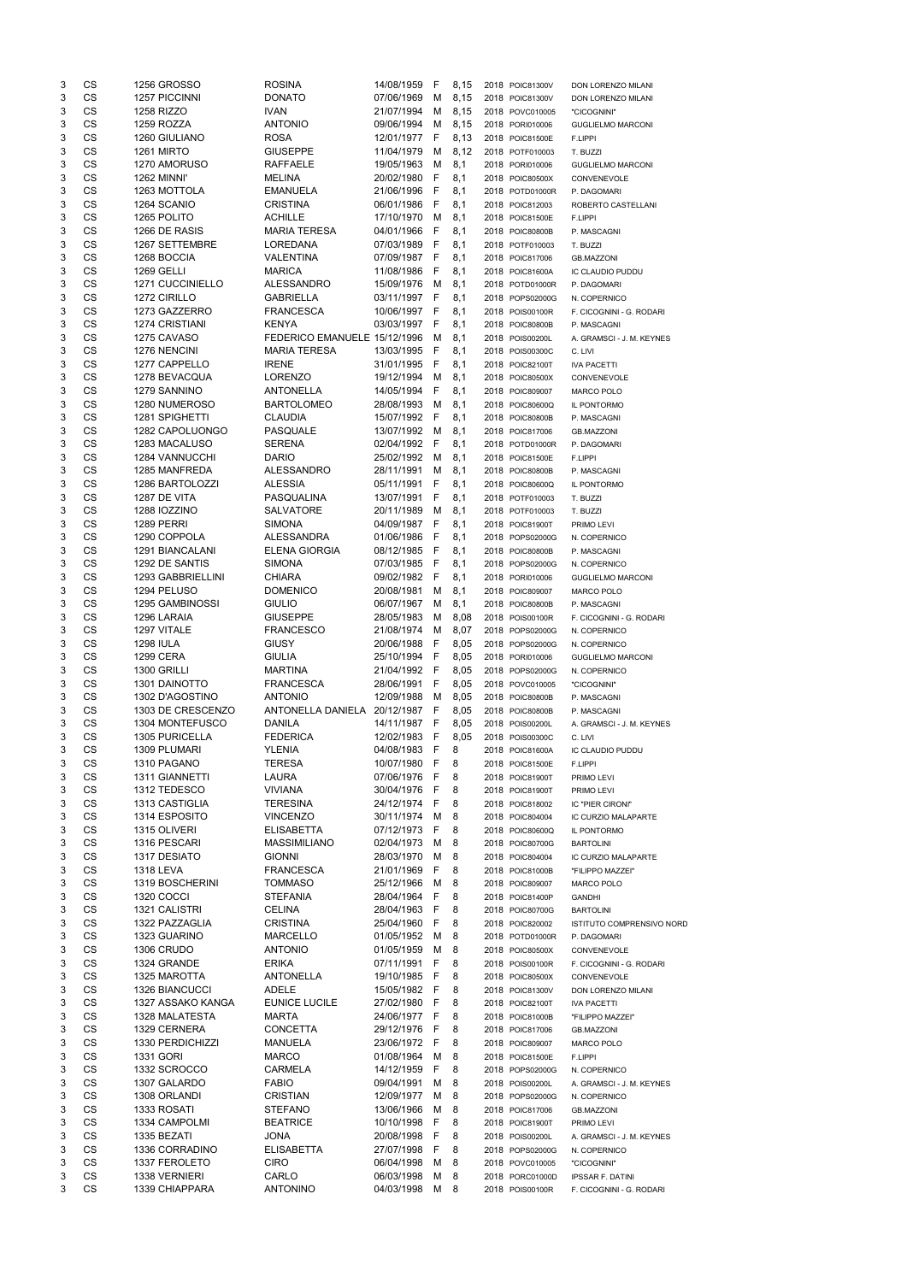| 3                         | CS        | <b>1256 GROSSO</b>                  | <b>ROSINA</b>                | 14/08/1959               | -F           | 8,15 | 2018 POIC81300V | DON LORENZO MILANI         |
|---------------------------|-----------|-------------------------------------|------------------------------|--------------------------|--------------|------|-----------------|----------------------------|
| 3                         | CS        | <b>1257 PICCINNI</b>                | <b>DONATO</b>                | 07/06/1969               | M            | 8,15 | 2018 POIC81300V | DON LORENZO MILANI         |
| 3                         | CS        | <b>1258 RIZZO</b>                   | <b>IVAN</b>                  | 21/07/1994               | M            | 8,15 | 2018 POVC010005 | "CICOGNINI"                |
| 3                         | CS        | 1259 ROZZA                          | <b>ANTONIO</b>               | 09/06/1994               | M            | 8,15 | 2018 PORI010006 | <b>GUGLIELMO MARCONI</b>   |
| 3                         | CS        | 1260 GIULIANO                       | <b>ROSA</b>                  | 12/01/1977 F             |              | 8,13 | 2018 POIC81500E | F.LIPPI                    |
| 3                         | CS        | <b>1261 MIRTO</b>                   | <b>GIUSEPPE</b>              | 11/04/1979               | м            | 8,12 | 2018 POTF010003 | T. BUZZI                   |
| 3                         | <b>CS</b> | 1270 AMORUSO                        | <b>RAFFAELE</b>              | 19/05/1963               | M            | 8,1  | 2018 PORI010006 | <b>GUGLIELMO MARCONI</b>   |
| 3                         | <b>CS</b> | 1262 MINNI'                         | <b>MELINA</b>                | 20/02/1980               | - F          | 8,1  | 2018 POIC80500X | CONVENEVOLE                |
| 3                         | <b>CS</b> | 1263 MOTTOLA                        | <b>EMANUELA</b>              | 21/06/1996               | - F          | 8,1  | 2018 POTD01000R | P. DAGOMARI                |
| 3                         | <b>CS</b> | 1264 SCANIO                         | <b>CRISTINA</b>              | 06/01/1986               | -F           | 8,1  | 2018 POIC812003 | ROBERTO CASTELLANI         |
| 3                         | CS        | 1265 POLITO                         | <b>ACHILLE</b>               | 17/10/1970               | M            | 8,1  | 2018 POIC81500E | F.LIPPI                    |
| 3                         | CS        | 1266 DE RASIS                       | <b>MARIA TERESA</b>          | 04/01/1966               | - F          | 8,1  | 2018 POIC80800B | P. MASCAGNI                |
| 3                         | CS        | 1267 SETTEMBRE                      | LOREDANA                     | 07/03/1989               | - F          | 8,1  | 2018 POTF010003 | T. BUZZI                   |
| 3                         | CS        | 1268 BOCCIA                         | <b>VALENTINA</b>             | 07/09/1987               | - F          | 8,1  | 2018 POIC817006 | <b>GB.MAZZONI</b>          |
| 3                         | CS        | <b>1269 GELLI</b>                   | <b>MARICA</b>                | 11/08/1986               | - F          | 8,1  | 2018 POIC81600A | IC CLAUDIO PUDDU           |
| $\ensuremath{\mathsf{3}}$ | CS        | 1271 CUCCINIELLO                    | <b>ALESSANDRO</b>            | 15/09/1976               | M            | 8,1  | 2018 POTD01000R | P. DAGOMARI                |
| 3                         | CS        | 1272 CIRILLO                        | <b>GABRIELLA</b>             | 03/11/1997               | - F          | 8,1  | 2018 POPS02000G | N. COPERNICO               |
| 3                         | CS        | 1273 GAZZERRO                       | <b>FRANCESCA</b>             | 10/06/1997 F             |              | 8,1  | 2018 POIS00100R | F. CICOGNINI - G. RODARI   |
| 3                         | CS        | 1274 CRISTIANI                      | <b>KENYA</b>                 | 03/03/1997               | - F          | 8,1  | 2018 POIC80800B | P. MASCAGNI                |
| 3                         | CS        | 1275 CAVASO                         | FEDERICO EMANUELE 15/12/1996 |                          | M            | 8,1  | 2018 POIS00200L | A. GRAMSCI - J. M. KEYNES  |
| 3                         | CS        | 1276 NENCINI                        | <b>MARIA TERESA</b>          | 13/03/1995               | - F          | 8,1  | 2018 POIS00300C | C. LIVI                    |
| 3                         | CS        | 1277 CAPPELLO                       | <b>IRENE</b>                 | 31/01/1995               | - F          | 8,1  | 2018 POIC82100T | <b>IVA PACETTI</b>         |
| 3                         | <b>CS</b> | 1278 BEVACQUA                       | <b>LORENZO</b>               | 19/12/1994               | M            | 8,1  | 2018 POIC80500X | CONVENEVOLE                |
| 3                         | <b>CS</b> | 1279 SANNINO                        | <b>ANTONELLA</b>             | 14/05/1994               | - F          | 8,1  | 2018 POIC809007 | <b>MARCO POLO</b>          |
| 3                         | <b>CS</b> | 1280 NUMEROSO                       | <b>BARTOLOMEO</b>            | 28/08/1993               | M            | 8,1  | 2018 POIC80600Q | IL PONTORMO                |
| 3                         | CS        | 1281 SPIGHETTI                      | <b>CLAUDIA</b>               | 15/07/1992               | - F          | 8,1  | 2018 POIC80800B | P. MASCAGNI                |
| 3                         | CS        | 1282 CAPOLUONGO                     | <b>PASQUALE</b>              | 13/07/1992               | M            | 8,1  | 2018 POIC817006 | <b>GB.MAZZONI</b>          |
| 3                         | CS        | 1283 MACALUSO                       | <b>SERENA</b>                | 02/04/1992               | - F          | 8,1  | 2018 POTD01000R | P. DAGOMARI                |
| 3                         | CS        | 1284 VANNUCCHI                      | <b>DARIO</b>                 | 25/02/1992               | M            | 8,1  | 2018 POIC81500E | F.LIPPI                    |
| 3                         | CS        | 1285 MANFREDA                       | <b>ALESSANDRO</b>            | 28/11/1991               | M            | 8,1  | 2018 POIC80800B |                            |
| 3                         | CS        | 1286 BARTOLOZZI                     | <b>ALESSIA</b>               | 05/11/1991               | F            | 8,1  | 2018 POIC80600Q | P. MASCAGNI<br>IL PONTORMO |
| 3                         | CS        | 1287 DE VITA                        | PASQUALINA                   | 13/07/1991               | F            | 8,1  | 2018 POTF010003 | T. BUZZI                   |
| $\ensuremath{\mathsf{3}}$ | <b>CS</b> | 1288 IOZZINO                        | <b>SALVATORE</b>             | 20/11/1989               | M            | 8,1  | 2018 POTF010003 |                            |
| 3                         | CS        | 1289 PERRI                          | <b>SIMONA</b>                | 04/09/1987               | -F           | 8,1  | 2018 POIC81900T | T. BUZZI                   |
| 3                         | CS        | 1290 COPPOLA                        | <b>ALESSANDRA</b>            | 01/06/1986               | -F           | 8,1  | 2018 POPS02000G | PRIMO LEVI                 |
| 3                         | <b>CS</b> | 1291 BIANCALANI                     | <b>ELENA GIORGIA</b>         | 08/12/1985               | - F          |      | 2018 POIC80800B | N. COPERNICO               |
|                           |           |                                     |                              |                          |              | 8,1  |                 | P. MASCAGNI                |
| 3                         | CS<br>CS  | 1292 DE SANTIS<br>1293 GABBRIELLINI | SIMONA<br><b>CHIARA</b>      | 07/03/1985<br>09/02/1982 | <b>F</b>     | 8,1  | 2018 POPS02000G | N. COPERNICO               |
| 3                         | <b>CS</b> |                                     |                              |                          | -F           | 8,1  | 2018 PORI010006 | <b>GUGLIELMO MARCONI</b>   |
| 3                         |           | 1294 PELUSO                         | <b>DOMENICO</b>              | 20/08/1981               | м            | 8,1  | 2018 POIC809007 | <b>MARCO POLO</b>          |
| 3                         | <b>CS</b> | 1295 GAMBINOSSI                     | <b>GIULIO</b>                | 06/07/1967               | М            | 8,1  | 2018 POIC80800B | P. MASCAGNI                |
| 3                         | <b>CS</b> | 1296 LARAIA                         | <b>GIUSEPPE</b>              | 28/05/1983               | М            | 8,08 | 2018 POIS00100R | F. CICOGNINI - G. RODARI   |
| 3                         | <b>CS</b> | 1297 VITALE                         | <b>FRANCESCO</b>             | 21/08/1974               | M            | 8,07 | 2018 POPS02000G | N. COPERNICO               |
| 3                         | <b>CS</b> | <b>1298 IULA</b>                    | <b>GIUSY</b>                 | 20/06/1988               | $\mathsf{F}$ | 8,05 | 2018 POPS02000G | N. COPERNICO               |
| 3                         | <b>CS</b> | <b>1299 CERA</b>                    | <b>GIULIA</b>                | 25/10/1994               | - F          | 8,05 | 2018 PORI010006 | <b>GUGLIELMO MARCONI</b>   |
| 3                         | <b>CS</b> | 1300 GRILLI                         | <b>MARTINA</b>               | 21/04/1992               | $-F$         | 8,05 | 2018 POPS02000G | N. COPERNICO               |
| 3                         | <b>CS</b> | 1301 DAINOTTO                       | <b>FRANCESCA</b>             | 28/06/1991               | F            | 8,05 | 2018 POVC010005 | "CICOGNINI"                |
| 3                         | CS        | 1302 D'AGOSTINO                     | <b>ANTONIO</b>               | 12/09/1988               | M            | 8,05 | 2018 POIC80800B | P. MASCAGNI                |
| 3                         | <b>CS</b> | 1303 DE CRESCENZO                   | ANTONELLA DANIELA 20/12/1987 |                          | - F          | 8,05 | 2018 POIC80800B | P. MASCAGNI                |
| $\ensuremath{\mathsf{3}}$ | <b>CS</b> | 1304 MONTEFUSCO                     | <b>DANILA</b>                | 14/11/1987               | - F          | 8,05 | 2018 POIS00200L | A. GRAMSCI - J. M. KEYNES  |
| 3                         | <b>CS</b> | 1305 PURICELLA                      | <b>FEDERICA</b>              | 12/02/1983               | -F           | 8,05 | 2018 POIS00300C | C. LIVI                    |
| 3                         | <b>CS</b> | 1309 PLUMARI                        | <b>YLENIA</b>                | 04/08/1983               | $\mathsf{F}$ | 8    | 2018 POIC81600A | IC CLAUDIO PUDDU           |
| 3                         | <b>CS</b> | 1310 PAGANO                         | <b>TERESA</b>                | 10/07/1980               | F            | 8    | 2018 POIC81500E | F.LIPPI                    |
| 3                         | <b>CS</b> | 1311 GIANNETTI                      | <b>LAURA</b>                 | 07/06/1976               | $\mathsf{F}$ | 8    | 2018 POIC81900T | PRIMO LEVI                 |
| 3                         | <b>CS</b> | 1312 TEDESCO                        | <b>VIVIANA</b>               | 30/04/1976               | -F           | 8    | 2018 POIC81900T | PRIMO LEVI                 |
| 3                         | <b>CS</b> | 1313 CASTIGLIA                      | <b>TERESINA</b>              | 24/12/1974 F             |              | 8    | 2018 POIC818002 | IC "PIER CIRONI"           |
| 3                         | <b>CS</b> | 1314 ESPOSITO                       | <b>VINCENZO</b>              | 30/11/1974               | M            | 8    | 2018 POIC804004 | IC CURZIO MALAPARTE        |
| 3                         | <b>CS</b> | 1315 OLIVERI                        | <b>ELISABETTA</b>            | 07/12/1973               | F            | 8    | 2018 POIC80600Q | IL PONTORMO                |
| 3                         | <b>CS</b> | 1316 PESCARI                        | <b>MASSIMILIANO</b>          | 02/04/1973               | M            | 8    | 2018 POIC80700G | <b>BARTOLINI</b>           |
| 3                         | <b>CS</b> | 1317 DESIATO                        | <b>GIONNI</b>                | 28/03/1970               | м            | 8    | 2018 POIC804004 | IC CURZIO MALAPARTE        |
| 3                         | <b>CS</b> | <b>1318 LEVA</b>                    | <b>FRANCESCA</b>             | 21/01/1969               | F            | 8    | 2018 POIC81000B | "FILIPPO MAZZEI"           |
| 3                         | <b>CS</b> | 1319 BOSCHERINI                     | <b>TOMMASO</b>               | 25/12/1966               | M            | 8    | 2018 POIC809007 | <b>MARCO POLO</b>          |
| 3                         | <b>CS</b> | <b>1320 COCCI</b>                   | <b>STEFANIA</b>              | 28/04/1964               | F            | 8    | 2018 POIC81400P | <b>GANDHI</b>              |
| 3                         | CS        | 1321 CALISTRI                       | <b>CELINA</b>                | 28/04/1963               | -F           | 8    | 2018 POIC80700G | <b>BARTOLINI</b>           |
| 3                         | <b>CS</b> | 1322 PAZZAGLIA                      | <b>CRISTINA</b>              | 25/04/1960               | -F           | 8    | 2018 POIC820002 | ISTITUTO COMPRENSIVO NORD  |
| 3                         | <b>CS</b> | 1323 GUARINO                        | <b>MARCELLO</b>              | 01/05/1952               | M            | 8    | 2018 POTD01000R | P. DAGOMARI                |
| $\ensuremath{\mathsf{3}}$ | <b>CS</b> | <b>1306 CRUDO</b>                   | <b>ANTONIO</b>               | 01/05/1959               | M            | 8    | 2018 POIC80500X | CONVENEVOLE                |
| 3                         | CS        | 1324 GRANDE                         | <b>ERIKA</b>                 | 07/11/1991               | F            | 8    | 2018 POIS00100R | F. CICOGNINI - G. RODARI   |
| 3                         | CS        | 1325 MAROTTA                        | <b>ANTONELLA</b>             | 19/10/1985               | $\mathsf{F}$ | 8    | 2018 POIC80500X | CONVENEVOLE                |
| 3                         | <b>CS</b> | <b>1326 BIANCUCCI</b>               | <b>ADELE</b>                 | 15/05/1982               | -F           | 8    | 2018 POIC81300V | <b>DON LORENZO MILANI</b>  |
| 3                         | <b>CS</b> | 1327 ASSAKO KANGA                   | <b>EUNICE LUCILE</b>         | 27/02/1980               | -F           | 8    | 2018 POIC82100T | <b>IVA PACETTI</b>         |
| 3                         | CS        | 1328 MALATESTA                      | <b>MARTA</b>                 | 24/06/1977               | - F          | 8    | 2018 POIC81000B | "FILIPPO MAZZEI"           |
| 3                         | <b>CS</b> | 1329 CERNERA                        | <b>CONCETTA</b>              | 29/12/1976               | -F           | 8    | 2018 POIC817006 | <b>GB.MAZZONI</b>          |
| 3                         | CS        | 1330 PERDICHIZZI                    | <b>MANUELA</b>               | 23/06/1972               | F            | 8    | 2018 POIC809007 | <b>MARCO POLO</b>          |
| 3                         | CS        | 1331 GORI                           | <b>MARCO</b>                 | 01/08/1964               | M            | 8    | 2018 POIC81500E | F.LIPPI                    |
| 3                         | CS        | 1332 SCROCCO                        | <b>CARMELA</b>               | 14/12/1959               | F            | 8    | 2018 POPS02000G | N. COPERNICO               |
| 3                         | CS        | 1307 GALARDO                        | <b>FABIO</b>                 | 09/04/1991               | M            | 8    | 2018 POIS00200L | A. GRAMSCI - J. M. KEYNES  |
| 3                         | CS        | 1308 ORLANDI                        | <b>CRISTIAN</b>              | 12/09/1977               | М            | 8    | 2018 POPS02000G | N. COPERNICO               |
| 3                         | CS        | 1333 ROSATI                         | <b>STEFANO</b>               | 13/06/1966               | M            | 8    | 2018 POIC817006 | <b>GB.MAZZONI</b>          |
| 3                         | CS        | 1334 CAMPOLMI                       | <b>BEATRICE</b>              | 10/10/1998               | -F           | 8    | 2018 POIC81900T | PRIMO LEVI                 |
| 3                         | CS        | 1335 BEZATI                         | <b>JONA</b>                  | 20/08/1998               | -F           | 8    | 2018 POIS00200L | A. GRAMSCI - J. M. KEYNES  |
| 3                         | CS        | 1336 CORRADINO                      | <b>ELISABETTA</b>            | 27/07/1998               | F.           | 8    | 2018 POPS02000G | N. COPERNICO               |
| 3                         | CS        | 1337 FEROLETO                       | <b>CIRO</b>                  | 06/04/1998               | M            | 8    | 2018 POVC010005 | "CICOGNINI"                |
| 3                         | CS        | 1338 VERNIERI                       | CARLO                        | 06/03/1998               | М            | 8    | 2018 PORC01000D | <b>IPSSAR F. DATINI</b>    |
| 3                         | <b>CS</b> | 1339 CHIAPPARA                      | <b>ANTONINO</b>              | 04/03/1998               | M            | 8    | 2018 POIS00100R | F. CICOGNINI - G. RODARI   |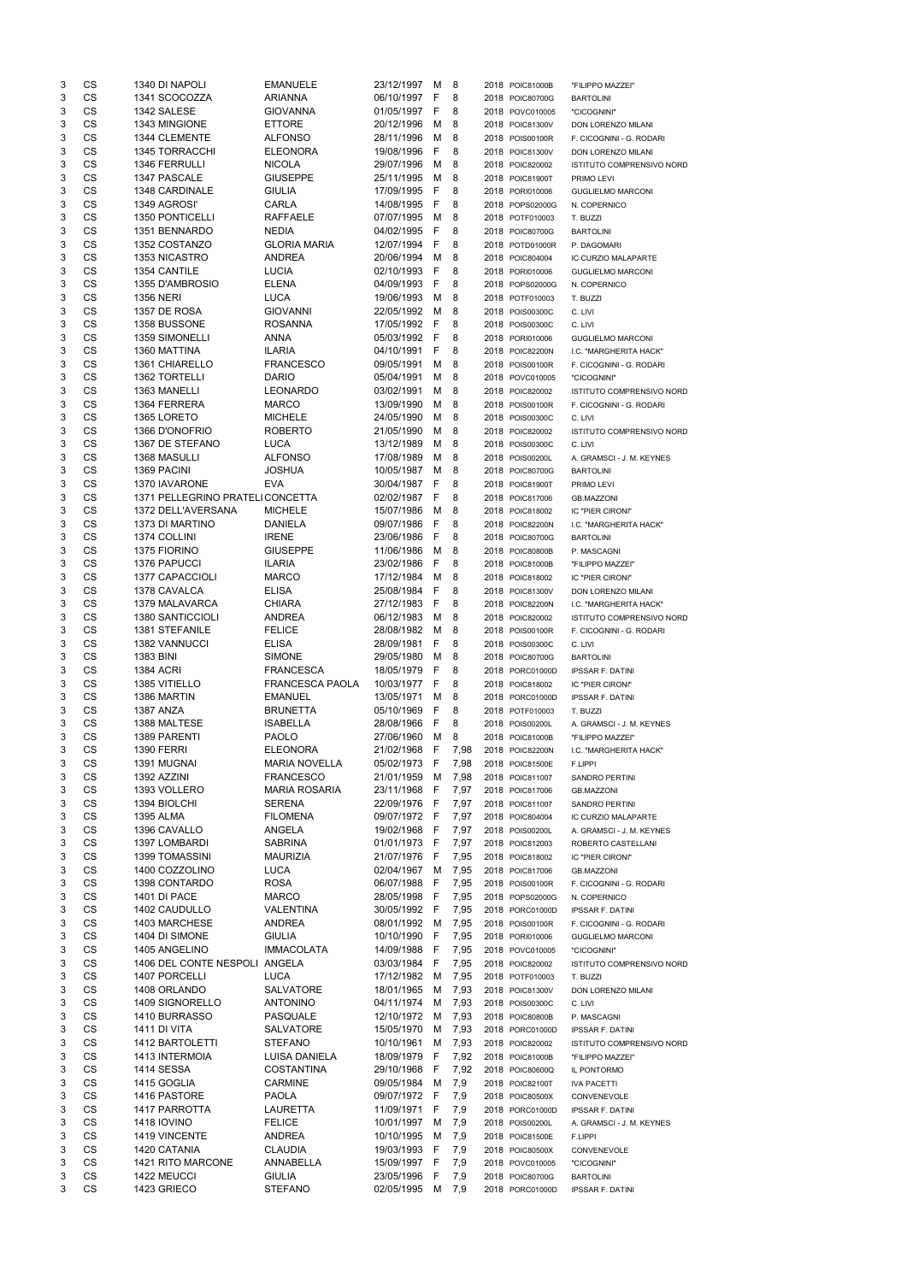| 3      | CS              | 1340 DI NAPOLI                         | <b>EMANUELE</b>                          | 23/12/1997               | м       | 8            | 2018 POIC81000B                    | "FILIPPO MAZZEI"                                |
|--------|-----------------|----------------------------------------|------------------------------------------|--------------------------|---------|--------------|------------------------------------|-------------------------------------------------|
| 3      | CS              | 1341 SCOCOZZA                          | <b>ARIANNA</b>                           | 06/10/1997               | F       | 8            | 2018 POIC80700G                    | <b>BARTOLINI</b>                                |
| 3      | CS              | 1342 SALESE                            | <b>GIOVANNA</b>                          | 01/05/1997               | F       | 8            | 2018 POVC010005                    | "CICOGNINI"                                     |
| 3      | CS              | 1343 MINGIONE                          | <b>ETTORE</b>                            | 20/12/1996               | М       | 8            | 2018 POIC81300V                    | DON LORENZO MILANI                              |
| 3<br>3 | CS<br><b>CS</b> | 1344 CLEMENTE<br><b>1345 TORRACCHI</b> | <b>ALFONSO</b><br><b>ELEONORA</b>        | 28/11/1996<br>19/08/1996 | М<br>F  | 8<br>8       | 2018 POIS00100R<br>2018 POIC81300V | F. CICOGNINI - G. RODARI                        |
| 3      | <b>CS</b>       | <b>1346 FERRULLI</b>                   | <b>NICOLA</b>                            | 29/07/1996               | м       | 8            | 2018 POIC820002                    | DON LORENZO MILANI<br>ISTITUTO COMPRENSIVO NORD |
| 3      | CS              | 1347 PASCALE                           | <b>GIUSEPPE</b>                          | 25/11/1995               | М       | 8            | 2018 POIC81900T                    | PRIMO LEVI                                      |
| 3      | CS              | 1348 CARDINALE                         | <b>GIULIA</b>                            | 17/09/1995               | F       | 8            | 2018 PORI010006                    | <b>GUGLIELMO MARCONI</b>                        |
| 3      | CS              | 1349 AGROSI'                           | CARLA                                    | 14/08/1995               | F       | 8            | 2018 POPS02000G                    | N. COPERNICO                                    |
| 3      | CS              | 1350 PONTICELLI                        | <b>RAFFAELE</b>                          | 07/07/1995               | м       | 8            | 2018 POTF010003                    | T. BUZZI                                        |
| 3      | CS              | 1351 BENNARDO                          | <b>NEDIA</b>                             | 04/02/1995               | F       | 8            | 2018 POIC80700G                    | <b>BARTOLINI</b>                                |
| 3      | CS              | 1352 COSTANZO                          | <b>GLORIA MARIA</b>                      | 12/07/1994               | F       | 8            | 2018 POTD01000R                    | P. DAGOMARI                                     |
| 3      | CS              | 1353 NICASTRO                          | <b>ANDREA</b>                            | 20/06/1994               | м       | 8            | 2018 POIC804004                    | IC CURZIO MALAPARTE                             |
| 3      | <b>CS</b>       | 1354 CANTILE                           | <b>LUCIA</b>                             | 02/10/1993               | F       | 8            | 2018 PORI010006                    | <b>GUGLIELMO MARCONI</b>                        |
| 3      | CS              | 1355 D'AMBROSIO                        | <b>ELENA</b>                             | 04/09/1993               | F       | 8            | 2018 POPS02000G                    | N. COPERNICO                                    |
| 3      | CS              | <b>1356 NERI</b>                       | <b>LUCA</b>                              | 19/06/1993               | м       | 8            | 2018 POTF010003                    | T. BUZZI                                        |
| 3      | CS              | 1357 DE ROSA                           | <b>GIOVANNI</b>                          | 22/05/1992               | м       | 8            | 2018 POIS00300C                    | C. LIVI                                         |
| 3      | CS              | 1358 BUSSONE                           | <b>ROSANNA</b>                           | 17/05/1992               | F       | 8            | 2018 POIS00300C                    | C. LIVI                                         |
| 3      | CS              | 1359 SIMONELLI                         | <b>ANNA</b>                              | 05/03/1992               | F       | 8            | 2018 PORI010006                    | <b>GUGLIELMO MARCONI</b>                        |
| 3      | CS<br><b>CS</b> | 1360 MATTINA                           | <b>ILARIA</b>                            | 04/10/1991               | F       | 8            | 2018 POIC82200N                    | I.C. "MARGHERITA HACK"                          |
| 3<br>3 | <b>CS</b>       | 1361 CHIARELLO<br>1362 TORTELLI        | <b>FRANCESCO</b><br><b>DARIO</b>         | 09/05/1991<br>05/04/1991 | м<br>М  | 8<br>8       | 2018 POIS00100R<br>2018 POVC010005 | F. CICOGNINI - G. RODARI<br>"CICOGNINI"         |
| 3      | CS              | 1363 MANELLI                           | <b>LEONARDO</b>                          | 03/02/1991               | м       | 8            | 2018 POIC820002                    | ISTITUTO COMPRENSIVO NORD                       |
| 3      | CS              | 1364 FERRERA                           | <b>MARCO</b>                             | 13/09/1990               | М       | 8            | 2018 POIS00100R                    | F. CICOGNINI - G. RODARI                        |
| 3      | CS              | 1365 LORETO                            | <b>MICHELE</b>                           | 24/05/1990               | M       | 8            | 2018 POIS00300C                    | C. LIVI                                         |
| 3      | CS              | 1366 D'ONOFRIO                         | <b>ROBERTO</b>                           | 21/05/1990               | М       | 8            | 2018 POIC820002                    | ISTITUTO COMPRENSIVO NORD                       |
| 3      | CS              | 1367 DE STEFANO                        | <b>LUCA</b>                              | 13/12/1989               | М       | 8            | 2018 POIS00300C                    | C. LIVI                                         |
| 3      | CS              | 1368 MASULLI                           | <b>ALFONSO</b>                           | 17/08/1989               | м       | 8            | 2018 POIS00200L                    | A. GRAMSCI - J. M. KEYNES                       |
| 3      | <b>CS</b>       | 1369 PACINI                            | <b>JOSHUA</b>                            | 10/05/1987               | М       | 8            | 2018 POIC80700G                    | <b>BARTOLINI</b>                                |
| 3      | <b>CS</b>       | 1370 IAVARONE                          | <b>EVA</b>                               | 30/04/1987               | F       | 8            | 2018 POIC81900T                    | PRIMO LEVI                                      |
| 3      | <b>CS</b>       | 1371 PELLEGRINO PRATELI CONCETTA       |                                          | 02/02/1987               | F       | 8            | 2018 POIC817006                    | <b>GB.MAZZONI</b>                               |
| 3      | CS              | 1372 DELL'AVERSANA                     | <b>MICHELE</b>                           | 15/07/1986               | м       | 8            | 2018 POIC818002                    | IC "PIER CIRONI"                                |
| 3      | CS              | 1373 DI MARTINO                        | <b>DANIELA</b>                           | 09/07/1986               | F       | 8            | 2018 POIC82200N                    | I.C. "MARGHERITA HACK"                          |
| 3      | CS              | 1374 COLLINI                           | <b>IRENE</b>                             | 23/06/1986               | F       | 8            | 2018 POIC80700G                    | <b>BARTOLINI</b>                                |
| 3      | <b>CS</b>       | 1375 FIORINO                           | <b>GIUSEPPE</b>                          | 11/06/1986               | M       | 8            | 2018 POIC80800B                    | P. MASCAGNI                                     |
| 3<br>3 | СS<br>CS        | 1376 PAPUCCI<br>1377 CAPACCIOLI        | <b>ILARIA</b><br><b>MARCO</b>            | 23/02/1986<br>17/12/1984 | r,      | 8            | 2018 POIC81000B                    | "FILIPPO MAZZEI"                                |
| 3      | <b>CS</b>       | 1378 CAVALCA                           | <b>ELISA</b>                             | 25/08/1984               | м<br>F  | 8<br>8       | 2018 POIC818002<br>2018 POIC81300V | IC "PIER CIRONI"<br>DON LORENZO MILANI          |
| 3      | <b>CS</b>       | 1379 MALAVARCA                         | <b>CHIARA</b>                            | 27/12/1983               | F       | 8            | 2018 POIC82200N                    | I.C. "MARGHERITA HACK"                          |
| 3      | <b>CS</b>       | 1380 SANTICCIOLI                       | <b>ANDREA</b>                            | 06/12/1983               | м       | 8            | 2018 POIC820002                    | <b>ISTITUTO COMPRENSIVO NORD</b>                |
| 3      | CS              | 1381 STEFANILE                         | <b>FELICE</b>                            | 28/08/1982               | м       | 8            | 2018 POIS00100R                    | F. CICOGNINI - G. RODARI                        |
| 3      | <b>CS</b>       | <b>1382 VANNUCCI</b>                   | <b>ELISA</b>                             | 28/09/1981               | F       | 8            | 2018 POIS00300C                    | C. LIVI                                         |
| 3      | <b>CS</b>       | 1383 BINI                              | <b>SIMONE</b>                            | 29/05/1980               | м       | 8            | 2018 POIC80700G                    | <b>BARTOLINI</b>                                |
| 3      | CS              | <b>1384 ACRI</b>                       | <b>FRANCESCA</b>                         | 18/05/1979               | F       | 8            | 2018 PORC01000D                    | <b>IPSSAR F. DATINI</b>                         |
| 3      | CS              | 1385 VITIELLO                          | <b>FRANCESCA PAOLA</b>                   | 10/03/1977               | F       | 8            | 2018 POIC818002                    | IC "PIER CIRONI"                                |
| 3      | <b>CS</b>       | 1386 MARTIN                            | <b>EMANUEL</b>                           | 13/05/1971               | M       | 8            | 2018 PORC01000D                    | <b>IPSSAR F. DATINI</b>                         |
| 3      | <b>CS</b>       | <b>1387 ANZA</b>                       | <b>BRUNETTA</b>                          | 05/10/1969               | F       | 8            | 2018 POTF010003                    | T. BUZZI                                        |
| 3      | CS              | 1388 MALTESE                           | <b>ISABELLA</b>                          | 28/08/1966               | F       | 8            | 2018 POIS00200L                    | A. GRAMSCI - J. M. KEYNES                       |
| 3      | CS              | 1389 PARENTI                           | <b>PAOLO</b>                             | 27/06/1960               | M       | 8            | 2018 POIC81000B                    | "FILIPPO MAZZEI"                                |
| 3      | CS              | <b>1390 FERRI</b>                      | <b>ELEONORA</b>                          | 21/02/1968               | F       | 7,98         | 2018 POIC82200N                    | I.C. "MARGHERITA HACK"                          |
| 3      | <b>CS</b>       | 1391 MUGNAI                            | <b>MARIA NOVELLA</b>                     | 05/02/1973               | F       | 7,98         | 2018 POIC81500E                    | F.LIPPI                                         |
| 3<br>3 | CS<br>CS        | 1392 AZZINI<br>1393 VOLLERO            | <b>FRANCESCO</b><br><b>MARIA ROSARIA</b> | 21/01/1959<br>23/11/1968 | м<br>F  | 7,98<br>7,97 | 2018 POIC811007<br>2018 POIC817006 | <b>SANDRO PERTINI</b>                           |
| 3      | <b>CS</b>       | 1394 BIOLCHI                           | <b>SERENA</b>                            | 22/09/1976               | -F      | 7,97         | 2018 POIC811007                    | <b>GB.MAZZONI</b><br><b>SANDRO PERTINI</b>      |
| 3      | <b>CS</b>       | <b>1395 ALMA</b>                       | <b>FILOMENA</b>                          | 09/07/1972 F             |         | 7,97         | 2018 POIC804004                    | IC CURZIO MALAPARTE                             |
| 3      | <b>CS</b>       | 1396 CAVALLO                           | <b>ANGELA</b>                            | 19/02/1968               | -F      | 7,97         | 2018 POIS00200L                    | A. GRAMSCI - J. M. KEYNES                       |
| 3      | CS              | 1397 LOMBARDI                          | <b>SABRINA</b>                           | 01/01/1973               | -F      | 7,97         | 2018 POIC812003                    | ROBERTO CASTELLANI                              |
| 3      | CS              | <b>1399 TOMASSINI</b>                  | <b>MAURIZIA</b>                          | 21/07/1976               | F       | 7,95         | 2018 POIC818002                    | IC "PIER CIRONI"                                |
| 3      | <b>CS</b>       | 1400 COZZOLINO                         | <b>LUCA</b>                              | 02/04/1967               | M       | 7,95         | 2018 POIC817006                    | <b>GB.MAZZONI</b>                               |
| 3      | <b>CS</b>       | 1398 CONTARDO                          | <b>ROSA</b>                              | 06/07/1988               | F       | 7,95         | 2018 POIS00100R                    | F. CICOGNINI - G. RODARI                        |
| 3      | CS              | <b>1401 DI PACE</b>                    | <b>MARCO</b>                             | 28/05/1998               | -F      | 7,95         | 2018 POPS02000G                    | N. COPERNICO                                    |
| 3      | CS              | 1402 CAUDULLO                          | <b>VALENTINA</b>                         | 30/05/1992               | -F      | 7,95         | 2018 PORC01000D                    | <b>IPSSAR F. DATINI</b>                         |
| 3      | <b>CS</b>       | 1403 MARCHESE                          | <b>ANDREA</b>                            | 08/01/1992               | M       | 7,95         | 2018 POIS00100R                    | F. CICOGNINI - G. RODARI                        |
| 3      | <b>CS</b>       | 1404 DI SIMONE                         | <b>GIULIA</b>                            | 10/10/1990               | F       | 7,95         | 2018 PORI010006                    | <b>GUGLIELMO MARCONI</b>                        |
| 3      | CS              | 1405 ANGELINO                          | <b>IMMACOLATA</b>                        | 14/09/1988               | F       | 7,95         | 2018 POVC010005                    | "CICOGNINI"                                     |
| 3      | CS              | 1406 DEL CONTE NESPOLI ANGELA          |                                          | 03/03/1984               | F       | 7,95         | 2018 POIC820002                    | ISTITUTO COMPRENSIVO NORD                       |
| 3      | <b>CS</b>       | 1407 PORCELLI                          | <b>LUCA</b>                              | 17/12/1982               | м       | 7,95         | 2018 POTF010003                    | T. BUZZI                                        |
| 3      | <b>CS</b>       | 1408 ORLANDO                           | <b>SALVATORE</b>                         | 18/01/1965               | м       | 7,93         | 2018 POIC81300V                    | DON LORENZO MILANI                              |
| 3<br>3 | CS<br>CS        | 1409 SIGNORELLO<br>1410 BURRASSO       | <b>ANTONINO</b><br><b>PASQUALE</b>       | 04/11/1974<br>12/10/1972 | м<br>м  | 7,93<br>7,93 | 2018 POIS00300C<br>2018 POIC80800B | C. LIVI                                         |
| 3      | <b>CS</b>       | 1411 DI VITA                           | SALVATORE                                | 15/05/1970               | М       | 7,93         | 2018 PORC01000D                    | P. MASCAGNI<br><b>IPSSAR F. DATINI</b>          |
|        | CS              | 1412 BARTOLETTI                        | <b>STEFANO</b>                           | 10/10/1961 M 7,93        |         |              | 2018 POIC820002                    | <b>ISTITUTO COMPRENSIVO NORD</b>                |
| 3      | CS              | 1413 INTERMOIA                         | LUISA DANIELA                            | 18/09/1979 F             |         | 7,92         | 2018 POIC81000B                    | "FILIPPO MAZZEI"                                |
| 3      | CS              | 1414 SESSA                             | <b>COSTANTINA</b>                        | 29/10/1968               | F       | 7,92         | 2018 POIC80600Q                    | IL PONTORMO                                     |
| 3      | CS              | 1415 GOGLIA                            | <b>CARMINE</b>                           | 09/05/1984               | M       | 7,9          | 2018 POIC82100T                    | <b>IVA PACETTI</b>                              |
| 3      | CS              | 1416 PASTORE                           | <b>PAOLA</b>                             | 09/07/1972 F             |         | 7,9          | 2018 POIC80500X                    | CONVENEVOLE                                     |
| 3      | CS              | 1417 PARROTTA                          | LAURETTA                                 | 11/09/1971               | F       | 7,9          | 2018 PORC01000D                    | <b>IPSSAR F. DATINI</b>                         |
| 3      | CS              | <b>1418 IOVINO</b>                     | <b>FELICE</b>                            | 10/01/1997               | M       | 7,9          | 2018 POIS00200L                    | A. GRAMSCI - J. M. KEYNES                       |
| 3      | CS              | 1419 VINCENTE                          | ANDREA                                   | 10/10/1995               | M       | 7,9          | 2018 POIC81500E                    | F.LIPPI                                         |
| 3      | CS              | 1420 CATANIA                           | <b>CLAUDIA</b>                           | 19/03/1993               | -F      | 7,9          | 2018 POIC80500X                    | CONVENEVOLE                                     |
| 3      | CS              | 1421 RITO MARCONE                      | ANNABELLA                                | 15/09/1997               | -F      | 7,9          | 2018 POVC010005                    | "CICOGNINI"                                     |
|        |                 |                                        |                                          |                          |         |              |                                    |                                                 |
| 3<br>3 | CS<br>CS        | 1422 MEUCCI<br>1423 GRIECO             | <b>GIULIA</b><br><b>STEFANO</b>          | 23/05/1996<br>02/05/1995 | -F<br>M | 7,9<br>7,9   | 2018 POIC80700G<br>2018 PORC01000D | <b>BARTOLINI</b><br><b>IPSSAR F. DATINI</b>     |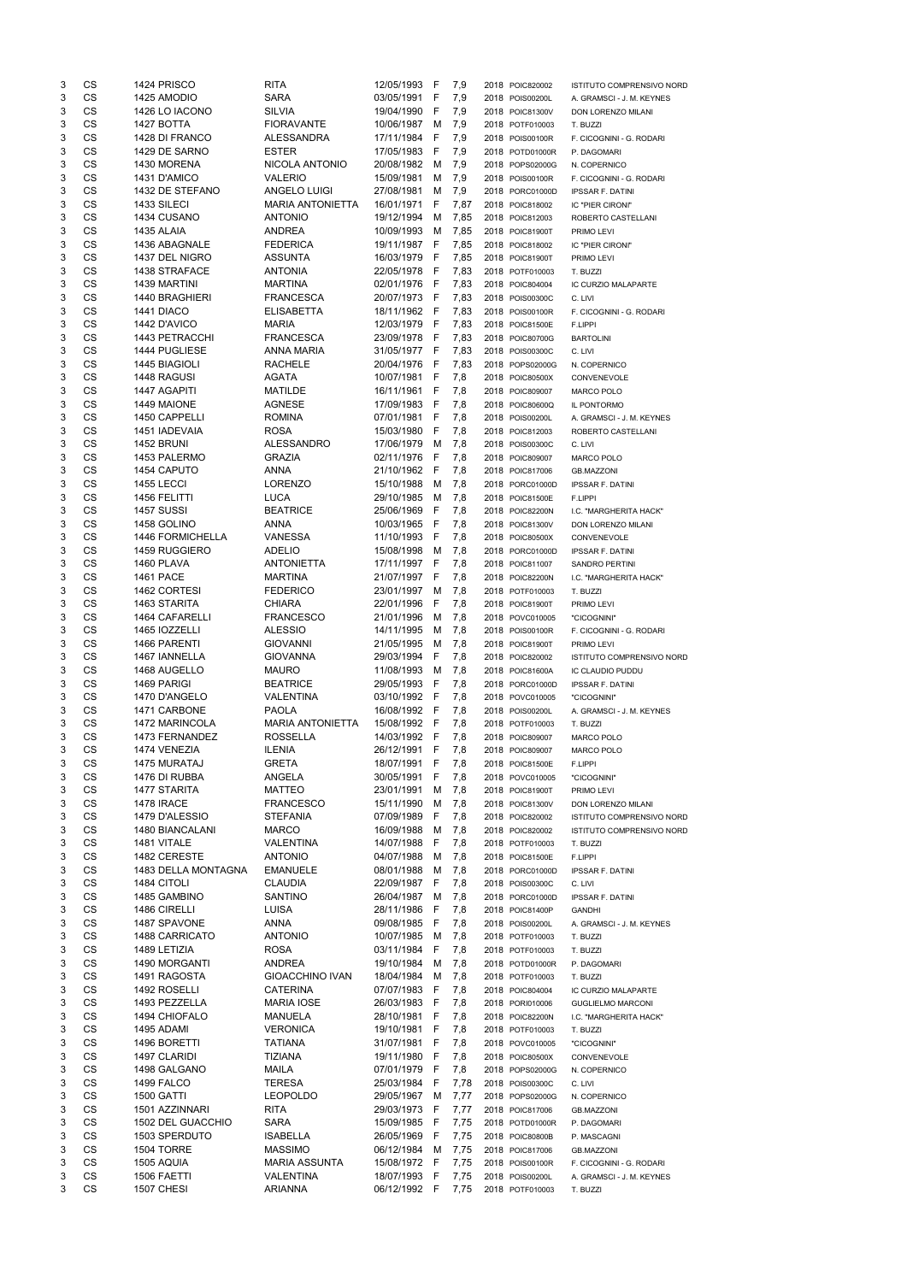| 3      | CS        | 1424 PRISCO           | <b>RITA</b>                    | 12/05/1993   | -F          | 7,9  | 2018 POIC820002 | <b>ISTITUTO COMPRENSIVO NORD</b>             |
|--------|-----------|-----------------------|--------------------------------|--------------|-------------|------|-----------------|----------------------------------------------|
| 3      | <b>CS</b> | 1425 AMODIO           | <b>SARA</b>                    | 03/05/1991   | F           | 7,9  | 2018 POIS00200L | A. GRAMSCI - J. M. KEYNES                    |
| 3      | CS        | 1426 LO IACONO        | <b>SILVIA</b>                  | 19/04/1990   | F           | 7,9  | 2018 POIC81300V | DON LORENZO MILANI                           |
| 3      | CS        | 1427 BOTTA            | <b>FIORAVANTE</b>              | 10/06/1987   | м           | 7,9  | 2018 POTF010003 | T. BUZZI                                     |
| 3      | CS        | 1428 DI FRANCO        | <b>ALESSANDRA</b>              | 17/11/1984   | F           | 7,9  | 2018 POIS00100R | F. CICOGNINI - G. RODARI                     |
| 3      | <b>CS</b> | 1429 DE SARNO         | <b>ESTER</b>                   | 17/05/1983   | F           | 7,9  | 2018 POTD01000R | P. DAGOMARI                                  |
| 3      | <b>CS</b> | 1430 MORENA           | NICOLA ANTONIO                 | 20/08/1982   | M           | 7,9  | 2018 POPS02000G | N. COPERNICO                                 |
| 3      | CS        | 1431 D'AMICO          | <b>VALERIO</b>                 | 15/09/1981   | M           | 7,9  | 2018 POIS00100R | F. CICOGNINI - G. RODARI                     |
| 3      | CS        | 1432 DE STEFANO       | ANGELO LUIGI                   | 27/08/1981   | M           | 7,9  | 2018 PORC01000D | <b>IPSSAR F. DATINI</b>                      |
| 3      | <b>CS</b> | 1433 SILECI           | <b>MARIA ANTONIETTA</b>        | 16/01/1971   | F           | 7,87 | 2018 POIC818002 | IC "PIER CIRONI"                             |
| 3      | <b>CS</b> | 1434 CUSANO           | <b>ANTONIO</b>                 | 19/12/1994   | M           | 7,85 | 2018 POIC812003 | ROBERTO CASTELLANI                           |
| 3      | CS        | 1435 ALAIA            | <b>ANDREA</b>                  | 10/09/1993   | M           | 7,85 | 2018 POIC81900T | PRIMO LEVI                                   |
| 3      | CS        | 1436 ABAGNALE         | <b>FEDERICA</b>                | 19/11/1987   | F           | 7,85 | 2018 POIC818002 | IC "PIER CIRONI"                             |
| 3      | CS        | 1437 DEL NIGRO        | <b>ASSUNTA</b>                 | 16/03/1979   | - F         | 7,85 | 2018 POIC81900T | PRIMO LEVI                                   |
| 3      | CS        | 1438 STRAFACE         | <b>ANTONIA</b>                 | 22/05/1978   | - F         | 7,83 | 2018 POTF010003 | T. BUZZI                                     |
| 3      | CS        | 1439 MARTINI          | <b>MARTINA</b>                 | 02/01/1976   | -F          | 7,83 | 2018 POIC804004 | IC CURZIO MALAPARTE                          |
| 3      | CS        | 1440 BRAGHIERI        | <b>FRANCESCA</b>               | 20/07/1973   | -F          | 7,83 | 2018 POIS00300C | C. LIVI                                      |
| 3      | CS        | 1441 DIACO            | <b>ELISABETTA</b>              | 18/11/1962   | -F          | 7,83 | 2018 POIS00100R | F. CICOGNINI - G. RODARI                     |
| 3      | CS        | 1442 D'AVICO          | <b>MARIA</b>                   | 12/03/1979   | - F         | 7,83 | 2018 POIC81500E | F.LIPPI                                      |
| 3      | CS        | <b>1443 PETRACCHI</b> | <b>FRANCESCA</b>               | 23/09/1978   | -F          | 7,83 | 2018 POIC80700G | <b>BARTOLINI</b>                             |
| 3      | CS        | 1444 PUGLIESE         | <b>ANNA MARIA</b>              | 31/05/1977   | -F          | 7,83 | 2018 POIS00300C | C. LIVI                                      |
| 3      | <b>CS</b> | 1445 BIAGIOLI         | <b>RACHELE</b>                 | 20/04/1976   | -F          | 7,83 | 2018 POPS02000G | N. COPERNICO                                 |
| 3      | <b>CS</b> | 1448 RAGUSI           | <b>AGATA</b>                   | 10/07/1981   | F           | 7,8  | 2018 POIC80500X | CONVENEVOLE                                  |
| 3      | CS        | 1447 AGAPITI          | <b>MATILDE</b>                 | 16/11/1961   | F           | 7,8  | 2018 POIC809007 | <b>MARCO POLO</b>                            |
| 3      | CS        | 1449 MAIONE           | <b>AGNESE</b>                  | 17/09/1983   | F           | 7,8  | 2018 POIC80600Q | IL PONTORMO                                  |
| 3      | <b>CS</b> | 1450 CAPPELLI         | <b>ROMINA</b>                  | 07/01/1981   | F           | 7,8  | 2018 POIS00200L | A. GRAMSCI - J. M. KEYNES                    |
| 3      | <b>CS</b> | 1451 IADEVAIA         | <b>ROSA</b>                    | 15/03/1980   | F           | 7,8  | 2018 POIC812003 | ROBERTO CASTELLANI                           |
| 3      | CS        | <b>1452 BRUNI</b>     | <b>ALESSANDRO</b>              | 17/06/1979   | M           | 7,8  | 2018 POIS00300C | C. LIVI                                      |
| 3      | CS        | 1453 PALERMO          | <b>GRAZIA</b>                  | 02/11/1976   | -F          | 7,8  | 2018 POIC809007 |                                              |
| 3      | <b>CS</b> | 1454 CAPUTO           | <b>ANNA</b>                    | 21/10/1962   | -F          | 7,8  | 2018 POIC817006 | <b>MARCO POLO</b>                            |
| 3      | <b>CS</b> | <b>1455 LECCI</b>     | <b>LORENZO</b>                 | 15/10/1988   | M           | 7,8  | 2018 PORC01000D | <b>GB.MAZZONI</b><br><b>IPSSAR F. DATINI</b> |
| 3      | CS        | 1456 FELITTI          | <b>LUCA</b>                    | 29/10/1985   | M           | 7,8  | 2018 POIC81500E | F.LIPPI                                      |
|        | CS        | 1457 SUSSI            |                                |              | F           |      |                 |                                              |
| 3<br>3 | CS        | 1458 GOLINO           | <b>BEATRICE</b><br><b>ANNA</b> | 25/06/1969   | F           | 7,8  | 2018 POIC82200N | I.C. "MARGHERITA HACK"                       |
|        | <b>CS</b> |                       |                                | 10/03/1965   |             | 7,8  | 2018 POIC81300V | DON LORENZO MILANI                           |
| 3<br>3 | <b>CS</b> | 1446 FORMICHELLA      | <b>VANESSA</b>                 | 11/10/1993   | F           | 7,8  | 2018 POIC80500X | CONVENEVOLE                                  |
|        |           | 1459 RUGGIERO         | <b>ADELIO</b>                  | 15/08/1998   | M           | 7,8  | 2018 PORC01000D | <b>IPSSAR F. DATINI</b>                      |
| 3      | СS        | 1460 PLAVA            | <b>ANTONIETTA</b>              | 17/11/1997   | - F         | 7,8  | 2018 POIC811007 | SANDRO PERTINI                               |
| 3      | CS        | <b>1461 PACE</b>      | <b>MARTINA</b>                 | 21/07/1997   | -F          | 7,8  | 2018 POIC82200N | I.C. "MARGHERITA HACK"                       |
| 3      | <b>CS</b> | 1462 CORTESI          | <b>FEDERICO</b>                | 23/01/1997   | M           | 7,8  | 2018 POTF010003 | T. BUZZI                                     |
| 3      | <b>CS</b> | 1463 STARITA          | <b>CHIARA</b>                  | 22/01/1996   | F           | 7,8  | 2018 POIC81900T | PRIMO LEVI                                   |
| 3      | <b>CS</b> | 1464 CAFARELLI        | <b>FRANCESCO</b>               | 21/01/1996   | M           | 7,8  | 2018 POVC010005 | "CICOGNINI"                                  |
| 3      | <b>CS</b> | 1465 IOZZELLI         | <b>ALESSIO</b>                 | 14/11/1995   | M           | 7,8  | 2018 POIS00100R | F. CICOGNINI - G. RODARI                     |
| 3      | <b>CS</b> | 1466 PARENTI          | <b>GIOVANNI</b>                | 21/05/1995   | M           | 7,8  | 2018 POIC81900T | PRIMO LEVI                                   |
| 3      | <b>CS</b> | 1467 IANNELLA         | <b>GIOVANNA</b>                | 29/03/1994   | $\mathsf F$ | 7,8  | 2018 POIC820002 | <b>ISTITUTO COMPRENSIVO NORD</b>             |
| 3      | CS        | 1468 AUGELLO          | <b>MAURO</b>                   | 11/08/1993   | M           | 7,8  | 2018 POIC81600A | <b>IC CLAUDIO PUDDU</b>                      |
| 3      | CS        | 1469 PARIGI           | <b>BEATRICE</b>                | 29/05/1993   | F           | 7,8  | 2018 PORC01000D | <b>IPSSAR F. DATINI</b>                      |
| 3      | <b>CS</b> | 1470 D'ANGELO         | VALENTINA                      | 03/10/1992   | -F          | 7,8  | 2018 POVC010005 | "CICOGNINI"                                  |
| 3      | <b>CS</b> | 1471 CARBONE          | <b>PAOLA</b>                   | 16/08/1992   | -F          | 7,8  | 2018 POIS00200L | A. GRAMSCI - J. M. KEYNES                    |
| 3      | CS        | 1472 MARINCOLA        | <b>MARIA ANTONIETTA</b>        | 15/08/1992   | -F          | 7,8  | 2018 POTF010003 | T. BUZZI                                     |
| 3      | <b>CS</b> | 1473 FERNANDEZ        | <b>ROSSELLA</b>                | 14/03/1992   | F           | 7,8  | 2018 POIC809007 | <b>MARCO POLO</b>                            |
| 3      | <b>CS</b> | 1474 VENEZIA          | <b>ILENIA</b>                  | 26/12/1991   | F           | 7,8  | 2018 POIC809007 | MARCO POLO                                   |
| 3      | <b>CS</b> | 1475 MURATAJ          | <b>GRETA</b>                   | 18/07/1991   | F           | 7,8  | 2018 POIC81500E | F.LIPPI                                      |
| 3      | CS        | 1476 DI RUBBA         | ANGELA                         | 30/05/1991   | F           | 7,8  | 2018 POVC010005 | "CICOGNINI"                                  |
| 3      | <b>CS</b> | 1477 STARITA          | <b>MATTEO</b>                  | 23/01/1991   | м           | 7,8  | 2018 POIC81900T | PRIMO LEVI                                   |
| 3      | <b>CS</b> | <b>1478 IRACE</b>     | <b>FRANCESCO</b>               | 15/11/1990   | M           | 7,8  | 2018 POIC81300V | DON LORENZO MILANI                           |
| 3      | <b>CS</b> | 1479 D'ALESSIO        | <b>STEFANIA</b>                | 07/09/1989   | F           | 7,8  | 2018 POIC820002 | ISTITUTO COMPRENSIVO NORD                    |
| 3      | CS        | 1480 BIANCALANI       | <b>MARCO</b>                   | 16/09/1988   | M           | 7,8  | 2018 POIC820002 | ISTITUTO COMPRENSIVO NORD                    |
| 3      | CS        | 1481 VITALE           | VALENTINA                      | 14/07/1988   | F           | 7,8  | 2018 POTF010003 | T. BUZZI                                     |
| 3      | CS        | 1482 CERESTE          | <b>ANTONIO</b>                 | 04/07/1988   | M           | 7,8  | 2018 POIC81500E | F.LIPPI                                      |
| 3      | <b>CS</b> | 1483 DELLA MONTAGNA   | <b>EMANUELE</b>                | 08/01/1988   | M           | 7,8  | 2018 PORC01000D | <b>IPSSAR F. DATINI</b>                      |
| 3      | <b>CS</b> | 1484 CITOLI           | <b>CLAUDIA</b>                 | 22/09/1987   | F           | 7,8  | 2018 POIS00300C | C. LIVI                                      |
| 3      | CS        | 1485 GAMBINO          | <b>SANTINO</b>                 | 26/04/1987   | M           | 7,8  | 2018 PORC01000D | <b>IPSSAR F. DATINI</b>                      |
| 3      | CS        | 1486 CIRELLI          | LUISA                          | 28/11/1986   | F           | 7,8  | 2018 POIC81400P | <b>GANDHI</b>                                |
| 3      | <b>CS</b> | 1487 SPAVONE          | <b>ANNA</b>                    | 09/08/1985   | -F          | 7,8  | 2018 POIS00200L | A. GRAMSCI - J. M. KEYNES                    |
| 3      | <b>CS</b> | 1488 CARRICATO        | <b>ANTONIO</b>                 | 10/07/1985   | M           | 7,8  | 2018 POTF010003 | T. BUZZI                                     |
| 3      | CS        | 1489 LETIZIA          | <b>ROSA</b>                    | 03/11/1984   | F           | 7,8  | 2018 POTF010003 | T. BUZZI                                     |
| 3      | <b>CS</b> | <b>1490 MORGANTI</b>  | <b>ANDREA</b>                  | 19/10/1984   | M           | 7,8  | 2018 POTD01000R | P. DAGOMARI                                  |
| 3      | <b>CS</b> | 1491 RAGOSTA          | <b>GIOACCHINO IVAN</b>         | 18/04/1984   | M           | 7,8  | 2018 POTF010003 | T. BUZZI                                     |
| 3      | <b>CS</b> | 1492 ROSELLI          | <b>CATERINA</b>                | 07/07/1983   | F           | 7,8  | 2018 POIC804004 | IC CURZIO MALAPARTE                          |
| 3      | CS        | 1493 PEZZELLA         | <b>MARIA IOSE</b>              | 26/03/1983   | F           | 7,8  | 2018 PORI010006 | <b>GUGLIELMO MARCONI</b>                     |
| 3      | CS        | 1494 CHIOFALO         | <b>MANUELA</b>                 | 28/10/1981   | F           | 7,8  | 2018 POIC82200N | I.C. "MARGHERITA HACK"                       |
| 3      | <b>CS</b> | 1495 ADAMI            | <b>VERONICA</b>                | 19/10/1981   | F           | 7,8  | 2018 POTF010003 | T. BUZZI                                     |
| 3      | CS        | 1496 BORETTI          | <b>TATIANA</b>                 | 31/07/1981   | E           | 7,8  | 2018 POVC010005 | "CICOGNINI"                                  |
| 3      | CS        | 1497 CLARIDI          | <b>TIZIANA</b>                 | 19/11/1980 F |             | 7,8  | 2018 POIC80500X | CONVENEVOLE                                  |
| 3      | CS        | 1498 GALGANO          | <b>MAILA</b>                   | 07/01/1979   | F           | 7,8  | 2018 POPS02000G | N. COPERNICO                                 |
| 3      | CS        | <b>1499 FALCO</b>     | <b>TERESA</b>                  | 25/03/1984   | F           | 7,78 | 2018 POIS00300C | C. LIVI                                      |
| 3      | CS        | <b>1500 GATTI</b>     | <b>LEOPOLDO</b>                | 29/05/1967   | M           | 7,77 | 2018 POPS02000G | N. COPERNICO                                 |
| 3      | CS        | 1501 AZZINNARI        | <b>RITA</b>                    | 29/03/1973   | -F          | 7,77 | 2018 POIC817006 | <b>GB.MAZZONI</b>                            |
| 3      | CS        | 1502 DEL GUACCHIO     | <b>SARA</b>                    | 15/09/1985   | -F          | 7,75 | 2018 POTD01000R | P. DAGOMARI                                  |
| 3      | CS        | 1503 SPERDUTO         | <b>ISABELLA</b>                | 26/05/1969   | F.          | 7,75 | 2018 POIC80800B | P. MASCAGNI                                  |
| 3      | CS        | 1504 TORRE            | <b>MASSIMO</b>                 | 06/12/1984   | M           | 7,75 | 2018 POIC817006 | <b>GB.MAZZONI</b>                            |
| 3      | CS        | 1505 AQUIA            | <b>MARIA ASSUNTA</b>           | 15/08/1972   | -F          | 7,75 | 2018 POIS00100R | F. CICOGNINI - G. RODARI                     |
| 3      | CS        | 1506 FAETTI           | VALENTINA                      | 18/07/1993   | -F          | 7,75 | 2018 POIS00200L | A. GRAMSCI - J. M. KEYNES                    |
| 3      | CS        | 1507 CHESI            | <b>ARIANNA</b>                 | 06/12/1992 F |             | 7,75 | 2018 POTF010003 | T. BUZZI                                     |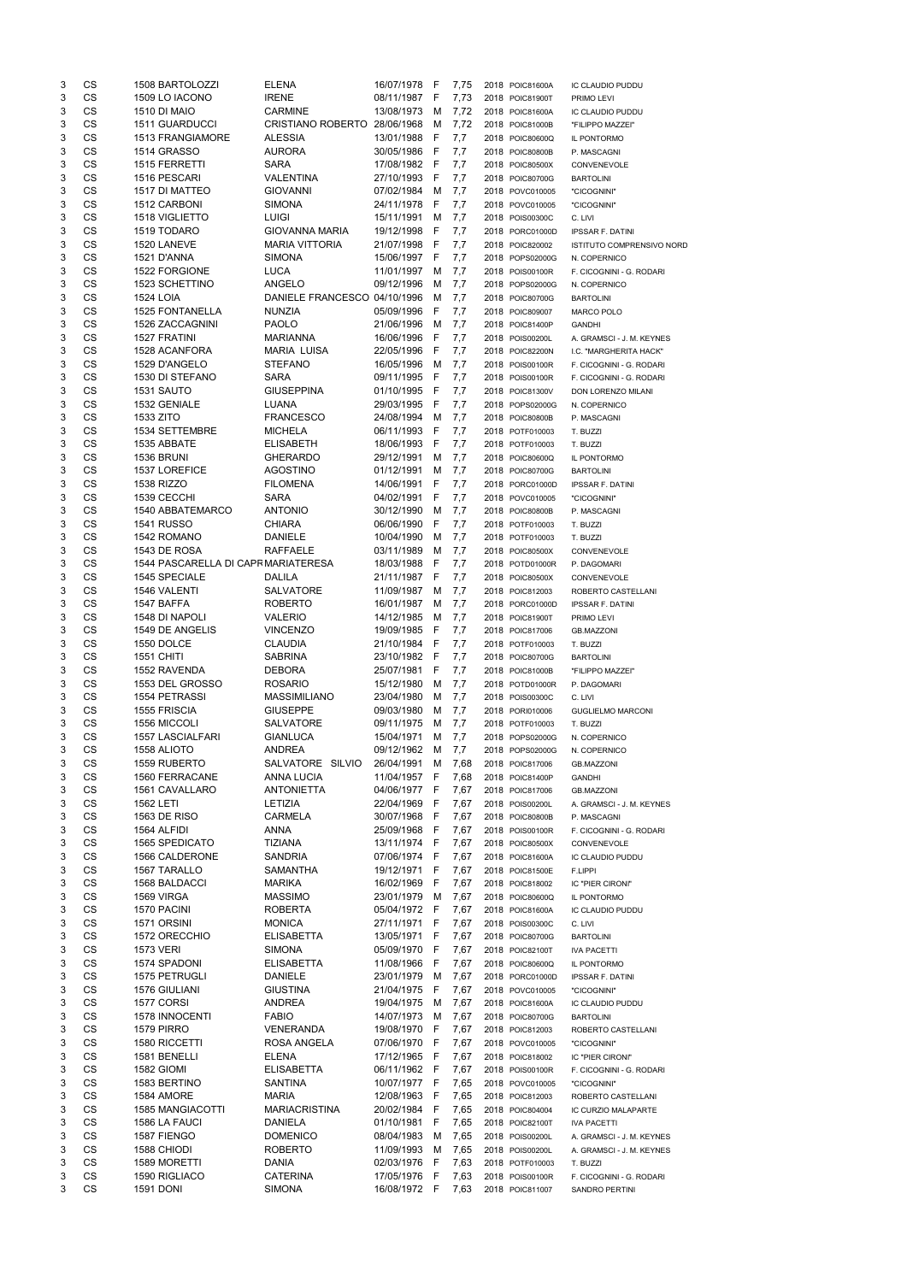| 3      | CS                     | 1508 BARTOLOZZI                           | <b>ELENA</b>                           | 16/07/1978                   | - F        | 7,75         | 2018 POIC81600A                    | IC CLAUDIO PUDDU                                |
|--------|------------------------|-------------------------------------------|----------------------------------------|------------------------------|------------|--------------|------------------------------------|-------------------------------------------------|
| 3      | CS                     | 1509 LO IACONO                            | <b>IRENE</b>                           | 08/11/1987 F                 |            | 7,73         | 2018 POIC81900T                    | PRIMO LEVI                                      |
| 3      | CS                     | <b>1510 DI MAIO</b>                       | <b>CARMINE</b>                         | 13/08/1973                   | м          | 7,72         | 2018 POIC81600A                    | IC CLAUDIO PUDDU                                |
| 3      | CS                     | 1511 GUARDUCCI                            | CRISTIANO ROBERTO 28/06/1968           |                              | M          | 7,72         | 2018 POIC81000B                    | "FILIPPO MAZZEI"                                |
| 3<br>3 | CS<br><b>CS</b>        | <b>1513 FRANGIAMORE</b><br>1514 GRASSO    | <b>ALESSIA</b><br><b>AURORA</b>        | 13/01/1988<br>30/05/1986     | - F        | 7,7          | 2018 POIC80600Q                    | IL PONTORMO<br>P. MASCAGNI                      |
| 3      | <b>CS</b>              | <b>1515 FERRETTI</b>                      | <b>SARA</b>                            | 17/08/1982                   | - F<br>- F | 7,7<br>7,7   | 2018 POIC80800B<br>2018 POIC80500X | CONVENEVOLE                                     |
| 3      | <b>CS</b>              | 1516 PESCARI                              | VALENTINA                              | 27/10/1993                   | - F        | 7,7          | 2018 POIC80700G                    | <b>BARTOLINI</b>                                |
| 3      | CS                     | 1517 DI MATTEO                            | <b>GIOVANNI</b>                        | 07/02/1984                   | M          | 7,7          | 2018 POVC010005                    | "CICOGNINI"                                     |
| 3      | CS                     | 1512 CARBONI                              | <b>SIMONA</b>                          | 24/11/1978                   | -F         | 7,7          | 2018 POVC010005                    | "CICOGNINI"                                     |
| 3      | CS                     | <b>1518 VIGLIETTO</b>                     | <b>LUIGI</b>                           | 15/11/1991                   | M          | 7,7          | 2018 POIS00300C                    | C. LIVI                                         |
| 3      | CS                     | 1519 TODARO                               | <b>GIOVANNA MARIA</b>                  | 19/12/1998                   | - F        | 7,7          | 2018 PORC01000D                    | <b>IPSSAR F. DATINI</b>                         |
| 3      | CS                     | 1520 LANEVE                               | <b>MARIA VITTORIA</b>                  | 21/07/1998                   | - F        | 7,7          | 2018 POIC820002                    | ISTITUTO COMPRENSIVO NORD                       |
| 3      | CS                     | 1521 D'ANNA                               | <b>SIMONA</b>                          | 15/06/1997                   | - F        | 7,7          | 2018 POPS02000G                    | N. COPERNICO                                    |
| 3      | CS                     | 1522 FORGIONE                             | <b>LUCA</b>                            | 11/01/1997                   | M          | 7,7          | 2018 POIS00100R                    | F. CICOGNINI - G. RODARI                        |
| 3      | CS<br>CS               | <b>1523 SCHETTINO</b><br><b>1524 LOIA</b> | ANGELO<br>DANIELE FRANCESCO 04/10/1996 | 09/12/1996                   | M<br>м     | 7,7          | 2018 POPS02000G                    | N. COPERNICO                                    |
| 3<br>3 | CS                     | <b>1525 FONTANELLA</b>                    | <b>NUNZIA</b>                          | 05/09/1996                   | -F         | 7,7<br>7,7   | 2018 POIC80700G<br>2018 POIC809007 | <b>BARTOLINI</b><br>MARCO POLO                  |
| 3      | CS                     | 1526 ZACCAGNINI                           | <b>PAOLO</b>                           | 21/06/1996                   | M          | 7,7          | 2018 POIC81400P                    | <b>GANDHI</b>                                   |
| 3      | CS                     | 1527 FRATINI                              | <b>MARIANNA</b>                        | 16/06/1996                   | -F         | 7,7          | 2018 POIS00200L                    | A. GRAMSCI - J. M. KEYNES                       |
| 3      | CS                     | 1528 ACANFORA                             | <b>MARIA LUISA</b>                     | 22/05/1996                   | -F         | 7,7          | 2018 POIC82200N                    | I.C. "MARGHERITA HACK"                          |
| 3      | <b>CS</b>              | 1529 D'ANGELO                             | <b>STEFANO</b>                         | 16/05/1996                   | M          | 7,7          | 2018 POIS00100R                    | F. CICOGNINI - G. RODARI                        |
| 3      | <b>CS</b>              | 1530 DI STEFANO                           | <b>SARA</b>                            | 09/11/1995                   | - F        | 7,7          | 2018 POIS00100R                    | F. CICOGNINI - G. RODARI                        |
| 3      | <b>CS</b>              | 1531 SAUTO                                | <b>GIUSEPPINA</b>                      | 01/10/1995                   | -F         | 7,7          | 2018 POIC81300V                    | DON LORENZO MILANI                              |
| 3      | CS                     | 1532 GENIALE                              | <b>LUANA</b>                           | 29/03/1995                   | -F         | 7,7          | 2018 POPS02000G                    | N. COPERNICO                                    |
| 3      | CS                     | 1533 ZITO                                 | <b>FRANCESCO</b>                       | 24/08/1994                   | M          | 7,7          | 2018 POIC80800B                    | P. MASCAGNI                                     |
| 3      | CS<br>CS               | 1534 SETTEMBRE                            | <b>MICHELA</b>                         | 06/11/1993                   | -F         | 7,7          | 2018 POTF010003                    | T. BUZZI                                        |
| 3<br>3 | CS                     | 1535 ABBATE<br><b>1536 BRUNI</b>          | <b>ELISABETH</b><br><b>GHERARDO</b>    | 18/06/1993<br>29/12/1991     | F<br>M     | 7,7<br>7,7   | 2018 POTF010003<br>2018 POIC80600Q | T. BUZZI                                        |
| 3      | CS                     | 1537 LOREFICE                             | <b>AGOSTINO</b>                        | 01/12/1991                   | M          | 7,7          | 2018 POIC80700G                    | IL PONTORMO<br><b>BARTOLINI</b>                 |
| 3      | CS                     | <b>1538 RIZZO</b>                         | <b>FILOMENA</b>                        | 14/06/1991                   | F          | 7,7          | 2018 PORC01000D                    | <b>IPSSAR F. DATINI</b>                         |
| 3      | CS                     | 1539 CECCHI                               | <b>SARA</b>                            | 04/02/1991                   | F          | 7,7          | 2018 POVC010005                    | "CICOGNINI"                                     |
| 3      | CS                     | 1540 ABBATEMARCO                          | <b>ANTONIO</b>                         | 30/12/1990                   | M          | 7,7          | 2018 POIC80800B                    | P. MASCAGNI                                     |
| 3      | CS                     | <b>1541 RUSSO</b>                         | <b>CHIARA</b>                          | 06/06/1990                   | F          | 7,7          | 2018 POTF010003                    | T. BUZZI                                        |
| 3      | CS                     | 1542 ROMANO                               | <b>DANIELE</b>                         | 10/04/1990                   | м          | 7,7          | 2018 POTF010003                    | T. BUZZI                                        |
| 3      | <b>CS</b>              | <b>1543 DE ROSA</b>                       | <b>RAFFAELE</b>                        | 03/11/1989                   | М          | 7,7          | 2018 POIC80500X                    | CONVENEVOLE                                     |
| 3      | CS                     | 1544 PASCARELLA DI CAPR MARIATERESA       |                                        | 18/03/1988                   | — H        | 7,7          | 2018 POTD01000R                    | P. DAGOMARI                                     |
| 3      | CS                     | <b>1545 SPECIALE</b>                      | <b>DALILA</b>                          | 21/11/1987                   | - F        | 7,7          | 2018 POIC80500X                    | CONVENEVOLE                                     |
| 3      | <b>CS</b>              | 1546 VALENTI                              | <b>SALVATORE</b>                       | 11/09/1987                   | M          | 7,7          | 2018 POIC812003                    | ROBERTO CASTELLANI                              |
| 3      | <b>CS</b><br><b>CS</b> | 1547 BAFFA<br>1548 DI NAPOLI              | <b>ROBERTO</b><br>VALERIO              | 16/01/1987<br>14/12/1985     | M          | 7,7          | 2018 PORC01000D                    | <b>IPSSAR F. DATINI</b>                         |
| 3<br>3 | <b>CS</b>              | 1549 DE ANGELIS                           | <b>VINCENZO</b>                        | 19/09/1985                   | м<br>- F   | 7,7<br>7,7   | 2018 POIC81900T<br>2018 POIC817006 | PRIMO LEVI<br><b>GB.MAZZONI</b>                 |
| 3      | <b>CS</b>              | 1550 DOLCE                                | <b>CLAUDIA</b>                         | 21/10/1984                   | -F         | 7,7          | 2018 POTF010003                    | T. BUZZI                                        |
| 3      | CS                     | <b>1551 CHITI</b>                         | <b>SABRINA</b>                         | 23/10/1982                   | - F        | 7,7          | 2018 POIC80700G                    | <b>BARTOLINI</b>                                |
| 3      | CS                     | 1552 RAVENDA                              | <b>DEBORA</b>                          | 25/07/1981                   | F          | 7,7          | 2018 POIC81000B                    | "FILIPPO MAZZEI"                                |
| 3      | CS                     | 1553 DEL GROSSO                           | <b>ROSARIO</b>                         | 15/12/1980                   | M          | 7,7          | 2018 POTD01000R                    | P. DAGOMARI                                     |
| 3      | <b>CS</b>              | 1554 PETRASSI                             | <b>MASSIMILIANO</b>                    | 23/04/1980                   | M          | 7,7          | 2018 POIS00300C                    | C. LIVI                                         |
| 3      | CS                     | 1555 FRISCIA                              | <b>GIUSEPPE</b>                        | 09/03/1980                   | M          | 7,7          | 2018 PORI010006                    | <b>GUGLIELMO MARCONI</b>                        |
| 3      | CS                     | 1556 MICCOLI                              | <b>SALVATORE</b>                       | 09/11/1975                   | м          | 7,7          | 2018 POTF010003                    | T. BUZZI                                        |
| 3      | CS                     | <b>1557 LASCIALFARI</b>                   | <b>GIANLUCA</b>                        | 15/04/1971                   | м          | 7,7          | 2018 POPS02000G                    | N. COPERNICO                                    |
| 3      | CS                     | 1558 ALIOTO                               | <b>ANDREA</b>                          | 09/12/1962                   | м          | 7,7          | 2018 POPS02000G                    | N. COPERNICO                                    |
| 3      | CS<br>CS               | 1559 RUBERTO                              | SALVATORE SILVIO                       | 26/04/1991                   | M          | 7,68         | 2018 POIC817006                    | <b>GB.MAZZONI</b>                               |
| 3<br>3 | CS                     | 1560 FERRACANE<br>1561 CAVALLARO          | <b>ANNA LUCIA</b><br><b>ANTONIETTA</b> | 11/04/1957 F<br>04/06/1977 F |            | 7,68<br>7,67 | 2018 POIC81400P<br>2018 POIC817006 | <b>GANDHI</b><br><b>GB.MAZZONI</b>              |
| 3      | <b>CS</b>              | <b>1562 LETI</b>                          | <b>LETIZIA</b>                         | 22/04/1969                   | -F         | 7,67         | 2018 POIS00200L                    | A. GRAMSCI - J. M. KEYNES                       |
| 3      | <b>CS</b>              | 1563 DE RISO                              | <b>CARMELA</b>                         | 30/07/1968                   | - F        | 7,67         | 2018 POIC80800B                    | P. MASCAGNI                                     |
| 3      | <b>CS</b>              | 1564 ALFIDI                               | <b>ANNA</b>                            | 25/09/1968                   | - F        | 7,67         | 2018 POIS00100R                    | F. CICOGNINI - G. RODARI                        |
| 3      | <b>CS</b>              | 1565 SPEDICATO                            | <b>TIZIANA</b>                         | 13/11/1974 F                 |            | 7,67         | 2018 POIC80500X                    | CONVENEVOLE                                     |
| 3      | <b>CS</b>              | 1566 CALDERONE                            | <b>SANDRIA</b>                         | 07/06/1974 F                 |            | 7,67         | 2018 POIC81600A                    | IC CLAUDIO PUDDU                                |
| 3      | <b>CS</b>              | 1567 TARALLO                              | <b>SAMANTHA</b>                        | 19/12/1971                   | - F        | 7,67         | 2018 POIC81500E                    | F.LIPPI                                         |
| 3      | <b>CS</b>              | 1568 BALDACCI                             | <b>MARIKA</b>                          | 16/02/1969                   | - F        | 7,67         | 2018 POIC818002                    | IC "PIER CIRONI"                                |
| 3      | CS                     | 1569 VIRGA                                | <b>MASSIMO</b>                         | 23/01/1979                   | M          | 7,67         | 2018 POIC80600Q                    | IL PONTORMO                                     |
| 3      | CS                     | 1570 PACINI                               | <b>ROBERTA</b>                         | 05/04/1972                   | - F        | 7,67         | 2018 POIC81600A                    | IC CLAUDIO PUDDU                                |
| 3      | <b>CS</b>              | 1571 ORSINI                               | <b>MONICA</b>                          | 27/11/1971                   | - F        | 7,67         | 2018 POIS00300C                    | C. LIVI                                         |
| 3<br>3 | <b>CS</b><br><b>CS</b> | 1572 ORECCHIO<br><b>1573 VERI</b>         | <b>ELISABETTA</b><br><b>SIMONA</b>     | 13/05/1971<br>05/09/1970     | - F<br>-F  | 7,67<br>7,67 | 2018 POIC80700G<br>2018 POIC82100T | <b>BARTOLINI</b>                                |
| 3      | CS                     | 1574 SPADONI                              | <b>ELISABETTA</b>                      | 11/08/1966                   | -F         | 7,67         | 2018 POIC80600Q                    | <b>IVA PACETTI</b><br>IL PONTORMO               |
| 3      | CS                     | 1575 PETRUGLI                             | <b>DANIELE</b>                         | 23/01/1979                   | M          | 7,67         | 2018 PORC01000D                    | <b>IPSSAR F. DATINI</b>                         |
| 3      | CS                     | 1576 GIULIANI                             | <b>GIUSTINA</b>                        | 21/04/1975                   | - F        | 7,67         | 2018 POVC010005                    | "CICOGNINI"                                     |
| 3      | CS                     | 1577 CORSI                                | <b>ANDREA</b>                          | 19/04/1975                   | M          | 7,67         | 2018 POIC81600A                    | IC CLAUDIO PUDDU                                |
| 3      | CS                     | <b>1578 INNOCENTI</b>                     | <b>FABIO</b>                           | 14/07/1973                   | M          | 7,67         | 2018 POIC80700G                    | <b>BARTOLINI</b>                                |
| 3      | <b>CS</b>              | <b>1579 PIRRO</b>                         | <b>VENERANDA</b>                       | 19/08/1970                   | - F        | 7,67         | 2018 POIC812003                    | ROBERTO CASTELLANI                              |
| 3      | <b>CS</b>              | 1580 RICCETTI                             | ROSA ANGELA                            | 07/06/1970 F 7,67            |            |              | 2018 POVC010005                    | "CICOGNINI"                                     |
| 3      | CS                     | 1581 BENELLI                              | <b>ELENA</b>                           | 17/12/1965 F                 |            | 7,67         | 2018 POIC818002                    | IC "PIER CIRONI"                                |
| 3      | CS                     | 1582 GIOMI                                | <b>ELISABETTA</b>                      | 06/11/1962                   | - F        | 7,67         | 2018 POIS00100R                    | F. CICOGNINI - G. RODARI                        |
| 3      | CS                     | 1583 BERTINO                              | SANTINA                                | 10/07/1977 F                 |            | 7,65         | 2018 POVC010005                    | "CICOGNINI"                                     |
| 3      | CS                     | 1584 AMORE                                | <b>MARIA</b>                           | 12/08/1963                   | - F        | 7,65         | 2018 POIC812003                    | ROBERTO CASTELLANI                              |
| 3<br>3 | CS<br>CS               | <b>1585 MANGIACOTTI</b><br>1586 LA FAUCI  | <b>MARIACRISTINA</b><br><b>DANIELA</b> | 20/02/1984<br>01/10/1981     | - F<br>F.  | 7,65<br>7,65 | 2018 POIC804004<br>2018 POIC82100T | IC CURZIO MALAPARTE                             |
| 3      | CS                     | 1587 FIENGO                               | <b>DOMENICO</b>                        | 08/04/1983                   | M          | 7,65         | 2018 POIS00200L                    | <b>IVA PACETTI</b><br>A. GRAMSCI - J. M. KEYNES |
| 3      | CS                     | 1588 CHIODI                               | <b>ROBERTO</b>                         | 11/09/1993                   | M          | 7,65         | 2018 POIS00200L                    | A. GRAMSCI - J. M. KEYNES                       |
| 3      | CS                     | 1589 MORETTI                              | DANIA                                  | 02/03/1976                   | -F         | 7,63         | 2018 POTF010003                    | T. BUZZI                                        |
| 3      | CS                     | 1590 RIGLIACO                             | <b>CATERINA</b>                        | 17/05/1976                   | - F        | 7,63         | 2018 POIS00100R                    | F. CICOGNINI - G. RODARI                        |
| 3      | CS                     | <b>1591 DONI</b>                          | <b>SIMONA</b>                          | 16/08/1972 F                 |            | 7,63         | 2018 POIC811007                    | SANDRO PERTINI                                  |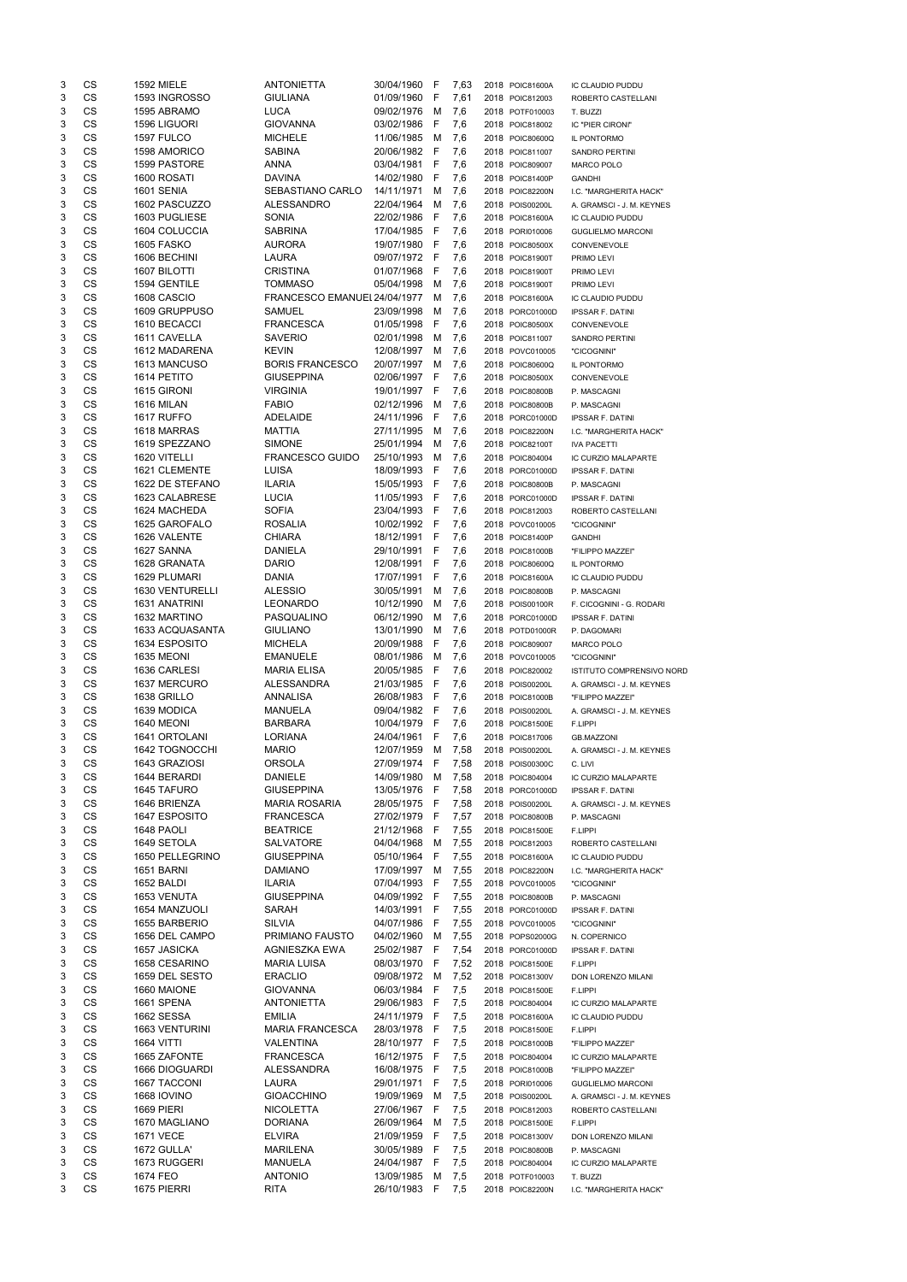| 3          | CS        | <b>1592 MIELE</b> | <b>ANTONIETTA</b>            | 30/04/1960 F |              | 7,63 | 2018 POIC81600A | IC CLAUDIO PUDDU          |
|------------|-----------|-------------------|------------------------------|--------------|--------------|------|-----------------|---------------------------|
| 3          | CS        | 1593 INGROSSO     | <b>GIULIANA</b>              | 01/09/1960   | -F           | 7,61 | 2018 POIC812003 | ROBERTO CASTELLANI        |
| 3          | CS        | 1595 ABRAMO       | <b>LUCA</b>                  | 09/02/1976   | M            | 7,6  | 2018 POTF010003 | T. BUZZI                  |
| 3          | CS        | 1596 LIGUORI      | <b>GIOVANNA</b>              | 03/02/1986   | -F           | 7,6  | 2018 POIC818002 | IC "PIER CIRONI"          |
| 3          | CS        | 1597 FULCO        | <b>MICHELE</b>               | 11/06/1985   | M            | 7,6  | 2018 POIC80600Q | IL PONTORMO               |
| 3          | <b>CS</b> | 1598 AMORICO      | <b>SABINA</b>                | 20/06/1982   | - F          | 7,6  | 2018 POIC811007 | <b>SANDRO PERTINI</b>     |
| 3          | CS        | 1599 PASTORE      | <b>ANNA</b>                  | 03/04/1981   | -F           | 7,6  | 2018 POIC809007 | <b>MARCO POLO</b>         |
| 3          | CS        | 1600 ROSATI       | <b>DAVINA</b>                | 14/02/1980   | F            | 7,6  | 2018 POIC81400P | <b>GANDHI</b>             |
| 3          | CS        | 1601 SENIA        | SEBASTIANO CARLO             | 14/11/1971   | M            | 7,6  | 2018 POIC82200N | I.C. "MARGHERITA HACK"    |
| 3          | <b>CS</b> | 1602 PASCUZZO     | <b>ALESSANDRO</b>            | 22/04/1964   | м            | 7,6  | 2018 POIS00200L | A. GRAMSCI - J. M. KEYNES |
| 3          | <b>CS</b> | 1603 PUGLIESE     | <b>SONIA</b>                 | 22/02/1986   | - F          | 7,6  | 2018 POIC81600A | IC CLAUDIO PUDDU          |
| 3          | CS        | 1604 COLUCCIA     | <b>SABRINA</b>               | 17/04/1985   | - F          | 7,6  | 2018 PORI010006 | <b>GUGLIELMO MARCONI</b>  |
| 3          | <b>CS</b> | <b>1605 FASKO</b> | <b>AURORA</b>                | 19/07/1980   | - F          | 7,6  | 2018 POIC80500X | CONVENEVOLE               |
| 3          | <b>CS</b> | 1606 BECHINI      | <b>LAURA</b>                 | 09/07/1972   | - F          | 7,6  | 2018 POIC81900T | PRIMO LEVI                |
| 3          | <b>CS</b> | 1607 BILOTTI      | <b>CRISTINA</b>              | 01/07/1968   | - F          | 7,6  | 2018 POIC81900T | PRIMO LEVI                |
| 3          | CS        | 1594 GENTILE      | <b>TOMMASO</b>               | 05/04/1998   | M            | 7,6  | 2018 POIC81900T | PRIMO LEVI                |
| 3          | CS        | 1608 CASCIO       | FRANCESCO EMANUEL 24/04/1977 |              | M            | 7,6  | 2018 POIC81600A | IC CLAUDIO PUDDU          |
| 3          | <b>CS</b> | 1609 GRUPPUSO     | <b>SAMUEL</b>                | 23/09/1998   |              |      |                 |                           |
|            | <b>CS</b> |                   |                              |              | M            | 7,6  | 2018 PORC01000D | <b>IPSSAR F. DATINI</b>   |
| 3          |           | 1610 BECACCI      | <b>FRANCESCA</b>             | 01/05/1998   | -F           | 7,6  | 2018 POIC80500X | CONVENEVOLE               |
| 3          | <b>CS</b> | 1611 CAVELLA      | <b>SAVERIO</b>               | 02/01/1998   | м            | 7,6  | 2018 POIC811007 | SANDRO PERTINI            |
| 3          | CS        | 1612 MADARENA     | <b>KEVIN</b>                 | 12/08/1997   | м            | 7,6  | 2018 POVC010005 | "CICOGNINI"               |
| 3          | CS        | 1613 MANCUSO      | <b>BORIS FRANCESCO</b>       | 20/07/1997   | M            | 7,6  | 2018 POIC80600Q | IL PONTORMO               |
| 3          | CS        | 1614 PETITO       | <b>GIUSEPPINA</b>            | 02/06/1997 F |              | 7,6  | 2018 POIC80500X | CONVENEVOLE               |
| 3          | CS        | 1615 GIRONI       | <b>VIRGINIA</b>              | 19/01/1997 F |              | 7,6  | 2018 POIC80800B | P. MASCAGNI               |
| 3          | <b>CS</b> | <b>1616 MILAN</b> | <b>FABIO</b>                 | 02/12/1996   | M            | 7,6  | 2018 POIC80800B | P. MASCAGNI               |
| 3          | <b>CS</b> | 1617 RUFFO        | ADELAIDE                     | 24/11/1996   | -F           | 7,6  | 2018 PORC01000D | <b>IPSSAR F. DATINI</b>   |
| 3          | <b>CS</b> | 1618 MARRAS       | <b>MATTIA</b>                | 27/11/1995   | M            | 7,6  | 2018 POIC82200N | I.C. "MARGHERITA HACK"    |
| 3          | <b>CS</b> | 1619 SPEZZANO     | <b>SIMONE</b>                | 25/01/1994   | м            | 7,6  | 2018 POIC82100T | <b>IVA PACETTI</b>        |
| 3          | <b>CS</b> | 1620 VITELLI      | <b>FRANCESCO GUIDO</b>       | 25/10/1993   | м            | 7,6  | 2018 POIC804004 | IC CURZIO MALAPARTE       |
| 3          | <b>CS</b> | 1621 CLEMENTE     | LUISA                        | 18/09/1993   | F            | 7,6  | 2018 PORC01000D | <b>IPSSAR F. DATINI</b>   |
| 3          | <b>CS</b> | 1622 DE STEFANO   | <b>ILARIA</b>                | 15/05/1993   | $\mathsf{F}$ | 7,6  | 2018 POIC80800B | P. MASCAGNI               |
| 3          | CS        | 1623 CALABRESE    | <b>LUCIA</b>                 | 11/05/1993   | - F          | 7,6  | 2018 PORC01000D | <b>IPSSAR F. DATINI</b>   |
| 3          | CS        | 1624 MACHEDA      | <b>SOFIA</b>                 | 23/04/1993   | -F           | 7,6  | 2018 POIC812003 | ROBERTO CASTELLANI        |
| 3          | CS        | 1625 GAROFALO     | <b>ROSALIA</b>               | 10/02/1992   | - F          | 7,6  | 2018 POVC010005 | "CICOGNINI"               |
| 3          | <b>CS</b> | 1626 VALENTE      | <b>CHIARA</b>                |              |              |      |                 |                           |
|            | <b>CS</b> |                   |                              | 18/12/1991 F |              | 7,6  | 2018 POIC81400P | <b>GANDHI</b>             |
| 3          |           | 1627 SANNA        | <b>DANIELA</b>               | 29/10/1991 F |              | 7,6  | 2018 POIC81000B | "FILIPPO MAZZEI"          |
| $\sqrt{3}$ | <b>CS</b> | 1628 GRANATA      | <b>DARIO</b>                 | 12/08/1991 F |              | 7,6  | 2018 POIC80600Q | IL PONTORMO               |
| 3          | CS        | 1629 PLUMARI      | <b>DANIA</b>                 | 17/07/1991   | F            | 7,6  | 2018 POIC81600A | IC CLAUDIO PUDDU          |
| 3          | CS        | 1630 VENTURELLI   | <b>ALESSIO</b>               | 30/05/1991   | м            | 7,6  | 2018 POIC80800B | P. MASCAGNI               |
| 3          | <b>CS</b> | 1631 ANATRINI     | <b>LEONARDO</b>              | 10/12/1990   | м            | 7,6  | 2018 POIS00100R | F. CICOGNINI - G. RODARI  |
| 3          | <b>CS</b> | 1632 MARTINO      | PASQUALINO                   | 06/12/1990   | м            | 7,6  | 2018 PORC01000D | <b>IPSSAR F. DATINI</b>   |
| 3          | <b>CS</b> | 1633 ACQUASANTA   | <b>GIULIANO</b>              | 13/01/1990   | м            | 7,6  | 2018 POTD01000R | P. DAGOMARI               |
| 3          | <b>CS</b> | 1634 ESPOSITO     | <b>MICHELA</b>               | 20/09/1988   | F            | 7,6  | 2018 POIC809007 | <b>MARCO POLO</b>         |
|            |           |                   |                              |              |              |      |                 |                           |
| 3          | <b>CS</b> | 1635 MEONI        | <b>EMANUELE</b>              | 08/01/1986   | M            | 7,6  | 2018 POVC010005 | "CICOGNINI"               |
| 3          | <b>CS</b> | 1636 CARLESI      | <b>MARIA ELISA</b>           | 20/05/1985   | F            | 7,6  | 2018 POIC820002 | ISTITUTO COMPRENSIVO NORD |
| 3          |           |                   |                              |              | -F           |      | 2018 POIS00200L | A. GRAMSCI - J. M. KEYNES |
|            | <b>CS</b> | 1637 MERCURO      | <b>ALESSANDRA</b>            | 21/03/1985   |              | 7,6  |                 |                           |
| 3          | <b>CS</b> | 1638 GRILLO       | <b>ANNALISA</b>              | 26/08/1983   | -F           | 7,6  | 2018 POIC81000B | "FILIPPO MAZZEI"          |
| 3          | <b>CS</b> | 1639 MODICA       | <b>MANUELA</b>               | 09/04/1982   | - F          | 7,6  | 2018 POIS00200L | A. GRAMSCI - J. M. KEYNES |
| 3          | CS        | <b>1640 MEONI</b> | <b>BARBARA</b>               | 10/04/1979   | -F           | 7,6  | 2018 POIC81500E | F.LIPPI                   |
| 3          | CS        | 1641 ORTOLANI     | <b>LORIANA</b>               | 24/04/1961   | F            | 7,6  | 2018 POIC817006 | <b>GB.MAZZONI</b>         |
| 3          | <b>CS</b> | 1642 TOGNOCCHI    | <b>MARIO</b>                 | 12/07/1959   | M            | 7,58 | 2018 POIS00200L | A. GRAMSCI - J. M. KEYNES |
| 3          | <b>CS</b> | 1643 GRAZIOSI     | <b>ORSOLA</b>                | 27/09/1974   | -F           | 7,58 | 2018 POIS00300C | C. LIVI                   |
| 3          | <b>CS</b> | 1644 BERARDI      | <b>DANIELE</b>               | 14/09/1980   | M            | 7,58 | 2018 POIC804004 | IC CURZIO MALAPARTE       |
| 3          | <b>CS</b> | 1645 TAFURO       | <b>GIUSEPPINA</b>            | 13/05/1976   | - F          | 7,58 | 2018 PORC01000D | <b>IPSSAR F. DATINI</b>   |
| 3          | <b>CS</b> | 1646 BRIENZA      | <b>MARIA ROSARIA</b>         | 28/05/1975   | - F          | 7,58 | 2018 POIS00200L | A. GRAMSCI - J. M. KEYNES |
| 3          | CS        | 1647 ESPOSITO     | <b>FRANCESCA</b>             | 27/02/1979   | - F          | 7,57 | 2018 POIC80800B | P. MASCAGNI               |
| 3          | CS        | 1648 PAOLI        | <b>BEATRICE</b>              | 21/12/1968   | -F           | 7,55 | 2018 POIC81500E | F.LIPPI                   |
| 3          | <b>CS</b> | 1649 SETOLA       | <b>SALVATORE</b>             | 04/04/1968   | M            | 7,55 | 2018 POIC812003 | ROBERTO CASTELLANI        |
| 3          | CS        | 1650 PELLEGRINO   | <b>GIUSEPPINA</b>            | 05/10/1964   | -F           | 7,55 | 2018 POIC81600A | IC CLAUDIO PUDDU          |
| 3          | <b>CS</b> | <b>1651 BARNI</b> | <b>DAMIANO</b>               | 17/09/1997   | M            | 7,55 | 2018 POIC82200N | I.C. "MARGHERITA HACK"    |
| 3          | <b>CS</b> | 1652 BALDI        | <b>ILARIA</b>                | 07/04/1993   | - F          | 7,55 | 2018 POVC010005 | "CICOGNINI"               |
| 3          | <b>CS</b> | 1653 VENUTA       | <b>GIUSEPPINA</b>            | 04/09/1992   | - F          | 7,55 | 2018 POIC80800B | P. MASCAGNI               |
| 3          | <b>CS</b> | 1654 MANZUOLI     | <b>SARAH</b>                 | 14/03/1991   | -F           | 7,55 | 2018 PORC01000D | <b>IPSSAR F. DATINI</b>   |
| 3          | <b>CS</b> | 1655 BARBERIO     | <b>SILVIA</b>                | 04/07/1986   | -F           | 7,55 | 2018 POVC010005 | "CICOGNINI"               |
| 3          | <b>CS</b> | 1656 DEL CAMPO    | PRIMIANO FAUSTO              | 04/02/1960   | M            | 7,55 | 2018 POPS02000G | N. COPERNICO              |
| 3          | <b>CS</b> | 1657 JASICKA      | AGNIESZKA EWA                | 25/02/1987   | - F          | 7,54 | 2018 PORC01000D | <b>IPSSAR F. DATINI</b>   |
|            |           | 1658 CESARINO     | <b>MARIA LUISA</b>           | 08/03/1970   | -F           |      |                 | F.LIPPI                   |
| 3          | CS        |                   |                              |              |              | 7,52 | 2018 POIC81500E |                           |
| 3          | <b>CS</b> | 1659 DEL SESTO    | <b>ERACLIO</b>               | 09/08/1972   | M            | 7,52 | 2018 POIC81300V | DON LORENZO MILANI        |
| 3          | <b>CS</b> | 1660 MAIONE       | <b>GIOVANNA</b>              | 06/03/1984   | - F          | 7,5  | 2018 POIC81500E | F.LIPPI                   |
| 3          | <b>CS</b> | 1661 SPENA        | <b>ANTONIETTA</b>            | 29/06/1983   | -F           | 7,5  | 2018 POIC804004 | IC CURZIO MALAPARTE       |
| 3          | <b>CS</b> | 1662 SESSA        | <b>EMILIA</b>                | 24/11/1979   | - F          | 7,5  | 2018 POIC81600A | IC CLAUDIO PUDDU          |
| 3          | <b>CS</b> | 1663 VENTURINI    | <b>MARIA FRANCESCA</b>       | 28/03/1978   | - F          | 7,5  | 2018 POIC81500E | F.LIPPI                   |
| 3          | <b>CS</b> | <b>1664 VITTI</b> | VALENTINA                    | 28/10/1977   | F            | 7,5  | 2018 POIC81000B | "FILIPPO MAZZEI"          |
| 3          | CS        | 1665 ZAFONTE      | <b>FRANCESCA</b>             | 16/12/1975 F |              | 7,5  | 2018 POIC804004 | IC CURZIO MALAPARTE       |
| 3          | CS        | 1666 DIOGUARDI    | ALESSANDRA                   | 16/08/1975   | - F          | 7,5  | 2018 POIC81000B | "FILIPPO MAZZEI"          |
| 3          | CS        | 1667 TACCONI      | LAURA                        | 29/01/1971   | F            | 7,5  | 2018 PORI010006 | <b>GUGLIELMO MARCONI</b>  |
| 3          | CS        | 1668 IOVINO       | <b>GIOACCHINO</b>            | 19/09/1969   | M            | 7,5  | 2018 POIS00200L | A. GRAMSCI - J. M. KEYNES |
| 3          | CS        | <b>1669 PIERI</b> | <b>NICOLETTA</b>             | 27/06/1967   | F            | 7,5  | 2018 POIC812003 | ROBERTO CASTELLANI        |
| 3          | CS        | 1670 MAGLIANO     | <b>DORIANA</b>               | 26/09/1964   | M            | 7,5  | 2018 POIC81500E | F.LIPPI                   |
| 3          | CS        | <b>1671 VECE</b>  | <b>ELVIRA</b>                | 21/09/1959   | -F           | 7,5  | 2018 POIC81300V | DON LORENZO MILANI        |
| 3          | CS        | 1672 GULLA'       | <b>MARILENA</b>              | 30/05/1989   | -F           | 7,5  | 2018 POIC80800B | P. MASCAGNI               |
| 3          | CS        | 1673 RUGGERI      | <b>MANUELA</b>               | 24/04/1987   | -F           | 7,5  | 2018 POIC804004 | IC CURZIO MALAPARTE       |
| 3          | CS<br>CS  | 1674 FEO          | <b>ANTONIO</b>               | 13/09/1985   | M            | 7,5  | 2018 POTF010003 | T. BUZZI                  |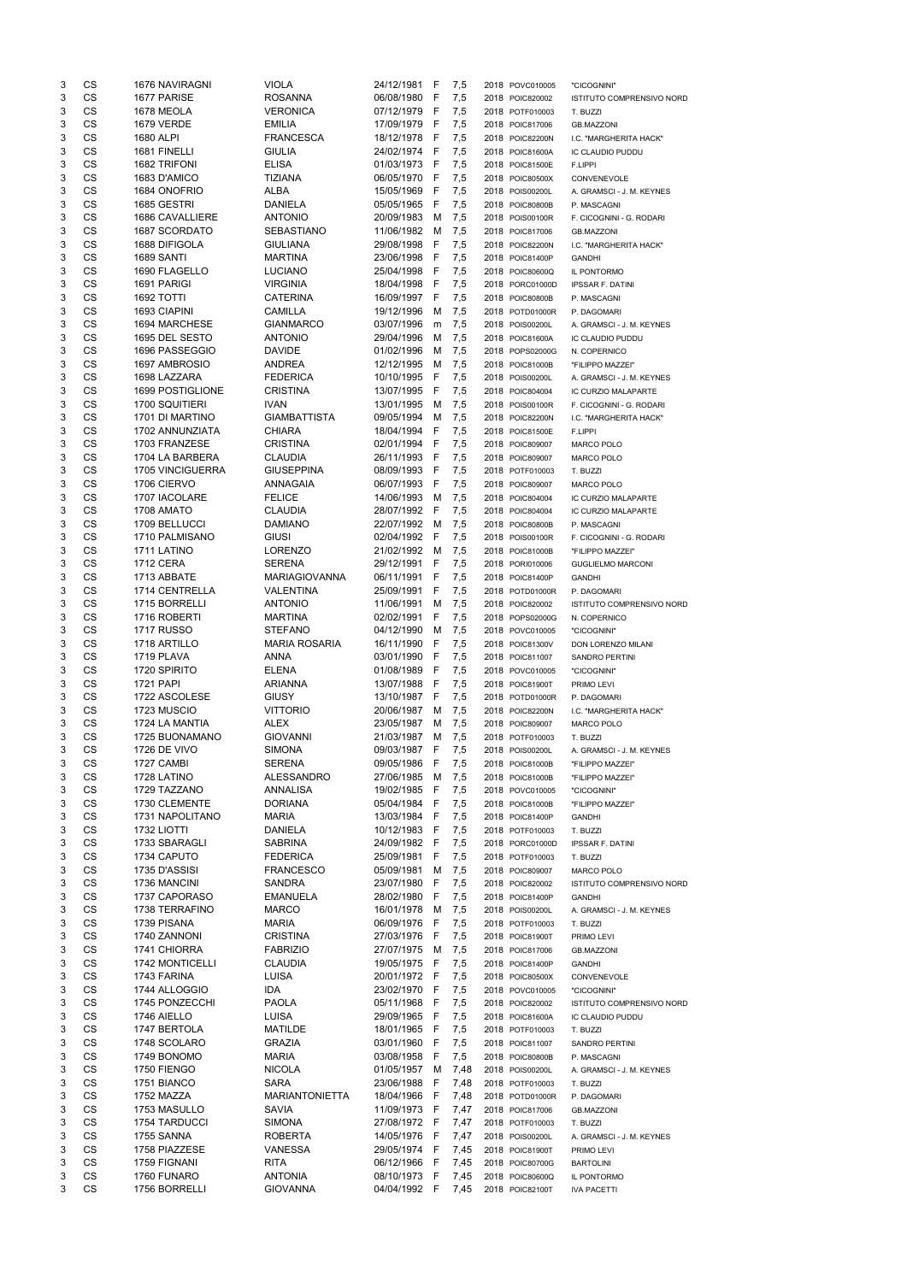| 3      | CS        | 1676 NAVIRAGNI      | <b>VIOLA</b>          | 24/12/1981                 | F    | 7,5        | 2018 POVC010005 | "CICOGNINI"                      |
|--------|-----------|---------------------|-----------------------|----------------------------|------|------------|-----------------|----------------------------------|
| 3      | <b>CS</b> | 1677 PARISE         | <b>ROSANNA</b>        | 06/08/1980                 | F    | 7,5        | 2018 POIC820002 | <b>ISTITUTO COMPRENSIVO NORD</b> |
| 3      | <b>CS</b> | 1678 MEOLA          | <b>VERONICA</b>       | 07/12/1979                 | F    | 7,5        | 2018 POTF010003 | T. BUZZI                         |
| 3      | <b>CS</b> | <b>1679 VERDE</b>   | <b>EMILIA</b>         | 17/09/1979                 | -F   | 7,5        | 2018 POIC817006 | <b>GB.MAZZONI</b>                |
| 3      | CS        | 1680 ALPI           | <b>FRANCESCA</b>      | 18/12/1978                 | -F   | 7,5        | 2018 POIC82200N | I.C. "MARGHERITA HACK"           |
| 3      | CS        | 1681 FINELLI        | <b>GIULIA</b>         | 24/02/1974                 | - F  | 7,5        | 2018 POIC81600A | IC CLAUDIO PUDDU                 |
| 3      | <b>CS</b> | 1682 TRIFONI        | <b>ELISA</b>          | 01/03/1973                 | -F   | 7,5        | 2018 POIC81500E | F.LIPPI                          |
| 3      | <b>CS</b> | 1683 D'AMICO        | <b>TIZIANA</b>        | 06/05/1970                 | -F   | 7,5        | 2018 POIC80500X | CONVENEVOLE                      |
| 3      | <b>CS</b> | 1684 ONOFRIO        | <b>ALBA</b>           | 15/05/1969                 | F    | 7,5        | 2018 POIS00200L | A. GRAMSCI - J. M. KEYNES        |
| 3      | <b>CS</b> | 1685 GESTRI         | <b>DANIELA</b>        | 05/05/1965                 | F    | 7,5        | 2018 POIC80800B | P. MASCAGNI                      |
| 3      | <b>CS</b> | 1686 CAVALLIERE     | <b>ANTONIO</b>        | 20/09/1983                 | M    | 7,5        | 2018 POIS00100R | F. CICOGNINI - G. RODARI         |
| 3      | <b>CS</b> | 1687 SCORDATO       | <b>SEBASTIANO</b>     | 11/06/1982                 | M    | 7,5        | 2018 POIC817006 | <b>GB.MAZZONI</b>                |
| 3      | <b>CS</b> | 1688 DIFIGOLA       | <b>GIULIANA</b>       | 29/08/1998                 | -F   | 7,5        | 2018 POIC82200N | I.C. "MARGHERITA HACK"           |
| 3      | CS        | 1689 SANTI          | <b>MARTINA</b>        | 23/06/1998                 | -F   | 7,5        | 2018 POIC81400P | <b>GANDHI</b>                    |
| 3      | <b>CS</b> | 1690 FLAGELLO       | <b>LUCIANO</b>        | 25/04/1998                 | -F   | 7,5        | 2018 POIC80600Q | IL PONTORMO                      |
| 3      | <b>CS</b> | 1691 PARIGI         | <b>VIRGINIA</b>       | 18/04/1998                 | -F   | 7,5        | 2018 PORC01000D | <b>IPSSAR F. DATINI</b>          |
| 3      | CS        | <b>1692 TOTTI</b>   | <b>CATERINA</b>       | 16/09/1997                 | -F   | 7,5        | 2018 POIC80800B | P. MASCAGNI                      |
| 3      | CS        | 1693 CIAPINI        | <b>CAMILLA</b>        | 19/12/1996                 | M    | 7,5        | 2018 POTD01000R | P. DAGOMARI                      |
| 3      | <b>CS</b> | 1694 MARCHESE       | <b>GIANMARCO</b>      | 03/07/1996                 | m    | 7,5        | 2018 POIS00200L | A. GRAMSCI - J. M. KEYNES        |
| 3      | <b>CS</b> | 1695 DEL SESTO      | <b>ANTONIO</b>        | 29/04/1996                 | м    | 7,5        | 2018 POIC81600A | <b>IC CLAUDIO PUDDU</b>          |
| 3      | CS        | 1696 PASSEGGIO      | <b>DAVIDE</b>         | 01/02/1996                 | M    | 7,5        | 2018 POPS02000G | N. COPERNICO                     |
| 3      | CS        | 1697 AMBROSIO       | <b>ANDREA</b>         | 12/12/1995                 | M    | 7,5        | 2018 POIC81000B | "FILIPPO MAZZEI"                 |
| 3      | <b>CS</b> | 1698 LAZZARA        | <b>FEDERICA</b>       | 10/10/1995                 | F    | 7,5        | 2018 POIS00200L | A. GRAMSCI - J. M. KEYNES        |
| 3      | <b>CS</b> | 1699 POSTIGLIONE    | <b>CRISTINA</b>       | 13/07/1995                 | F    | 7,5        | 2018 POIC804004 | IC CURZIO MALAPARTE              |
| 3      | <b>CS</b> | 1700 SQUITIERI      | <b>IVAN</b>           | 13/01/1995                 | M    | 7,5        | 2018 POIS00100R | F. CICOGNINI - G. RODARI         |
| 3      | <b>CS</b> | 1701 DI MARTINO     | <b>GIAMBATTISTA</b>   | 09/05/1994                 | M    | 7,5        | 2018 POIC82200N | I.C. "MARGHERITA HACK"           |
| 3      | <b>CS</b> | 1702 ANNUNZIATA     | <b>CHIARA</b>         | 18/04/1994                 | F    | 7,5        | 2018 POIC81500E | F.LIPPI                          |
| 3      | <b>CS</b> | 1703 FRANZESE       | <b>CRISTINA</b>       | 02/01/1994                 | F    | 7,5        | 2018 POIC809007 | <b>MARCO POLO</b>                |
| 3      | CS        | 1704 LA BARBERA     | <b>CLAUDIA</b>        | 26/11/1993                 | -F   | 7,5        | 2018 POIC809007 | <b>MARCO POLO</b>                |
| 3      | CS        | 1705 VINCIGUERRA    | <b>GIUSEPPINA</b>     | 08/09/1993                 | F    | 7,5        | 2018 POTF010003 | T. BUZZI                         |
| 3      | CS        | 1706 CIERVO         | ANNAGAIA              | 06/07/1993                 | F    | 7,5        | 2018 POIC809007 | <b>MARCO POLO</b>                |
| 3      | <b>CS</b> | 1707 IACOLARE       | <b>FELICE</b>         | 14/06/1993                 | M    | 7,5        | 2018 POIC804004 | IC CURZIO MALAPARTE              |
| 3      | <b>CS</b> | 1708 AMATO          | <b>CLAUDIA</b>        | 28/07/1992                 | F    | 7,5        | 2018 POIC804004 | <b>IC CURZIO MALAPARTE</b>       |
| 3      | CS        | 1709 BELLUCCI       | <b>DAMIANO</b>        | 22/07/1992                 | M    | 7,5        | 2018 POIC80800B | P. MASCAGNI                      |
| 3      | CS        | 1710 PALMISANO      | <b>GIUSI</b>          | 02/04/1992                 | F    | 7,5        | 2018 POIS00100R | F. CICOGNINI - G. RODARI         |
| 3      | <b>CS</b> | 1711 LATINO         | <b>LORENZO</b>        | 21/02/1992                 | м    | 7,5        | 2018 POIC81000B | "FILIPPO MAZZEI"                 |
| 3      | CS        | <b>1712 CERA</b>    | SERENA                | 29/12/1991                 | $-F$ | 7,5        | 2018 PORI010006 | <b>GUGLIELMO MARCONI</b>         |
| 3      | CS        | 1713 ABBATE         | <b>MARIAGIOVANNA</b>  | 06/11/1991                 | -F   | 7,5        | 2018 POIC81400P | <b>GANDHI</b>                    |
| 3      | CS        | 1714 CENTRELLA      | <b>VALENTINA</b>      | 25/09/1991                 | F    | 7,5        | 2018 POTD01000R | P. DAGOMARI                      |
| 3      | <b>CS</b> | 1715 BORRELLI       | <b>ANTONIO</b>        | 11/06/1991                 | м    | 7,5        | 2018 POIC820002 | <b>ISTITUTO COMPRENSIVO NORD</b> |
| 3      | <b>CS</b> | 1716 ROBERTI        | <b>MARTINA</b>        | 02/02/1991                 | F    | 7,5        | 2018 POPS02000G | N. COPERNICO                     |
| 3      | <b>CS</b> | <b>1717 RUSSO</b>   | <b>STEFANO</b>        | 04/12/1990                 | M    | 7,5        | 2018 POVC010005 | "CICOGNINI"                      |
| 3      | <b>CS</b> | 1718 ARTILLO        | <b>MARIA ROSARIA</b>  | 16/11/1990                 | F    | 7,5        | 2018 POIC81300V | DON LORENZO MILANI               |
| 3      | <b>CS</b> | 1719 PLAVA          | <b>ANNA</b>           | 03/01/1990                 | F    | 7,5        | 2018 POIC811007 | <b>SANDRO PERTINI</b>            |
| 3      | <b>CS</b> | 1720 SPIRITO        | <b>ELENA</b>          | 01/08/1989                 | -F   | 7,5        | 2018 POVC010005 | "CICOGNINI"                      |
| 3      | <b>CS</b> | <b>1721 PAPI</b>    | <b>ARIANNA</b>        | 13/07/1988                 | - F  | 7,5        | 2018 POIC81900T | PRIMO LEVI                       |
| 3      | <b>CS</b> | 1722 ASCOLESE       | <b>GIUSY</b>          | 13/10/1987                 | -F   | 7,5        | 2018 POTD01000R | P. DAGOMARI                      |
| 3      | <b>CS</b> | 1723 MUSCIO         | <b>VITTORIO</b>       | 20/06/1987                 | м    | 7,5        | 2018 POIC82200N | I.C. "MARGHERITA HACK"           |
| 3      | <b>CS</b> | 1724 LA MANTIA      | <b>ALEX</b>           | 23/05/1987                 | м    | 7,5        | 2018 POIC809007 | <b>MARCO POLO</b>                |
| 3      | <b>CS</b> | 1725 BUONAMANO      | <b>GIOVANNI</b>       | 21/03/1987                 | M    | 7,5        | 2018 POTF010003 | T. BUZZI                         |
| 3      | <b>CS</b> | <b>1726 DE VIVO</b> | <b>SIMONA</b>         | 09/03/1987                 | F    | 7,5        | 2018 POIS00200L | A. GRAMSCI - J. M. KEYNES        |
| 3      | <b>CS</b> | 1727 CAMBI          | <b>SERENA</b>         | 09/05/1986                 | F    | 7,5        | 2018 POIC81000B | "FILIPPO MAZZEI"                 |
| 3      | <b>CS</b> | 1728 LATINO         | <b>ALESSANDRO</b>     | 27/06/1985                 | M    | 7,5        | 2018 POIC81000B | "FILIPPO MAZZEI"                 |
| 3      | <b>CS</b> | 1729 TAZZANO        | ANNALISA              | 19/02/1985                 | -F   | 7,5        | 2018 POVC010005 | "CICOGNINI"                      |
| 3      | CS        | 1730 CLEMENTE       | <b>DORIANA</b>        | 05/04/1984                 | -F   | 7,5        | 2018 POIC81000B | "FILIPPO MAZZEI"                 |
| 3      | <b>CS</b> | 1731 NAPOLITANO     | <b>MARIA</b>          | 13/03/1984 F               |      | 7,5        | 2018 POIC81400P | <b>GANDHI</b>                    |
| 3      | CS        | 1732 LIOTTI         | <b>DANIELA</b>        | 10/12/1983                 | - F  | 7,5        | 2018 POTF010003 | T. BUZZI                         |
| 3      | <b>CS</b> | 1733 SBARAGLI       | <b>SABRINA</b>        | 24/09/1982                 | - F  | 7,5        | 2018 PORC01000D | <b>IPSSAR F. DATINI</b>          |
| 3      | <b>CS</b> | 1734 CAPUTO         | <b>FEDERICA</b>       | 25/09/1981                 | F    | 7,5        | 2018 POTF010003 | T. BUZZI                         |
| 3      | <b>CS</b> | 1735 D'ASSISI       | <b>FRANCESCO</b>      | 05/09/1981                 | м    | 7,5        | 2018 POIC809007 | <b>MARCO POLO</b>                |
| 3      | <b>CS</b> | 1736 MANCINI        | <b>SANDRA</b>         | 23/07/1980                 | F    | 7,5        | 2018 POIC820002 | ISTITUTO COMPRENSIVO NORD        |
| 3      | <b>CS</b> | 1737 CAPORASO       | <b>EMANUELA</b>       | 28/02/1980                 | - F  | 7,5        | 2018 POIC81400P | <b>GANDHI</b>                    |
| 3      | <b>CS</b> | 1738 TERRAFINO      | <b>MARCO</b>          | 16/01/1978                 | M    | 7,5        | 2018 POIS00200L | A. GRAMSCI - J. M. KEYNES        |
| 3      | <b>CS</b> | 1739 PISANA         | <b>MARIA</b>          | 06/09/1976                 | -F   | 7,5        | 2018 POTF010003 | T. BUZZI                         |
| 3      | <b>CS</b> | 1740 ZANNONI        | <b>CRISTINA</b>       | 27/03/1976                 | - F  | 7,5        | 2018 POIC81900T | PRIMO LEVI                       |
| 3      | <b>CS</b> | 1741 CHIORRA        | <b>FABRIZIO</b>       | 27/07/1975                 | M    | 7,5        | 2018 POIC817006 | <b>GB.MAZZONI</b>                |
| 3      | <b>CS</b> | 1742 MONTICELLI     | <b>CLAUDIA</b>        | 19/05/1975                 | -F   | 7,5        | 2018 POIC81400P | <b>GANDHI</b>                    |
| 3      | CS        | 1743 FARINA         | LUISA                 | 20/01/1972                 | - F  | 7,5        | 2018 POIC80500X | CONVENEVOLE                      |
| 3      | <b>CS</b> | 1744 ALLOGGIO       | <b>IDA</b>            | 23/02/1970                 | -F   |            |                 |                                  |
| 3      | <b>CS</b> | 1745 PONZECCHI      | <b>PAOLA</b>          | 05/11/1968                 | - F  | 7,5<br>7,5 | 2018 POVC010005 | "CICOGNINI"                      |
| 3      | CS        | 1746 AIELLO         | <b>LUISA</b>          | 29/09/1965                 |      |            | 2018 POIC820002 | ISTITUTO COMPRENSIVO NORD        |
|        | <b>CS</b> |                     |                       |                            | - F  | 7,5        | 2018 POIC81600A | IC CLAUDIO PUDDU                 |
| 3<br>3 | CS        | 1747 BERTOLA        | <b>MATILDE</b>        | 18/01/1965<br>03/01/1960 F | - F  | 7,5        | 2018 POTF010003 | T. BUZZI                         |
|        |           | 1748 SCOLARO        | <b>GRAZIA</b>         |                            |      | 7,5        | 2018 POIC811007 | SANDRO PERTINI                   |
| 3      | CS        | 1749 BONOMO         | <b>MARIA</b>          | 03/08/1958 F               |      | 7,5        | 2018 POIC80800B | P. MASCAGNI                      |
| 3      | CS        | 1750 FIENGO         | <b>NICOLA</b>         | 01/05/1957                 | M    | 7,48       | 2018 POIS00200L | A. GRAMSCI - J. M. KEYNES        |
| 3      | CS        | 1751 BIANCO         | <b>SARA</b>           | 23/06/1988                 | -F   | 7,48       | 2018 POTF010003 | T. BUZZI                         |
| 3      | CS        | 1752 MAZZA          | <b>MARIANTONIETTA</b> | 18/04/1966                 | - F  | 7,48       | 2018 POTD01000R | P. DAGOMARI                      |
| 3      | CS        | 1753 MASULLO        | SAVIA                 | 11/09/1973 F               |      | 7,47       | 2018 POIC817006 | <b>GB.MAZZONI</b>                |
| 3      | CS        | 1754 TARDUCCI       | <b>SIMONA</b>         | 27/08/1972 F               |      | 7,47       | 2018 POTF010003 | T. BUZZI                         |
| 3      | CS        | 1755 SANNA          | <b>ROBERTA</b>        | 14/05/1976                 | - F  | 7,47       | 2018 POIS00200L | A. GRAMSCI - J. M. KEYNES        |
| 3      | CS        | 1758 PIAZZESE       | VANESSA               | 29/05/1974 F               |      | 7,45       | 2018 POIC81900T | PRIMO LEVI                       |
| 3      | CS        | 1759 FIGNANI        | <b>RITA</b>           | 06/12/1966                 | - F  | 7,45       | 2018 POIC80700G | <b>BARTOLINI</b>                 |
| 3      | CS        | 1760 FUNARO         | <b>ANTONIA</b>        | 08/10/1973                 | - F  | 7,45       | 2018 POIC80600Q | IL PONTORMO                      |
| 3      | CS        | 1756 BORRELLI       | <b>GIOVANNA</b>       | 04/04/1992 F               |      | 7,45       | 2018 POIC82100T | <b>IVA PACETTI</b>               |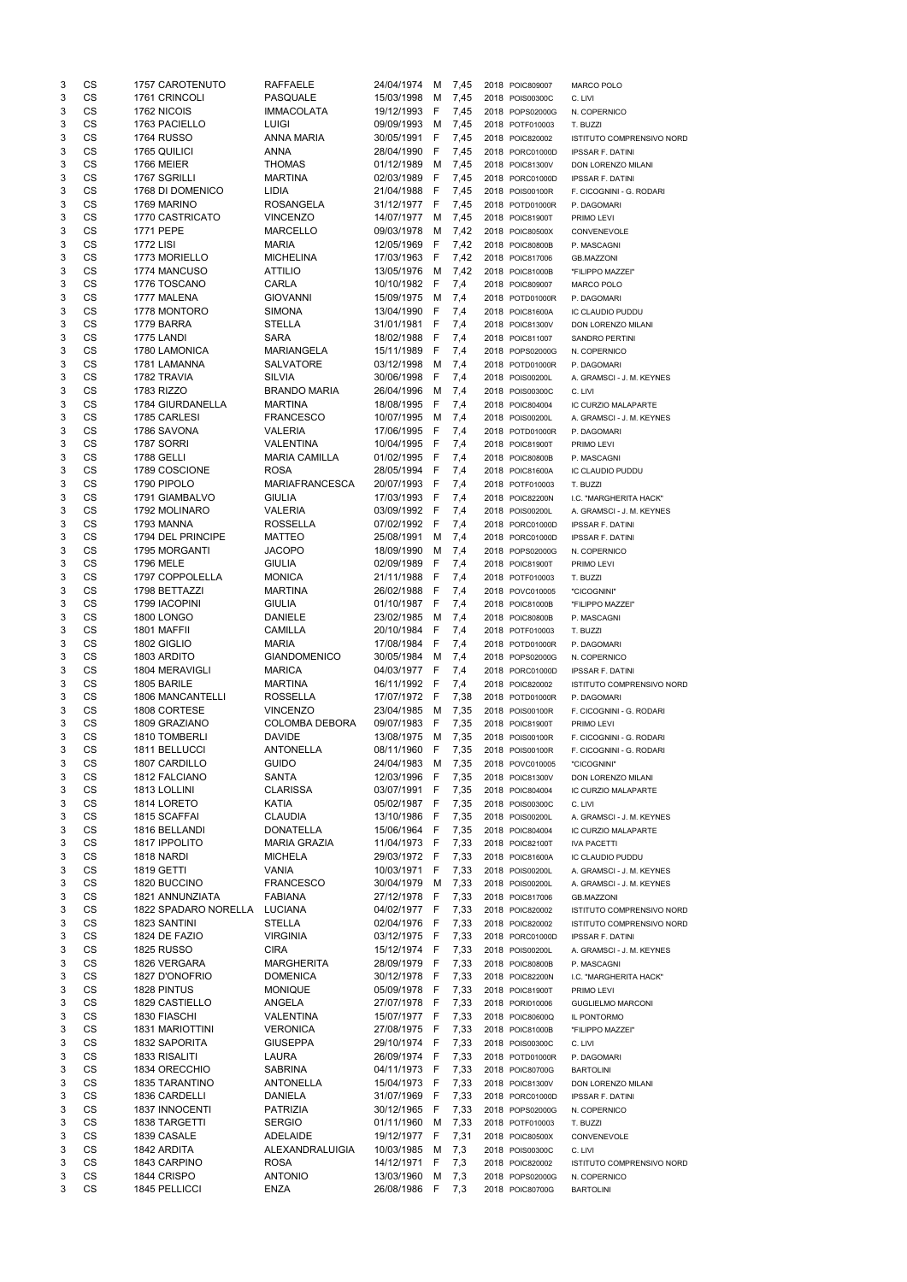| 3      | CS                     | 1757 CAROTENUTO                  | <b>RAFFAELE</b>                    | 24/04/1974               | м       | 7,45         | 2018 POIC809007                    | <b>MARCO POLO</b>                                |
|--------|------------------------|----------------------------------|------------------------------------|--------------------------|---------|--------------|------------------------------------|--------------------------------------------------|
| 3      | CS                     | 1761 CRINCOLI                    | PASQUALE                           | 15/03/1998               | м       | 7,45         | 2018 POIS00300C                    | C. LIVI                                          |
| 3      | CS                     | 1762 NICOIS                      | <b>IMMACOLATA</b>                  | 19/12/1993               | F       | 7,45         | 2018 POPS02000G                    | N. COPERNICO                                     |
| 3      | CS                     | 1763 PACIELLO                    | LUIGI                              | 09/09/1993               | м       | 7,45         | 2018 POTF010003                    | T. BUZZI                                         |
| 3      | CS                     | <b>1764 RUSSO</b>                | <b>ANNA MARIA</b>                  | 30/05/1991               | F       | 7,45         | 2018 POIC820002                    | ISTITUTO COMPRENSIVO NORD                        |
| 3      | CS                     | 1765 QUILICI                     | <b>ANNA</b>                        | 28/04/1990               | F       | 7,45         | 2018 PORC01000D                    | <b>IPSSAR F. DATINI</b>                          |
| 3      | <b>CS</b>              | <b>1766 MEIER</b>                | <b>THOMAS</b>                      | 01/12/1989               | M       | 7,45         | 2018 POIC81300V                    | DON LORENZO MILANI                               |
| 3<br>3 | CS<br>CS               | 1767 SGRILLI<br>1768 DI DOMENICO | <b>MARTINA</b><br>LIDIA            | 02/03/1989<br>21/04/1988 | F<br>F  | 7,45<br>7,45 | 2018 PORC01000D<br>2018 POIS00100R | <b>IPSSAR F. DATINI</b>                          |
| 3      | CS                     | 1769 MARINO                      | <b>ROSANGELA</b>                   | 31/12/1977               | F       | 7,45         | 2018 POTD01000R                    | F. CICOGNINI - G. RODARI<br>P. DAGOMARI          |
| 3      | CS                     | 1770 CASTRICATO                  | <b>VINCENZO</b>                    | 14/07/1977               | м       | 7,45         | 2018 POIC81900T                    | PRIMO LEVI                                       |
| 3      | CS                     | 1771 PEPE                        | <b>MARCELLO</b>                    | 09/03/1978               | M       | 7,42         | 2018 POIC80500X                    | CONVENEVOLE                                      |
| 3      | CS                     | <b>1772 LISI</b>                 | <b>MARIA</b>                       | 12/05/1969               | F       | 7,42         | 2018 POIC80800B                    | P. MASCAGNI                                      |
| 3      | CS                     | 1773 MORIELLO                    | <b>MICHELINA</b>                   | 17/03/1963               | F       | 7,42         | 2018 POIC817006                    | <b>GB.MAZZONI</b>                                |
| 3      | CS                     | 1774 MANCUSO                     | <b>ATTILIO</b>                     | 13/05/1976               | м       | 7,42         | 2018 POIC81000B                    | "FILIPPO MAZZEI"                                 |
| 3      | CS                     | 1776 TOSCANO                     | <b>CARLA</b>                       | 10/10/1982               | F       | 7,4          | 2018 POIC809007                    | <b>MARCO POLO</b>                                |
| 3      | CS                     | 1777 MALENA                      | <b>GIOVANNI</b>                    | 15/09/1975               | м       | 7,4          | 2018 POTD01000R                    | P. DAGOMARI                                      |
| 3      | CS                     | 1778 MONTORO                     | <b>SIMONA</b>                      | 13/04/1990               | F       | 7,4          | 2018 POIC81600A                    | IC CLAUDIO PUDDU                                 |
| 3      | CS                     | 1779 BARRA                       | <b>STELLA</b>                      | 31/01/1981               | F       | 7,4          | 2018 POIC81300V                    | <b>DON LORENZO MILANI</b>                        |
| 3      | CS                     | 1775 LANDI                       | <b>SARA</b>                        | 18/02/1988               | F       | 7,4          | 2018 POIC811007                    | SANDRO PERTINI                                   |
| 3      | CS                     | 1780 LAMONICA                    | <b>MARIANGELA</b>                  | 15/11/1989               | F       | 7,4          | 2018 POPS02000G                    | N. COPERNICO                                     |
| 3      | CS<br><b>CS</b>        | 1781 LAMANNA                     | <b>SALVATORE</b><br><b>SILVIA</b>  | 03/12/1998               | м       | 7,4          | 2018 POTD01000R                    | P. DAGOMARI                                      |
| 3<br>3 | CS                     | 1782 TRAVIA<br>1783 RIZZO        | <b>BRANDO MARIA</b>                | 30/06/1998<br>26/04/1996 | F<br>м  | 7,4<br>7,4   | 2018 POIS00200L<br>2018 POIS00300C | A. GRAMSCI - J. M. KEYNES                        |
| 3      | CS                     | 1784 GIURDANELLA                 | <b>MARTINA</b>                     | 18/08/1995               | F       | 7,4          | 2018 POIC804004                    | C. LIVI<br>IC CURZIO MALAPARTE                   |
| 3      | CS                     | 1785 CARLESI                     | <b>FRANCESCO</b>                   | 10/07/1995               | м       | 7,4          | 2018 POIS00200L                    | A. GRAMSCI - J. M. KEYNES                        |
| 3      | CS                     | 1786 SAVONA                      | <b>VALERIA</b>                     | 17/06/1995               | F       | 7,4          | 2018 POTD01000R                    | P. DAGOMARI                                      |
| 3      | CS                     | 1787 SORRI                       | VALENTINA                          | 10/04/1995               | F       | 7,4          | 2018 POIC81900T                    | PRIMO LEVI                                       |
| 3      | CS                     | 1788 GELLI                       | <b>MARIA CAMILLA</b>               | 01/02/1995               | F       | 7,4          | 2018 POIC80800B                    | P. MASCAGNI                                      |
| 3      | CS                     | 1789 COSCIONE                    | <b>ROSA</b>                        | 28/05/1994               | F       | 7,4          | 2018 POIC81600A                    | IC CLAUDIO PUDDU                                 |
| 3      | CS                     | 1790 PIPOLO                      | <b>MARIAFRANCESCA</b>              | 20/07/1993               | F       | 7,4          | 2018 POTF010003                    | T. BUZZI                                         |
| 3      | CS                     | 1791 GIAMBALVO                   | <b>GIULIA</b>                      | 17/03/1993               | F       | 7,4          | 2018 POIC82200N                    | I.C. "MARGHERITA HACK"                           |
| 3      | CS                     | 1792 MOLINARO                    | <b>VALERIA</b>                     | 03/09/1992               | F       | 7,4          | 2018 POIS00200L                    | A. GRAMSCI - J. M. KEYNES                        |
| 3      | CS                     | 1793 MANNA                       | <b>ROSSELLA</b>                    | 07/02/1992               | F       | 7,4          | 2018 PORC01000D                    | <b>IPSSAR F. DATINI</b>                          |
| 3      | CS                     | 1794 DEL PRINCIPE                | <b>MATTEO</b>                      | 25/08/1991               | м       | 7,4          | 2018 PORC01000D                    | <b>IPSSAR F. DATINI</b>                          |
| 3      | <b>CS</b>              | 1795 MORGANTI                    | <b>JACOPO</b>                      | 18/09/1990               | м       | 7,4          | 2018 POPS02000G                    | N. COPERNICO                                     |
| 3      | CS                     | 1796 MELE                        | GIULIA                             | 02/09/1989               | F,      | 7,4          | 2018 POIC81900T                    | PRIMO LEVI                                       |
| 3      | CS<br><b>CS</b>        | 1797 COPPOLELLA                  | <b>MONICA</b>                      | 21/11/1988               | F       | 7,4          | 2018 POTF010003                    | T. BUZZI                                         |
| 3<br>3 | <b>CS</b>              | 1798 BETTAZZI<br>1799 IACOPINI   | <b>MARTINA</b><br><b>GIULIA</b>    | 26/02/1988<br>01/10/1987 | F<br>F  | 7,4<br>7,4   | 2018 POVC010005<br>2018 POIC81000B | "CICOGNINI"<br>"FILIPPO MAZZEI"                  |
| 3      | <b>CS</b>              | <b>1800 LONGO</b>                | <b>DANIELE</b>                     | 23/02/1985               | м       | 7,4          | 2018 POIC80800B                    | P. MASCAGNI                                      |
| 3      | <b>CS</b>              | 1801 MAFFII                      | <b>CAMILLA</b>                     | 20/10/1984               | F       | 7,4          | 2018 POTF010003                    | T. BUZZI                                         |
| 3      | <b>CS</b>              | 1802 GIGLIO                      | <b>MARIA</b>                       | 17/08/1984               | F       | 7,4          | 2018 POTD01000R                    | P. DAGOMARI                                      |
| 3      | <b>CS</b>              | 1803 ARDITO                      | <b>GIANDOMENICO</b>                | 30/05/1984               | м       | 7,4          | 2018 POPS02000G                    | N. COPERNICO                                     |
| 3      | CS                     | 1804 MERAVIGLI                   | <b>MARICA</b>                      | 04/03/1977               | F       | 7,4          | 2018 PORC01000D                    | <b>IPSSAR F. DATINI</b>                          |
| 3      | CS                     | 1805 BARILE                      | <b>MARTINA</b>                     | 16/11/1992               | F       | 7,4          | 2018 POIC820002                    | <b>ISTITUTO COMPRENSIVO NORD</b>                 |
| 3      | <b>CS</b>              | <b>1806 MANCANTELLI</b>          | <b>ROSSELLA</b>                    | 17/07/1972               | F       | 7,38         | 2018 POTD01000R                    | P. DAGOMARI                                      |
| 3      | <b>CS</b>              | 1808 CORTESE                     | <b>VINCENZO</b>                    | 23/04/1985               | M       | 7,35         | 2018 POIS00100R                    | F. CICOGNINI - G. RODARI                         |
| 3      | CS                     | 1809 GRAZIANO                    | <b>COLOMBA DEBORA</b>              | 09/07/1983               | F       | 7,35         | 2018 POIC81900T                    | PRIMO LEVI                                       |
| 3      | CS                     | 1810 TOMBERLI                    | <b>DAVIDE</b>                      | 13/08/1975               | м       | 7,35         | 2018 POIS00100R                    | F. CICOGNINI - G. RODARI                         |
| 3      | <b>CS</b>              | 1811 BELLUCCI                    | <b>ANTONELLA</b>                   | 08/11/1960               | F       | 7,35         | 2018 POIS00100R                    | F. CICOGNINI - G. RODARI                         |
| 3      | <b>CS</b>              | 1807 CARDILLO                    | <b>GUIDO</b>                       | 24/04/1983               | M       | 7,35         | 2018 POVC010005                    | "CICOGNINI"                                      |
| 3      | <b>CS</b>              | 1812 FALCIANO                    | <b>SANTA</b>                       | 12/03/1996               | F       | 7,35         | 2018 POIC81300V                    | DON LORENZO MILANI                               |
| 3      | <b>CS</b><br><b>CS</b> | 1813 LOLLINI                     | <b>CLARISSA</b>                    | 03/07/1991               | F       | 7,35         | 2018 POIC804004                    | IC CURZIO MALAPARTE                              |
| 3<br>3 | <b>CS</b>              | 1814 LORETO<br>1815 SCAFFAI      | KATIA<br><b>CLAUDIA</b>            | 05/02/1987<br>13/10/1986 | -F<br>F | 7,35<br>7,35 | 2018 POIS00300C<br>2018 POIS00200L | C. LIVI                                          |
| 3      | <b>CS</b>              | 1816 BELLANDI                    | <b>DONATELLA</b>                   | 15/06/1964               | F       | 7,35         | 2018 POIC804004                    | A. GRAMSCI - J. M. KEYNES<br>IC CURZIO MALAPARTE |
| 3      | <b>CS</b>              | 1817 IPPOLITO                    | <b>MARIA GRAZIA</b>                | 11/04/1973               | F       | 7,33         | 2018 POIC82100T                    | <b>IVA PACETTI</b>                               |
| 3      | <b>CS</b>              | 1818 NARDI                       | <b>MICHELA</b>                     | 29/03/1972               | F       | 7,33         | 2018 POIC81600A                    | IC CLAUDIO PUDDU                                 |
| 3      | <b>CS</b>              | <b>1819 GETTI</b>                | <b>VANIA</b>                       | 10/03/1971               | F       | 7,33         | 2018 POIS00200L                    | A. GRAMSCI - J. M. KEYNES                        |
| 3      | <b>CS</b>              | 1820 BUCCINO                     | <b>FRANCESCO</b>                   | 30/04/1979               | м       | 7,33         | 2018 POIS00200L                    | A. GRAMSCI - J. M. KEYNES                        |
| 3      | <b>CS</b>              | 1821 ANNUNZIATA                  | <b>FABIANA</b>                     | 27/12/1978               | F       | 7,33         | 2018 POIC817006                    | <b>GB.MAZZONI</b>                                |
| 3      | <b>CS</b>              | 1822 SPADARO NORELLA             | LUCIANA                            | 04/02/1977               | F       | 7,33         | 2018 POIC820002                    | ISTITUTO COMPRENSIVO NORD                        |
| 3      | <b>CS</b>              | 1823 SANTINI                     | <b>STELLA</b>                      | 02/04/1976               | F       | 7,33         | 2018 POIC820002                    | ISTITUTO COMPRENSIVO NORD                        |
| 3      | <b>CS</b>              | <b>1824 DE FAZIO</b>             | <b>VIRGINIA</b>                    | 03/12/1975               | F       | 7,33         | 2018 PORC01000D                    | <b>IPSSAR F. DATINI</b>                          |
| 3      | CS                     | <b>1825 RUSSO</b>                | <b>CIRA</b>                        | 15/12/1974               | F       | 7,33         | 2018 POIS00200L                    | A. GRAMSCI - J. M. KEYNES                        |
| 3      |                        |                                  |                                    |                          |         |              |                                    |                                                  |
| 3      | CS                     | 1826 VERGARA                     | <b>MARGHERITA</b>                  | 28/09/1979               | F       | 7,33         | 2018 POIC80800B                    | P. MASCAGNI                                      |
| 3      | CS                     | 1827 D'ONOFRIO                   | <b>DOMENICA</b>                    | 30/12/1978               | F       | 7,33         | 2018 POIC82200N                    | I.C. "MARGHERITA HACK"                           |
| 3<br>3 | CS                     | 1828 PINTUS                      | <b>MONIQUE</b>                     | 05/09/1978               | F       | 7,33         | 2018 POIC81900T                    | PRIMO LEVI                                       |
|        | CS                     | 1829 CASTIELLO                   | ANGELA                             | 27/07/1978               | F       | 7,33         | 2018 PORI010006                    | <b>GUGLIELMO MARCONI</b>                         |
|        | CS                     | 1830 FIASCHI                     | VALENTINA                          | 15/07/1977 F             |         | 7,33         | 2018 POIC80600Q                    | IL PONTORMO                                      |
| 3      | CS                     | <b>1831 MARIOTTINI</b>           | <b>VERONICA</b>                    | 27/08/1975               | F       | 7,33         | 2018 POIC81000B                    | "FILIPPO MAZZEI"                                 |
| 3      | <b>CS</b>              | 1832 SAPORITA                    | <b>GIUSEPPA</b>                    | 29/10/1974 F             |         | 7,33         | 2018 POIS00300C                    | C. LIVI                                          |
| 3      | CS                     | 1833 RISALITI                    | LAURA                              | 26/09/1974 F             |         | 7,33         | 2018 POTD01000R                    | P. DAGOMARI                                      |
| 3      | CS                     | 1834 ORECCHIO<br>1835 TARANTINO  | <b>SABRINA</b><br><b>ANTONELLA</b> | 04/11/1973<br>15/04/1973 | F<br>F  | 7,33         | 2018 POIC80700G<br>2018 POIC81300V | <b>BARTOLINI</b>                                 |
| 3<br>3 | CS<br>CS               | 1836 CARDELLI                    | DANIELA                            | 31/07/1969               | F       | 7,33         | 2018 PORC01000D                    | DON LORENZO MILANI<br><b>IPSSAR F. DATINI</b>    |
| 3      | CS                     | 1837 INNOCENTI                   | <b>PATRIZIA</b>                    | 30/12/1965               | F       | 7,33<br>7,33 | 2018 POPS02000G                    | N. COPERNICO                                     |
| 3      | CS                     | 1838 TARGETTI                    | <b>SERGIO</b>                      | 01/11/1960               | M       | 7,33         | 2018 POTF010003                    | T. BUZZI                                         |
| 3      | CS                     | 1839 CASALE                      | ADELAIDE                           | 19/12/1977               | F       | 7,31         | 2018 POIC80500X                    | CONVENEVOLE                                      |
| 3      | CS                     | 1842 ARDITA                      | ALEXANDRALUIGIA                    | 10/03/1985               | M       | 7,3          | 2018 POIS00300C                    | C. LIVI                                          |
| 3      | CS                     | 1843 CARPINO                     | <b>ROSA</b>                        | 14/12/1971               | F       | 7,3          | 2018 POIC820002                    | ISTITUTO COMPRENSIVO NORD                        |
| 3      | CS<br>CS               | 1844 CRISPO                      | <b>ANTONIO</b>                     | 13/03/1960<br>26/08/1986 | M       | 7,3          | 2018 POPS02000G                    | N. COPERNICO                                     |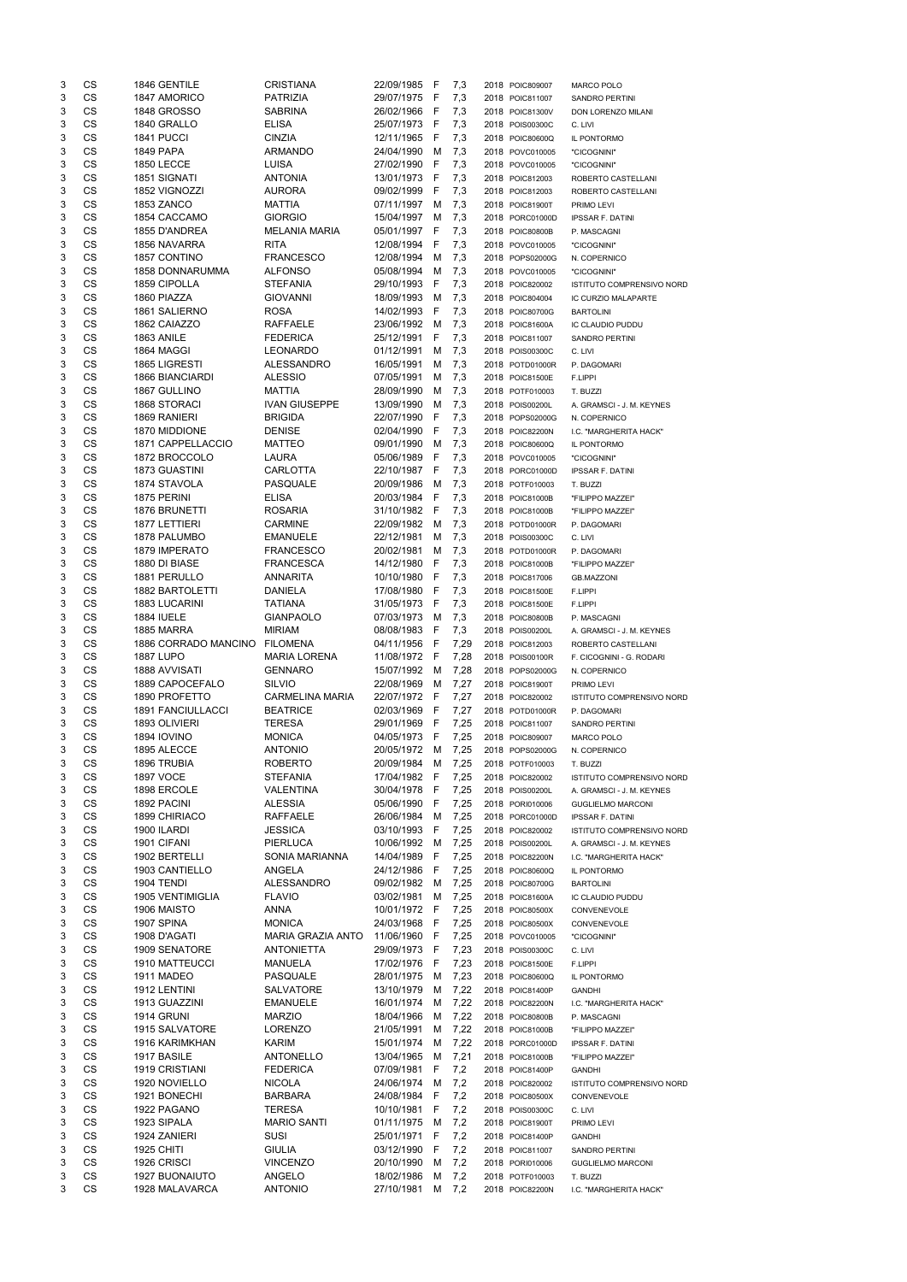| 3      | CS        | 1846 GENTILE                         | <b>CRISTIANA</b>                 | 22/09/1985               | - F      | 7,3        | 2018 POIC809007                    | <b>MARCO POLO</b>                    |
|--------|-----------|--------------------------------------|----------------------------------|--------------------------|----------|------------|------------------------------------|--------------------------------------|
| 3      | <b>CS</b> | 1847 AMORICO                         | <b>PATRIZIA</b>                  | 29/07/1975               | - F      | 7,3        | 2018 POIC811007                    | <b>SANDRO PERTINI</b>                |
| 3      | CS        | <b>1848 GROSSO</b>                   | <b>SABRINA</b>                   | 26/02/1966               | - F      | 7,3        | 2018 POIC81300V                    | DON LORENZO MILANI                   |
| 3      | CS        | 1840 GRALLO                          | <b>ELISA</b>                     | 25/07/1973               | - F      | 7,3        | 2018 POIS00300C                    | C. LIVI                              |
| 3      | CS        | 1841 PUCCI                           | <b>CINZIA</b>                    | 12/11/1965               | - F      | 7,3        | 2018 POIC80600Q                    | IL PONTORMO                          |
| 3      | CS        | <b>1849 PAPA</b>                     | <b>ARMANDO</b>                   | 24/04/1990               | M        | 7,3        | 2018 POVC010005                    | "CICOGNINI"                          |
| 3      | CS        | <b>1850 LECCE</b>                    | <b>LUISA</b>                     | 27/02/1990               | -F       | 7,3        | 2018 POVC010005                    | "CICOGNINI"                          |
| 3      | CS        | 1851 SIGNATI                         | <b>ANTONIA</b>                   | 13/01/1973               | F        | 7,3        | 2018 POIC812003                    | ROBERTO CASTELLANI                   |
| 3      | CS        | 1852 VIGNOZZI                        | <b>AURORA</b>                    | 09/02/1999               | F        | 7,3        | 2018 POIC812003                    | ROBERTO CASTELLANI                   |
| 3      | CS        | 1853 ZANCO                           | <b>MATTIA</b>                    | 07/11/1997               | M        | 7,3        | 2018 POIC81900T                    | PRIMO LEVI                           |
| 3      | CS        | 1854 CACCAMO                         | <b>GIORGIO</b>                   | 15/04/1997               | M        | 7,3        | 2018 PORC01000D                    | <b>IPSSAR F. DATINI</b>              |
| 3      | CS        | 1855 D'ANDREA                        | <b>MELANIA MARIA</b>             | 05/01/1997 F             |          | 7,3        | 2018 POIC80800B                    | P. MASCAGNI                          |
| 3      | CS        | 1856 NAVARRA                         | <b>RITA</b>                      | 12/08/1994               | F        | 7,3        | 2018 POVC010005                    | "CICOGNINI"                          |
| 3      | CS        | 1857 CONTINO                         | <b>FRANCESCO</b>                 | 12/08/1994               | M        | 7,3        | 2018 POPS02000G                    | N. COPERNICO                         |
| 3      | CS        | <b>1858 DONNARUMMA</b>               | <b>ALFONSO</b>                   | 05/08/1994               | M        | 7,3        | 2018 POVC010005                    | "CICOGNINI"                          |
| 3      | CS        | 1859 CIPOLLA                         | <b>STEFANIA</b>                  | 29/10/1993               | -F       | 7,3        | 2018 POIC820002                    | ISTITUTO COMPRENSIVO NORD            |
| 3      | CS        | 1860 PIAZZA                          | <b>GIOVANNI</b>                  | 18/09/1993               | M        | 7,3        | 2018 POIC804004                    | IC CURZIO MALAPARTE                  |
| 3      | CS        | 1861 SALIERNO                        | <b>ROSA</b>                      | 14/02/1993               | -F       | 7,3        | 2018 POIC80700G                    | <b>BARTOLINI</b>                     |
| 3      | CS        | 1862 CAIAZZO                         | <b>RAFFAELE</b>                  | 23/06/1992               | M        | 7,3        | 2018 POIC81600A                    | IC CLAUDIO PUDDU                     |
| 3      | CS        | <b>1863 ANILE</b>                    | <b>FEDERICA</b>                  | 25/12/1991               | F        | 7,3        | 2018 POIC811007                    | SANDRO PERTINI                       |
| 3      | CS        | 1864 MAGGI                           | <b>LEONARDO</b>                  | 01/12/1991               | М        | 7,3        | 2018 POIS00300C                    | C. LIVI                              |
| 3      | CS        | 1865 LIGRESTI                        | <b>ALESSANDRO</b>                | 16/05/1991               | M        | 7,3        | 2018 POTD01000R                    | P. DAGOMARI                          |
| 3      | <b>CS</b> | <b>1866 BIANCIARDI</b>               | <b>ALESSIO</b>                   | 07/05/1991               | M        | 7,3        | 2018 POIC81500E                    | F.LIPPI                              |
| 3      | <b>CS</b> | 1867 GULLINO                         | <b>MATTIA</b>                    | 28/09/1990               | M        | 7,3        | 2018 POTF010003                    | T. BUZZI                             |
| 3      | CS        | 1868 STORACI                         | <b>IVAN GIUSEPPE</b>             | 13/09/1990               | М        | 7,3        | 2018 POIS00200L                    | A. GRAMSCI - J. M. KEYNES            |
| 3      | CS        | 1869 RANIERI                         | <b>BRIGIDA</b>                   | 22/07/1990               | F        | 7,3        | 2018 POPS02000G                    | N. COPERNICO                         |
| 3      | CS        | 1870 MIDDIONE                        | <b>DENISE</b>                    | 02/04/1990               | F        | 7,3        | 2018 POIC82200N                    | I.C. "MARGHERITA HACK"               |
| 3      | CS        | 1871 CAPPELLACCIO                    | <b>MATTEO</b>                    | 09/01/1990               | M        | 7,3        | 2018 POIC80600Q                    | IL PONTORMO                          |
| 3      | CS        | 1872 BROCCOLO                        | LAURA                            | 05/06/1989               | F        | 7,3        | 2018 POVC010005                    |                                      |
| 3      | CS        | 1873 GUASTINI                        | <b>CARLOTTA</b>                  | 22/10/1987               | -F       | 7,3        | 2018 PORC01000D                    | "CICOGNINI"                          |
| 3      | CS        | 1874 STAVOLA                         | PASQUALE                         | 20/09/1986               | M        | 7,3        | 2018 POTF010003                    | <b>IPSSAR F. DATINI</b>              |
| 3      | CS        | 1875 PERINI                          | <b>ELISA</b>                     | 20/03/1984               | F        | 7,3        | 2018 POIC81000B                    | T. BUZZI                             |
| 3      | CS        | <b>1876 BRUNETTI</b>                 |                                  |                          | F        |            |                                    | "FILIPPO MAZZEI"                     |
|        | CS        | 1877 LETTIERI                        | <b>ROSARIA</b><br><b>CARMINE</b> | 31/10/1982<br>22/09/1982 | М        | 7,3        | 2018 POIC81000B                    | "FILIPPO MAZZEI"                     |
| 3      | CS        |                                      |                                  |                          |          | 7,3        | 2018 POTD01000R                    | P. DAGOMARI                          |
| 3<br>3 | CS        | 1878 PALUMBO                         | <b>EMANUELE</b>                  | 22/12/1981               | M        | 7,3        | 2018 POIS00300C                    | C. LIVI                              |
|        |           | 1879 IMPERATO                        | <b>FRANCESCO</b>                 | 20/02/1981               | M        | 7,3        | 2018 POTD01000R                    | P. DAGOMARI                          |
| 3      | CS        | 1880 DI BIASE                        | <b>FRANCESCA</b>                 | 14/12/1980               | <u>r</u> | 7,3        | 2018 POIC81000B                    | "FILIPPO MAZZEI"                     |
| 3      | CS        | 1881 PERULLO                         | <b>ANNARITA</b>                  | 10/10/1980               | -F       | 7,3        | 2018 POIC817006                    | <b>GB.MAZZONI</b>                    |
| 3      | <b>CS</b> | 1882 BARTOLETTI                      | <b>DANIELA</b>                   | 17/08/1980               | - F      | 7,3        | 2018 POIC81500E                    | F.LIPPI                              |
| 3      | <b>CS</b> | 1883 LUCARINI                        | <b>TATIANA</b>                   | 31/05/1973               | - F      | 7,3        | 2018 POIC81500E                    | F.LIPPI                              |
| 3      | <b>CS</b> | <b>1884 IUELE</b>                    | <b>GIANPAOLO</b>                 | 07/03/1973               | M        | 7,3        | 2018 POIC80800B                    | P. MASCAGNI                          |
| 3      | <b>CS</b> | 1885 MARRA                           | <b>MIRIAM</b>                    | 08/08/1983               | -F       | 7,3        | 2018 POIS00200L                    | A. GRAMSCI - J. M. KEYNES            |
| 3      | <b>CS</b> | 1886 CORRADO MANCINO                 | <b>FILOMENA</b>                  | 04/11/1956               | - F      | 7,29       | 2018 POIC812003                    | ROBERTO CASTELLANI                   |
| 3      | <b>CS</b> | <b>1887 LUPO</b>                     | <b>MARIA LORENA</b>              | 11/08/1972               | - F      | 7,28       | 2018 POIS00100R                    | F. CICOGNINI - G. RODARI             |
| 3      | CS        | 1888 AVVISATI                        | <b>GENNARO</b>                   | 15/07/1992               | M        | 7,28       | 2018 POPS02000G                    | N. COPERNICO                         |
| 3      | CS        | 1889 CAPOCEFALO                      | <b>SILVIO</b>                    | 22/08/1969               | M        | 7,27       | 2018 POIC81900T                    | PRIMO LEVI                           |
| 3      | <b>CS</b> | 1890 PROFETTO                        | <b>CARMELINA MARIA</b>           | 22/07/1972               | - F      | 7,27       | 2018 POIC820002                    | ISTITUTO COMPRENSIVO NORD            |
| 3      | CS        | <b>1891 FANCIULLACCI</b>             | <b>BEATRICE</b>                  | 02/03/1969               | -F       | 7,27       | 2018 POTD01000R                    | P. DAGOMARI                          |
| 3      | <b>CS</b> | 1893 OLIVIERI                        | <b>TERESA</b>                    | 29/01/1969               | -F       | 7,25       | 2018 POIC811007                    | <b>SANDRO PERTINI</b>                |
| 3      | CS        | <b>1894 IOVINO</b>                   | <b>MONICA</b>                    | 04/05/1973               | -F       | 7,25       | 2018 POIC809007                    | MARCO POLO                           |
| 3      | CS        | 1895 ALECCE                          | <b>ANTONIO</b>                   | 20/05/1972               | M        | 7,25       | 2018 POPS02000G                    | N. COPERNICO                         |
| 3      | CS        | 1896 TRUBIA                          | <b>ROBERTO</b>                   | 20/09/1984               | м        | 7,25       | 2018 POTF010003                    | T. BUZZI                             |
| 3      | CS        | <b>1897 VOCE</b>                     | <b>STEFANIA</b>                  | 17/04/1982               | - F      | 7,25       | 2018 POIC820002                    | ISTITUTO COMPRENSIVO NORD            |
| 3      | CS        | 1898 ERCOLE                          | <b>VALENTINA</b>                 | 30/04/1978               | - F      | 7,25       | 2018 POIS00200L                    | A. GRAMSCI - J. M. KEYNES            |
| 3      | CS        | 1892 PACINI                          | <b>ALESSIA</b>                   | 05/06/1990               | -F       | 7,25       | 2018 PORI010006                    | <b>GUGLIELMO MARCONI</b>             |
| 3      | CS        | 1899 CHIRIACO                        | <b>RAFFAELE</b>                  | 26/06/1984               | M        | 7,25       | 2018 PORC01000D                    | <b>IPSSAR F. DATINI</b>              |
| 3      | CS        | 1900 ILARDI                          | <b>JESSICA</b>                   | 03/10/1993               | F        | 7,25       | 2018 POIC820002                    | ISTITUTO COMPRENSIVO NORD            |
| 3      | CS        | 1901 CIFANI                          | PIERLUCA                         | 10/06/1992               | M        | 7,25       | 2018 POIS00200L                    | A. GRAMSCI - J. M. KEYNES            |
| 3      | CS        | 1902 BERTELLI                        | SONIA MARIANNA                   | 14/04/1989               | F        | 7,25       | 2018 POIC82200N                    | I.C. "MARGHERITA HACK"               |
| 3      | CS        | 1903 CANTIELLO                       | ANGELA                           |                          |          |            | 2018 POIC80600Q                    | IL PONTORMO                          |
| 3      |           |                                      |                                  | 24/12/1986               | - F      | 7,25       |                                    |                                      |
| 3      | CS        | <b>1904 TENDI</b>                    | <b>ALESSANDRO</b>                | 09/02/1982               | M        | 7,25       | 2018 POIC80700G                    | <b>BARTOLINI</b>                     |
| 3      | CS        | <b>1905 VENTIMIGLIA</b>              | <b>FLAVIO</b>                    | 03/02/1981               | M        | 7,25       | 2018 POIC81600A                    | IC CLAUDIO PUDDU                     |
| 3      | CS        | 1906 MAISTO                          | <b>ANNA</b>                      | 10/01/1972               | - F      | 7,25       | 2018 POIC80500X                    | CONVENEVOLE                          |
|        | CS        | 1907 SPINA                           | <b>MONICA</b>                    | 24/03/1968               | - F      | 7,25       | 2018 POIC80500X                    | CONVENEVOLE                          |
| 3      | CS        | 1908 D'AGATI                         | <b>MARIA GRAZIA ANTO</b>         | 11/06/1960               | - F      | 7,25       | 2018 POVC010005                    | "CICOGNINI"                          |
| 3      | CS        | 1909 SENATORE                        | <b>ANTONIETTA</b>                | 29/09/1973               | - F      | 7,23       | 2018 POIS00300C                    | C. LIVI                              |
| 3      | CS        | <b>1910 MATTEUCCI</b>                | <b>MANUELA</b>                   | 17/02/1976               | - F      | 7,23       | 2018 POIC81500E                    | F.LIPPI                              |
| 3      | CS        | 1911 MADEO                           | PASQUALE                         | 28/01/1975               | M        | 7,23       | 2018 POIC80600Q                    | IL PONTORMO                          |
| 3      | CS        | 1912 LENTINI                         | <b>SALVATORE</b>                 | 13/10/1979               | M        | 7,22       | 2018 POIC81400P                    | <b>GANDHI</b>                        |
| 3      | CS        | 1913 GUAZZINI                        | <b>EMANUELE</b>                  | 16/01/1974               | м        | 7,22       | 2018 POIC82200N                    | I.C. "MARGHERITA HACK"               |
| 3      | CS        | 1914 GRUNI                           | <b>MARZIO</b>                    | 18/04/1966               | M        | 7,22       | 2018 POIC80800B                    | P. MASCAGNI                          |
| 3      | CS        | 1915 SALVATORE                       | <b>LORENZO</b>                   | 21/05/1991               | М        | 7,22       | 2018 POIC81000B                    | "FILIPPO MAZZEI"                     |
| 3      | CS        | 1916 KARIMKHAN                       | KARIM                            | 15/01/1974               |          | M 7,22     | 2018 PORC01000D                    | <b>IPSSAR F. DATINI</b>              |
| 3      | CS        | 1917 BASILE                          | <b>ANTONELLO</b>                 | 13/04/1965               | M        | 7,21       | 2018 POIC81000B                    | "FILIPPO MAZZEI"                     |
| 3      | CS        | 1919 CRISTIANI                       | <b>FEDERICA</b>                  | 07/09/1981               | F        | 7,2        | 2018 POIC81400P                    | <b>GANDHI</b>                        |
| 3      | CS        | 1920 NOVIELLO                        | <b>NICOLA</b>                    | 24/06/1974               | M        | 7,2        | 2018 POIC820002                    | <b>ISTITUTO COMPRENSIVO NORD</b>     |
| 3      | CS        | 1921 BONECHI                         | <b>BARBARA</b>                   | 24/08/1984 F             |          | 7,2        | 2018 POIC80500X                    | CONVENEVOLE                          |
|        |           |                                      |                                  |                          |          |            |                                    |                                      |
| 3      | CS        | 1922 PAGANO                          | <b>TERESA</b>                    | 10/10/1981 F             |          | 7,2        | 2018 POIS00300C                    | C. LIVI                              |
| 3      | CS        | 1923 SIPALA                          | <b>MARIO SANTI</b>               | 01/11/1975               | M        | 7,2        | 2018 POIC81900T                    | PRIMO LEVI                           |
| 3      | CS        | 1924 ZANIERI                         | SUSI                             | 25/01/1971               | -F       | 7,2        | 2018 POIC81400P                    | <b>GANDHI</b>                        |
| 3      | CS        | <b>1925 CHITI</b>                    | <b>GIULIA</b>                    | 03/12/1990               | -F       | 7,2        | 2018 POIC811007                    | SANDRO PERTINI                       |
| 3<br>3 | CS<br>CS  | 1926 CRISCI<br><b>1927 BUONAIUTO</b> | <b>VINCENZO</b><br>ANGELO        | 20/10/1990<br>18/02/1986 | м<br>M   | 7,2<br>7,2 | 2018 PORI010006<br>2018 POTF010003 | <b>GUGLIELMO MARCONI</b><br>T. BUZZI |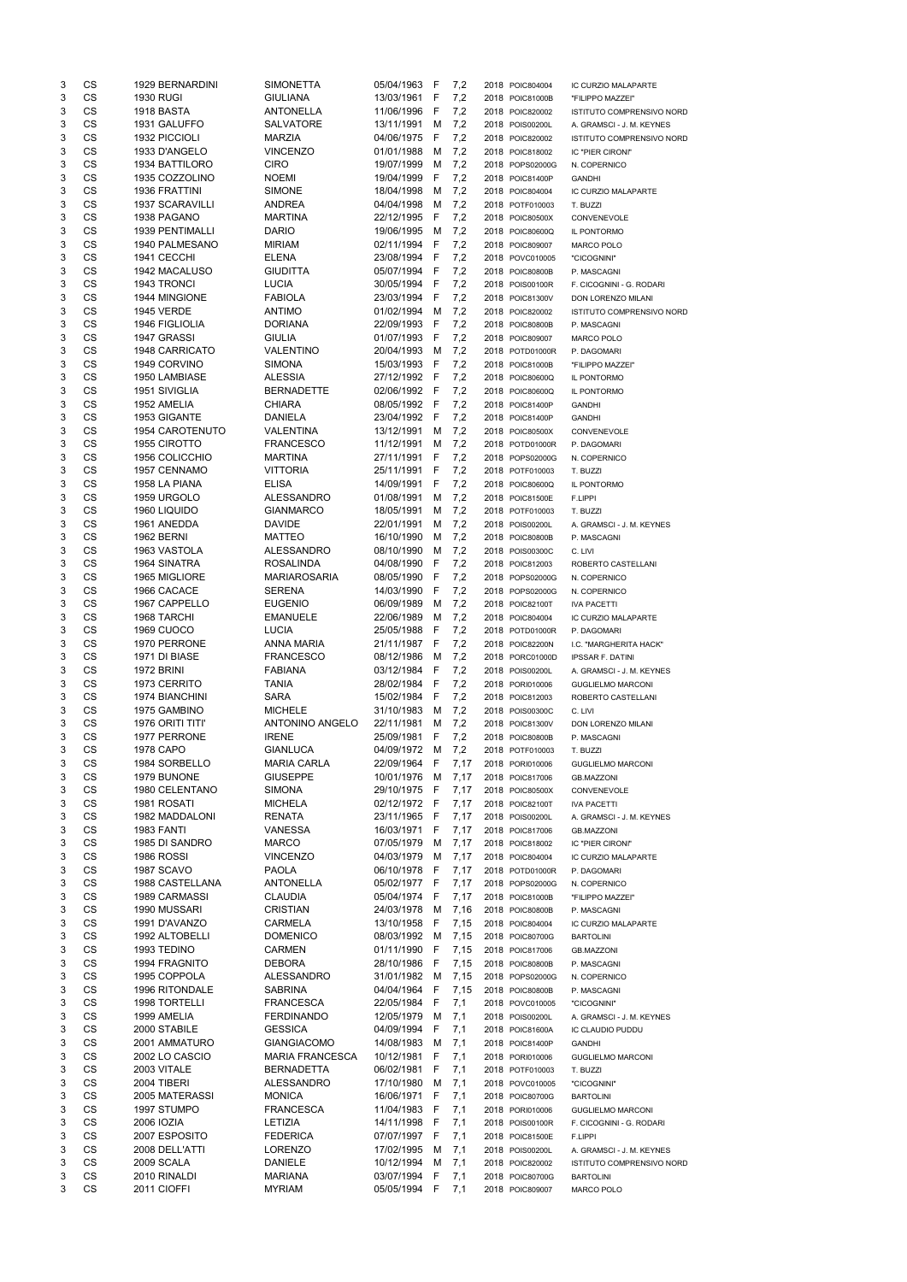| 3      | CS                     | <b>1929 BERNARDINI</b>                 | <b>SIMONETTA</b>                      | 05/04/1963               | F      | 7,2          | 2018 POIC804004                    | IC CURZIO MALAPARTE              |
|--------|------------------------|----------------------------------------|---------------------------------------|--------------------------|--------|--------------|------------------------------------|----------------------------------|
| 3      | CS                     | <b>1930 RUGI</b>                       | <b>GIULIANA</b>                       | 13/03/1961               | F      | 7,2          | 2018 POIC81000B                    | "FILIPPO MAZZEI"                 |
| 3      | CS                     | 1918 BASTA                             | <b>ANTONELLA</b>                      | 11/06/1996               | F      | 7,2          | 2018 POIC820002                    | ISTITUTO COMPRENSIVO NORD        |
| 3      | CS                     | 1931 GALUFFO                           | <b>SALVATORE</b>                      | 13/11/1991               | M      | 7,2          | 2018 POIS00200L                    | A. GRAMSCI - J. M. KEYNES        |
| 3      | CS                     | 1932 PICCIOLI                          | <b>MARZIA</b>                         | 04/06/1975               | F      | 7,2          | 2018 POIC820002                    | <b>ISTITUTO COMPRENSIVO NORD</b> |
| 3      | <b>CS</b>              | 1933 D'ANGELO                          | <b>VINCENZO</b>                       | 01/01/1988               | M      | 7,2          | 2018 POIC818002                    | IC "PIER CIRONI"                 |
| 3      | <b>CS</b>              | <b>1934 BATTILORO</b>                  | <b>CIRO</b>                           | 19/07/1999               | M      | 7,2          | 2018 POPS02000G                    | N. COPERNICO                     |
| 3<br>3 | CS<br>CS               | 1935 COZZOLINO<br><b>1936 FRATTINI</b> | <b>NOEMI</b><br><b>SIMONE</b>         | 19/04/1999<br>18/04/1998 | F      | 7,2          | 2018 POIC81400P                    | <b>GANDHI</b>                    |
| 3      | <b>CS</b>              | <b>1937 SCARAVILLI</b>                 | <b>ANDREA</b>                         | 04/04/1998               | M<br>M | 7,2<br>7,2   | 2018 POIC804004<br>2018 POTF010003 | IC CURZIO MALAPARTE<br>T. BUZZI  |
| 3      | <b>CS</b>              | 1938 PAGANO                            | <b>MARTINA</b>                        | 22/12/1995               | F      | 7,2          | 2018 POIC80500X                    | CONVENEVOLE                      |
| 3      | CS                     | <b>1939 PENTIMALLI</b>                 | <b>DARIO</b>                          | 19/06/1995               | M      | 7,2          | 2018 POIC80600Q                    | IL PONTORMO                      |
| 3      | CS                     | 1940 PALMESANO                         | <b>MIRIAM</b>                         | 02/11/1994               | F      | 7,2          | 2018 POIC809007                    | MARCO POLO                       |
| 3      | CS                     | 1941 CECCHI                            | <b>ELENA</b>                          | 23/08/1994               | F      | 7,2          | 2018 POVC010005                    | "CICOGNINI"                      |
| 3      | <b>CS</b>              | 1942 MACALUSO                          | <b>GIUDITTA</b>                       | 05/07/1994               | F      | 7,2          | 2018 POIC80800B                    | P. MASCAGNI                      |
| 3      | CS                     | 1943 TRONCI                            | <b>LUCIA</b>                          | 30/05/1994               | F      | 7,2          | 2018 POIS00100R                    | F. CICOGNINI - G. RODARI         |
| 3      | CS                     | 1944 MINGIONE                          | <b>FABIOLA</b>                        | 23/03/1994               | F      | 7,2          | 2018 POIC81300V                    | DON LORENZO MILANI               |
| 3      | CS                     | <b>1945 VERDE</b>                      | <b>ANTIMO</b>                         | 01/02/1994               | M      | 7,2          | 2018 POIC820002                    | ISTITUTO COMPRENSIVO NORD        |
| 3      | CS                     | 1946 FIGLIOLIA                         | <b>DORIANA</b>                        | 22/09/1993               | F      | 7,2          | 2018 POIC80800B                    | P. MASCAGNI                      |
| 3      | CS                     | 1947 GRASSI                            | <b>GIULIA</b>                         | 01/07/1993               | F      | 7,2          | 2018 POIC809007                    | MARCO POLO                       |
| 3      | CS                     | 1948 CARRICATO                         | <b>VALENTINO</b>                      | 20/04/1993               | M      | 7,2          | 2018 POTD01000R                    | P. DAGOMARI                      |
| 3      | CS                     | 1949 CORVINO                           | <b>SIMONA</b>                         | 15/03/1993               | F      | 7,2          | 2018 POIC81000B                    | "FILIPPO MAZZEI"                 |
| 3      | <b>CS</b>              | 1950 LAMBIASE                          | ALESSIA                               | 27/12/1992               | F      | 7,2          | 2018 POIC80600Q                    | IL PONTORMO                      |
| 3      | <b>CS</b>              | 1951 SIVIGLIA                          | <b>BERNADETTE</b>                     | 02/06/1992               | F      | 7,2          | 2018 POIC80600Q                    | IL PONTORMO                      |
| 3      | CS                     | 1952 AMELIA                            | <b>CHIARA</b>                         | 08/05/1992               | F      | 7,2          | 2018 POIC81400P                    | <b>GANDHI</b>                    |
| 3      | <b>CS</b>              | 1953 GIGANTE                           | <b>DANIELA</b>                        | 23/04/1992               | F      | 7,2          | 2018 POIC81400P                    | <b>GANDHI</b>                    |
| 3      | CS                     | <b>1954 CAROTENUTO</b>                 | <b>VALENTINA</b>                      | 13/12/1991               | М      | 7,2          | 2018 POIC80500X                    | CONVENEVOLE                      |
| 3      | CS                     | 1955 CIROTTO                           | <b>FRANCESCO</b>                      | 11/12/1991               | M      | 7,2          | 2018 POTD01000R                    | P. DAGOMARI                      |
| 3      | CS                     | 1956 COLICCHIO                         | <b>MARTINA</b>                        | 27/11/1991               | F      | 7,2          | 2018 POPS02000G                    | N. COPERNICO                     |
| 3      | CS                     | 1957 CENNAMO                           | <b>VITTORIA</b>                       | 25/11/1991               | F      | 7,2          | 2018 POTF010003                    | T. BUZZI                         |
| 3      | CS                     | 1958 LA PIANA                          | <b>ELISA</b>                          | 14/09/1991               | F      | 7,2          | 2018 POIC80600Q                    | IL PONTORMO                      |
| 3      | <b>CS</b>              | 1959 URGOLO                            | <b>ALESSANDRO</b>                     | 01/08/1991               | M      | 7,2          | 2018 POIC81500E                    | F.LIPPI                          |
| 3      | CS                     | 1960 LIQUIDO                           | <b>GIANMARCO</b>                      | 18/05/1991               | м      | 7,2          | 2018 POTF010003                    | T. BUZZI                         |
| 3      | CS                     | 1961 ANEDDA                            | <b>DAVIDE</b>                         | 22/01/1991               | м      | 7,2          | 2018 POIS00200L                    | A. GRAMSCI - J. M. KEYNES        |
| 3      | CS                     | <b>1962 BERNI</b>                      | <b>MATTEO</b>                         | 16/10/1990               | м      | 7,2          | 2018 POIC80800B                    | P. MASCAGNI                      |
| 3      | <b>CS</b>              | 1963 VASTOLA<br>1964 SINATRA           | <b>ALESSANDRO</b><br><b>ROSALINDA</b> | 08/10/1990               | M      | 7,2          | 2018 POIS00300C<br>2018 POIC812003 | C. LIVI                          |
| 3<br>3 | CS<br>CS               | 1965 MIGLIORE                          | <b>MARIAROSARIA</b>                   | 04/08/1990<br>08/05/1990 | F<br>F | 7,2<br>7,2   |                                    | ROBERTO CASTELLANI               |
| 3      | <b>CS</b>              | 1966 CACACE                            | <b>SERENA</b>                         | 14/03/1990               | F      | 7,2          | 2018 POPS02000G<br>2018 POPS02000G | N. COPERNICO<br>N. COPERNICO     |
| 3      | <b>CS</b>              | 1967 CAPPELLO                          | <b>EUGENIO</b>                        | 06/09/1989               | M      | 7,2          | 2018 POIC82100T                    | <b>IVA PACETTI</b>               |
| 3      | <b>CS</b>              | 1968 TARCHI                            | <b>EMANUELE</b>                       | 22/06/1989               | M      | 7,2          | 2018 POIC804004                    | IC CURZIO MALAPARTE              |
| 3      | <b>CS</b>              | <b>1969 CUOCO</b>                      | <b>LUCIA</b>                          | 25/05/1988               | F      | 7,2          | 2018 POTD01000R                    | P. DAGOMARI                      |
| 3      | <b>CS</b>              | 1970 PERRONE                           | <b>ANNA MARIA</b>                     | 21/11/1987               | F      | 7,2          | 2018 POIC82200N                    | I.C. "MARGHERITA HACK"           |
| 3      | <b>CS</b>              | 1971 DI BIASE                          | <b>FRANCESCO</b>                      | 08/12/1986               | М      | 7,2          | 2018 PORC01000D                    | <b>IPSSAR F. DATINI</b>          |
| 3      | <b>CS</b>              | <b>1972 BRINI</b>                      | <b>FABIANA</b>                        | 03/12/1984               | F      | 7,2          | 2018 POIS00200L                    | A. GRAMSCI - J. M. KEYNES        |
| 3      | <b>CS</b>              | 1973 CERRITO                           | <b>TANIA</b>                          | 28/02/1984               | F      | 7,2          | 2018 PORI010006                    | <b>GUGLIELMO MARCONI</b>         |
| 3      | <b>CS</b>              | <b>1974 BIANCHINI</b>                  | <b>SARA</b>                           | 15/02/1984               | F      | 7,2          | 2018 POIC812003                    | ROBERTO CASTELLANI               |
| 3      | <b>CS</b>              | 1975 GAMBINO                           | <b>MICHELE</b>                        | 31/10/1983               | M      | 7,2          | 2018 POIS00300C                    | C. LIVI                          |
| 3      | <b>CS</b>              | 1976 ORITI TITI'                       | ANTONINO ANGELO                       | 22/11/1981               | M      | 7,2          | 2018 POIC81300V                    | DON LORENZO MILANI               |
| 3      | <b>CS</b>              | 1977 PERRONE                           | <b>IRENE</b>                          | 25/09/1981               | F      | 7,2          | 2018 POIC80800B                    | P. MASCAGNI                      |
| 3      | <b>CS</b>              | 1978 CAPO                              | <b>GIANLUCA</b>                       | 04/09/1972               | M      | 7,2          | 2018 POTF010003                    | T. BUZZI                         |
| 3      | <b>CS</b>              | 1984 SORBELLO                          | <b>MARIA CARLA</b>                    | 22/09/1964               | F      | 7,17         | 2018 PORI010006                    | <b>GUGLIELMO MARCONI</b>         |
| 3      | <b>CS</b>              | 1979 BUNONE                            | <b>GIUSEPPE</b>                       | 10/01/1976               | M      | 7,17         | 2018 POIC817006                    | <b>GB.MAZZONI</b>                |
| 3      | <b>CS</b>              | 1980 CELENTANO                         | <b>SIMONA</b>                         | 29/10/1975               | F      | 7,17         | 2018 POIC80500X                    | CONVENEVOLE                      |
| 3      | <b>CS</b>              | 1981 ROSATI                            | <b>MICHELA</b>                        | 02/12/1972               | F      | 7,17         | 2018 POIC82100T                    | <b>IVA PACETTI</b>               |
| 3      | <b>CS</b>              | 1982 MADDALONI                         | <b>RENATA</b>                         | 23/11/1965               | F      | 7,17         | 2018 POIS00200L                    | A. GRAMSCI - J. M. KEYNES        |
| 3      | CS                     | <b>1983 FANTI</b>                      | <b>VANESSA</b>                        | 16/03/1971               | F      | 7,17         | 2018 POIC817006                    | <b>GB.MAZZONI</b>                |
| 3      | CS                     | 1985 DI SANDRO                         | <b>MARCO</b>                          | 07/05/1979               | M      | 7,17         | 2018 POIC818002                    | IC "PIER CIRONI"                 |
| 3      | <b>CS</b>              | <b>1986 ROSSI</b>                      | <b>VINCENZO</b>                       | 04/03/1979               | M      | 7,17         | 2018 POIC804004                    | IC CURZIO MALAPARTE              |
| 3<br>3 | <b>CS</b><br><b>CS</b> | <b>1987 SCAVO</b><br>1988 CASTELLANA   | <b>PAOLA</b><br><b>ANTONELLA</b>      | 06/10/1978<br>05/02/1977 | F<br>F | 7,17<br>7,17 | 2018 POTD01000R<br>2018 POPS02000G | P. DAGOMARI<br>N. COPERNICO      |
| 3      | <b>CS</b>              | 1989 CARMASSI                          | <b>CLAUDIA</b>                        | 05/04/1974               | F      | 7,17         | 2018 POIC81000B                    | "FILIPPO MAZZEI"                 |
| 3      | <b>CS</b>              | 1990 MUSSARI                           | <b>CRISTIAN</b>                       | 24/03/1978               | M      | 7,16         | 2018 POIC80800B                    | P. MASCAGNI                      |
| 3      | <b>CS</b>              | 1991 D'AVANZO                          | <b>CARMELA</b>                        | 13/10/1958               | F      | 7,15         | 2018 POIC804004                    | IC CURZIO MALAPARTE              |
| 3      | <b>CS</b>              | 1992 ALTOBELLI                         | <b>DOMENICO</b>                       | 08/03/1992               | M      | 7,15         | 2018 POIC80700G                    | <b>BARTOLINI</b>                 |
| 3      | <b>CS</b>              | 1993 TEDINO                            | <b>CARMEN</b>                         | 01/11/1990               | F      | 7,15         | 2018 POIC817006                    | <b>GB.MAZZONI</b>                |
| 3      | <b>CS</b>              | 1994 FRAGNITO                          | <b>DEBORA</b>                         | 28/10/1986               | F      | 7,15         | 2018 POIC80800B                    | P. MASCAGNI                      |
| 3      | <b>CS</b>              | 1995 COPPOLA                           | <b>ALESSANDRO</b>                     | 31/01/1982               | M      | 7,15         | 2018 POPS02000G                    | N. COPERNICO                     |
| 3      | <b>CS</b>              | <b>1996 RITONDALE</b>                  | <b>SABRINA</b>                        | 04/04/1964               | F      | 7,15         | 2018 POIC80800B                    | P. MASCAGNI                      |
| 3      | CS                     | 1998 TORTELLI                          | <b>FRANCESCA</b>                      | 22/05/1984               | F      | 7,1          | 2018 POVC010005                    | "CICOGNINI"                      |
| 3      | CS                     | 1999 AMELIA                            | <b>FERDINANDO</b>                     | 12/05/1979               | M      | 7,1          | 2018 POIS00200L                    | A. GRAMSCI - J. M. KEYNES        |
| 3      | <b>CS</b>              | 2000 STABILE                           | <b>GESSICA</b>                        | 04/09/1994               | F      | 7,1          | 2018 POIC81600A                    | IC CLAUDIO PUDDU                 |
| 3      | CS                     | 2001 AMMATURO                          | GIANGIACOMO                           | 14/08/1983               | M      | 7,1          | 2018 POIC81400P                    | GANDHI                           |
| 3      | CS                     | 2002 LO CASCIO                         | <b>MARIA FRANCESCA</b>                | 10/12/1981 F             |        | 7,1          | 2018 PORI010006                    | <b>GUGLIELMO MARCONI</b>         |
| 3      | CS                     | 2003 VITALE                            | <b>BERNADETTA</b>                     | 06/02/1981               | F      | 7,1          | 2018 POTF010003                    | T. BUZZI                         |
| 3      | CS                     | 2004 TIBERI                            | ALESSANDRO                            | 17/10/1980               | M      | 7,1          | 2018 POVC010005                    | "CICOGNINI"                      |
| 3      | CS                     | 2005 MATERASSI                         | <b>MONICA</b>                         | 16/06/1971               | F      | 7,1          | 2018 POIC80700G                    | <b>BARTOLINI</b>                 |
| 3      | CS                     | 1997 STUMPO                            | <b>FRANCESCA</b>                      | 11/04/1983               | F      | 7,1          | 2018 PORI010006                    | <b>GUGLIELMO MARCONI</b>         |
| 3      | CS                     | 2006 IOZIA                             | LETIZIA                               | 14/11/1998               | F      | 7,1          | 2018 POIS00100R                    | F. CICOGNINI - G. RODARI         |
| 3      | CS                     | 2007 ESPOSITO                          | <b>FEDERICA</b>                       | 07/07/1997               | F      | 7,1          | 2018 POIC81500E                    | F.LIPPI                          |
| 3      | CS                     | 2008 DELL'ATTI                         | <b>LORENZO</b>                        | 17/02/1995               | M      | 7,1          | 2018 POIS00200L                    | A. GRAMSCI - J. M. KEYNES        |
| 3      | CS                     | 2009 SCALA                             | <b>DANIELE</b>                        | 10/12/1994               | M      | 7,1          | 2018 POIC820002                    | ISTITUTO COMPRENSIVO NORD        |
| 3      | CS                     | 2010 RINALDI                           | <b>MARIANA</b>                        | 03/07/1994               | F      | 7,1          | 2018 POIC80700G                    | <b>BARTOLINI</b>                 |
| 3      | CS                     | 2011 CIOFFI                            | <b>MYRIAM</b>                         | 05/05/1994 F             |        | 7,1          | 2018 POIC809007                    | <b>MARCO POLO</b>                |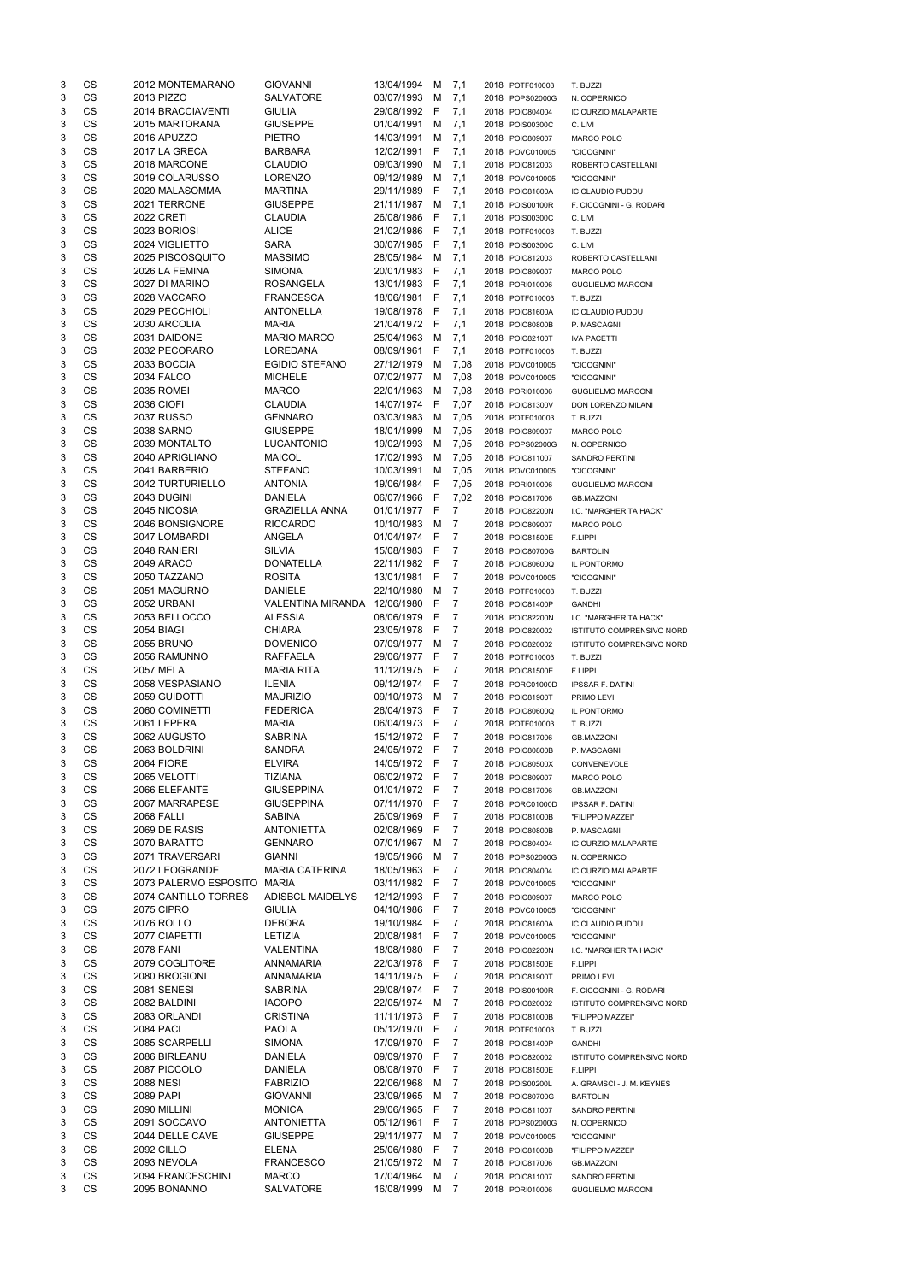| 3      | CS                     |                   | 2012 MONTEMARANO                  | <b>GIOVANNI</b>                      | 13/04/1994               | м           | 7,1                 | 2018 POTF010003                    | T. BUZZI                                   |
|--------|------------------------|-------------------|-----------------------------------|--------------------------------------|--------------------------|-------------|---------------------|------------------------------------|--------------------------------------------|
| 3      | <b>CS</b>              | 2013 PIZZO        |                                   | SALVATORE                            | 03/07/1993               | М           | 7,1                 | 2018 POPS02000G                    | N. COPERNICO                               |
| 3      | <b>CS</b>              |                   | 2014 BRACCIAVENTI                 | <b>GIULIA</b>                        | 29/08/1992               | E           | 7,1                 | 2018 POIC804004                    | IC CURZIO MALAPARTE                        |
| 3      | CS                     | 2016 APUZZO       | 2015 MARTORANA                    | <b>GIUSEPPE</b>                      | 01/04/1991<br>14/03/1991 | М           | 7,1                 | 2018 POIS00300C                    | C. LIVI                                    |
| 3<br>3 | <b>CS</b><br><b>CS</b> |                   | 2017 LA GRECA                     | <b>PIETRO</b><br><b>BARBARA</b>      | 12/02/1991               | м<br>F      | 7,1<br>7,1          | 2018 POIC809007<br>2018 POVC010005 | <b>MARCO POLO</b><br>"CICOGNINI"           |
| 3      | CS                     |                   | 2018 MARCONE                      | <b>CLAUDIO</b>                       | 09/03/1990               | M           | 7,1                 | 2018 POIC812003                    | ROBERTO CASTELLANI                         |
| 3      | <b>CS</b>              |                   | 2019 COLARUSSO                    | <b>LORENZO</b>                       | 09/12/1989               | М           | 7,1                 | 2018 POVC010005                    | "CICOGNINI"                                |
| 3      | <b>CS</b>              |                   | 2020 MALASOMMA                    | <b>MARTINA</b>                       | 29/11/1989               | F           | 7,1                 | 2018 POIC81600A                    | IC CLAUDIO PUDDU                           |
| 3      | <b>CS</b>              |                   | 2021 TERRONE                      | <b>GIUSEPPE</b>                      | 21/11/1987               | М           | 7,1                 | 2018 POIS00100R                    | F. CICOGNINI - G. RODARI                   |
| 3      | <b>CS</b>              | <b>2022 CRETI</b> |                                   | <b>CLAUDIA</b>                       | 26/08/1986               | -F          | 7,1                 | 2018 POIS00300C                    | C. LIVI                                    |
| 3      | <b>CS</b>              | 2023 BORIOSI      |                                   | <b>ALICE</b>                         | 21/02/1986 F             |             | 7,1                 | 2018 POTF010003                    | T. BUZZI                                   |
| 3      | <b>CS</b>              |                   | 2024 VIGLIETTO                    | <b>SARA</b>                          | 30/07/1985 F             |             | 7,1                 | 2018 POIS00300C                    | C. LIVI                                    |
| 3      | <b>CS</b>              |                   | 2025 PISCOSQUITO                  | <b>MASSIMO</b>                       | 28/05/1984               | M           | 7,1                 | 2018 POIC812003                    | ROBERTO CASTELLANI                         |
| 3      | <b>CS</b>              |                   | 2026 LA FEMINA                    | <b>SIMONA</b>                        | 20/01/1983               | - F         | 7,1                 | 2018 POIC809007                    | MARCO POLO                                 |
| 3      | CS                     |                   | 2027 DI MARINO                    | <b>ROSANGELA</b>                     | 13/01/1983               | - F         | 7,1                 | 2018 PORI010006                    | <b>GUGLIELMO MARCONI</b>                   |
| 3      | CS                     |                   | 2028 VACCARO                      | <b>FRANCESCA</b>                     | 18/06/1981               | - F         | 7,1                 | 2018 POTF010003                    | T. BUZZI                                   |
| 3      | CS                     |                   | 2029 PECCHIOLI                    | <b>ANTONELLA</b>                     | 19/08/1978               | - F         | 7,1                 | 2018 POIC81600A                    | IC CLAUDIO PUDDU                           |
| 3      | <b>CS</b><br>CS        | 2030 ARCOLIA      |                                   | <b>MARIA</b>                         | 21/04/1972<br>25/04/1963 | - F         | 7,1                 | 2018 POIC80800B                    | P. MASCAGNI                                |
| 3<br>3 | <b>CS</b>              | 2031 DAIDONE      | 2032 PECORARO                     | <b>MARIO MARCO</b><br>LOREDANA       | 08/09/1961               | м<br>F      | 7,1<br>7,1          | 2018 POIC82100T<br>2018 POTF010003 | <b>IVA PACETTI</b><br>T. BUZZI             |
| 3      | <b>CS</b>              | 2033 BOCCIA       |                                   | <b>EGIDIO STEFANO</b>                | 27/12/1979               | м           | 7,08                | 2018 POVC010005                    | "CICOGNINI"                                |
| 3      | <b>CS</b>              | <b>2034 FALCO</b> |                                   | <b>MICHELE</b>                       | 07/02/1977               | м           | 7,08                | 2018 POVC010005                    | "CICOGNINI"                                |
| 3      | <b>CS</b>              | <b>2035 ROMEI</b> |                                   | <b>MARCO</b>                         | 22/01/1963               | м           | 7,08                | 2018 PORI010006                    | <b>GUGLIELMO MARCONI</b>                   |
| 3      | <b>CS</b>              | 2036 CIOFI        |                                   | <b>CLAUDIA</b>                       | 14/07/1974               | $\mathsf F$ | 7,07                | 2018 POIC81300V                    | DON LORENZO MILANI                         |
| 3      | <b>CS</b>              | <b>2037 RUSSO</b> |                                   | <b>GENNARO</b>                       | 03/03/1983               | M           | 7,05                | 2018 POTF010003                    | T. BUZZI                                   |
| 3      | <b>CS</b>              | 2038 SARNO        |                                   | <b>GIUSEPPE</b>                      | 18/01/1999               | M           | 7,05                | 2018 POIC809007                    | <b>MARCO POLO</b>                          |
| 3      | <b>CS</b>              |                   | 2039 MONTALTO                     | <b>LUCANTONIO</b>                    | 19/02/1993               | M           | 7,05                | 2018 POPS02000G                    | N. COPERNICO                               |
| 3      | <b>CS</b>              |                   | 2040 APRIGLIANO                   | <b>MAICOL</b>                        | 17/02/1993               | М           | 7,05                | 2018 POIC811007                    | SANDRO PERTINI                             |
| 3      | <b>CS</b>              |                   | 2041 BARBERIO                     | <b>STEFANO</b>                       | 10/03/1991               | М           | 7,05                | 2018 POVC010005                    | "CICOGNINI"                                |
| 3      | <b>CS</b>              |                   | 2042 TURTURIELLO                  | <b>ANTONIA</b>                       | 19/06/1984               | - F         | 7,05                | 2018 PORI010006                    | <b>GUGLIELMO MARCONI</b>                   |
| 3      | <b>CS</b>              | 2043 DUGINI       |                                   | <b>DANIELA</b>                       | 06/07/1966               | - F         | 7,02                | 2018 POIC817006                    | <b>GB.MAZZONI</b>                          |
| 3      | CS                     | 2045 NICOSIA      |                                   | <b>GRAZIELLA ANNA</b>                | 01/01/1977               | F           | $\overline{7}$      | 2018 POIC82200N                    | I.C. "MARGHERITA HACK"                     |
| 3      | CS                     |                   | 2046 BONSIGNORE                   | <b>RICCARDO</b>                      | 10/10/1983               | M<br>F      | $\overline{7}$      | 2018 POIC809007                    | <b>MARCO POLO</b>                          |
| 3<br>3 | CS<br><b>CS</b>        | 2048 RANIERI      | 2047 LOMBARDI                     | <b>ANGELA</b><br><b>SILVIA</b>       | 01/04/1974<br>15/08/1983 | $-F$        | 7<br>7              | 2018 POIC81500E<br>2018 POIC80700G | F.LIPPI<br><b>BARTOLINI</b>                |
| 3      | СS                     | <b>2049 ARACO</b> |                                   | DONATELLA                            | 22/11/1982 F             |             | 7                   | 2018 POIC80600Q                    | IL PONTORMO                                |
| 3      | CS                     | 2050 TAZZANO      |                                   | <b>ROSITA</b>                        | 13/01/1981               | -F          | 7                   | 2018 POVC010005                    | "CICOGNINI"                                |
| 3      | <b>CS</b>              |                   | 2051 MAGURNO                      | <b>DANIELE</b>                       | 22/10/1980               | M           | 7                   | 2018 POTF010003                    | T. BUZZI                                   |
| 3      | <b>CS</b>              | 2052 URBANI       |                                   | VALENTINA MIRANDA                    | 12/06/1980               | -F          | 7                   | 2018 POIC81400P                    | <b>GANDHI</b>                              |
| 3      | <b>CS</b>              |                   | 2053 BELLOCCO                     | <b>ALESSIA</b>                       | 08/06/1979               | -F          | 7                   | 2018 POIC82200N                    | I.C. "MARGHERITA HACK"                     |
| 3      | <b>CS</b>              | 2054 BIAGI        |                                   | <b>CHIARA</b>                        | 23/05/1978               | F           | 7                   | 2018 POIC820002                    | ISTITUTO COMPRENSIVO NORD                  |
| 3      | <b>CS</b>              | <b>2055 BRUNO</b> |                                   | <b>DOMENICO</b>                      | 07/09/1977               | М           | 7                   | 2018 POIC820002                    | ISTITUTO COMPRENSIVO NORD                  |
| 3      | <b>CS</b>              |                   | 2056 RAMUNNO                      | <b>RAFFAELA</b>                      | 29/06/1977               | F           | 7                   | 2018 POTF010003                    | T. BUZZI                                   |
| 3      | <b>CS</b>              | <b>2057 MELA</b>  |                                   | <b>MARIA RITA</b>                    | 11/12/1975               | - F         | $\overline{7}$      | 2018 POIC81500E                    | F.LIPPI                                    |
| 3      | <b>CS</b>              |                   | 2058 VESPASIANO                   | <b>ILENIA</b>                        | 09/12/1974               | -F          | $\overline{7}$      | 2018 PORC01000D                    | <b>IPSSAR F. DATINI</b>                    |
| 3      | <b>CS</b>              |                   | 2059 GUIDOTTI                     | <b>MAURIZIO</b>                      | 09/10/1973               | M           | 7                   | 2018 POIC81900T                    | PRIMO LEVI                                 |
| 3      | <b>CS</b>              |                   | 2060 COMINETTI                    | <b>FEDERICA</b>                      | 26/04/1973               | -F          | 7                   | 2018 POIC80600Q                    | IL PONTORMO                                |
| 3      | CS                     | 2061 LEPERA       |                                   | <b>MARIA</b>                         | 06/04/1973               | -F          | 7                   | 2018 POTF010003                    | T. BUZZI                                   |
| 3      | CS<br><b>CS</b>        |                   | 2062 AUGUSTO                      | <b>SABRINA</b>                       | 15/12/1972               | -F<br>- F   | 7                   | 2018 POIC817006                    | <b>GB.MAZZONI</b>                          |
| 3<br>3 | CS                     | <b>2064 FIORE</b> | 2063 BOLDRINI                     | <b>SANDRA</b><br><b>ELVIRA</b>       | 24/05/1972<br>14/05/1972 | - F         | 7<br>7              | 2018 POIC80800B<br>2018 POIC80500X | P. MASCAGNI                                |
| 3      | <b>CS</b>              | 2065 VELOTTI      |                                   | TIZIANA                              | 06/02/1972 F             |             | 7                   | 2018 POIC809007                    | CONVENEVOLE<br><b>MARCO POLO</b>           |
| 3      | <b>CS</b>              |                   | 2066 ELEFANTE                     | <b>GIUSEPPINA</b>                    | 01/01/1972 F             |             | 7                   | 2018 POIC817006                    | <b>GB.MAZZONI</b>                          |
| 3      | <b>CS</b>              |                   | 2067 MARRAPESE                    | <b>GIUSEPPINA</b>                    | 07/11/1970               | -F          | $\overline{7}$      | 2018 PORC01000D                    | <b>IPSSAR F. DATINI</b>                    |
| 3      | <b>CS</b>              | <b>2068 FALLI</b> |                                   | <b>SABINA</b>                        | 26/09/1969               | F           | 7                   | 2018 POIC81000B                    | "FILIPPO MAZZEI"                           |
| 3      | <b>CS</b>              | 2069 DE RASIS     |                                   | <b>ANTONIETTA</b>                    | 02/08/1969               | F           | 7                   | 2018 POIC80800B                    | P. MASCAGNI                                |
| 3      | <b>CS</b>              |                   | 2070 BARATTO                      | <b>GENNARO</b>                       | 07/01/1967               | м           | 7                   | 2018 POIC804004                    | IC CURZIO MALAPARTE                        |
| 3      | <b>CS</b>              |                   | 2071 TRAVERSARI                   | <b>GIANNI</b>                        | 19/05/1966               | м           | 7                   | 2018 POPS02000G                    | N. COPERNICO                               |
| 3      | <b>CS</b>              |                   | 2072 LEOGRANDE                    | <b>MARIA CATERINA</b>                | 18/05/1963               | F           | 7                   | 2018 POIC804004                    | IC CURZIO MALAPARTE                        |
| 3      | <b>CS</b>              |                   | 2073 PALERMO ESPOSITO MARIA       |                                      | 03/11/1982               | - F         | 7                   | 2018 POVC010005                    | "CICOGNINI"                                |
| 3      | <b>CS</b>              |                   | 2074 CANTILLO TORRES              | <b>ADISBCL MAIDELYS</b>              | 12/12/1993 F             |             | 7                   | 2018 POIC809007                    | <b>MARCO POLO</b>                          |
| 3      | <b>CS</b>              | <b>2075 CIPRO</b> |                                   | <b>GIULIA</b>                        | 04/10/1986               | - F         | 7                   | 2018 POVC010005                    | "CICOGNINI"                                |
| 3      | <b>CS</b>              | <b>2076 ROLLO</b> |                                   | <b>DEBORA</b>                        | 19/10/1984               | - F         | 7                   | 2018 POIC81600A                    | IC CLAUDIO PUDDU                           |
| 3      | <b>CS</b>              | 2077 CIAPETTI     |                                   | LETIZIA                              | 20/08/1981               | E           | 7                   | 2018 POVC010005                    | "CICOGNINI"                                |
| 3      | CS                     | <b>2078 FANI</b>  |                                   | VALENTINA                            | 18/08/1980               | -F          | 7                   | 2018 POIC82200N                    | I.C. "MARGHERITA HACK"                     |
| 3<br>3 | CS<br><b>CS</b>        |                   | 2079 COGLITORE<br>2080 BROGIONI   | <b>ANNAMARIA</b><br><b>ANNAMARIA</b> | 22/03/1978<br>14/11/1975 | -F<br>- F   | 7<br>7              | 2018 POIC81500E<br>2018 POIC81900T | F.LIPPI                                    |
| 3      | CS                     | 2081 SENESI       |                                   | <b>SABRINA</b>                       | 29/08/1974               | E           | 7                   | 2018 POIS00100R                    | PRIMO LEVI<br>F. CICOGNINI - G. RODARI     |
| 3      | CS                     | 2082 BALDINI      |                                   | <b>IACOPO</b>                        | 22/05/1974               | М           | 7                   | 2018 POIC820002                    | ISTITUTO COMPRENSIVO NORD                  |
| 3      | CS                     | 2083 ORLANDI      |                                   | <b>CRISTINA</b>                      | 11/11/1973               | -F          | 7                   | 2018 POIC81000B                    | "FILIPPO MAZZEI"                           |
| 3      | <b>CS</b>              | <b>2084 PACI</b>  |                                   | <b>PAOLA</b>                         | 05/12/1970 F             |             | $\overline{7}$      | 2018 POTF010003                    | T. BUZZI                                   |
| 3      | CS                     |                   | 2085 SCARPELLI                    | <b>SIMONA</b>                        | 17/09/1970 F 7           |             |                     | 2018 POIC81400P                    | <b>GANDHI</b>                              |
| 3      | CS                     |                   | 2086 BIRLEANU                     | <b>DANIELA</b>                       | 09/09/1970 F             |             | 7                   | 2018 POIC820002                    | ISTITUTO COMPRENSIVO NORD                  |
| 3      | CS                     | 2087 PICCOLO      |                                   | DANIELA                              | 08/08/1970               | F           | 7                   | 2018 POIC81500E                    | F.LIPPI                                    |
| 3      | CS                     | 2088 NESI         |                                   | <b>FABRIZIO</b>                      | 22/06/1968               | м           | 7                   | 2018 POIS00200L                    | A. GRAMSCI - J. M. KEYNES                  |
| 3      | CS                     | 2089 PAPI         |                                   | <b>GIOVANNI</b>                      | 23/09/1965               | M           | 7                   | 2018 POIC80700G                    | <b>BARTOLINI</b>                           |
| 3      | CS                     | 2090 MILLINI      |                                   | <b>MONICA</b>                        | 29/06/1965               | E           | 7                   | 2018 POIC811007                    | <b>SANDRO PERTINI</b>                      |
| 3      | CS                     |                   | 2091 SOCCAVO                      | <b>ANTONIETTA</b>                    | 05/12/1961               | -F          | 7                   | 2018 POPS02000G                    | N. COPERNICO                               |
| 3      | CS                     |                   | 2044 DELLE CAVE                   | <b>GIUSEPPE</b>                      | 29/11/1977               | M           | 7                   | 2018 POVC010005                    | "CICOGNINI"                                |
| 3      | CS                     | <b>2092 CILLO</b> |                                   | <b>ELENA</b>                         | 25/06/1980               | F.          | 7                   | 2018 POIC81000B                    | "FILIPPO MAZZEI"                           |
| 3      | CS                     | 2093 NEVOLA       |                                   | <b>FRANCESCO</b>                     | 21/05/1972               | М           | 7                   | 2018 POIC817006                    | <b>GB.MAZZONI</b>                          |
| 3<br>3 | CS<br>CS               |                   | 2094 FRANCESCHINI<br>2095 BONANNO | <b>MARCO</b><br>SALVATORE            | 17/04/1964<br>16/08/1999 | м<br>M      | 7<br>$\overline{7}$ | 2018 POIC811007                    | SANDRO PERTINI<br><b>GUGLIELMO MARCONI</b> |
|        |                        |                   |                                   |                                      |                          |             |                     | 2018 PORI010006                    |                                            |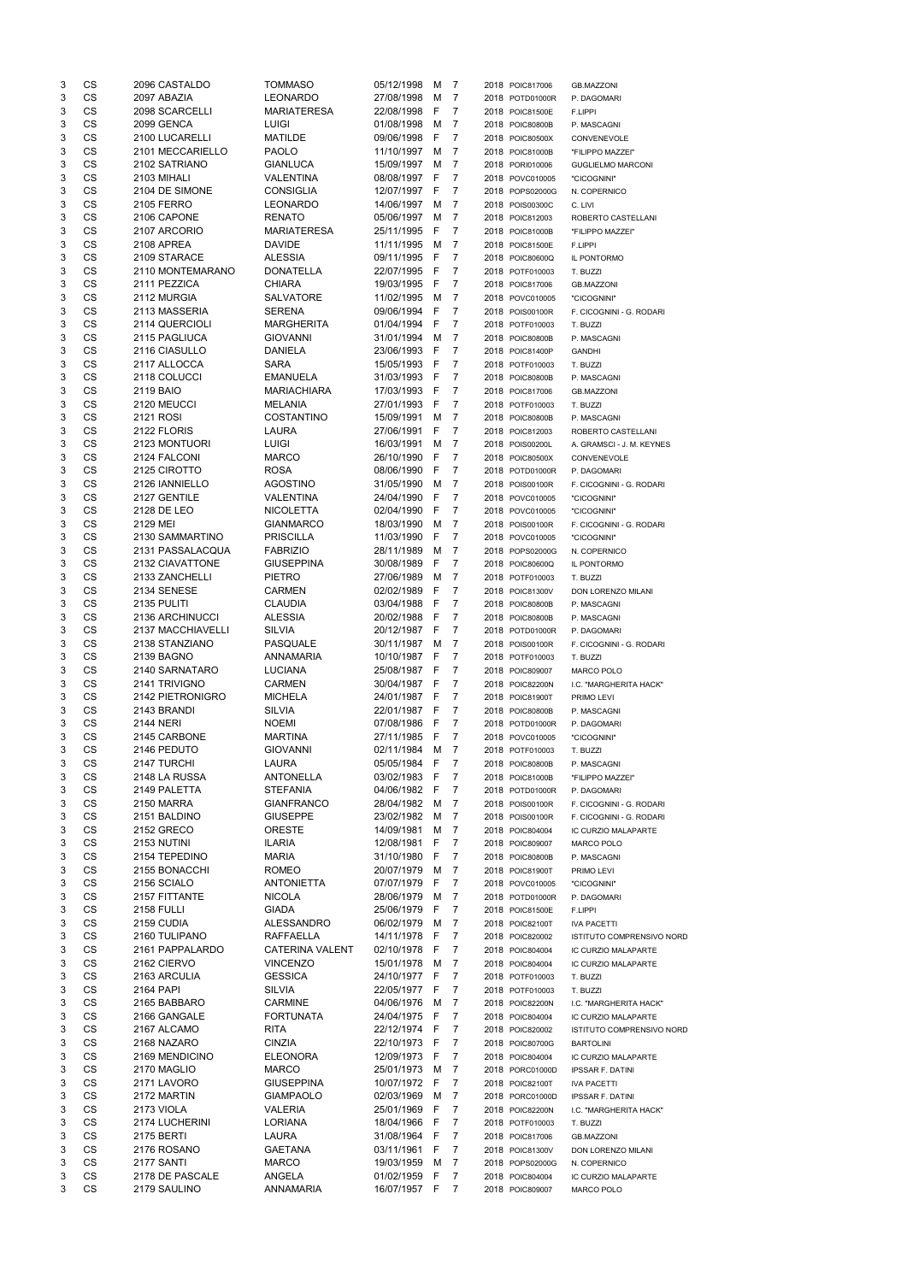| 3      | CS                     | 2096 CASTALDO                       | <b>TOMMASO</b>                             | 05/12/1998               | M      | 7                   | 2018 POIC817006                    | <b>GB.MAZZONI</b>                            |
|--------|------------------------|-------------------------------------|--------------------------------------------|--------------------------|--------|---------------------|------------------------------------|----------------------------------------------|
| 3      | CS                     | 2097 ABAZIA                         | <b>LEONARDO</b>                            | 27/08/1998               | М      | 7                   | 2018 POTD01000R                    | P. DAGOMARI                                  |
| 3      | CS                     | 2098 SCARCELLI                      | <b>MARIATERESA</b>                         | 22/08/1998               | F      | 7                   | 2018 POIC81500E                    | F.LIPPI                                      |
| 3      | CS                     | 2099 GENCA                          | <b>LUIGI</b>                               | 01/08/1998               | М      | 7                   | 2018 POIC80800B                    | P. MASCAGNI                                  |
| 3      | <b>CS</b><br><b>CS</b> | 2100 LUCARELLI                      | <b>MATILDE</b><br><b>PAOLO</b>             | 09/06/1998               | F      | 7                   | 2018 POIC80500X                    | CONVENEVOLE                                  |
| 3<br>3 | <b>CS</b>              | 2101 MECCARIELLO<br>2102 SATRIANO   | <b>GIANLUCA</b>                            | 11/10/1997<br>15/09/1997 | M<br>M | 7<br>7              | 2018 POIC81000B<br>2018 PORI010006 | "FILIPPO MAZZEI"<br><b>GUGLIELMO MARCONI</b> |
| 3      | CS                     | 2103 MIHALI                         | <b>VALENTINA</b>                           | 08/08/1997               | F      | 7                   | 2018 POVC010005                    | "CICOGNINI"                                  |
| 3      | <b>CS</b>              | 2104 DE SIMONE                      | <b>CONSIGLIA</b>                           | 12/07/1997               | F      | 7                   | 2018 POPS02000G                    | N. COPERNICO                                 |
| 3      | <b>CS</b>              | <b>2105 FERRO</b>                   | <b>LEONARDO</b>                            | 14/06/1997               | M      | 7                   | 2018 POIS00300C                    | C. LIVI                                      |
| 3      | CS                     | 2106 CAPONE                         | <b>RENATO</b>                              | 05/06/1997               | M      | $\overline{7}$      | 2018 POIC812003                    | ROBERTO CASTELLANI                           |
| 3      | CS                     | 2107 ARCORIO                        | <b>MARIATERESA</b>                         | 25/11/1995               | F      | 7                   | 2018 POIC81000B                    | "FILIPPO MAZZEI"                             |
| 3      | <b>CS</b>              | 2108 APREA                          | <b>DAVIDE</b>                              | 11/11/1995               | M      | 7                   | 2018 POIC81500E                    | F.LIPPI                                      |
| 3      | <b>CS</b>              | 2109 STARACE                        | <b>ALESSIA</b>                             | 09/11/1995               | -F     | 7                   | 2018 POIC80600Q                    | IL PONTORMO                                  |
| 3      | CS                     | 2110 MONTEMARANO                    | <b>DONATELLA</b>                           | 22/07/1995               | F      | 7                   | 2018 POTF010003                    | T. BUZZI                                     |
| 3      | CS                     | 2111 PEZZICA                        | <b>CHIARA</b>                              | 19/03/1995               | F      | 7                   | 2018 POIC817006                    | <b>GB.MAZZONI</b>                            |
| 3      | CS                     | 2112 MURGIA                         | <b>SALVATORE</b>                           | 11/02/1995               | М      | 7                   | 2018 POVC010005                    | "CICOGNINI"                                  |
| 3      | CS                     | 2113 MASSERIA                       | <b>SERENA</b>                              | 09/06/1994               | F      | 7                   | 2018 POIS00100R                    | F. CICOGNINI - G. RODARI                     |
| 3      | CS                     | 2114 QUERCIOLI                      | <b>MARGHERITA</b>                          | 01/04/1994               | F      | 7                   | 2018 POTF010003                    | T. BUZZI                                     |
| 3<br>3 | CS<br><b>CS</b>        | 2115 PAGLIUCA<br>2116 CIASULLO      | <b>GIOVANNI</b><br><b>DANIELA</b>          | 31/01/1994<br>23/06/1993 | M<br>F | 7<br>7              | 2018 POIC80800B<br>2018 POIC81400P | P. MASCAGNI<br><b>GANDHI</b>                 |
| 3      | <b>CS</b>              | 2117 ALLOCCA                        | <b>SARA</b>                                | 15/05/1993               | F      | 7                   | 2018 POTF010003                    | T. BUZZI                                     |
| 3      | <b>CS</b>              | 2118 COLUCCI                        | <b>EMANUELA</b>                            | 31/03/1993               | F      | 7                   | 2018 POIC80800B                    | P. MASCAGNI                                  |
| 3      | CS                     | 2119 BAIO                           | <b>MARIACHIARA</b>                         | 17/03/1993               | F      | 7                   | 2018 POIC817006                    | <b>GB.MAZZONI</b>                            |
| 3      | <b>CS</b>              | 2120 MEUCCI                         | <b>MELANIA</b>                             | 27/01/1993               | F      | 7                   | 2018 POTF010003                    | T. BUZZI                                     |
| 3      | <b>CS</b>              | 2121 ROSI                           | COSTANTINO                                 | 15/09/1991               | М      | $\overline{7}$      | 2018 POIC80800B                    | P. MASCAGNI                                  |
| 3      | CS                     | 2122 FLORIS                         | <b>LAURA</b>                               | 27/06/1991               | F      | 7                   | 2018 POIC812003                    | ROBERTO CASTELLANI                           |
| 3      | CS                     | 2123 MONTUORI                       | <b>LUIGI</b>                               | 16/03/1991               | M      | $\overline{7}$      | 2018 POIS00200L                    | A. GRAMSCI - J. M. KEYNES                    |
| 3      | <b>CS</b>              | 2124 FALCONI                        | <b>MARCO</b>                               | 26/10/1990               | F      | 7                   | 2018 POIC80500X                    | CONVENEVOLE                                  |
| 3      | <b>CS</b>              | 2125 CIROTTO                        | <b>ROSA</b>                                | 08/06/1990               | F      | $\overline{7}$      | 2018 POTD01000R                    | P. DAGOMARI                                  |
| 3      | <b>CS</b>              | 2126 IANNIELLO                      | AGOSTINO                                   | 31/05/1990               | M      | 7                   | 2018 POIS00100R                    | F. CICOGNINI - G. RODARI                     |
| 3      | CS                     | 2127 GENTILE                        | VALENTINA                                  | 24/04/1990               | F      | 7                   | 2018 POVC010005                    | "CICOGNINI"                                  |
| 3      | CS                     | 2128 DE LEO                         | <b>NICOLETTA</b>                           | 02/04/1990               | F      | 7                   | 2018 POVC010005                    | "CICOGNINI"                                  |
| 3      | CS                     | 2129 MEI                            | <b>GIANMARCO</b>                           | 18/03/1990               | М      | 7                   | 2018 POIS00100R                    | F. CICOGNINI - G. RODARI                     |
| 3<br>3 | CS<br><b>CS</b>        | 2130 SAMMARTINO<br>2131 PASSALACQUA | <b>PRISCILLA</b><br><b>FABRIZIO</b>        | 11/03/1990<br>28/11/1989 | F<br>M | 7<br>$\overline{7}$ | 2018 POVC010005<br>2018 POPS02000G | "CICOGNINI"                                  |
| 3      | CS                     | 2132 CIAVATTONE                     | <b>GIUSEPPINA</b>                          | 30/08/1989               | F      | 7                   | 2018 POIC80600Q                    | N. COPERNICO<br>IL PONTORMO                  |
| 3      | <b>CS</b>              | 2133 ZANCHELLI                      | <b>PIETRO</b>                              | 27/06/1989               | M      | 7                   | 2018 POTF010003                    | T. BUZZI                                     |
| 3      | <b>CS</b>              | 2134 SENESE                         | <b>CARMEN</b>                              | 02/02/1989               | F      | 7                   | 2018 POIC81300V                    | DON LORENZO MILANI                           |
| 3      | <b>CS</b>              | 2135 PULITI                         | <b>CLAUDIA</b>                             | 03/04/1988               | F      | 7                   | 2018 POIC80800B                    | P. MASCAGNI                                  |
| 3      | <b>CS</b>              | 2136 ARCHINUCCI                     | <b>ALESSIA</b>                             | 20/02/1988               | F      | 7                   | 2018 POIC80800B                    | P. MASCAGNI                                  |
| 3      | <b>CS</b>              | 2137 MACCHIAVELLI                   | <b>SILVIA</b>                              | 20/12/1987               | F      | 7                   | 2018 POTD01000R                    | P. DAGOMARI                                  |
| 3      | <b>CS</b>              | 2138 STANZIANO                      | <b>PASQUALE</b>                            | 30/11/1987               | М      | 7                   | 2018 POIS00100R                    | F. CICOGNINI - G. RODARI                     |
| 3      | CS                     | 2139 BAGNO                          | <b>ANNAMARIA</b>                           | 10/10/1987               | -F     | 7                   | 2018 POTF010003                    | T. BUZZI                                     |
| 3      | CS                     | 2140 SARNATARO                      | <b>LUCIANA</b>                             | 25/08/1987               | -F     | 7                   | 2018 POIC809007                    | MARCO POLO                                   |
| 3      | <b>CS</b>              | 2141 TRIVIGNO                       | <b>CARMEN</b>                              | 30/04/1987               | - F    | 7                   | 2018 POIC82200N                    | I.C. "MARGHERITA HACK"                       |
| 3      | <b>CS</b>              | 2142 PIETRONIGRO                    | <b>MICHELA</b>                             | 24/01/1987               | - F    | 7                   | 2018 POIC81900T                    | PRIMO LEVI                                   |
| 3      | <b>CS</b>              | 2143 BRANDI                         | <b>SILVIA</b>                              | 22/01/1987               | F      | 7                   | 2018 POIC80800B                    | P. MASCAGNI                                  |
| 3      | <b>CS</b>              | <b>2144 NERI</b>                    | <b>NOEMI</b>                               | 07/08/1986               | F      | 7                   | 2018 POTD01000R                    | P. DAGOMARI                                  |
| 3      | <b>CS</b><br><b>CS</b> | 2145 CARBONE                        | <b>MARTINA</b>                             | 27/11/1985               | F      | 7<br>$\overline{7}$ | 2018 POVC010005                    | "CICOGNINI"                                  |
| 3<br>3 | CS                     | 2146 PEDUTO<br>2147 TURCHI          | <b>GIOVANNI</b><br>LAURA                   | 02/11/1984<br>05/05/1984 | M<br>F | 7                   | 2018 POTF010003<br>2018 POIC80800B | T. BUZZI                                     |
| 3      | CS                     | 2148 LA RUSSA                       | <b>ANTONELLA</b>                           | 03/02/1983               | F      | 7                   | 2018 POIC81000B                    | P. MASCAGNI<br>"FILIPPO MAZZEI"              |
| 3      | <b>CS</b>              | 2149 PALETTA                        | <b>STEFANIA</b>                            | 04/06/1982               | F      | 7                   | 2018 POTD01000R                    | P. DAGOMARI                                  |
| 3      | <b>CS</b>              | 2150 MARRA                          | <b>GIANFRANCO</b>                          | 28/04/1982               | M      | 7                   | 2018 POIS00100R                    | F. CICOGNINI - G. RODARI                     |
| 3      | <b>CS</b>              | 2151 BALDINO                        | <b>GIUSEPPE</b>                            | 23/02/1982               | м      | 7                   | 2018 POIS00100R                    | F. CICOGNINI - G. RODARI                     |
| 3      | <b>CS</b>              | 2152 GRECO                          | <b>ORESTE</b>                              | 14/09/1981               | М      | 7                   | 2018 POIC804004                    | IC CURZIO MALAPARTE                          |
| 3      | <b>CS</b>              | 2153 NUTINI                         | <b>ILARIA</b>                              | 12/08/1981               | F      | 7                   | 2018 POIC809007                    | MARCO POLO                                   |
| 3      | <b>CS</b>              | 2154 TEPEDINO                       | <b>MARIA</b>                               | 31/10/1980               | F      | 7                   | 2018 POIC80800B                    | P. MASCAGNI                                  |
| 3      | <b>CS</b>              | 2155 BONACCHI                       | <b>ROMEO</b>                               | 20/07/1979               | M      | 7                   | 2018 POIC81900T                    | PRIMO LEVI                                   |
| 3      | <b>CS</b>              | 2156 SCIALO                         | <b>ANTONIETTA</b>                          | 07/07/1979               | F      | 7                   | 2018 POVC010005                    | "CICOGNINI"                                  |
| 3      | CS                     | 2157 FITTANTE                       | <b>NICOLA</b>                              | 28/06/1979               | M      | 7                   | 2018 POTD01000R                    | P. DAGOMARI                                  |
| 3      | <b>CS</b>              | 2158 FULLI                          | <b>GIADA</b>                               | 25/06/1979               | F      | 7                   | 2018 POIC81500E                    | F.LIPPI                                      |
| 3      | <b>CS</b>              | 2159 CUDIA                          | <b>ALESSANDRO</b>                          | 06/02/1979               | M      | 7                   | 2018 POIC82100T                    | <b>IVA PACETTI</b>                           |
| 3<br>3 | <b>CS</b><br>CS        | 2160 TULIPANO<br>2161 PAPPALARDO    | <b>RAFFAELLA</b><br><b>CATERINA VALENT</b> | 14/11/1978               | F<br>F | 7<br>7              | 2018 POIC820002<br>2018 POIC804004 | ISTITUTO COMPRENSIVO NORD                    |
| 3      | <b>CS</b>              | 2162 CIERVO                         | <b>VINCENZO</b>                            | 02/10/1978<br>15/01/1978 | М      | 7                   | 2018 POIC804004                    | IC CURZIO MALAPARTE<br>IC CURZIO MALAPARTE   |
| 3      | <b>CS</b>              | 2163 ARCULIA                        | <b>GESSICA</b>                             | 24/10/1977               | - F    | 7                   | 2018 POTF010003                    | T. BUZZI                                     |
| 3      | CS                     | 2164 PAPI                           | <b>SILVIA</b>                              | 22/05/1977               | -F     | 7                   | 2018 POTF010003                    | T. BUZZI                                     |
| 3      | CS                     | 2165 BABBARO                        | <b>CARMINE</b>                             | 04/06/1976               | М      | 7                   | 2018 POIC82200N                    | I.C. "MARGHERITA HACK"                       |
| 3      | <b>CS</b>              | 2166 GANGALE                        | <b>FORTUNATA</b>                           | 24/04/1975               | F      | 7                   | 2018 POIC804004                    | IC CURZIO MALAPARTE                          |
| 3      | <b>CS</b>              | 2167 ALCAMO                         | <b>RITA</b>                                | 22/12/1974 F             |        | 7                   | 2018 POIC820002                    | ISTITUTO COMPRENSIVO NORD                    |
| 3      | CS                     | 2168 NAZARO                         | <b>CINZIA</b>                              | 22/10/1973 F             |        | $\overline{7}$      | 2018 POIC80700G                    | BARTOLINI                                    |
| 3      | CS                     | 2169 MENDICINO                      | <b>ELEONORA</b>                            | 12/09/1973               | F      | 7                   | 2018 POIC804004                    | IC CURZIO MALAPARTE                          |
| 3      | CS                     | 2170 MAGLIO                         | <b>MARCO</b>                               | 25/01/1973               | M      | 7                   | 2018 PORC01000D                    | <b>IPSSAR F. DATINI</b>                      |
| 3      | CS                     | 2171 LAVORO                         | <b>GIUSEPPINA</b>                          | 10/07/1972               | E      | 7                   | 2018 POIC82100T                    | <b>IVA PACETTI</b>                           |
| 3      | CS                     | 2172 MARTIN                         | <b>GIAMPAOLO</b>                           | 02/03/1969               | M      | 7                   | 2018 PORC01000D                    | <b>IPSSAR F. DATINI</b>                      |
| 3      | CS                     | 2173 VIOLA                          | <b>VALERIA</b>                             | 25/01/1969               | E      | 7                   | 2018 POIC82200N                    | I.C. "MARGHERITA HACK"                       |
| 3      | CS                     | 2174 LUCHERINI                      | <b>LORIANA</b>                             | 18/04/1966               | E      | 7                   | 2018 POTF010003                    | T. BUZZI                                     |
| 3      | CS                     | <b>2175 BERTI</b>                   | LAURA                                      | 31/08/1964               | -F     | 7                   | 2018 POIC817006                    | <b>GB.MAZZONI</b>                            |
| 3      | CS                     | 2176 ROSANO                         | <b>GAETANA</b>                             | 03/11/1961               | F      | 7                   | 2018 POIC81300V                    | DON LORENZO MILANI                           |
| 3      | CS                     | 2177 SANTI                          | <b>MARCO</b>                               | 19/03/1959               | M      | 7                   | 2018 POPS02000G                    | N. COPERNICO                                 |
| 3      | CS                     | 2178 DE PASCALE                     | ANGELA                                     | 01/02/1959               | -F     | 7                   | 2018 POIC804004                    | IC CURZIO MALAPARTE                          |
| 3      | CS                     | 2179 SAULINO                        | <b>ANNAMARIA</b>                           | 16/07/1957 F             |        | $\overline{7}$      | 2018 POIC809007                    | MARCO POLO                                   |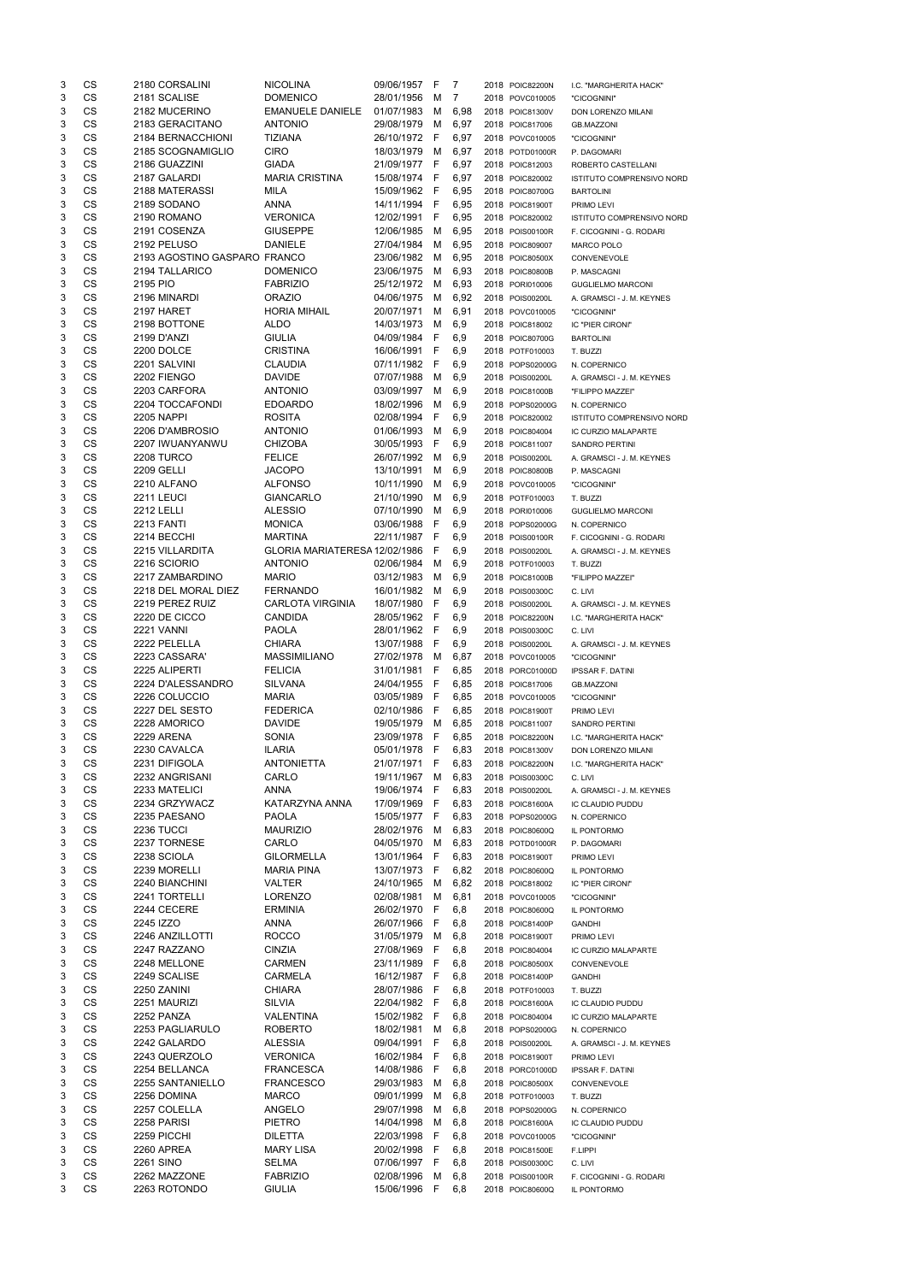| 3 | CS        | 2180 CORSALINI               | <b>NICOLINA</b>               | 09/06/1957   | F   | 7    | 2018 POIC82200N | I.C. "MARGHERITA HACK"           |
|---|-----------|------------------------------|-------------------------------|--------------|-----|------|-----------------|----------------------------------|
| 3 | CS        | 2181 SCALISE                 | <b>DOMENICO</b>               | 28/01/1956   | М   | 7    | 2018 POVC010005 | "CICOGNINI"                      |
| 3 | <b>CS</b> | 2182 MUCERINO                | <b>EMANUELE DANIELE</b>       | 01/07/1983   | м   | 6,98 | 2018 POIC81300V | DON LORENZO MILANI               |
| 3 | <b>CS</b> | 2183 GERACITANO              | <b>ANTONIO</b>                | 29/08/1979   | М   | 6,97 | 2018 POIC817006 | <b>GB.MAZZONI</b>                |
| 3 | <b>CS</b> | 2184 BERNACCHIONI            | <b>TIZIANA</b>                | 26/10/1972   | F   | 6,97 | 2018 POVC010005 | "CICOGNINI"                      |
| 3 | CS        | 2185 SCOGNAMIGLIO            | <b>CIRO</b>                   | 18/03/1979   | M   | 6,97 | 2018 POTD01000R | P. DAGOMARI                      |
| 3 | CS        | 2186 GUAZZINI                | <b>GIADA</b>                  | 21/09/1977   | - F | 6,97 | 2018 POIC812003 | ROBERTO CASTELLANI               |
| 3 | <b>CS</b> | 2187 GALARDI                 | <b>MARIA CRISTINA</b>         | 15/08/1974   | - F | 6,97 | 2018 POIC820002 | ISTITUTO COMPRENSIVO NORD        |
| 3 | <b>CS</b> | 2188 MATERASSI               | MILA                          | 15/09/1962   | - F | 6,95 | 2018 POIC80700G | <b>BARTOLINI</b>                 |
| 3 | <b>CS</b> | 2189 SODANO                  | ANNA                          | 14/11/1994   | -F  | 6,95 | 2018 POIC81900T | PRIMO LEVI                       |
| 3 | CS        | 2190 ROMANO                  | <b>VERONICA</b>               | 12/02/1991   | F   | 6,95 | 2018 POIC820002 | <b>ISTITUTO COMPRENSIVO NORD</b> |
| 3 | <b>CS</b> | 2191 COSENZA                 | <b>GIUSEPPE</b>               | 12/06/1985   | M   | 6,95 | 2018 POIS00100R | F. CICOGNINI - G. RODARI         |
| 3 | CS        | 2192 PELUSO                  | <b>DANIELE</b>                | 27/04/1984   | м   |      |                 |                                  |
|   |           |                              |                               |              |     | 6,95 | 2018 POIC809007 | <b>MARCO POLO</b>                |
| 3 | CS        | 2193 AGOSTINO GASPARO FRANCO |                               | 23/06/1982   | M   | 6,95 | 2018 POIC80500X | CONVENEVOLE                      |
| 3 | CS        | 2194 TALLARICO               | <b>DOMENICO</b>               | 23/06/1975   | М   | 6,93 | 2018 POIC80800B | P. MASCAGNI                      |
| 3 | <b>CS</b> | 2195 PIO                     | <b>FABRIZIO</b>               | 25/12/1972   | M   | 6,93 | 2018 PORI010006 | <b>GUGLIELMO MARCONI</b>         |
| 3 | <b>CS</b> | 2196 MINARDI                 | <b>ORAZIO</b>                 | 04/06/1975   | M   | 6,92 | 2018 POIS00200L | A. GRAMSCI - J. M. KEYNES        |
| 3 | CS        | 2197 HARET                   | <b>HORIA MIHAIL</b>           | 20/07/1971   | M   | 6,91 | 2018 POVC010005 | "CICOGNINI"                      |
| 3 | CS        | 2198 BOTTONE                 | <b>ALDO</b>                   | 14/03/1973   | М   | 6,9  | 2018 POIC818002 | IC "PIER CIRONI"                 |
| 3 | CS        | 2199 D'ANZI                  | <b>GIULIA</b>                 | 04/09/1984   | F   | 6,9  | 2018 POIC80700G | <b>BARTOLINI</b>                 |
| 3 | CS        | 2200 DOLCE                   | <b>CRISTINA</b>               | 16/06/1991   | F   | 6,9  | 2018 POTF010003 | T. BUZZI                         |
| 3 | CS        | 2201 SALVINI                 | <b>CLAUDIA</b>                | 07/11/1982   | -F  | 6,9  | 2018 POPS02000G | N. COPERNICO                     |
| 3 | CS        | 2202 FIENGO                  | <b>DAVIDE</b>                 | 07/07/1988   | M   | 6,9  | 2018 POIS00200L | A. GRAMSCI - J. M. KEYNES        |
| 3 | <b>CS</b> | 2203 CARFORA                 | <b>ANTONIO</b>                | 03/09/1997   | м   | 6,9  | 2018 POIC81000B | "FILIPPO MAZZEI"                 |
| 3 | <b>CS</b> | 2204 TOCCAFONDI              | <b>EDOARDO</b>                | 18/02/1996   | M   | 6,9  | 2018 POPS02000G | N. COPERNICO                     |
| 3 | CS        | <b>2205 NAPPI</b>            | <b>ROSITA</b>                 | 02/08/1994   | F   | 6,9  | 2018 POIC820002 | ISTITUTO COMPRENSIVO NORD        |
| 3 | <b>CS</b> | 2206 D'AMBROSIO              | <b>ANTONIO</b>                | 01/06/1993   | M   | 6,9  | 2018 POIC804004 | IC CURZIO MALAPARTE              |
| 3 | <b>CS</b> | 2207 IWUANYANWU              | <b>CHIZOBA</b>                | 30/05/1993   | F   | 6,9  | 2018 POIC811007 | <b>SANDRO PERTINI</b>            |
| 3 | <b>CS</b> | <b>2208 TURCO</b>            | <b>FELICE</b>                 | 26/07/1992   | м   | 6,9  | 2018 POIS00200L | A. GRAMSCI - J. M. KEYNES        |
| 3 | CS        | 2209 GELLI                   | <b>JACOPO</b>                 | 13/10/1991   | м   | 6,9  |                 |                                  |
|   | CS        |                              |                               |              |     |      | 2018 POIC80800B | P. MASCAGNI                      |
| 3 |           | 2210 ALFANO                  | <b>ALFONSO</b>                | 10/11/1990   | M   | 6,9  | 2018 POVC010005 | "CICOGNINI"                      |
| 3 | CS        | 2211 LEUCI                   | <b>GIANCARLO</b>              | 21/10/1990   | M   | 6,9  | 2018 POTF010003 | T. BUZZI                         |
| 3 | <b>CS</b> | <b>2212 LELLI</b>            | <b>ALESSIO</b>                | 07/10/1990   | м   | 6,9  | 2018 PORI010006 | <b>GUGLIELMO MARCONI</b>         |
| 3 | <b>CS</b> | <b>2213 FANTI</b>            | <b>MONICA</b>                 | 03/06/1988   | F   | 6,9  | 2018 POPS02000G | N. COPERNICO                     |
| 3 | CS        | 2214 BECCHI                  | <b>MARTINA</b>                | 22/11/1987   | F   | 6,9  | 2018 POIS00100R | F. CICOGNINI - G. RODARI         |
| 3 | <b>CS</b> | 2215 VILLARDITA              | GLORIA MARIATERESA 12/02/1986 |              | F   | 6,9  | 2018 POIS00200L | A. GRAMSCI - J. M. KEYNES        |
| 3 | CS        | 2216 SCIORIO                 | <b>ANTONIO</b>                | 02/06/1984   | M   | 6,9  | 2018 POTF010003 | T. BUZZI                         |
| 3 | CS        | 2217 ZAMBARDINO              | <b>MARIO</b>                  | 03/12/1983   | M   | 6,9  | 2018 POIC81000B | "FILIPPO MAZZEI"                 |
| 3 | CS        | 2218 DEL MORAL DIEZ          | <b>FERNANDO</b>               | 16/01/1982   | M   | 6,9  | 2018 POIS00300C | C. LIVI                          |
| 3 | CS        | 2219 PEREZ RUIZ              | <b>CARLOTA VIRGINIA</b>       | 18/07/1980   | -F  | 6,9  | 2018 POIS00200L | A. GRAMSCI - J. M. KEYNES        |
| 3 | <b>CS</b> | 2220 DE CICCO                | <b>CANDIDA</b>                | 28/05/1962   | -F  | 6,9  | 2018 POIC82200N | I.C. "MARGHERITA HACK"           |
| 3 | <b>CS</b> | <b>2221 VANNI</b>            | <b>PAOLA</b>                  | 28/01/1962   | - F | 6,9  | 2018 POIS00300C | C. LIVI                          |
| 3 | <b>CS</b> | 2222 PELELLA                 | <b>CHIARA</b>                 | 13/07/1988   | F   | 6,9  | 2018 POIS00200L | A. GRAMSCI - J. M. KEYNES        |
| 3 | <b>CS</b> | 2223 CASSARA'                | <b>MASSIMILIANO</b>           | 27/02/1978   | M   | 6,87 | 2018 POVC010005 | "CICOGNINI"                      |
| 3 | <b>CS</b> | 2225 ALIPERTI                | <b>FELICIA</b>                | 31/01/1981   | F   | 6,85 | 2018 PORC01000D | <b>IPSSAR F. DATINI</b>          |
| 3 | <b>CS</b> | 2224 D'ALESSANDRO            | <b>SILVANA</b>                | 24/04/1955   | F   | 6,85 | 2018 POIC817006 | <b>GB.MAZZONI</b>                |
| 3 | CS        | 2226 COLUCCIO                | <b>MARIA</b>                  | 03/05/1989   | -F  | 6,85 | 2018 POVC010005 | "CICOGNINI"                      |
| 3 | CS        | 2227 DEL SESTO               | <b>FEDERICA</b>               | 02/10/1986   | -F  | 6,85 | 2018 POIC81900T | PRIMO LEVI                       |
| 3 | <b>CS</b> | 2228 AMORICO                 | <b>DAVIDE</b>                 | 19/05/1979   | M   | 6,85 | 2018 POIC811007 |                                  |
|   | <b>CS</b> |                              |                               |              |     |      |                 | <b>SANDRO PERTINI</b>            |
| 3 |           | <b>2229 ARENA</b>            | <b>SONIA</b>                  | 23/09/1978   | -F  | 6,85 | 2018 POIC82200N | I.C. "MARGHERITA HACK"           |
| 3 | CS        | 2230 CAVALCA                 | <b>ILARIA</b>                 | 05/01/1978   | F   | 6,83 | 2018 POIC81300V | DON LORENZO MILANI               |
| 3 | CS        | 2231 DIFIGOLA                | <b>ANTONIETTA</b>             | 21/07/1971   | F   | 6,83 | 2018 POIC82200N | I.C. "MARGHERITA HACK"           |
| 3 | CS        | 2232 ANGRISANI               | CARLO                         | 19/11/1967   | M   | 6,83 | 2018 POIS00300C | C. LIVI                          |
| 3 | <b>CS</b> | 2233 MATELICI                | ANNA                          | 19/06/1974   | E   | 6,83 | 2018 POIS00200L | A. GRAMSCI - J. M. KEYNES        |
| 3 | CS        | 2234 GRZYWACZ                | KATARZYNA ANNA                | 17/09/1969   | -F  | 6,83 | 2018 POIC81600A | <b>IC CLAUDIO PUDDU</b>          |
| 3 | CS        | 2235 PAESANO                 | <b>PAOLA</b>                  | 15/05/1977 F |     | 6,83 | 2018 POPS02000G | N. COPERNICO                     |
| 3 | <b>CS</b> | 2236 TUCCI                   | <b>MAURIZIO</b>               | 28/02/1976   | M   | 6,83 | 2018 POIC80600Q | IL PONTORMO                      |
| 3 | <b>CS</b> | 2237 TORNESE                 | CARLO                         | 04/05/1970   | M   | 6,83 | 2018 POTD01000R | P. DAGOMARI                      |
| 3 | <b>CS</b> | 2238 SCIOLA                  | <b>GILORMELLA</b>             | 13/01/1964   | - F | 6,83 | 2018 POIC81900T | PRIMO LEVI                       |
| 3 | <b>CS</b> | 2239 MORELLI                 | <b>MARIA PINA</b>             | 13/07/1973   | F   | 6,82 | 2018 POIC80600Q | IL PONTORMO                      |
| 3 | <b>CS</b> | 2240 BIANCHINI               | <b>VALTER</b>                 | 24/10/1965   | M   | 6,82 | 2018 POIC818002 | IC "PIER CIRONI"                 |
| 3 | <b>CS</b> | 2241 TORTELLI                | <b>LORENZO</b>                | 02/08/1981   | м   | 6,81 | 2018 POVC010005 | "CICOGNINI"                      |
| 3 | <b>CS</b> | 2244 CECERE                  | <b>ERMINIA</b>                | 26/02/1970   | F   | 6,8  | 2018 POIC80600Q | IL PONTORMO                      |
| 3 | CS        | 2245 IZZO                    | ANNA                          | 26/07/1966   | -F  | 6,8  | 2018 POIC81400P | <b>GANDHI</b>                    |
| 3 | CS        | 2246 ANZILLOTTI              | <b>ROCCO</b>                  | 31/05/1979   | M   | 6,8  | 2018 POIC81900T | PRIMO LEVI                       |
| 3 | <b>CS</b> | 2247 RAZZANO                 | <b>CINZIA</b>                 | 27/08/1969   | F   | 6,8  | 2018 POIC804004 | IC CURZIO MALAPARTE              |
| 3 | <b>CS</b> | 2248 MELLONE                 | <b>CARMEN</b>                 | 23/11/1989   | F   | 6,8  | 2018 POIC80500X | CONVENEVOLE                      |
| 3 | CS        | 2249 SCALISE                 | <b>CARMELA</b>                | 16/12/1987   | F   | 6,8  | 2018 POIC81400P | <b>GANDHI</b>                    |
| 3 | CS        | 2250 ZANINI                  | <b>CHIARA</b>                 | 28/07/1986   | F   | 6,8  | 2018 POTF010003 | T. BUZZI                         |
|   |           | 2251 MAURIZI                 | <b>SILVIA</b>                 |              |     |      |                 |                                  |
| 3 | CS        |                              |                               | 22/04/1982   | -F  | 6,8  | 2018 POIC81600A | IC CLAUDIO PUDDU                 |
| 3 | <b>CS</b> | 2252 PANZA                   | <b>VALENTINA</b>              | 15/02/1982   | - F | 6,8  | 2018 POIC804004 | IC CURZIO MALAPARTE              |
| 3 | CS        | 2253 PAGLIARULO              | <b>ROBERTO</b>                | 18/02/1981   | M   | 6,8  | 2018 POPS02000G | N. COPERNICO                     |
| 3 | <b>CS</b> | 2242 GALARDO                 | <b>ALESSIA</b>                | 09/04/1991   | F   | 6,8  | 2018 POIS00200L | A. GRAMSCI - J. M. KEYNES        |
| 3 | CS        | 2243 QUERZOLO                | <b>VERONICA</b>               | 16/02/1984   | -F  | 6,8  | 2018 POIC81900T | PRIMO LEVI                       |
| 3 | CS        | 2254 BELLANCA                | <b>FRANCESCA</b>              | 14/08/1986   | F   | 6,8  | 2018 PORC01000D | <b>IPSSAR F. DATINI</b>          |
| 3 | CS        | 2255 SANTANIELLO             | <b>FRANCESCO</b>              | 29/03/1983   | M   | 6,8  | 2018 POIC80500X | CONVENEVOLE                      |
| 3 | CS        | 2256 DOMINA                  | <b>MARCO</b>                  | 09/01/1999   | М   | 6,8  | 2018 POTF010003 | T. BUZZI                         |
| 3 | CS        | 2257 COLELLA                 | ANGELO                        | 29/07/1998   | M   | 6,8  | 2018 POPS02000G | N. COPERNICO                     |
| 3 | CS        | 2258 PARISI                  | <b>PIETRO</b>                 | 14/04/1998   | M   | 6,8  | 2018 POIC81600A | IC CLAUDIO PUDDU                 |
| 3 | CS        | 2259 PICCHI                  | <b>DILETTA</b>                | 22/03/1998   | F   | 6,8  | 2018 POVC010005 | "CICOGNINI"                      |
| 3 | CS        | 2260 APREA                   | <b>MARY LISA</b>              | 20/02/1998   | F   | 6,8  | 2018 POIC81500E | F.LIPPI                          |
| 3 | CS        | <b>2261 SINO</b>             | <b>SELMA</b>                  | 07/06/1997   | F   | 6,8  | 2018 POIS00300C | C. LIVI                          |
| 3 | CS        | 2262 MAZZONE                 | <b>FABRIZIO</b>               | 02/08/1996   | M   | 6,8  | 2018 POIS00100R | F. CICOGNINI - G. RODARI         |
| 3 | CS        | 2263 ROTONDO                 | <b>GIULIA</b>                 | 15/06/1996   | F.  | 6,8  | 2018 POIC80600Q | IL PONTORMO                      |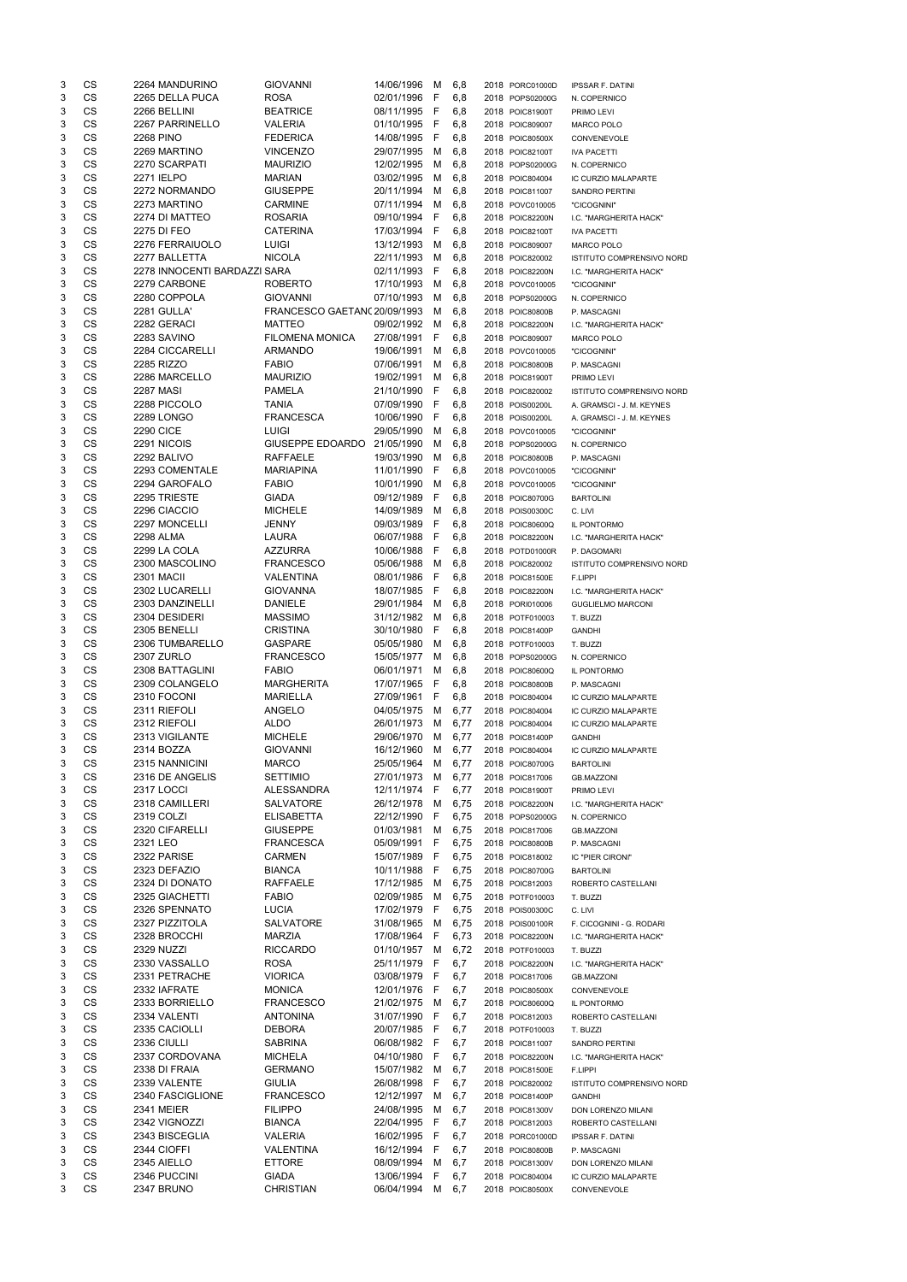| 3      | CS                     | 2264 MANDURINO               | <b>GIOVANNI</b>                   | 14/06/1996               | M      | 6,8          | 2018 PORC01000D                    | <b>IPSSAR F. DATINI</b>          |
|--------|------------------------|------------------------------|-----------------------------------|--------------------------|--------|--------------|------------------------------------|----------------------------------|
| 3      | <b>CS</b>              | 2265 DELLA PUCA              | <b>ROSA</b>                       | 02/01/1996               | F      | 6,8          | 2018 POPS02000G                    | N. COPERNICO                     |
| 3      | CS                     | 2266 BELLINI                 | <b>BEATRICE</b>                   | 08/11/1995               | F      | 6,8          | 2018 POIC81900T                    | PRIMO LEVI                       |
| 3      | CS                     | 2267 PARRINELLO              | <b>VALERIA</b>                    | 01/10/1995               | F      | 6,8          | 2018 POIC809007                    | <b>MARCO POLO</b>                |
| 3      | CS                     | 2268 PINO                    | <b>FEDERICA</b>                   | 14/08/1995               | F      | 6,8          | 2018 POIC80500X                    | CONVENEVOLE                      |
| 3      | <b>CS</b>              | 2269 MARTINO                 | <b>VINCENZO</b>                   | 29/07/1995               | м      | 6,8          | 2018 POIC82100T                    | <b>IVA PACETTI</b>               |
| 3      | <b>CS</b>              | 2270 SCARPATI                | <b>MAURIZIO</b>                   | 12/02/1995               | м      | 6,8          | 2018 POPS02000G                    | N. COPERNICO                     |
| 3      | CS                     | 2271 IELPO                   | <b>MARIAN</b>                     | 03/02/1995               | м      | 6,8          | 2018 POIC804004                    | IC CURZIO MALAPARTE              |
| 3      | <b>CS</b>              | 2272 NORMANDO                | <b>GIUSEPPE</b>                   | 20/11/1994               | M      | 6,8          | 2018 POIC811007                    | <b>SANDRO PERTINI</b>            |
| 3      | <b>CS</b>              | 2273 MARTINO                 | <b>CARMINE</b>                    | 07/11/1994               | М      | 6,8          | 2018 POVC010005                    | "CICOGNINI"                      |
| 3      | <b>CS</b>              | 2274 DI MATTEO               | <b>ROSARIA</b>                    | 09/10/1994               | F      | 6,8          | 2018 POIC82200N                    | I.C. "MARGHERITA HACK"           |
| 3      | <b>CS</b>              | 2275 DI FEO                  | <b>CATERINA</b>                   | 17/03/1994               | F      | 6,8          | 2018 POIC82100T                    | <b>IVA PACETTI</b>               |
| 3      | CS                     | 2276 FERRAIUOLO              | LUIGI                             | 13/12/1993               | M      | 6,8          | 2018 POIC809007                    | MARCO POLO                       |
| 3      | <b>CS</b>              | 2277 BALLETTA                | <b>NICOLA</b>                     | 22/11/1993               | M      | 6,8          | 2018 POIC820002                    | <b>ISTITUTO COMPRENSIVO NORD</b> |
| 3      | <b>CS</b>              | 2278 INNOCENTI BARDAZZI SARA |                                   | 02/11/1993               | F      | 6,8          | 2018 POIC82200N                    | I.C. "MARGHERITA HACK"           |
| 3      | CS                     | 2279 CARBONE                 | <b>ROBERTO</b>                    | 17/10/1993               | м      | 6,8          | 2018 POVC010005                    | "CICOGNINI"                      |
| 3      | CS                     | 2280 COPPOLA                 | <b>GIOVANNI</b>                   | 07/10/1993               | M      | 6,8          | 2018 POPS02000G                    | N. COPERNICO                     |
| 3      | CS                     | 2281 GULLA'                  | FRANCESCO GAETANC 20/09/1993      |                          | M      | 6,8          | 2018 POIC80800B                    | P. MASCAGNI                      |
| 3      | CS                     | 2282 GERACI                  | <b>MATTEO</b>                     | 09/02/1992               | м      | 6,8          | 2018 POIC82200N                    | I.C. "MARGHERITA HACK"           |
| 3      | CS                     | 2283 SAVINO                  | <b>FILOMENA MONICA</b>            | 27/08/1991               | F      | 6,8          | 2018 POIC809007                    | MARCO POLO                       |
| 3      | CS                     | 2284 CICCARELLI              | <b>ARMANDO</b>                    | 19/06/1991               | м      | 6,8          | 2018 POVC010005                    | "CICOGNINI"                      |
| 3      | <b>CS</b>              | 2285 RIZZO                   | <b>FABIO</b>                      | 07/06/1991               | м      | 6,8          | 2018 POIC80800B                    | P. MASCAGNI                      |
| 3      | <b>CS</b>              | 2286 MARCELLO                | <b>MAURIZIO</b>                   | 19/02/1991               | м      | 6,8          | 2018 POIC81900T                    | PRIMO LEVI                       |
| 3      | <b>CS</b>              | 2287 MASI                    | <b>PAMELA</b>                     | 21/10/1990               | F      | 6,8          | 2018 POIC820002                    | <b>ISTITUTO COMPRENSIVO NORD</b> |
| 3      | CS                     | 2288 PICCOLO                 | TANIA                             | 07/09/1990               | F      | 6,8          | 2018 POIS00200L                    | A. GRAMSCI - J. M. KEYNES        |
| 3      | <b>CS</b>              | <b>2289 LONGO</b>            | <b>FRANCESCA</b>                  | 10/06/1990               | F      | 6,8          | 2018 POIS00200L                    | A. GRAMSCI - J. M. KEYNES        |
| 3      | <b>CS</b>              | <b>2290 CICE</b>             | <b>LUIGI</b>                      | 29/05/1990               | м      | 6,8          | 2018 POVC010005                    | "CICOGNINI"                      |
| 3      | <b>CS</b>              | 2291 NICOIS                  | <b>GIUSEPPE EDOARDO</b>           | 21/05/1990               | м      | 6,8          | 2018 POPS02000G                    | N. COPERNICO                     |
| 3      | CS                     | 2292 BALIVO                  | <b>RAFFAELE</b>                   | 19/03/1990               | м      | 6,8          | 2018 POIC80800B                    | P. MASCAGNI                      |
| 3      | <b>CS</b>              | 2293 COMENTALE               | <b>MARIAPINA</b>                  | 11/01/1990               | F      | 6,8          | 2018 POVC010005                    | "CICOGNINI"                      |
| 3      | <b>CS</b>              | 2294 GAROFALO                | <b>FABIO</b>                      | 10/01/1990               | м      | 6,8          | 2018 POVC010005                    | "CICOGNINI"                      |
| 3      | <b>CS</b>              | 2295 TRIESTE                 | <b>GIADA</b>                      | 09/12/1989               | F      | 6,8          | 2018 POIC80700G                    | <b>BARTOLINI</b>                 |
| 3      | CS                     | 2296 CIACCIO                 | <b>MICHELE</b>                    | 14/09/1989               | м      | 6,8          | 2018 POIS00300C                    | C. LIVI                          |
| 3      | CS                     | 2297 MONCELLI                | JENNY                             | 09/03/1989               | F      | 6,8          | 2018 POIC80600Q                    | IL PONTORMO                      |
| 3      | CS                     | 2298 ALMA                    | LAURA                             | 06/07/1988               | F      | 6,8          | 2018 POIC82200N                    | I.C. "MARGHERITA HACK"           |
| 3      | <b>CS</b>              | 2299 LA COLA                 | <b>AZZURRA</b>                    | 10/06/1988               | F      | 6,8          | 2018 POTD01000R                    | P. DAGOMARI                      |
| 3      | CS                     | 2300 MASCOLINO               | <b>FRANCESCO</b>                  | 05/06/1988               | M      | 6,8          | 2018 POIC820002                    | ISTITUTO COMPRENSIVO NORD        |
| 3      | CS                     | <b>2301 MACII</b>            | <b>VALENTINA</b>                  | 08/01/1986               | F      | 6,8          | 2018 POIC81500E                    | F.LIPPI                          |
| 3      | <b>CS</b>              | 2302 LUCARELLI               | <b>GIOVANNA</b>                   | 18/07/1985               | F      | 6,8          | 2018 POIC82200N                    | I.C. "MARGHERITA HACK"           |
| 3      | <b>CS</b>              | 2303 DANZINELLI              | <b>DANIELE</b>                    | 29/01/1984               | M      | 6,8          | 2018 PORI010006                    | <b>GUGLIELMO MARCONI</b>         |
| 3      | <b>CS</b>              | 2304 DESIDERI                | <b>MASSIMO</b>                    | 31/12/1982               | M      | 6,8          | 2018 POTF010003                    | T. BUZZI                         |
| 3      | <b>CS</b>              | 2305 BENELLI                 | <b>CRISTINA</b>                   | 30/10/1980               | F      | 6,8          | 2018 POIC81400P                    | <b>GANDHI</b>                    |
| 3      | <b>CS</b>              | 2306 TUMBARELLO              | <b>GASPARE</b>                    | 05/05/1980               | м      | 6,8          | 2018 POTF010003                    | T. BUZZI                         |
| 3      | <b>CS</b>              | <b>2307 ZURLO</b>            | <b>FRANCESCO</b>                  | 15/05/1977               | м      | 6,8          | 2018 POPS02000G                    | N. COPERNICO                     |
| 3      | <b>CS</b>              | 2308 BATTAGLINI              | <b>FABIO</b>                      | 06/01/1971               | м      | 6,8          | 2018 POIC80600Q                    | IL PONTORMO                      |
| 3      | <b>CS</b>              | 2309 COLANGELO               | <b>MARGHERITA</b>                 | 17/07/1965               | F      | 6,8          | 2018 POIC80800B                    | P. MASCAGNI                      |
| 3      | <b>CS</b><br><b>CS</b> | 2310 FOCONI                  | <b>MARIELLA</b>                   | 27/09/1961               | F      | 6,8          | 2018 POIC804004                    | IC CURZIO MALAPARTE              |
| 3      | <b>CS</b>              | 2311 RIEFOLI                 | <b>ANGELO</b>                     | 04/05/1975               | M      | 6,77         | 2018 POIC804004                    | IC CURZIO MALAPARTE              |
| 3      | <b>CS</b>              | 2312 RIEFOLI                 | <b>ALDO</b>                       | 26/01/1973               | м      | 6,77         | 2018 POIC804004                    | IC CURZIO MALAPARTE              |
| 3<br>3 | <b>CS</b>              | 2313 VIGILANTE<br>2314 BOZZA | <b>MICHELE</b><br><b>GIOVANNI</b> | 29/06/1970<br>16/12/1960 | M<br>M | 6,77         | 2018 POIC81400P                    | <b>GANDHI</b>                    |
| 3      | <b>CS</b>              | 2315 NANNICINI               | <b>MARCO</b>                      | 25/05/1964               | M      | 6,77<br>6,77 | 2018 POIC804004<br>2018 POIC80700G | IC CURZIO MALAPARTE              |
| 3      | <b>CS</b>              | 2316 DE ANGELIS              | <b>SETTIMIO</b>                   | 27/01/1973               | м      | 6,77         | 2018 POIC817006                    | <b>BARTOLINI</b>                 |
| 3      | CS                     | <b>2317 LOCCI</b>            | <b>ALESSANDRA</b>                 | 12/11/1974               | F      | 6,77         | 2018 POIC81900T                    | <b>GB.MAZZONI</b><br>PRIMO LEVI  |
| 3      | <b>CS</b>              | 2318 CAMILLERI               | <b>SALVATORE</b>                  | 26/12/1978               | м      | 6,75         | 2018 POIC82200N                    | I.C. "MARGHERITA HACK"           |
| 3      | <b>CS</b>              | 2319 COLZI                   | <b>ELISABETTA</b>                 | 22/12/1990               | F      | 6,75         | 2018 POPS02000G                    | N. COPERNICO                     |
| 3      | CS                     | 2320 CIFARELLI               | <b>GIUSEPPE</b>                   | 01/03/1981               | м      | 6,75         | 2018 POIC817006                    |                                  |
| 3      | CS                     | 2321 LEO                     | FRANCESCA                         | 05/09/1991               | F      | 6,75         | 2018 POIC80800B                    | <b>GB.MAZZONI</b><br>P. MASCAGNI |
| 3      | CS                     | 2322 PARISE                  | <b>CARMEN</b>                     | 15/07/1989               | F      | 6,75         | 2018 POIC818002                    | IC "PIER CIRONI"                 |
| 3      | <b>CS</b>              | 2323 DEFAZIO                 | <b>BIANCA</b>                     | 10/11/1988               | F      | 6,75         | 2018 POIC80700G                    | <b>BARTOLINI</b>                 |
| 3      | <b>CS</b>              | 2324 DI DONATO               | <b>RAFFAELE</b>                   | 17/12/1985               | м      | 6,75         | 2018 POIC812003                    | ROBERTO CASTELLANI               |
| 3      | CS                     | 2325 GIACHETTI               | <b>FABIO</b>                      | 02/09/1985               | м      | 6,75         | 2018 POTF010003                    | T. BUZZI                         |
| 3      | CS                     | 2326 SPENNATO                | <b>LUCIA</b>                      | 17/02/1979               | F      | 6,75         | 2018 POIS00300C                    | C. LIVI                          |
| 3      | <b>CS</b>              | 2327 PIZZITOLA               | <b>SALVATORE</b>                  | 31/08/1965               | M      | 6,75         | 2018 POIS00100R                    | F. CICOGNINI - G. RODARI         |
| 3      | <b>CS</b>              | 2328 BROCCHI                 | <b>MARZIA</b>                     | 17/08/1964               | F      | 6,73         | 2018 POIC82200N                    | I.C. "MARGHERITA HACK"           |
| 3      | <b>CS</b>              | <b>2329 NUZZI</b>            | <b>RICCARDO</b>                   | 01/10/1957               | м      | 6,72         | 2018 POTF010003                    | T. BUZZI                         |
| 3      | CS                     | 2330 VASSALLO                | <b>ROSA</b>                       | 25/11/1979               | F      | 6,7          | 2018 POIC82200N                    | I.C. "MARGHERITA HACK"           |
| 3      | CS                     | 2331 PETRACHE                | <b>VIORICA</b>                    | 03/08/1979               | F      | 6,7          | 2018 POIC817006                    | <b>GB.MAZZONI</b>                |
| 3      | CS                     | 2332 IAFRATE                 | <b>MONICA</b>                     | 12/01/1976               | F      | 6,7          | 2018 POIC80500X                    | CONVENEVOLE                      |
| 3      | CS                     | 2333 BORRIELLO               | <b>FRANCESCO</b>                  | 21/02/1975               | м      | 6,7          | 2018 POIC80600Q                    | IL PONTORMO                      |
| 3      | CS                     | 2334 VALENTI                 | <b>ANTONINA</b>                   | 31/07/1990               | -F     | 6,7          | 2018 POIC812003                    | ROBERTO CASTELLANI               |
| 3      | <b>CS</b>              | 2335 CACIOLLI                | <b>DEBORA</b>                     | 20/07/1985               | -F     | 6,7          | 2018 POTF010003                    | T. BUZZI                         |
| 3      | CS                     | 2336 CIULLI                  | <b>SABRINA</b>                    | 06/08/1982 F             |        | 6,7          | 2018 POIC811007                    | SANDRO PERTINI                   |
| 3      | CS                     | 2337 CORDOVANA               | <b>MICHELA</b>                    | 04/10/1980               | -F     | 6,7          | 2018 POIC82200N                    | I.C. "MARGHERITA HACK"           |
| 3      | CS                     | 2338 DI FRAIA                | <b>GERMANO</b>                    | 15/07/1982               | M      | 6,7          | 2018 POIC81500E                    | F.LIPPI                          |
| 3      | CS                     | 2339 VALENTE                 | <b>GIULIA</b>                     | 26/08/1998               | F      | 6,7          | 2018 POIC820002                    | ISTITUTO COMPRENSIVO NORD        |
| 3      | CS                     | 2340 FASCIGLIONE             | <b>FRANCESCO</b>                  | 12/12/1997               | M      | 6,7          | 2018 POIC81400P                    | <b>GANDHI</b>                    |
| 3      | CS                     | <b>2341 MEIER</b>            | <b>FILIPPO</b>                    | 24/08/1995               | M      | 6,7          | 2018 POIC81300V                    | DON LORENZO MILANI               |
| 3      | CS                     | 2342 VIGNOZZI                | <b>BIANCA</b>                     | 22/04/1995               | F      | 6,7          | 2018 POIC812003                    | ROBERTO CASTELLANI               |
| 3      | CS                     | 2343 BISCEGLIA               | VALERIA                           | 16/02/1995               | F      | 6,7          | 2018 PORC01000D                    | <b>IPSSAR F. DATINI</b>          |
| 3      | CS                     | 2344 CIOFFI                  | VALENTINA                         | 16/12/1994               | F      | 6,7          | 2018 POIC80800B                    | P. MASCAGNI                      |
| 3      | CS                     | 2345 AIELLO                  | <b>ETTORE</b>                     | 08/09/1994               | м      | 6,7          | 2018 POIC81300V                    | DON LORENZO MILANI               |
| 3      | CS                     | 2346 PUCCINI                 | <b>GIADA</b>                      | 13/06/1994               | F      | 6,7          | 2018 POIC804004                    | IC CURZIO MALAPARTE              |
| 3      | CS                     | 2347 BRUNO                   | <b>CHRISTIAN</b>                  | 06/04/1994               | M      | 6,7          | 2018 POIC80500X                    | CONVENEVOLE                      |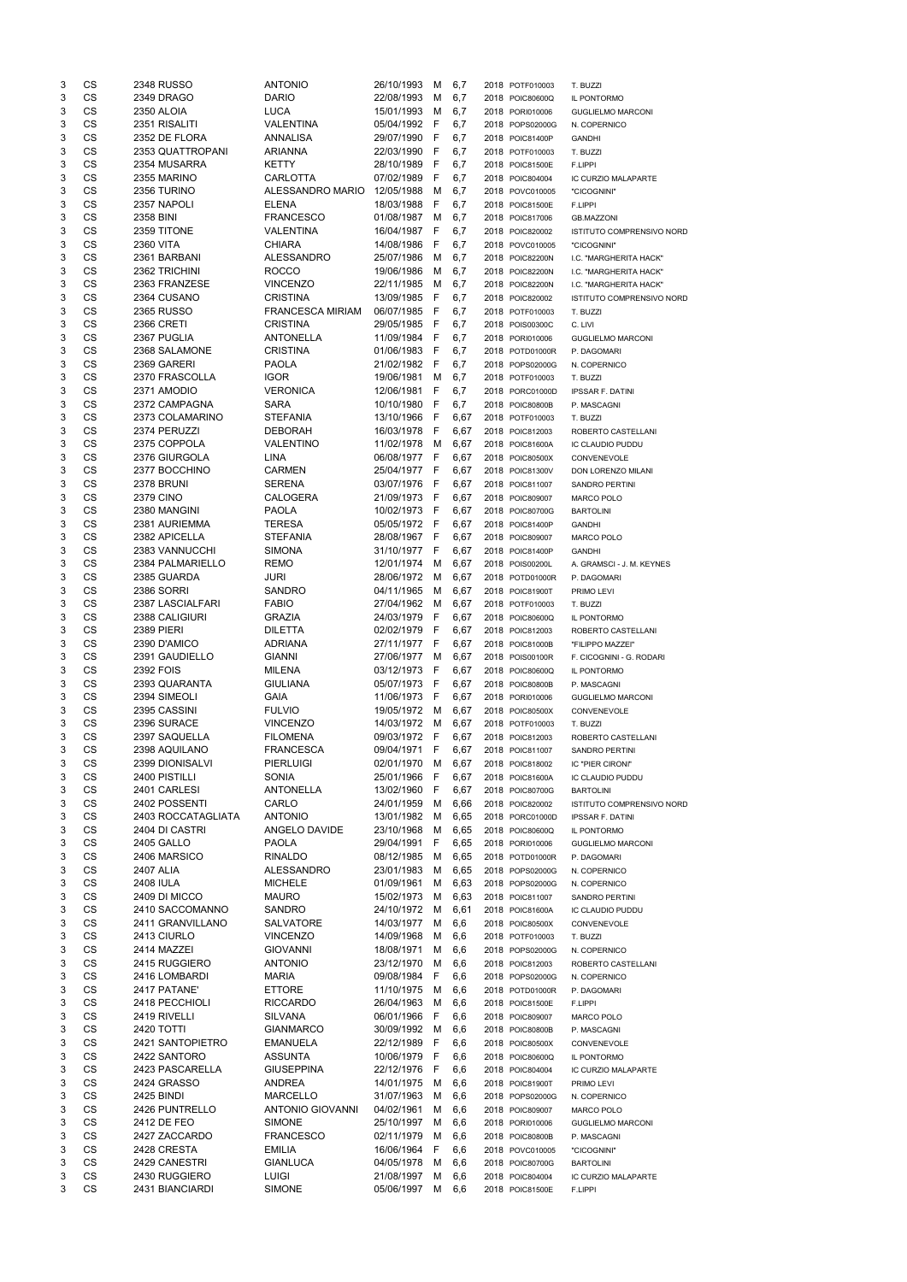| 3 | CS        | <b>2348 RUSSO</b>  | <b>ANTONIO</b>          | 26/10/1993   | м            | 6,7  | 2018 POTF010003 | T. BUZZI                         |
|---|-----------|--------------------|-------------------------|--------------|--------------|------|-----------------|----------------------------------|
| 3 | CS        | 2349 DRAGO         | <b>DARIO</b>            | 22/08/1993   | м            | 6,7  | 2018 POIC80600Q | IL PONTORMO                      |
| 3 | CS        | 2350 ALOIA         | <b>LUCA</b>             | 15/01/1993   | M            | 6,7  | 2018 PORI010006 | <b>GUGLIELMO MARCONI</b>         |
| 3 | CS        | 2351 RISALITI      | VALENTINA               | 05/04/1992   | F            | 6,7  | 2018 POPS02000G | N. COPERNICO                     |
| 3 | <b>CS</b> | 2352 DE FLORA      | ANNALISA                | 29/07/1990   | F            | 6,7  | 2018 POIC81400P | <b>GANDHI</b>                    |
| 3 | CS        | 2353 QUATTROPANI   | ARIANNA                 | 22/03/1990   | F            |      |                 |                                  |
|   |           |                    |                         |              |              | 6,7  | 2018 POTF010003 | T. BUZZI                         |
| 3 | CS        | 2354 MUSARRA       | <b>KETTY</b>            | 28/10/1989   | F            | 6,7  | 2018 POIC81500E | F.LIPPI                          |
| 3 | CS        | 2355 MARINO        | <b>CARLOTTA</b>         | 07/02/1989   | F            | 6,7  | 2018 POIC804004 | IC CURZIO MALAPARTE              |
| 3 | <b>CS</b> | 2356 TURINO        | ALESSANDRO MARIO        | 12/05/1988   | м            | 6,7  | 2018 POVC010005 | "CICOGNINI"                      |
| 3 | <b>CS</b> | 2357 NAPOLI        | <b>ELENA</b>            | 18/03/1988   | F            | 6,7  | 2018 POIC81500E | F.LIPPI                          |
| 3 | CS        | 2358 BINI          | <b>FRANCESCO</b>        | 01/08/1987   | м            | 6,7  | 2018 POIC817006 | <b>GB.MAZZONI</b>                |
| 3 | CS        | 2359 TITONE        | VALENTINA               | 16/04/1987   | F            | 6,7  | 2018 POIC820002 | <b>ISTITUTO COMPRENSIVO NORD</b> |
| 3 | <b>CS</b> | <b>2360 VITA</b>   | <b>CHIARA</b>           | 14/08/1986   | F            | 6,7  | 2018 POVC010005 | "CICOGNINI"                      |
| 3 | <b>CS</b> | 2361 BARBANI       | <b>ALESSANDRO</b>       | 25/07/1986   | м            | 6,7  | 2018 POIC82200N | I.C. "MARGHERITA HACK"           |
|   | CS        |                    |                         |              |              |      |                 |                                  |
| 3 |           | 2362 TRICHINI      | <b>ROCCO</b>            | 19/06/1986   | м            | 6,7  | 2018 POIC82200N | I.C. "MARGHERITA HACK"           |
| 3 | CS        | 2363 FRANZESE      | <b>VINCENZO</b>         | 22/11/1985   | M            | 6,7  | 2018 POIC82200N | I.C. "MARGHERITA HACK"           |
| 3 | <b>CS</b> | 2364 CUSANO        | <b>CRISTINA</b>         | 13/09/1985   | F            | 6,7  | 2018 POIC820002 | ISTITUTO COMPRENSIVO NORD        |
| 3 | <b>CS</b> | <b>2365 RUSSO</b>  | <b>FRANCESCA MIRIAM</b> | 06/07/1985   | F            | 6,7  | 2018 POTF010003 | T. BUZZI                         |
| 3 | CS        | <b>2366 CRETI</b>  | <b>CRISTINA</b>         | 29/05/1985   | F            | 6,7  | 2018 POIS00300C | C. LIVI                          |
| 3 | CS        | 2367 PUGLIA        | <b>ANTONELLA</b>        | 11/09/1984   | F            | 6,7  | 2018 PORI010006 | <b>GUGLIELMO MARCONI</b>         |
| 3 | <b>CS</b> | 2368 SALAMONE      | <b>CRISTINA</b>         | 01/06/1983   | F            | 6,7  | 2018 POTD01000R | P. DAGOMARI                      |
| 3 | <b>CS</b> | 2369 GARERI        | <b>PAOLA</b>            | 21/02/1982   | F            | 6,7  | 2018 POPS02000G | N. COPERNICO                     |
| 3 | CS        | 2370 FRASCOLLA     | <b>IGOR</b>             | 19/06/1981   | м            | 6,7  | 2018 POTF010003 | T. BUZZI                         |
| 3 | CS        | 2371 AMODIO        | <b>VERONICA</b>         | 12/06/1981   | F            |      |                 |                                  |
|   |           |                    |                         |              |              | 6,7  | 2018 PORC01000D | <b>IPSSAR F. DATINI</b>          |
| 3 | <b>CS</b> | 2372 CAMPAGNA      | <b>SARA</b>             | 10/10/1980   | F            | 6,7  | 2018 POIC80800B | P. MASCAGNI                      |
| 3 | <b>CS</b> | 2373 COLAMARINO    | <b>STEFANIA</b>         | 13/10/1966   | F            | 6,67 | 2018 POTF010003 | T. BUZZI                         |
| 3 | CS        | 2374 PERUZZI       | <b>DEBORAH</b>          | 16/03/1978   | F            | 6,67 | 2018 POIC812003 | ROBERTO CASTELLANI               |
| 3 | CS        | 2375 COPPOLA       | <b>VALENTINO</b>        | 11/02/1978   | м            | 6,67 | 2018 POIC81600A | IC CLAUDIO PUDDU                 |
| 3 | <b>CS</b> | 2376 GIURGOLA      | <b>LINA</b>             | 06/08/1977   | F            | 6,67 | 2018 POIC80500X | CONVENEVOLE                      |
| 3 | <b>CS</b> | 2377 BOCCHINO      | <b>CARMEN</b>           | 25/04/1977   | $\mathsf{F}$ | 6,67 | 2018 POIC81300V | DON LORENZO MILANI               |
| 3 | <b>CS</b> | <b>2378 BRUNI</b>  | <b>SERENA</b>           | 03/07/1976   | F            | 6,67 | 2018 POIC811007 | <b>SANDRO PERTINI</b>            |
| 3 | CS        | <b>2379 CINO</b>   | <b>CALOGERA</b>         | 21/09/1973   | F            | 6,67 | 2018 POIC809007 | <b>MARCO POLO</b>                |
|   |           |                    |                         |              |              |      |                 |                                  |
| 3 | CS        | 2380 MANGINI       | <b>PAOLA</b>            | 10/02/1973   | F            | 6,67 | 2018 POIC80700G | <b>BARTOLINI</b>                 |
| 3 | <b>CS</b> | 2381 AURIEMMA      | <b>TERESA</b>           | 05/05/1972   | -F           | 6,67 | 2018 POIC81400P | <b>GANDHI</b>                    |
| 3 | CS        | 2382 APICELLA      | <b>STEFANIA</b>         | 28/08/1967   | -F           | 6,67 | 2018 POIC809007 | MARCO POLO                       |
| 3 | CS        | 2383 VANNUCCHI     | <b>SIMONA</b>           | 31/10/1977 F |              | 6,67 | 2018 POIC81400P | <b>GANDHI</b>                    |
| 3 | CS        | 2384 PALMARIELLO   | <b>REMO</b>             | 12/01/1974 M |              | 6,67 | 2018 POIS00200L | A. GRAMSCI - J. M. KEYNES        |
| 3 | CS        | 2385 GUARDA        | <b>JURI</b>             | 28/06/1972   | м            | 6,67 | 2018 POTD01000R | P. DAGOMARI                      |
| 3 | CS        | 2386 SORRI         | <b>SANDRO</b>           | 04/11/1965   | M            | 6,67 | 2018 POIC81900T | PRIMO LEVI                       |
| 3 | CS        | 2387 LASCIALFARI   | <b>FABIO</b>            | 27/04/1962   | м            | 6,67 | 2018 POTF010003 | T. BUZZI                         |
| 3 | CS        | 2388 CALIGIURI     | <b>GRAZIA</b>           | 24/03/1979   | F            | 6,67 | 2018 POIC80600Q | IL PONTORMO                      |
|   | <b>CS</b> |                    |                         |              |              |      |                 |                                  |
| 3 |           | <b>2389 PIERI</b>  | <b>DILETTA</b>          | 02/02/1979   | F            | 6,67 | 2018 POIC812003 | ROBERTO CASTELLANI               |
| 3 | <b>CS</b> | 2390 D'AMICO       | <b>ADRIANA</b>          | 27/11/1977   | -F           | 6,67 | 2018 POIC81000B | "FILIPPO MAZZEI"                 |
| 3 | CS        | 2391 GAUDIELLO     | <b>GIANNI</b>           | 27/06/1977   | м            | 6,67 | 2018 POIS00100R | F. CICOGNINI - G. RODARI         |
| 3 | CS        | 2392 FOIS          | <b>MILENA</b>           | 03/12/1973   | F            | 6,67 | 2018 POIC80600Q | IL PONTORMO                      |
| 3 | <b>CS</b> | 2393 QUARANTA      | <b>GIULIANA</b>         | 05/07/1973   | F            | 6,67 | 2018 POIC80800B | P. MASCAGNI                      |
| 3 | <b>CS</b> | 2394 SIMEOLI       | <b>GAIA</b>             | 11/06/1973   | F            | 6,67 | 2018 PORI010006 | <b>GUGLIELMO MARCONI</b>         |
| 3 | CS        | 2395 CASSINI       | <b>FULVIO</b>           | 19/05/1972   | M            | 6,67 | 2018 POIC80500X | CONVENEVOLE                      |
| 3 | CS        | 2396 SURACE        | <b>VINCENZO</b>         | 14/03/1972   | M            | 6,67 | 2018 POTF010003 | T. BUZZI                         |
| 3 | <b>CS</b> | 2397 SAQUELLA      | <b>FILOMENA</b>         | 09/03/1972   | -F           | 6,67 | 2018 POIC812003 | ROBERTO CASTELLANI               |
|   |           |                    |                         |              |              |      |                 |                                  |
| 3 | <b>CS</b> | 2398 AQUILANO      | <b>FRANCESCA</b>        | 09/04/1971   | F            | 6,67 | 2018 POIC811007 | <b>SANDRO PERTINI</b>            |
| 3 | CS        | 2399 DIONISALVI    | <b>PIERLUIGI</b>        | 02/01/1970   | M            | 6,67 | 2018 POIC818002 | IC "PIER CIRONI"                 |
| 3 | CS        | 2400 PISTILLI      | <b>SONIA</b>            | 25/01/1966   | F            | 6,67 | 2018 POIC81600A | IC CLAUDIO PUDDU                 |
| 3 | <b>CS</b> | 2401 CARLESI       | <b>ANTONELLA</b>        | 13/02/1960   | F            | 6,67 | 2018 POIC80700G | <b>BARTOLINI</b>                 |
| 3 | CS        | 2402 POSSENTI      | CARLO                   | 24/01/1959   | M            | 6,66 | 2018 POIC820002 | ISTITUTO COMPRENSIVO NORD        |
| 3 | CS        | 2403 ROCCATAGLIATA | ANTONIO                 | 13/01/1982   | м            | 6,65 | 2018 PORC01000D | <b>IPSSAR F. DATINI</b>          |
| 3 | CS        | 2404 DI CASTRI     | ANGELO DAVIDE           | 23/10/1968   | м            | 6,65 | 2018 POIC80600Q | IL PONTORMO                      |
| 3 | CS        | <b>2405 GALLO</b>  | <b>PAOLA</b>            | 29/04/1991   | F            | 6,65 | 2018 PORI010006 | <b>GUGLIELMO MARCONI</b>         |
| 3 | <b>CS</b> | 2406 MARSICO       | <b>RINALDO</b>          | 08/12/1985   | м            | 6,65 | 2018 POTD01000R | P. DAGOMARI                      |
| 3 | <b>CS</b> | 2407 ALIA          | <b>ALESSANDRO</b>       | 23/01/1983   | м            | 6,65 | 2018 POPS02000G | N. COPERNICO                     |
|   |           |                    |                         |              |              |      |                 |                                  |
| 3 | CS        | <b>2408 IULA</b>   | <b>MICHELE</b>          | 01/09/1961   | м            | 6,63 | 2018 POPS02000G | N. COPERNICO                     |
| 3 | <b>CS</b> | 2409 DI MICCO      | <b>MAURO</b>            | 15/02/1973   | м            | 6,63 | 2018 POIC811007 | <b>SANDRO PERTINI</b>            |
| 3 | <b>CS</b> | 2410 SACCOMANNO    | <b>SANDRO</b>           | 24/10/1972   | M            | 6,61 | 2018 POIC81600A | IC CLAUDIO PUDDU                 |
| 3 | <b>CS</b> | 2411 GRANVILLANO   | SALVATORE               | 14/03/1977   | м            | 6,6  | 2018 POIC80500X | CONVENEVOLE                      |
| 3 | CS        | 2413 CIURLO        | <b>VINCENZO</b>         | 14/09/1968   | м            | 6,6  | 2018 POTF010003 | T. BUZZI                         |
| 3 | CS        | 2414 MAZZEI        | <b>GIOVANNI</b>         | 18/08/1971   | м            | 6,6  | 2018 POPS02000G | N. COPERNICO                     |
| 3 | <b>CS</b> | 2415 RUGGIERO      | <b>ANTONIO</b>          | 23/12/1970   | M            | 6,6  | 2018 POIC812003 | ROBERTO CASTELLANI               |
| 3 | <b>CS</b> | 2416 LOMBARDI      | <b>MARIA</b>            | 09/08/1984   | F            | 6,6  | 2018 POPS02000G | N. COPERNICO                     |
|   |           |                    |                         |              |              |      |                 |                                  |
| 3 | CS        | 2417 PATANE'       | <b>ETTORE</b>           | 11/10/1975   | м            | 6,6  | 2018 POTD01000R | P. DAGOMARI                      |
| 3 | CS        | 2418 PECCHIOLI     | <b>RICCARDO</b>         | 26/04/1963   | м            | 6,6  | 2018 POIC81500E | F.LIPPI                          |
| 3 | CS        | 2419 RIVELLI       | <b>SILVANA</b>          | 06/01/1966   | F            | 6,6  | 2018 POIC809007 | MARCO POLO                       |
| 3 | <b>CS</b> | <b>2420 TOTTI</b>  | <b>GIANMARCO</b>        | 30/09/1992   | м            | 6,6  | 2018 POIC80800B | P. MASCAGNI                      |
| 3 | CS        | 2421 SANTOPIETRO   | <b>EMANUELA</b>         | 22/12/1989   | F            | 6,6  | 2018 POIC80500X | CONVENEVOLE                      |
| 3 | CS        | 2422 SANTORO       | <b>ASSUNTA</b>          | 10/06/1979 F |              | 6,6  | 2018 POIC80600Q | IL PONTORMO                      |
| 3 | CS        | 2423 PASCARELLA    | <b>GIUSEPPINA</b>       | 22/12/1976   | F            | 6,6  | 2018 POIC804004 | IC CURZIO MALAPARTE              |
| 3 | CS        | <b>2424 GRASSO</b> | <b>ANDREA</b>           | 14/01/1975   | M            | 6,6  | 2018 POIC81900T | PRIMO LEVI                       |
| 3 | CS        | 2425 BINDI         | <b>MARCELLO</b>         | 31/07/1963   | м            | 6,6  |                 |                                  |
|   |           |                    |                         |              |              |      | 2018 POPS02000G | N. COPERNICO                     |
| 3 | CS        | 2426 PUNTRELLO     | <b>ANTONIO GIOVANNI</b> | 04/02/1961   | M            | 6,6  | 2018 POIC809007 | MARCO POLO                       |
| 3 | CS        | 2412 DE FEO        | <b>SIMONE</b>           | 25/10/1997   | м            | 6,6  | 2018 PORI010006 | <b>GUGLIELMO MARCONI</b>         |
| 3 | CS        | 2427 ZACCARDO      | <b>FRANCESCO</b>        | 02/11/1979   | M            | 6,6  | 2018 POIC80800B | P. MASCAGNI                      |
| 3 | CS        | 2428 CRESTA        | <b>EMILIA</b>           | 16/06/1964   | F            | 6,6  | 2018 POVC010005 | "CICOGNINI"                      |
| 3 | CS        | 2429 CANESTRI      | <b>GIANLUCA</b>         | 04/05/1978   | M            | 6,6  | 2018 POIC80700G | <b>BARTOLINI</b>                 |
| 3 | CS        | 2430 RUGGIERO      | <b>LUIGI</b>            | 21/08/1997   | M            | 6,6  | 2018 POIC804004 | IC CURZIO MALAPARTE              |
| 3 | CS        | 2431 BIANCIARDI    | <b>SIMONE</b>           | 05/06/1997   | M            | 6,6  | 2018 POIC81500E | F.LIPPI                          |
|   |           |                    |                         |              |              |      |                 |                                  |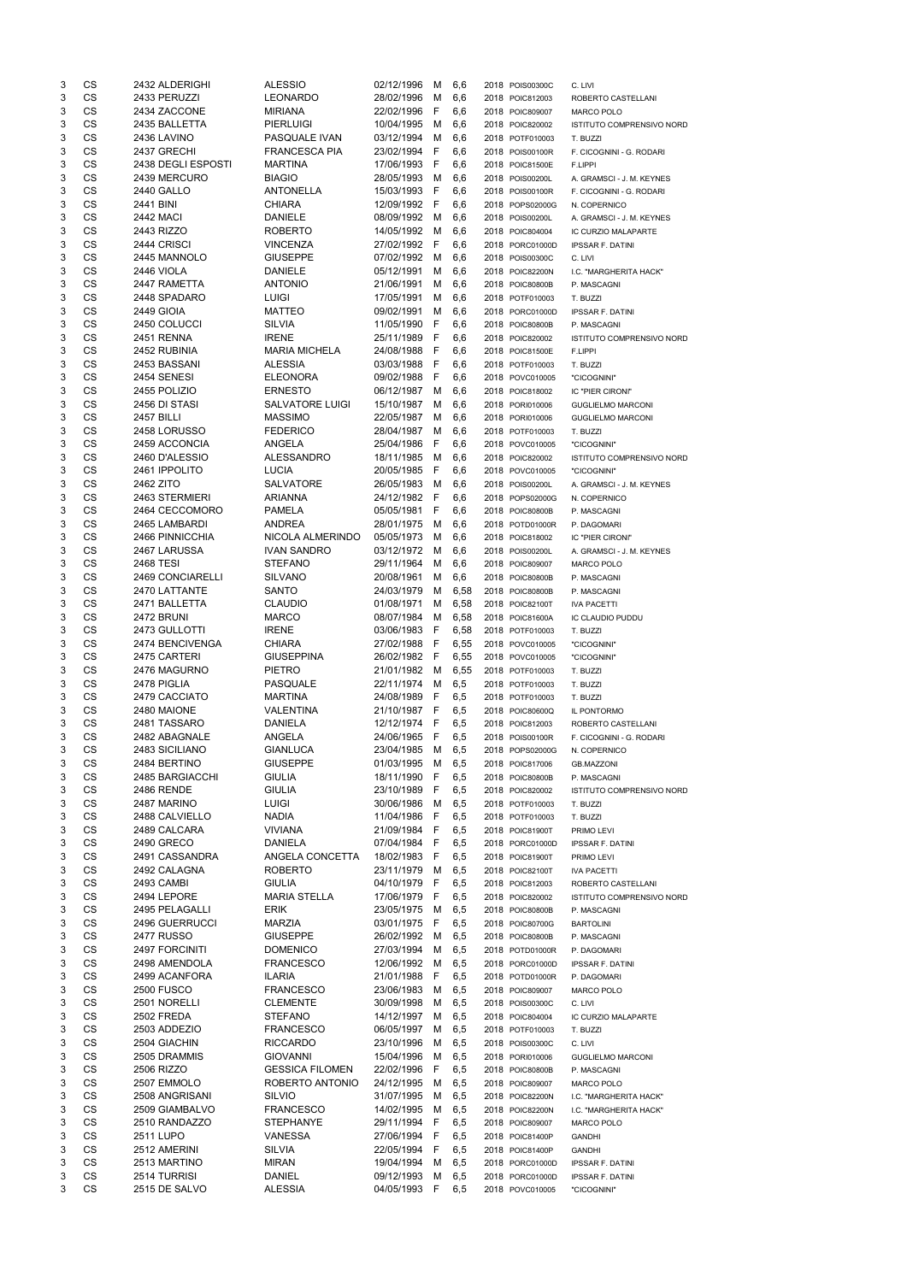| 3      | CS        | 2432 ALDERIGHI                | <b>ALESSIO</b>                  | 02/12/1996                 | M            | 6,6        | 2018 POIS00300C                    | C. LIVI                                |
|--------|-----------|-------------------------------|---------------------------------|----------------------------|--------------|------------|------------------------------------|----------------------------------------|
| 3      | <b>CS</b> | 2433 PERUZZI                  | <b>LEONARDO</b>                 | 28/02/1996                 | м            | 6,6        | 2018 POIC812003                    | ROBERTO CASTELLANI                     |
| 3      | <b>CS</b> | 2434 ZACCONE                  | <b>MIRIANA</b>                  | 22/02/1996                 | F            | 6,6        | 2018 POIC809007                    | <b>MARCO POLO</b>                      |
| 3      | <b>CS</b> | 2435 BALLETTA                 | <b>PIERLUIGI</b>                | 10/04/1995                 | M            | 6,6        | 2018 POIC820002                    | ISTITUTO COMPRENSIVO NORD              |
| 3      | <b>CS</b> | 2436 LAVINO                   | PASQUALE IVAN                   | 03/12/1994                 | м            | 6,6        | 2018 POTF010003                    | T. BUZZI                               |
| 3      | <b>CS</b> | 2437 GRECHI                   | <b>FRANCESCA PIA</b>            | 23/02/1994                 | F            |            |                                    |                                        |
|        |           |                               |                                 |                            |              | 6,6        | 2018 POIS00100R                    | F. CICOGNINI - G. RODARI               |
| 3      | CS        | 2438 DEGLI ESPOSTI            | <b>MARTINA</b>                  | 17/06/1993                 | F            | 6,6        | 2018 POIC81500E                    | F.LIPPI                                |
| 3      | <b>CS</b> | 2439 MERCURO                  | <b>BIAGIO</b>                   | 28/05/1993                 | M            | 6,6        | 2018 POIS00200L                    | A. GRAMSCI - J. M. KEYNES              |
| 3      | <b>CS</b> | <b>2440 GALLO</b>             | <b>ANTONELLA</b>                | 15/03/1993                 | F            | 6,6        | 2018 POIS00100R                    | F. CICOGNINI - G. RODARI               |
| 3      | <b>CS</b> | 2441 BINI                     | <b>CHIARA</b>                   | 12/09/1992 F               |              | 6,6        | 2018 POPS02000G                    | N. COPERNICO                           |
| 3      | CS        | <b>2442 MACI</b>              | <b>DANIELE</b>                  | 08/09/1992 M               |              | 6,6        | 2018 POIS00200L                    | A. GRAMSCI - J. M. KEYNES              |
| 3      | <b>CS</b> | 2443 RIZZO                    | <b>ROBERTO</b>                  | 14/05/1992                 | М            | 6,6        | 2018 POIC804004                    | IC CURZIO MALAPARTE                    |
| 3      | <b>CS</b> | 2444 CRISCI                   | <b>VINCENZA</b>                 | 27/02/1992                 | $\mathsf{F}$ | 6,6        | 2018 PORC01000D                    | <b>IPSSAR F. DATINI</b>                |
| 3      | <b>CS</b> | 2445 MANNOLO                  | <b>GIUSEPPE</b>                 | 07/02/1992                 | M            | 6,6        | 2018 POIS00300C                    | C. LIVI                                |
| 3      | CS        | <b>2446 VIOLA</b>             | <b>DANIELE</b>                  | 05/12/1991                 |              |            |                                    |                                        |
|        |           |                               |                                 |                            | м            | 6,6        | 2018 POIC82200N                    | I.C. "MARGHERITA HACK"                 |
| 3      | CS        | 2447 RAMETTA                  | <b>ANTONIO</b>                  | 21/06/1991                 | M            | 6,6        | 2018 POIC80800B                    | P. MASCAGNI                            |
| 3      | <b>CS</b> | 2448 SPADARO                  | <b>LUIGI</b>                    | 17/05/1991                 | M            | 6,6        | 2018 POTF010003                    | T. BUZZI                               |
| 3      | <b>CS</b> | <b>2449 GIOIA</b>             | <b>MATTEO</b>                   | 09/02/1991                 | M            | 6,6        | 2018 PORC01000D                    | <b>IPSSAR F. DATINI</b>                |
| 3      | CS        | 2450 COLUCCI                  | <b>SILVIA</b>                   | 11/05/1990                 | F            | 6,6        | 2018 POIC80800B                    | P. MASCAGNI                            |
| 3      | <b>CS</b> | <b>2451 RENNA</b>             | <b>IRENE</b>                    | 25/11/1989                 | F            | 6,6        | 2018 POIC820002                    | <b>ISTITUTO COMPRENSIVO NORD</b>       |
| 3      | <b>CS</b> | 2452 RUBINIA                  | <b>MARIA MICHELA</b>            | 24/08/1988                 | F            | 6,6        | 2018 POIC81500E                    | F.LIPPI                                |
| 3      | <b>CS</b> | 2453 BASSANI                  | <b>ALESSIA</b>                  | 03/03/1988                 | F            | 6,6        | 2018 POTF010003                    | T. BUZZI                               |
| 3      | CS        | 2454 SENESI                   | <b>ELEONORA</b>                 | 09/02/1988                 | F            | 6,6        | 2018 POVC010005                    | "CICOGNINI"                            |
| 3      | <b>CS</b> | 2455 POLIZIO                  | <b>ERNESTO</b>                  | 06/12/1987                 | м            | 6,6        | 2018 POIC818002                    | IC "PIER CIRONI"                       |
| 3      | <b>CS</b> | 2456 DI STASI                 | <b>SALVATORE LUIGI</b>          | 15/10/1987                 |              |            |                                    |                                        |
|        |           |                               |                                 |                            | м            | 6,6        | 2018 PORI010006                    | <b>GUGLIELMO MARCONI</b>               |
| 3      | <b>CS</b> | <b>2457 BILLI</b>             | <b>MASSIMO</b>                  | 22/05/1987                 | м            | 6,6        | 2018 PORI010006                    | <b>GUGLIELMO MARCONI</b>               |
| 3      | <b>CS</b> | 2458 LORUSSO                  | <b>FEDERICO</b>                 | 28/04/1987                 | м            | 6,6        | 2018 POTF010003                    | T. BUZZI                               |
| 3      | <b>CS</b> | 2459 ACCONCIA                 | ANGELA                          | 25/04/1986                 | F            | 6,6        | 2018 POVC010005                    | "CICOGNINI"                            |
| 3      | <b>CS</b> | 2460 D'ALESSIO                | ALESSANDRO                      | 18/11/1985                 | м            | 6,6        | 2018 POIC820002                    | ISTITUTO COMPRENSIVO NORD              |
| 3      | <b>CS</b> | 2461 IPPOLITO                 | <b>LUCIA</b>                    | 20/05/1985                 | F            | 6,6        | 2018 POVC010005                    | "CICOGNINI"                            |
| 3      | <b>CS</b> | 2462 ZITO                     | SALVATORE                       | 26/05/1983                 | M            | 6,6        | 2018 POIS00200L                    | A. GRAMSCI - J. M. KEYNES              |
| 3      | CS        | 2463 STERMIERI                | <b>ARIANNA</b>                  | 24/12/1982 F               |              | 6,6        | 2018 POPS02000G                    | N. COPERNICO                           |
| 3      | CS        | 2464 CECCOMORO                | <b>PAMELA</b>                   | 05/05/1981                 | - F          | 6,6        | 2018 POIC80800B                    | P. MASCAGNI                            |
| 3      | <b>CS</b> | 2465 LAMBARDI                 | <b>ANDREA</b>                   | 28/01/1975                 | M            |            |                                    |                                        |
|        |           |                               |                                 |                            |              | 6,6        | 2018 POTD01000R                    | P. DAGOMARI                            |
| 3      | CS        | 2466 PINNICCHIA               | NICOLA ALMERINDO                | 05/05/1973                 | M            | 6,6        | 2018 POIC818002                    | IC "PIER CIRONI"                       |
| 3      | CS        | 2467 LARUSSA                  | <b>IVAN SANDRO</b>              | 03/12/1972 M               |              | 6,6        | 2018 POIS00200L                    | A. GRAMSCI - J. M. KEYNES              |
| 3      | CS        | 2468 TESI                     | <b>STEFANO</b>                  | 29/11/1964 M 6,6           |              |            | 2018 POIC809007                    | MARCO POLO                             |
| 3      | <b>CS</b> | 2469 CONCIARELLI              | <b>SILVANO</b>                  | 20/08/1961                 | м            | 6,6        | 2018 POIC80800B                    | P. MASCAGNI                            |
| 3      | <b>CS</b> | 2470 LATTANTE                 | <b>SANTO</b>                    | 24/03/1979                 | м            | 6,58       | 2018 POIC80800B                    | P. MASCAGNI                            |
| 3      | CS        | 2471 BALLETTA                 | <b>CLAUDIO</b>                  | 01/08/1971                 | M            | 6,58       | 2018 POIC82100T                    | <b>IVA PACETTI</b>                     |
| 3      | CS        | <b>2472 BRUNI</b>             | <b>MARCO</b>                    | 08/07/1984                 | м            | 6,58       | 2018 POIC81600A                    | IC CLAUDIO PUDDU                       |
| 3      | <b>CS</b> | 2473 GULLOTTI                 | <b>IRENE</b>                    | 03/06/1983                 | -F           | 6,58       | 2018 POTF010003                    | T. BUZZI                               |
| 3      | <b>CS</b> | 2474 BENCIVENGA               | <b>CHIARA</b>                   | 27/02/1988 F               |              | 6,55       | 2018 POVC010005                    | "CICOGNINI"                            |
| 3      | <b>CS</b> | 2475 CARTERI                  | <b>GIUSEPPINA</b>               | 26/02/1982 F               |              | 6,55       | 2018 POVC010005                    |                                        |
|        |           |                               |                                 |                            |              |            |                                    | "CICOGNINI"                            |
| 3      | <b>CS</b> | 2476 MAGURNO                  | <b>PIETRO</b>                   | 21/01/1982                 | M            | 6,55       | 2018 POTF010003                    | T. BUZZI                               |
| 3      | <b>CS</b> | 2478 PIGLIA                   | PASQUALE                        | 22/11/1974                 | м            | 6,5        | 2018 POTF010003                    | T. BUZZI                               |
| 3      | <b>CS</b> | 2479 CACCIATO                 | <b>MARTINA</b>                  | 24/08/1989                 | - F          | 6,5        | 2018 POTF010003                    | T. BUZZI                               |
| 3      | CS        | 2480 MAIONE                   | <b>VALENTINA</b>                | 21/10/1987 F               |              | 6,5        | 2018 POIC80600Q                    | IL PONTORMO                            |
| 3      | CS        | 2481 TASSARO                  | <b>DANIELA</b>                  | 12/12/1974                 | - F          | 6,5        | 2018 POIC812003                    | ROBERTO CASTELLANI                     |
| 3      | <b>CS</b> | 2482 ABAGNALE                 | ANGELA                          | 24/06/1965                 | - F          | 6,5        | 2018 POIS00100R                    | F. CICOGNINI - G. RODARI               |
| 3      | <b>CS</b> | 2483 SICILIANO                | <b>GIANLUCA</b>                 | 23/04/1985                 | M            | 6,5        | 2018 POPS02000G                    | N. COPERNICO                           |
| 3      | <b>CS</b> | 2484 BERTINO                  | <b>GIUSEPPE</b>                 | 01/03/1995                 | M            | 6,5        | 2018 POIC817006                    | <b>GB.MAZZONI</b>                      |
| 3      | <b>CS</b> | 2485 BARGIACCHI               | <b>GIULIA</b>                   | 18/11/1990                 |              |            |                                    |                                        |
|        |           | <b>2486 RENDE</b>             |                                 |                            |              |            |                                    |                                        |
| 3      | <b>CS</b> |                               |                                 |                            | E            | 6,5        | 2018 POIC80800B                    | P. MASCAGNI                            |
| 3      | <b>CS</b> |                               | <b>GIULIA</b>                   | 23/10/1989                 | F            | 6,5        | 2018 POIC820002                    | ISTITUTO COMPRENSIVO NORD              |
| 3      |           | 2487 MARINO                   | <b>LUIGI</b>                    | 30/06/1986                 | M            | 6,5        | 2018 POTF010003                    | T. BUZZI                               |
| 3      | CS        | 2488 CALVIELLO                | <b>NADIA</b>                    | 11/04/1986                 | F            | 6,5        | 2018 POTF010003                    | T. BUZZI                               |
| 3      | <b>CS</b> | 2489 CALCARA                  | <b>VIVIANA</b>                  | 21/09/1984 F               |              | 6,5        | 2018 POIC81900T                    | PRIMO LEVI                             |
|        | CS        | 2490 GRECO                    | <b>DANIELA</b>                  | 07/04/1984                 | - F          | 6,5        | 2018 PORC01000D                    | <b>IPSSAR F. DATINI</b>                |
| 3      | <b>CS</b> | 2491 CASSANDRA                | ANGELA CONCETTA                 | 18/02/1983                 | -F           | 6,5        | 2018 POIC81900T                    | PRIMO LEVI                             |
| 3      | CS        | 2492 CALAGNA                  | <b>ROBERTO</b>                  | 23/11/1979                 | M            | 6,5        | 2018 POIC82100T                    | <b>IVA PACETTI</b>                     |
|        |           |                               |                                 |                            |              |            |                                    |                                        |
| 3      | CS        | 2493 CAMBI                    | <b>GIULIA</b>                   | 04/10/1979                 | F            | 6,5        | 2018 POIC812003                    | ROBERTO CASTELLANI                     |
| 3      | <b>CS</b> | 2494 LEPORE                   | <b>MARIA STELLA</b>             | 17/06/1979                 | F            | 6,5        | 2018 POIC820002                    | ISTITUTO COMPRENSIVO NORD              |
| 3      | <b>CS</b> | 2495 PELAGALLI                | <b>ERIK</b>                     | 23/05/1975                 | M            | 6,5        | 2018 POIC80800B                    | P. MASCAGNI                            |
| 3      | <b>CS</b> | 2496 GUERRUCCI                | <b>MARZIA</b>                   | 03/01/1975                 | -F           | 6,5        | 2018 POIC80700G                    | <b>BARTOLINI</b>                       |
| 3      | CS        | <b>2477 RUSSO</b>             | <b>GIUSEPPE</b>                 | 26/02/1992                 | M            | 6,5        | 2018 POIC80800B                    | P. MASCAGNI                            |
| 3      | CS        | <b>2497 FORCINITI</b>         | <b>DOMENICO</b>                 | 27/03/1994                 | M            | 6,5        | 2018 POTD01000R                    | P. DAGOMARI                            |
| 3      | <b>CS</b> | 2498 AMENDOLA                 | <b>FRANCESCO</b>                | 12/06/1992                 | м            | 6,5        | 2018 PORC01000D                    | <b>IPSSAR F. DATINI</b>                |
| 3      | <b>CS</b> | 2499 ACANFORA                 | <b>ILARIA</b>                   | 21/01/1988                 | -F           | 6,5        | 2018 POTD01000R                    | P. DAGOMARI                            |
| 3      | CS        | <b>2500 FUSCO</b>             | <b>FRANCESCO</b>                | 23/06/1983                 | м            | 6,5        | 2018 POIC809007                    | <b>MARCO POLO</b>                      |
|        |           |                               |                                 |                            | м            |            |                                    | C. LIVI                                |
| 3      | CS        | 2501 NORELLI                  | <b>CLEMENTE</b>                 | 30/09/1998                 |              | 6,5        | 2018 POIS00300C                    |                                        |
| 3      | <b>CS</b> | <b>2502 FREDA</b>             | <b>STEFANO</b>                  | 14/12/1997                 | M            | 6,5        | 2018 POIC804004                    | IC CURZIO MALAPARTE                    |
| 3      | <b>CS</b> | 2503 ADDEZIO                  | <b>FRANCESCO</b>                | 06/05/1997                 | м            | 6,5        | 2018 POTF010003                    | T. BUZZI                               |
| 3      | CS        | 2504 GIACHIN                  | <b>RICCARDO</b>                 | 23/10/1996                 | M            | 6,5        | 2018 POIS00300C                    | C. LIVI                                |
| 3      | CS        | 2505 DRAMMIS                  | <b>GIOVANNI</b>                 | 15/04/1996                 | M            | 6,5        | 2018 PORI010006                    | <b>GUGLIELMO MARCONI</b>               |
| 3      | CS        | <b>2506 RIZZO</b>             | <b>GESSICA FILOMEN</b>          | 22/02/1996                 | E            | 6,5        | 2018 POIC80800B                    | P. MASCAGNI                            |
| 3      | CS        | 2507 EMMOLO                   | ROBERTO ANTONIO                 | 24/12/1995                 | M            | 6,5        | 2018 POIC809007                    | <b>MARCO POLO</b>                      |
| 3      | CS        | 2508 ANGRISANI                | <b>SILVIO</b>                   | 31/07/1995                 | м            | 6,5        | 2018 POIC82200N                    | I.C. "MARGHERITA HACK"                 |
| 3      | CS        | 2509 GIAMBALVO                | <b>FRANCESCO</b>                | 14/02/1995                 | м            | 6,5        | 2018 POIC82200N                    | I.C. "MARGHERITA HACK"                 |
|        |           |                               |                                 |                            |              |            |                                    |                                        |
| 3      | CS        | 2510 RANDAZZO                 | <b>STEPHANYE</b>                | 29/11/1994                 | -F           | 6,5        | 2018 POIC809007                    | MARCO POLO                             |
| 3      | CS        | 2511 LUPO                     | VANESSA                         | 27/06/1994                 | - F          | 6,5        | 2018 POIC81400P                    | <b>GANDHI</b>                          |
| 3      | CS        | 2512 AMERINI                  | SILVIA                          | 22/05/1994                 | -F           | 6,5        | 2018 POIC81400P                    | <b>GANDHI</b>                          |
| 3      | CS        | 2513 MARTINO                  | <b>MIRAN</b>                    | 19/04/1994                 | M            | 6,5        | 2018 PORC01000D                    | <b>IPSSAR F. DATINI</b>                |
| 3<br>3 | CS<br>CS  | 2514 TURRISI<br>2515 DE SALVO | <b>DANIEL</b><br><b>ALESSIA</b> | 09/12/1993<br>04/05/1993 F | M            | 6,5<br>6,5 | 2018 PORC01000D<br>2018 POVC010005 | <b>IPSSAR F. DATINI</b><br>"CICOGNINI" |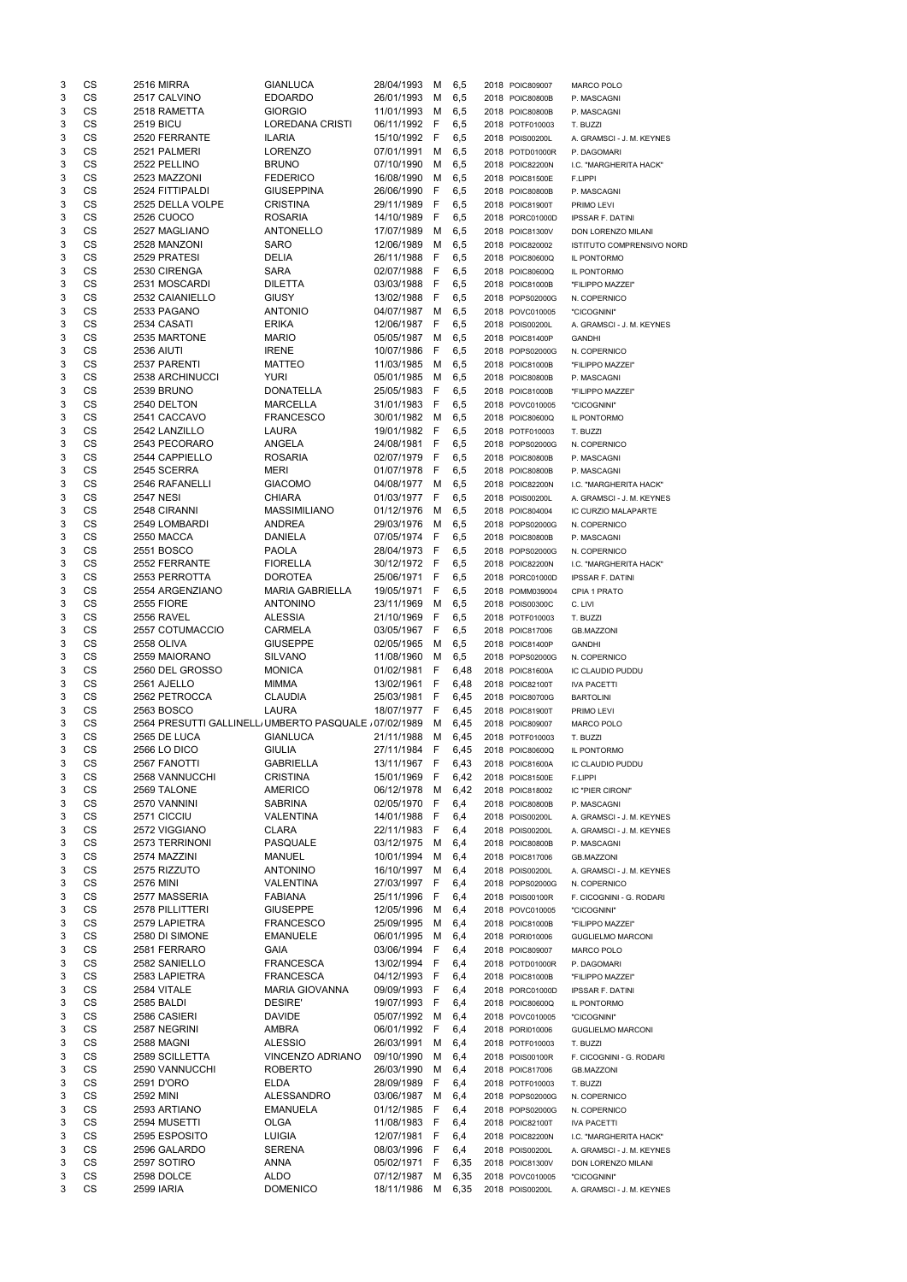| 3 | CS              | <b>2516 MIRRA</b>                                     | <b>GIANLUCA</b>        | 28/04/1993               | M            | 6,5  | 2018 POIC809007 | MARCO POLO                 |
|---|-----------------|-------------------------------------------------------|------------------------|--------------------------|--------------|------|-----------------|----------------------------|
| 3 | CS              | 2517 CALVINO                                          | <b>EDOARDO</b>         | 26/01/1993               | М            | 6,5  | 2018 POIC80800B | P. MASCAGNI                |
| 3 | <b>CS</b>       | 2518 RAMETTA                                          | <b>GIORGIO</b>         | 11/01/1993               | м            | 6,5  | 2018 POIC80800B | P. MASCAGNI                |
| 3 | <b>CS</b>       | <b>2519 BICU</b>                                      | LOREDANA CRISTI        | 06/11/1992 F             |              | 6,5  | 2018 POTF010003 | T. BUZZI                   |
| 3 | <b>CS</b>       | 2520 FERRANTE                                         | <b>ILARIA</b>          | 15/10/1992 F             |              | 6,5  | 2018 POIS00200L | A. GRAMSCI - J. M. KEYNES  |
| 3 | CS              | 2521 PALMERI                                          | <b>LORENZO</b>         | 07/01/1991               | м            | 6,5  | 2018 POTD01000R | P. DAGOMARI                |
| 3 | CS              | 2522 PELLINO                                          | <b>BRUNO</b>           | 07/10/1990               | м            | 6,5  | 2018 POIC82200N | I.C. "MARGHERITA HACK"     |
| 3 | <b>CS</b>       | 2523 MAZZONI                                          | <b>FEDERICO</b>        | 16/08/1990               | м            | 6,5  | 2018 POIC81500E | F.LIPPI                    |
| 3 | <b>CS</b>       | 2524 FITTIPALDI                                       | <b>GIUSEPPINA</b>      | 26/06/1990               | -F           | 6,5  | 2018 POIC80800B | P. MASCAGNI                |
| 3 | CS              | 2525 DELLA VOLPE                                      | <b>CRISTINA</b>        | 29/11/1989               | - F          | 6,5  | 2018 POIC81900T | PRIMO LEVI                 |
| 3 | CS              | <b>2526 CUOCO</b>                                     | <b>ROSARIA</b>         | 14/10/1989               | F            | 6,5  | 2018 PORC01000D | <b>IPSSAR F. DATINI</b>    |
| 3 | CS              | 2527 MAGLIANO                                         | <b>ANTONELLO</b>       | 17/07/1989               | M            | 6,5  | 2018 POIC81300V | DON LORENZO MILANI         |
| 3 | CS              | 2528 MANZONI                                          | <b>SARO</b>            | 12/06/1989               | м            | 6,5  | 2018 POIC820002 | ISTITUTO COMPRENSIVO NORD  |
| 3 | CS              | 2529 PRATESI                                          | <b>DELIA</b>           | 26/11/1988               | -F           | 6,5  | 2018 POIC80600Q |                            |
|   | CS              |                                                       | <b>SARA</b>            |                          | $\mathsf{F}$ |      |                 | IL PONTORMO                |
| 3 |                 | 2530 CIRENGA                                          |                        | 02/07/1988               |              | 6,5  | 2018 POIC80600Q | IL PONTORMO                |
| 3 | CS              | 2531 MOSCARDI                                         | <b>DILETTA</b>         | 03/03/1988               | -F           | 6,5  | 2018 POIC81000B | "FILIPPO MAZZEI"           |
| 3 | CS              | 2532 CAIANIELLO                                       | <b>GIUSY</b>           | 13/02/1988               | - F          | 6,5  | 2018 POPS02000G | N. COPERNICO               |
| 3 | CS              | 2533 PAGANO                                           | <b>ANTONIO</b>         | 04/07/1987               | M            | 6,5  | 2018 POVC010005 | "CICOGNINI"                |
| 3 | CS              | 2534 CASATI                                           | <b>ERIKA</b>           | 12/06/1987               | F            | 6,5  | 2018 POIS00200L | A. GRAMSCI - J. M. KEYNES  |
| 3 | <b>CS</b>       | 2535 MARTONE                                          | <b>MARIO</b>           | 05/05/1987               | M            | 6,5  | 2018 POIC81400P | <b>GANDHI</b>              |
| 3 | <b>CS</b>       | <b>2536 AIUTI</b>                                     | <b>IRENE</b>           | 10/07/1986               | -F           | 6,5  | 2018 POPS02000G | N. COPERNICO               |
| 3 | CS              | 2537 PARENTI                                          | <b>MATTEO</b>          | 11/03/1985               | M            | 6,5  | 2018 POIC81000B | "FILIPPO MAZZEI"           |
| 3 | CS              | 2538 ARCHINUCCI                                       | YURI                   | 05/01/1985               | M            | 6,5  | 2018 POIC80800B | P. MASCAGNI                |
| 3 | <b>CS</b>       | 2539 BRUNO                                            | <b>DONATELLA</b>       | 25/05/1983               | F            | 6,5  | 2018 POIC81000B | "FILIPPO MAZZEI"           |
| 3 | <b>CS</b>       | 2540 DELTON                                           | <b>MARCELLA</b>        | 31/01/1983               | - F          | 6,5  | 2018 POVC010005 | "CICOGNINI"                |
| 3 | CS              | 2541 CACCAVO                                          | <b>FRANCESCO</b>       | 30/01/1982               | M            | 6,5  | 2018 POIC80600Q | IL PONTORMO                |
| 3 | CS              | 2542 LANZILLO                                         | <b>LAURA</b>           | 19/01/1982               | - F          | 6,5  | 2018 POTF010003 | T. BUZZI                   |
| 3 | <b>CS</b>       | 2543 PECORARO                                         | ANGELA                 | 24/08/1981               | -F           | 6,5  | 2018 POPS02000G | N. COPERNICO               |
| 3 | <b>CS</b>       | 2544 CAPPIELLO                                        | <b>ROSARIA</b>         | 02/07/1979               | -F           | 6,5  | 2018 POIC80800B | P. MASCAGNI                |
| 3 | CS              | 2545 SCERRA                                           | <b>MERI</b>            | 01/07/1978               | -F           | 6,5  | 2018 POIC80800B | P. MASCAGNI                |
| 3 | CS              | 2546 RAFANELLI                                        | <b>GIACOMO</b>         | 04/08/1977               | M            | 6,5  | 2018 POIC82200N | I.C. "MARGHERITA HACK"     |
| 3 | CS              | <b>2547 NESI</b>                                      | <b>CHIARA</b>          | 01/03/1977               | F            | 6,5  | 2018 POIS00200L | A. GRAMSCI - J. M. KEYNES  |
| 3 | CS              | 2548 CIRANNI                                          | <b>MASSIMILIANO</b>    | 01/12/1976               | м            | 6,5  | 2018 POIC804004 | <b>IC CURZIO MALAPARTE</b> |
| 3 | CS              | 2549 LOMBARDI                                         | <b>ANDREA</b>          | 29/03/1976               | M            |      |                 |                            |
|   |                 |                                                       |                        |                          |              | 6,5  | 2018 POPS02000G | N. COPERNICO               |
| 3 | CS              | 2550 MACCA                                            | <b>DANIELA</b>         | 07/05/1974               | F            | 6,5  | 2018 POIC80800B | P. MASCAGNI                |
| 3 | <b>CS</b>       | 2551 BOSCO                                            | <b>PAOLA</b>           | 28/04/1973               | - F          | 6,5  | 2018 POPS02000G | N. COPERNICO               |
| 3 | CS              | 2552 FERRANTE                                         | <b>FIORELLA</b>        | 30/12/1972 F             |              | 6,5  | 2018 POIC82200N | I.C. "MARGHERITA HACK"     |
| 3 | <b>CS</b>       | 2553 PERROTTA                                         | <b>DOROTEA</b>         | 25/06/1971 F             |              | 6,5  | 2018 PORC01000D | <b>IPSSAR F. DATINI</b>    |
| 3 | <b>CS</b>       | 2554 ARGENZIANO                                       | <b>MARIA GABRIELLA</b> | 19/05/1971               | F            | 6,5  | 2018 POMM039004 | CPIA 1 PRATO               |
| 3 | <b>CS</b>       | <b>2555 FIORE</b>                                     | <b>ANTONINO</b>        | 23/11/1969               | M            | 6,5  | 2018 POIS00300C | C. LIVI                    |
| 3 | <b>CS</b>       | 2556 RAVEL                                            | <b>ALESSIA</b>         | 21/10/1969               | -F           | 6,5  | 2018 POTF010003 | T. BUZZI                   |
| 3 | <b>CS</b>       | 2557 COTUMACCIO                                       | <b>CARMELA</b>         | 03/05/1967 F             |              | 6,5  | 2018 POIC817006 | <b>GB.MAZZONI</b>          |
| 3 | CS              | 2558 OLIVA                                            | <b>GIUSEPPE</b>        | 02/05/1965               | M            | 6,5  | 2018 POIC81400P | <b>GANDHI</b>              |
| 3 | CS              | 2559 MAIORANO                                         | <b>SILVANO</b>         | 11/08/1960               | M            | 6,5  | 2018 POPS02000G | N. COPERNICO               |
| 3 | <b>CS</b>       | 2560 DEL GROSSO                                       | <b>MONICA</b>          | 01/02/1981               | - F          | 6,48 | 2018 POIC81600A | IC CLAUDIO PUDDU           |
| 3 | <b>CS</b>       | 2561 AJELLO                                           | <b>MIMMA</b>           | 13/02/1961               | – F          | 6,48 | 2018 POIC82100T | <b>IVA PACETTI</b>         |
| 3 | <b>CS</b>       | 2562 PETROCCA                                         | <b>CLAUDIA</b>         | 25/03/1981               | - F          | 6,45 | 2018 POIC80700G | <b>BARTOLINI</b>           |
| 3 | CS              | 2563 BOSCO                                            | LAURA                  | 18/07/1977 F             |              | 6,45 | 2018 POIC81900T | PRIMO LEVI                 |
| 3 | <b>CS</b>       | 2564 PRESUTTI GALLINELL UMBERTO PASQUALE / 07/02/1989 |                        |                          | M            | 6,45 | 2018 POIC809007 | MARCO POLO                 |
| 3 | <b>CS</b>       | 2565 DE LUCA                                          | <b>GIANLUCA</b>        | 21/11/1988               | M            | 6,45 | 2018 POTF010003 | T. BUZZI                   |
| 3 | <b>CS</b>       | <b>2566 LO DICO</b>                                   | <b>GIULIA</b>          | 27/11/1984 F             |              | 6,45 | 2018 POIC80600Q | IL PONTORMO                |
| 3 | CS              | 2567 FANOTTI                                          | <b>GABRIELLA</b>       | 13/11/1967 F             |              | 6,43 | 2018 POIC81600A | IC CLAUDIO PUDDU           |
| 3 | <b>CS</b>       | 2568 VANNUCCHI                                        | <b>CRISTINA</b>        | 15/01/1969 F             |              | 6,42 | 2018 POIC81500E |                            |
|   | <b>CS</b>       |                                                       |                        |                          |              |      |                 | F.LIPPI                    |
| 3 |                 | 2569 TALONE                                           | <b>AMERICO</b>         | 06/12/1978               | M            | 6,42 | 2018 POIC818002 | IC "PIER CIRONI"           |
| 3 | CS              | 2570 VANNINI                                          | <b>SABRINA</b>         | 02/05/1970               | - F          | 6,4  | 2018 POIC80800B | P. MASCAGNI                |
| 3 | <b>CS</b>       | 2571 CICCIU                                           | <b>VALENTINA</b>       | 14/01/1988               | - F          | 6,4  | 2018 POIS00200L | A. GRAMSCI - J. M. KEYNES  |
| 3 | <b>CS</b>       | 2572 VIGGIANO                                         | <b>CLARA</b>           | 22/11/1983               | - F          | 6,4  | 2018 POIS00200L | A. GRAMSCI - J. M. KEYNES  |
| 3 | <b>CS</b>       | 2573 TERRINONI                                        | PASQUALE               | 03/12/1975               | M            | 6,4  | 2018 POIC80800B | P. MASCAGNI                |
| 3 | <b>CS</b>       | 2574 MAZZINI                                          | <b>MANUEL</b>          | 10/01/1994               | M            | 6,4  | 2018 POIC817006 | <b>GB.MAZZONI</b>          |
| 3 | CS              | 2575 RIZZUTO                                          | <b>ANTONINO</b>        | 16/10/1997               | M            | 6,4  | 2018 POIS00200L | A. GRAMSCI - J. M. KEYNES  |
| 3 | CS              | <b>2576 MINI</b>                                      | VALENTINA              | 27/03/1997               | - F          | 6,4  | 2018 POPS02000G | N. COPERNICO               |
| 3 | <b>CS</b>       | 2577 MASSERIA                                         | <b>FABIANA</b>         | 25/11/1996               | - F          | 6,4  | 2018 POIS00100R | F. CICOGNINI - G. RODARI   |
| 3 | <b>CS</b>       | 2578 PILLITTERI                                       | <b>GIUSEPPE</b>        | 12/05/1996               | M            | 6,4  | 2018 POVC010005 | "CICOGNINI"                |
| 3 | <b>CS</b>       | 2579 LAPIETRA                                         | <b>FRANCESCO</b>       | 25/09/1995               | M            | 6,4  | 2018 POIC81000B | "FILIPPO MAZZEI"           |
| 3 | <b>CS</b>       | 2580 DI SIMONE                                        | <b>EMANUELE</b>        | 06/01/1995               | м            | 6,4  | 2018 PORI010006 | <b>GUGLIELMO MARCONI</b>   |
| 3 | <b>CS</b>       | 2581 FERRARO                                          | <b>GAIA</b>            | 03/06/1994               | -F           | 6,4  | 2018 POIC809007 | MARCO POLO                 |
| 3 | <b>CS</b>       | 2582 SANIELLO                                         | <b>FRANCESCA</b>       | 13/02/1994               | - F          | 6,4  | 2018 POTD01000R | P. DAGOMARI                |
| 3 | <b>CS</b>       | 2583 LAPIETRA                                         | <b>FRANCESCA</b>       | 04/12/1993               | - F          | 6,4  | 2018 POIC81000B | "FILIPPO MAZZEI"           |
| 3 | CS              | 2584 VITALE                                           | <b>MARIA GIOVANNA</b>  | 09/09/1993               | - F          | 6,4  | 2018 PORC01000D | <b>IPSSAR F. DATINI</b>    |
| 3 | <b>CS</b>       | 2585 BALDI                                            | <b>DESIRE'</b>         | 19/07/1993 F             |              | 6,4  | 2018 POIC80600Q | IL PONTORMO                |
| 3 | CS              | 2586 CASIERI                                          | <b>DAVIDE</b>          | 05/07/1992               | M            | 6,4  | 2018 POVC010005 | "CICOGNINI"                |
| 3 | CS              | 2587 NEGRINI                                          | <b>AMBRA</b>           | 06/01/1992 F             |              | 6,4  | 2018 PORI010006 | <b>GUGLIELMO MARCONI</b>   |
| 3 | <b>CS</b>       | 2588 MAGNI                                            | <b>ALESSIO</b>         | 26/03/1991 M             |              | 6,4  | 2018 POTF010003 | T. BUZZI                   |
| 3 | CS              | 2589 SCILLETTA                                        | VINCENZO ADRIANO       | 09/10/1990               | M            |      |                 |                            |
|   |                 |                                                       |                        |                          |              | 6,4  | 2018 POIS00100R | F. CICOGNINI - G. RODARI   |
| 3 | CS              | 2590 VANNUCCHI                                        | <b>ROBERTO</b>         | 26/03/1990               | M            | 6,4  | 2018 POIC817006 | <b>GB.MAZZONI</b>          |
| 3 | CS              | 2591 D'ORO                                            | ELDA                   | 28/09/1989               | - F          | 6,4  | 2018 POTF010003 | T. BUZZI                   |
| 3 | CS              | 2592 MINI                                             | ALESSANDRO             | 03/06/1987               | M            | 6,4  | 2018 POPS02000G | N. COPERNICO               |
| 3 | CS              | 2593 ARTIANO                                          | <b>EMANUELA</b>        | 01/12/1985               | - F          | 6,4  | 2018 POPS02000G | N. COPERNICO               |
| 3 | CS              | 2594 MUSETTI                                          | OLGA                   | 11/08/1983 F             |              | 6,4  | 2018 POIC82100T | <b>IVA PACETTI</b>         |
| 3 | CS              | 2595 ESPOSITO                                         | <b>LUIGIA</b>          | 12/07/1981 F             |              | 6,4  | 2018 POIC82200N | I.C. "MARGHERITA HACK"     |
| 3 | CS              | 2596 GALARDO                                          | <b>SERENA</b>          | 08/03/1996               | - F          | 6,4  | 2018 POIS00200L | A. GRAMSCI - J. M. KEYNES  |
| 3 | CS              | 2597 SOTIRO                                           | ANNA                   | 05/02/1971 F             |              | 6,35 | 2018 POIC81300V | DON LORENZO MILANI         |
|   |                 |                                                       |                        |                          |              |      |                 |                            |
| 3 | CS<br><b>CS</b> | 2598 DOLCE<br><b>2599 IARIA</b>                       | <b>ALDO</b>            | 07/12/1987<br>18/11/1986 | M            | 6,35 | 2018 POVC010005 | "CICOGNINI"                |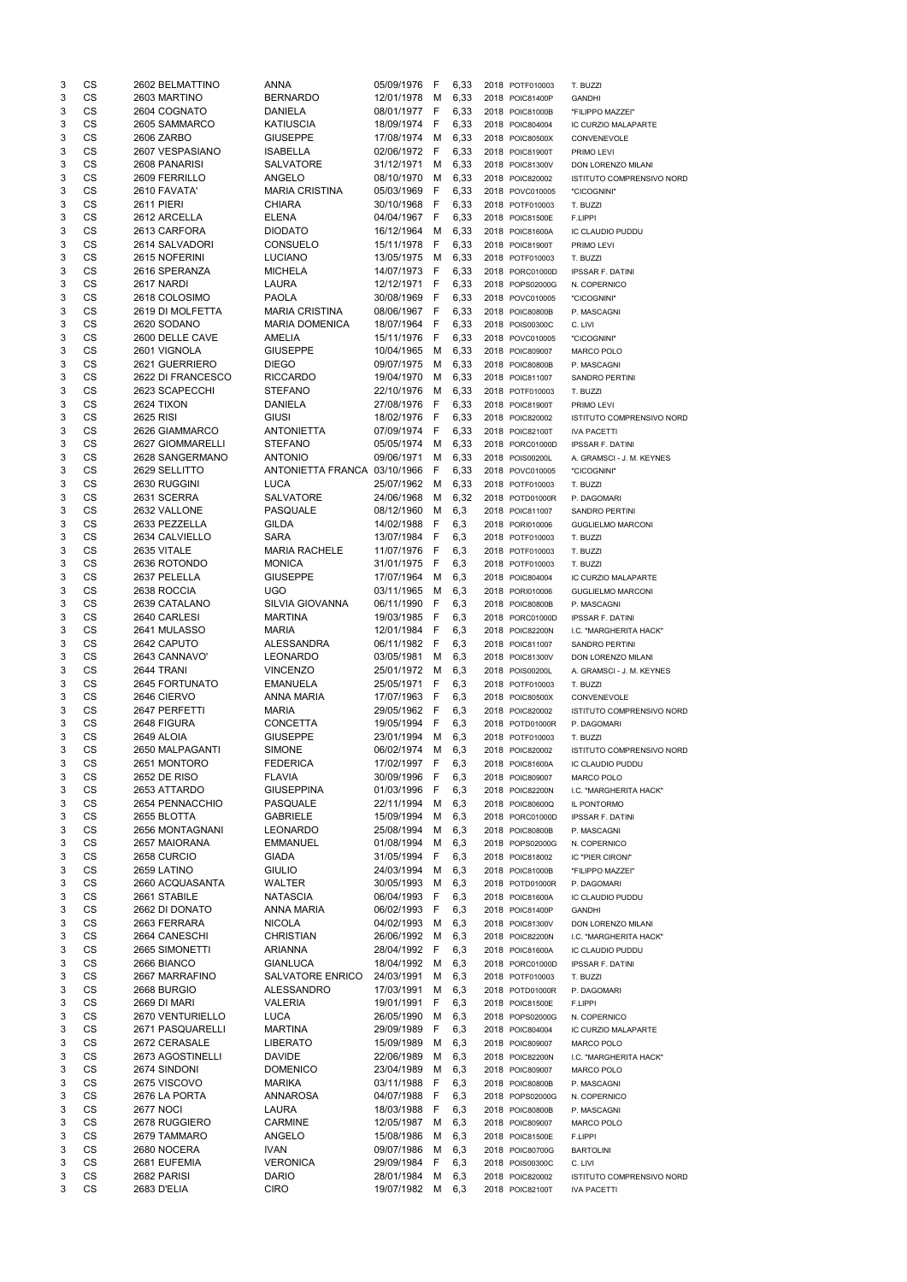| 3      | CS        | 2602 BELMATTINO            | <b>ANNA</b>                  | 05/09/1976               | -F           | 6,33       | 2018 POTF010003                    | T. BUZZI                                        |
|--------|-----------|----------------------------|------------------------------|--------------------------|--------------|------------|------------------------------------|-------------------------------------------------|
| 3      | CS        | 2603 MARTINO               | <b>BERNARDO</b>              | 12/01/1978               | M            | 6,33       | 2018 POIC81400P                    | <b>GANDHI</b>                                   |
| 3      | <b>CS</b> | 2604 COGNATO               | <b>DANIELA</b>               | 08/01/1977               | F            | 6,33       | 2018 POIC81000B                    | "FILIPPO MAZZEI"                                |
| 3      | <b>CS</b> | 2605 SAMMARCO              | <b>KATIUSCIA</b>             | 18/09/1974               | F            | 6,33       | 2018 POIC804004                    | IC CURZIO MALAPARTE                             |
| 3      | <b>CS</b> | 2606 ZARBO                 | <b>GIUSEPPE</b>              | 17/08/1974               | м            | 6,33       | 2018 POIC80500X                    | CONVENEVOLE                                     |
| 3      | CS        | 2607 VESPASIANO            | <b>ISABELLA</b>              | 02/06/1972               | F            | 6,33       | 2018 POIC81900T                    | PRIMO LEVI                                      |
| 3      | CS        | 2608 PANARISI              | <b>SALVATORE</b>             | 31/12/1971               | м            | 6,33       | 2018 POIC81300V                    | DON LORENZO MILANI                              |
| 3      | <b>CS</b> | 2609 FERRILLO              | ANGELO                       | 08/10/1970               | м            | 6,33       | 2018 POIC820002                    | ISTITUTO COMPRENSIVO NORD                       |
| 3      | <b>CS</b> | 2610 FAVATA'               | <b>MARIA CRISTINA</b>        | 05/03/1969               | F            | 6,33       | 2018 POVC010005                    | "CICOGNINI"                                     |
| 3      | CS        | <b>2611 PIERI</b>          | <b>CHIARA</b>                | 30/10/1968               | - F          | 6,33       | 2018 POTF010003                    | T. BUZZI                                        |
| 3      | CS        | 2612 ARCELLA               | <b>ELENA</b>                 | 04/04/1967               | - F          | 6,33       | 2018 POIC81500E                    | F.LIPPI                                         |
| 3      | <b>CS</b> | 2613 CARFORA               | <b>DIODATO</b>               | 16/12/1964               | M            | 6,33       | 2018 POIC81600A                    | IC CLAUDIO PUDDU                                |
| 3      | <b>CS</b> | 2614 SALVADORI             | <b>CONSUELO</b>              | 15/11/1978               | - F          | 6,33       | 2018 POIC81900T                    | PRIMO LEVI                                      |
| 3      | CS        | 2615 NOFERINI              | <b>LUCIANO</b>               | 13/05/1975               | M            | 6,33       | 2018 POTF010003                    | T. BUZZI                                        |
| 3      | CS        | 2616 SPERANZA              | <b>MICHELA</b>               | 14/07/1973               | - F          | 6,33       | 2018 PORC01000D                    | <b>IPSSAR F. DATINI</b>                         |
| 3      | <b>CS</b> | 2617 NARDI                 | LAURA                        | 12/12/1971               | - F          | 6,33       | 2018 POPS02000G                    | N. COPERNICO                                    |
| 3      | <b>CS</b> | 2618 COLOSIMO              | <b>PAOLA</b>                 | 30/08/1969               | - F          | 6,33       | 2018 POVC010005                    | "CICOGNINI"                                     |
| 3      | CS        | 2619 DI MOLFETTA           | <b>MARIA CRISTINA</b>        | 08/06/1967               | -F           | 6,33       | 2018 POIC80800B                    | P. MASCAGNI                                     |
| 3      | CS        | 2620 SODANO                | <b>MARIA DOMENICA</b>        | 18/07/1964               | F            | 6,33       | 2018 POIS00300C                    | C. LIVI                                         |
| 3      | CS        | 2600 DELLE CAVE            | <b>AMELIA</b>                | 15/11/1976               | F            | 6,33       | 2018 POVC010005                    | "CICOGNINI"                                     |
| 3      | CS        | 2601 VIGNOLA               | <b>GIUSEPPE</b>              | 10/04/1965               | M            | 6,33       | 2018 POIC809007                    | <b>MARCO POLO</b>                               |
| 3      | CS        | 2621 GUERRIERO             | <b>DIEGO</b>                 | 09/07/1975               | M            | 6,33       | 2018 POIC80800B                    | P. MASCAGNI                                     |
| 3      | CS        | 2622 DI FRANCESCO          | <b>RICCARDO</b>              | 19/04/1970               | M            | 6,33       | 2018 POIC811007                    | <b>SANDRO PERTINI</b>                           |
| 3      | <b>CS</b> | 2623 SCAPECCHI             | <b>STEFANO</b>               | 22/10/1976               | M            | 6,33       | 2018 POTF010003                    | T. BUZZI                                        |
| 3      | <b>CS</b> | 2624 TIXON                 | <b>DANIELA</b>               | 27/08/1976               | -F           | 6,33       | 2018 POIC81900T                    | PRIMO LEVI                                      |
| 3      | CS        | 2625 RISI                  | GIUSI                        | 18/02/1976               | - F          | 6,33       | 2018 POIC820002                    | ISTITUTO COMPRENSIVO NORD                       |
| 3      | CS        | 2626 GIAMMARCO             | <b>ANTONIETTA</b>            | 07/09/1974               | -F           | 6,33       | 2018 POIC82100T                    |                                                 |
|        | <b>CS</b> |                            |                              |                          |              |            |                                    | <b>IVA PACETTI</b>                              |
| 3      |           | 2627 GIOMMARELLI           | <b>STEFANO</b>               | 05/05/1974               | м            | 6,33       | 2018 PORC01000D                    | <b>IPSSAR F. DATINI</b>                         |
| 3      | <b>CS</b> | 2628 SANGERMANO            | <b>ANTONIO</b>               | 09/06/1971               | м            | 6,33       | 2018 POIS00200L                    | A. GRAMSCI - J. M. KEYNES                       |
| 3      | CS        | 2629 SELLITTO              | ANTONIETTA FRANCA 03/10/1966 |                          | F            | 6,33       | 2018 POVC010005                    | "CICOGNINI"                                     |
| 3      | CS        | 2630 RUGGINI               | <b>LUCA</b>                  | 25/07/1962               | М            | 6,33       | 2018 POTF010003                    | T. BUZZI                                        |
| 3      | CS        | 2631 SCERRA                | <b>SALVATORE</b>             | 24/06/1968               | M            | 6,32       | 2018 POTD01000R                    | P. DAGOMARI                                     |
| 3      | <b>CS</b> | 2632 VALLONE               | PASQUALE                     | 08/12/1960               | M            | 6,3        | 2018 POIC811007                    | <b>SANDRO PERTINI</b>                           |
| 3      | <b>CS</b> | 2633 PEZZELLA              | <b>GILDA</b>                 | 14/02/1988               | -F           | 6,3        | 2018 PORI010006                    | <b>GUGLIELMO MARCONI</b>                        |
| 3      | <b>CS</b> | 2634 CALVIELLO             | <b>SARA</b>                  | 13/07/1984               | - F          | 6,3        | 2018 POTF010003                    | T. BUZZI                                        |
| 3      | <b>CS</b> | 2635 VITALE                | <b>MARIA RACHELE</b>         | 11/07/1976 F             |              | 6,3        | 2018 POTF010003                    | T. BUZZI                                        |
| 3      | CS        | 2636 ROTONDO               | <b>MONICA</b>                | 31/01/1975               | $\mathsf{F}$ | 6,3        | 2018 POTF010003                    | T. BUZZI                                        |
| 3      | <b>CS</b> | 2637 PELELLA               | <b>GIUSEPPE</b>              | 17/07/1964               | м            | 6,3        | 2018 POIC804004                    | IC CURZIO MALAPARTE                             |
| 3      | CS        | 2638 ROCCIA                | <b>UGO</b>                   | 03/11/1965               | м            | 6,3        | 2018 PORI010006                    | <b>GUGLIELMO MARCONI</b>                        |
| 3      | CS        | 2639 CATALANO              | <b>SILVIA GIOVANNA</b>       | 06/11/1990               | F            | 6,3        | 2018 POIC80800B                    | P. MASCAGNI                                     |
| 3      | <b>CS</b> | 2640 CARLESI               | <b>MARTINA</b>               | 19/03/1985               | -F           | 6,3        | 2018 PORC01000D                    | <b>IPSSAR F. DATINI</b>                         |
| 3      | <b>CS</b> | 2641 MULASSO               | <b>MARIA</b>                 | 12/01/1984               | - F          | 6,3        | 2018 POIC82200N                    | I.C. "MARGHERITA HACK"                          |
| 3      | <b>CS</b> | 2642 CAPUTO                | <b>ALESSANDRA</b>            | 06/11/1982               | - F          | 6,3        | 2018 POIC811007                    | <b>SANDRO PERTINI</b>                           |
| 3      | <b>CS</b> | 2643 CANNAVO'              | <b>LEONARDO</b>              | 03/05/1981               | м            | 6,3        | 2018 POIC81300V                    | DON LORENZO MILANI                              |
| 3      | <b>CS</b> | 2644 TRANI                 | <b>VINCENZO</b>              | 25/01/1972               | M            | 6,3        | 2018 POIS00200L                    | A. GRAMSCI - J. M. KEYNES                       |
| 3      | <b>CS</b> | 2645 FORTUNATO             | <b>EMANUELA</b>              | 25/05/1971               | F            | 6,3        | 2018 POTF010003                    | T. BUZZI                                        |
| 3      | CS        | 2646 CIERVO                | <b>ANNA MARIA</b>            | 17/07/1963               | - F          | 6,3        | 2018 POIC80500X                    | CONVENEVOLE                                     |
| 3      | CS        | 2647 PERFETTI              | <b>MARIA</b>                 | 29/05/1962               | - F          | 6,3        | 2018 POIC820002                    | ISTITUTO COMPRENSIVO NORD                       |
| 3      | <b>CS</b> | 2648 FIGURA                | <b>CONCETTA</b>              | 19/05/1994               | F            | 6,3        | 2018 POTD01000R                    | P. DAGOMARI                                     |
| 3      | <b>CS</b> | 2649 ALOIA                 | <b>GIUSEPPE</b>              | 23/01/1994               | М            | 6,3        | 2018 POTF010003                    | T. BUZZI                                        |
| 3      | <b>CS</b> | 2650 MALPAGANTI            | <b>SIMONE</b>                | 06/02/1974               | м            | 6,3        | 2018 POIC820002                    | <b>ISTITUTO COMPRENSIVO NORD</b>                |
| 3      | <b>CS</b> | 2651 MONTORO               | <b>FEDERICA</b>              | 17/02/1997               | F            | 6,3        | 2018 POIC81600A                    | IC CLAUDIO PUDDU                                |
| 3      | <b>CS</b> | 2652 DE RISO               | <b>FLAVIA</b>                | 30/09/1996               | F            | 6,3        | 2018 POIC809007                    | <b>MARCO POLO</b>                               |
| 3      | <b>CS</b> | 2653 ATTARDO               | <b>GIUSEPPINA</b>            | 01/03/1996               | F            | 6,3        |                                    |                                                 |
| 3      | CS        | 2654 PENNACCHIO            | PASQUALE                     | 22/11/1994               | м            |            | 2018 POIC82200N                    | I.C. "MARGHERITA HACK"                          |
|        |           |                            |                              |                          |              | 6,3        | 2018 POIC80600Q                    | IL PONTORMO                                     |
| 3      | CS        | 2655 BLOTTA                | <b>GABRIELE</b>              | 15/09/1994               | м            | 6,3        | 2018 PORC01000D                    | <b>IPSSAR F. DATINI</b>                         |
| 3      | <b>CS</b> | 2656 MONTAGNANI            | <b>LEONARDO</b>              | 25/08/1994               | м            | 6,3        | 2018 POIC80800B                    | P. MASCAGNI                                     |
| 3      | <b>CS</b> | 2657 MAIORANA              | <b>EMMANUEL</b>              | 01/08/1994               | м            | 6,3        | 2018 POPS02000G                    | N. COPERNICO                                    |
| 3      | CS        | 2658 CURCIO                | <b>GIADA</b>                 | 31/05/1994               | F            | 6,3        | 2018 POIC818002                    | IC "PIER CIRONI"                                |
| 3      | CS        | 2659 LATINO                | <b>GIULIO</b>                | 24/03/1994               | м            | 6,3        | 2018 POIC81000B                    | "FILIPPO MAZZEI"                                |
| 3      | <b>CS</b> | 2660 ACQUASANTA            | <b>WALTER</b>                | 30/05/1993               | м            | 6,3        | 2018 POTD01000R                    | P. DAGOMARI                                     |
| 3      | <b>CS</b> | 2661 STABILE               | <b>NATASCIA</b>              | 06/04/1993               | F            | 6,3        | 2018 POIC81600A                    | IC CLAUDIO PUDDU                                |
| 3      | <b>CS</b> | 2662 DI DONATO             | ANNA MARIA                   | 06/02/1993               | -F           | 6,3        | 2018 POIC81400P                    | <b>GANDHI</b>                                   |
| 3      | CS        | 2663 FERRARA               | <b>NICOLA</b>                | 04/02/1993               | M            | 6,3        | 2018 POIC81300V                    | DON LORENZO MILANI                              |
| 3      | CS        | 2664 CANESCHI              | <b>CHRISTIAN</b>             | 26/06/1992               | M            | 6,3        | 2018 POIC82200N                    | I.C. "MARGHERITA HACK"                          |
| 3      | <b>CS</b> | 2665 SIMONETTI             | <b>ARIANNA</b>               | 28/04/1992               | -F           | 6,3        | 2018 POIC81600A                    | IC CLAUDIO PUDDU                                |
| 3      | <b>CS</b> | 2666 BIANCO                | <b>GIANLUCA</b>              | 18/04/1992               | М            | 6,3        | 2018 PORC01000D                    | <b>IPSSAR F. DATINI</b>                         |
| 3      | CS        | 2667 MARRAFINO             | <b>SALVATORE ENRICO</b>      | 24/03/1991               | M            | 6,3        | 2018 POTF010003                    | T. BUZZI                                        |
| 3      | CS        | 2668 BURGIO                | <b>ALESSANDRO</b>            | 17/03/1991               | м            | 6,3        | 2018 POTD01000R                    | P. DAGOMARI                                     |
| 3      | CS        | 2669 DI MARI               | <b>VALERIA</b>               | 19/01/1991               | F            | 6,3        | 2018 POIC81500E                    | F.LIPPI                                         |
| 3      | <b>CS</b> | 2670 VENTURIELLO           | <b>LUCA</b>                  | 26/05/1990               | M            | 6,3        | 2018 POPS02000G                    | N. COPERNICO                                    |
| 3      | <b>CS</b> | 2671 PASQUARELLI           | <b>MARTINA</b>               | 29/09/1989               | F            | 6,3        | 2018 POIC804004                    | IC CURZIO MALAPARTE                             |
| 3      | <b>CS</b> | 2672 CERASALE              | <b>LIBERATO</b>              | 15/09/1989 M             |              | 6,3        | 2018 POIC809007                    | <b>MARCO POLO</b>                               |
| 3      | CS        | 2673 AGOSTINELLI           | <b>DAVIDE</b>                | 22/06/1989               | M            | 6,3        | 2018 POIC82200N                    | I.C. "MARGHERITA HACK"                          |
| 3      | CS        | 2674 SINDONI               | <b>DOMENICO</b>              | 23/04/1989               | м            | 6,3        | 2018 POIC809007                    | MARCO POLO                                      |
| 3      | CS        | 2675 VISCOVO               | <b>MARIKA</b>                | 03/11/1988               | F            | 6,3        | 2018 POIC80800B                    | P. MASCAGNI                                     |
| 3      | CS        | 2676 LA PORTA              | <b>ANNAROSA</b>              | 04/07/1988               | F            | 6,3        | 2018 POPS02000G                    | N. COPERNICO                                    |
| 3      | CS        | <b>2677 NOCI</b>           | LAURA                        | 18/03/1988               | F            | 6,3        | 2018 POIC80800B                    | P. MASCAGNI                                     |
| 3      | CS        | 2678 RUGGIERO              | <b>CARMINE</b>               | 12/05/1987               | м            | 6,3        | 2018 POIC809007                    | MARCO POLO                                      |
| 3      | CS        | 2679 TAMMARO               | ANGELO                       | 15/08/1986               | м            | 6,3        | 2018 POIC81500E                    | F.LIPPI                                         |
| 3      | CS        | 2680 NOCERA                | <b>IVAN</b>                  | 09/07/1986               | M            | 6,3        | 2018 POIC80700G                    | <b>BARTOLINI</b>                                |
| 3      | CS        | 2681 EUFEMIA               | <b>VERONICA</b>              | 29/09/1984               | -F           |            |                                    |                                                 |
|        | CS        |                            |                              |                          |              | 6,3        | 2018 POIS00300C                    | C. LIVI                                         |
| 3<br>3 | CS        | 2682 PARISI<br>2683 D'ELIA | <b>DARIO</b><br><b>CIRO</b>  | 28/01/1984<br>19/07/1982 | M<br>M       | 6,3<br>6,3 | 2018 POIC820002<br>2018 POIC82100T | ISTITUTO COMPRENSIVO NORD<br><b>IVA PACETTI</b> |
|        |           |                            |                              |                          |              |            |                                    |                                                 |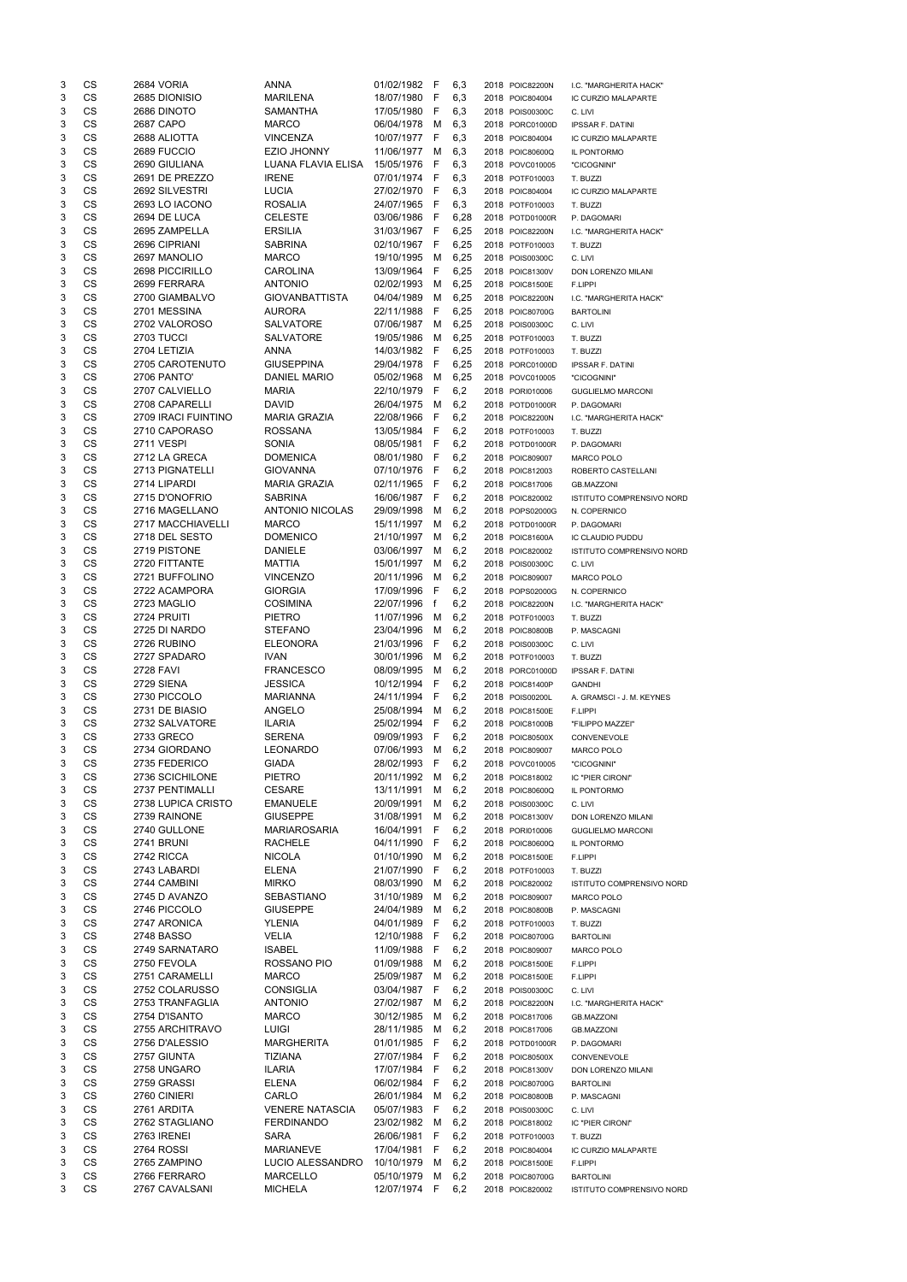| 3      | CS        | 2684 VORIA          | <b>ANNA</b>            | 01/02/1982 | F   | 6,3  | 2018 POIC82200N | I.C. "MARGHERITA HACK"                  |
|--------|-----------|---------------------|------------------------|------------|-----|------|-----------------|-----------------------------------------|
| 3      | <b>CS</b> | 2685 DIONISIO       | <b>MARILENA</b>        | 18/07/1980 | F   | 6,3  | 2018 POIC804004 | IC CURZIO MALAPARTE                     |
| 3      | CS        | 2686 DINOTO         | SAMANTHA               | 17/05/1980 | F   | 6,3  | 2018 POIS00300C | C. LIVI                                 |
| 3      | CS        | 2687 CAPO           | <b>MARCO</b>           | 06/04/1978 | M   | 6,3  | 2018 PORC01000D | <b>IPSSAR F. DATINI</b>                 |
| 3      | CS        | 2688 ALIOTTA        | <b>VINCENZA</b>        | 10/07/1977 | F   | 6,3  | 2018 POIC804004 | IC CURZIO MALAPARTE                     |
| 3      | <b>CS</b> | 2689 FUCCIO         | <b>EZIO JHONNY</b>     | 11/06/1977 | м   | 6,3  | 2018 POIC80600Q | IL PONTORMO                             |
| 3      | <b>CS</b> | 2690 GIULIANA       | LUANA FLAVIA ELISA     | 15/05/1976 | F   | 6,3  | 2018 POVC010005 | "CICOGNINI"                             |
| 3      | CS        | 2691 DE PREZZO      | <b>IRENE</b>           | 07/01/1974 | F   | 6,3  | 2018 POTF010003 | T. BUZZI                                |
| 3      | <b>CS</b> | 2692 SILVESTRI      | <b>LUCIA</b>           | 27/02/1970 | F   | 6,3  | 2018 POIC804004 | IC CURZIO MALAPARTE                     |
| 3      | <b>CS</b> | 2693 LO IACONO      | <b>ROSALIA</b>         | 24/07/1965 | F   | 6,3  | 2018 POTF010003 | T. BUZZI                                |
| 3      | <b>CS</b> | 2694 DE LUCA        | <b>CELESTE</b>         | 03/06/1986 | F   | 6,28 | 2018 POTD01000R | P. DAGOMARI                             |
| 3      | CS        | 2695 ZAMPELLA       | <b>ERSILIA</b>         | 31/03/1967 | F   | 6,25 | 2018 POIC82200N | I.C. "MARGHERITA HACK"                  |
| 3      | CS        | 2696 CIPRIANI       | <b>SABRINA</b>         | 02/10/1967 | F   | 6,25 | 2018 POTF010003 | T. BUZZI                                |
| 3      | CS        | 2697 MANOLIO        | <b>MARCO</b>           | 19/10/1995 | M   | 6,25 | 2018 POIS00300C | C. LIVI                                 |
| 3      | CS        | 2698 PICCIRILLO     | <b>CAROLINA</b>        | 13/09/1964 | F   | 6,25 | 2018 POIC81300V | DON LORENZO MILANI                      |
| 3      | CS        | 2699 FERRARA        | <b>ANTONIO</b>         | 02/02/1993 | M   | 6,25 | 2018 POIC81500E | F.LIPPI                                 |
| 3      | CS        | 2700 GIAMBALVO      | <b>GIOVANBATTISTA</b>  | 04/04/1989 | M   | 6,25 | 2018 POIC82200N | I.C. "MARGHERITA HACK"                  |
| 3      | <b>CS</b> | 2701 MESSINA        | <b>AURORA</b>          | 22/11/1988 | F   | 6,25 | 2018 POIC80700G | <b>BARTOLINI</b>                        |
| 3      | <b>CS</b> | 2702 VALOROSO       | <b>SALVATORE</b>       | 07/06/1987 | M   | 6,25 | 2018 POIS00300C | C. LIVI                                 |
| 3      | CS        | 2703 TUCCI          | <b>SALVATORE</b>       | 19/05/1986 | м   | 6,25 | 2018 POTF010003 | T. BUZZI                                |
| 3      | CS        | 2704 LETIZIA        | <b>ANNA</b>            | 14/03/1982 | F   | 6,25 | 2018 POTF010003 | T. BUZZI                                |
| 3      | <b>CS</b> | 2705 CAROTENUTO     | <b>GIUSEPPINA</b>      | 29/04/1978 | F   | 6,25 | 2018 PORC01000D | <b>IPSSAR F. DATINI</b>                 |
| 3      | <b>CS</b> | 2706 PANTO'         | <b>DANIEL MARIO</b>    | 05/02/1968 | M   | 6,25 | 2018 POVC010005 | "CICOGNINI"                             |
| 3      | CS        | 2707 CALVIELLO      | <b>MARIA</b>           | 22/10/1979 | F   | 6,2  | 2018 PORI010006 | <b>GUGLIELMO MARCONI</b>                |
| 3      | CS        | 2708 CAPARELLI      | <b>DAVID</b>           | 26/04/1975 | M   | 6,2  | 2018 POTD01000R | P. DAGOMARI                             |
| 3      | <b>CS</b> | 2709 IRACI FUINTINO | <b>MARIA GRAZIA</b>    | 22/08/1966 | F   | 6,2  | 2018 POIC82200N | I.C. "MARGHERITA HACK"                  |
| 3      | <b>CS</b> | 2710 CAPORASO       | <b>ROSSANA</b>         | 13/05/1984 | F   | 6,2  | 2018 POTF010003 | T. BUZZI                                |
| 3      | CS        | <b>2711 VESPI</b>   | <b>SONIA</b>           | 08/05/1981 | F   | 6,2  | 2018 POTD01000R | P. DAGOMARI                             |
| 3      | CS        | 2712 LA GRECA       | <b>DOMENICA</b>        | 08/01/1980 | F   | 6,2  | 2018 POIC809007 | <b>MARCO POLO</b>                       |
| 3      | <b>CS</b> | 2713 PIGNATELLI     | <b>GIOVANNA</b>        | 07/10/1976 | F   | 6,2  | 2018 POIC812003 |                                         |
| 3      | <b>CS</b> | 2714 LIPARDI        | <b>MARIA GRAZIA</b>    | 02/11/1965 | F   | 6,2  | 2018 POIC817006 | ROBERTO CASTELLANI<br><b>GB.MAZZONI</b> |
| 3      | CS        | 2715 D'ONOFRIO      | <b>SABRINA</b>         | 16/06/1987 | F   | 6,2  | 2018 POIC820002 |                                         |
|        | CS        | 2716 MAGELLANO      | <b>ANTONIO NICOLAS</b> | 29/09/1998 |     |      |                 | ISTITUTO COMPRENSIVO NORD               |
| 3      | CS        | 2717 MACCHIAVELLI   |                        |            | м   | 6,2  | 2018 POPS02000G | N. COPERNICO                            |
| 3      | CS        |                     | <b>MARCO</b>           | 15/11/1997 | м   | 6,2  | 2018 POTD01000R | P. DAGOMARI                             |
| 3<br>3 | CS        | 2718 DEL SESTO      | <b>DOMENICO</b>        | 21/10/1997 | M   | 6,2  | 2018 POIC81600A | IC CLAUDIO PUDDU                        |
|        |           | 2719 PISTONE        | <b>DANIELE</b>         | 03/06/1997 | М   | 6,2  | 2018 POIC820002 | ISTITUTO COMPRENSIVO NORD               |
| 3      | CS        | 2720 FITTANTE       | <b>MATTIA</b>          | 15/01/1997 | м   | 6,2  | 2018 POIS00300C | C. LIVI                                 |
| 3      | CS        | 2721 BUFFOLINO      | <b>VINCENZO</b>        | 20/11/1996 | м   | 6,2  | 2018 POIC809007 | <b>MARCO POLO</b>                       |
| 3      | <b>CS</b> | 2722 ACAMPORA       | <b>GIORGIA</b>         | 17/09/1996 | F   | 6,2  | 2018 POPS02000G | N. COPERNICO                            |
| 3      | <b>CS</b> | 2723 MAGLIO         | COSIMINA               | 22/07/1996 | f   | 6,2  | 2018 POIC82200N | I.C. "MARGHERITA HACK"                  |
| 3      | <b>CS</b> | 2724 PRUITI         | <b>PIETRO</b>          | 11/07/1996 | м   | 6,2  | 2018 POTF010003 | T. BUZZI                                |
| 3      | <b>CS</b> | 2725 DI NARDO       | <b>STEFANO</b>         | 23/04/1996 | м   | 6,2  | 2018 POIC80800B | P. MASCAGNI                             |
| 3      | <b>CS</b> | 2726 RUBINO         | <b>ELEONORA</b>        | 21/03/1996 | F   | 6,2  | 2018 POIS00300C | C. LIVI                                 |
| 3      | <b>CS</b> | 2727 SPADARO        | <b>IVAN</b>            | 30/01/1996 | м   | 6,2  | 2018 POTF010003 | T. BUZZI                                |
| 3      | CS        | <b>2728 FAVI</b>    | <b>FRANCESCO</b>       | 08/09/1995 | м   | 6,2  | 2018 PORC01000D | <b>IPSSAR F. DATINI</b>                 |
| 3      | CS        | 2729 SIENA          | <b>JESSICA</b>         | 10/12/1994 | F   | 6,2  | 2018 POIC81400P | <b>GANDHI</b>                           |
| 3      | <b>CS</b> | 2730 PICCOLO        | <b>MARIANNA</b>        | 24/11/1994 | F   | 6,2  | 2018 POIS00200L | A. GRAMSCI - J. M. KEYNES               |
| 3      | <b>CS</b> | 2731 DE BIASIO      | ANGELO                 | 25/08/1994 | м   | 6,2  | 2018 POIC81500E | F.LIPPI                                 |
| 3      | <b>CS</b> | 2732 SALVATORE      | <b>ILARIA</b>          | 25/02/1994 | F   | 6,2  | 2018 POIC81000B | "FILIPPO MAZZEI"                        |
| 3      | CS        | 2733 GRECO          | <b>SERENA</b>          | 09/09/1993 | F   | 6,2  | 2018 POIC80500X | CONVENEVOLE                             |
| 3      | CS        | 2734 GIORDANO       | <b>LEONARDO</b>        | 07/06/1993 | M   | 6,2  | 2018 POIC809007 | <b>MARCO POLO</b>                       |
| 3      | <b>CS</b> | 2735 FEDERICO       | <b>GIADA</b>           | 28/02/1993 | F   | 6,2  | 2018 POVC010005 | "CICOGNINI"                             |
| 3      | CS        | 2736 SCICHILONE     | <b>PIETRO</b>          | 20/11/1992 | м   | 6,2  | 2018 POIC818002 | IC "PIER CIRONI"                        |
| 3      | <b>CS</b> | 2737 PENTIMALLI     | <b>CESARE</b>          | 13/11/1991 | м   | 6,2  | 2018 POIC80600Q | IL PONTORMO                             |
| 3      | <b>CS</b> | 2738 LUPICA CRISTO  | <b>EMANUELE</b>        | 20/09/1991 | м   | 6,2  | 2018 POIS00300C | C. LIVI                                 |
| 3      | <b>CS</b> | 2739 RAINONE        | <b>GIUSEPPE</b>        | 31/08/1991 | M   | 6,2  | 2018 POIC81300V | DON LORENZO MILANI                      |
| 3      | CS        | 2740 GULLONE        | <b>MARIAROSARIA</b>    | 16/04/1991 | F   | 6,2  | 2018 PORI010006 | <b>GUGLIELMO MARCONI</b>                |
| 3      | CS        | <b>2741 BRUNI</b>   | <b>RACHELE</b>         | 04/11/1990 | F   | 6,2  | 2018 POIC80600Q | IL PONTORMO                             |
| 3      | CS        | 2742 RICCA          | <b>NICOLA</b>          | 01/10/1990 | м   | 6,2  | 2018 POIC81500E | F.LIPPI                                 |
| 3      | <b>CS</b> | 2743 LABARDI        | <b>ELENA</b>           | 21/07/1990 | F   | 6,2  | 2018 POTF010003 | T. BUZZI                                |
| 3      | <b>CS</b> | 2744 CAMBINI        | <b>MIRKO</b>           | 08/03/1990 | м   | 6,2  | 2018 POIC820002 | ISTITUTO COMPRENSIVO NORD               |
| 3      | CS        | 2745 D AVANZO       | <b>SEBASTIANO</b>      | 31/10/1989 | M   | 6,2  | 2018 POIC809007 | <b>MARCO POLO</b>                       |
| 3      | CS        | 2746 PICCOLO        | <b>GIUSEPPE</b>        | 24/04/1989 | м   | 6,2  | 2018 POIC80800B | P. MASCAGNI                             |
| 3      | <b>CS</b> | 2747 ARONICA        | <b>YLENIA</b>          | 04/01/1989 | F   | 6,2  | 2018 POTF010003 | T. BUZZI                                |
| 3      | <b>CS</b> | 2748 BASSO          | VELIA                  | 12/10/1988 | F   | 6,2  | 2018 POIC80700G | <b>BARTOLINI</b>                        |
| 3      | <b>CS</b> | 2749 SARNATARO      | <b>ISABEL</b>          | 11/09/1988 | F   | 6,2  | 2018 POIC809007 | <b>MARCO POLO</b>                       |
| 3      | CS        | 2750 FEVOLA         | ROSSANO PIO            | 01/09/1988 | M   | 6,2  | 2018 POIC81500E | F.LIPPI                                 |
| 3      | <b>CS</b> | 2751 CARAMELLI      | <b>MARCO</b>           | 25/09/1987 | м   | 6,2  | 2018 POIC81500E | F.LIPPI                                 |
| 3      | <b>CS</b> | 2752 COLARUSSO      | <b>CONSIGLIA</b>       | 03/04/1987 | F   | 6,2  | 2018 POIS00300C | C. LIVI                                 |
| 3      | CS        | 2753 TRANFAGLIA     | <b>ANTONIO</b>         | 27/02/1987 | м   | 6,2  | 2018 POIC82200N | I.C. "MARGHERITA HACK"                  |
| 3      | CS        | 2754 D'ISANTO       | <b>MARCO</b>           | 30/12/1985 | м   | 6,2  | 2018 POIC817006 | <b>GB.MAZZONI</b>                       |
| 3      | CS        | 2755 ARCHITRAVO     | <b>LUIGI</b>           | 28/11/1985 | м   | 6,2  | 2018 POIC817006 | <b>GB.MAZZONI</b>                       |
| 3      | СS        | 2756 D'ALESSIO      | <b>MARGHERITA</b>      | 01/01/1985 | F   | 6,2  | 2018 POTD01000R | P. DAGOMARI                             |
| 3      | CS        | 2757 GIUNTA         | <b>TIZIANA</b>         | 27/07/1984 | -F  | 6,2  | 2018 POIC80500X | CONVENEVOLE                             |
| 3      | CS        | 2758 UNGARO         | <b>ILARIA</b>          | 17/07/1984 | F   | 6,2  | 2018 POIC81300V | DON LORENZO MILANI                      |
| 3      | CS        | 2759 GRASSI         | ELENA                  | 06/02/1984 | F   | 6,2  | 2018 POIC80700G | <b>BARTOLINI</b>                        |
| 3      | CS        | 2760 CINIERI        | CARLO                  | 26/01/1984 | М   | 6,2  | 2018 POIC80800B | P. MASCAGNI                             |
| 3      | CS        | 2761 ARDITA         | <b>VENERE NATASCIA</b> | 05/07/1983 | F   | 6,2  | 2018 POIS00300C | C. LIVI                                 |
| 3      | CS        | 2762 STAGLIANO      | <b>FERDINANDO</b>      | 23/02/1982 | M   | 6,2  | 2018 POIC818002 | IC "PIER CIRONI"                        |
| 3      | CS        | 2763 IRENEI         | <b>SARA</b>            | 26/06/1981 | F   | 6,2  | 2018 POTF010003 | T. BUZZI                                |
| 3      | CS        | 2764 ROSSI          | MARIANEVE              | 17/04/1981 | F   | 6,2  | 2018 POIC804004 | IC CURZIO MALAPARTE                     |
| 3      | CS        | 2765 ZAMPINO        | LUCIO ALESSANDRO       | 10/10/1979 | M   | 6,2  | 2018 POIC81500E | F.LIPPI                                 |
| 3      | CS        | 2766 FERRARO        | MARCELLO               | 05/10/1979 | м   | 6,2  | 2018 POIC80700G | <b>BARTOLINI</b>                        |
| 3      | CS        | 2767 CAVALSANI      | <b>MICHELA</b>         | 12/07/1974 | -F. | 6,2  | 2018 POIC820002 | ISTITUTO COMPRENSIVO NORD               |
|        |           |                     |                        |            |     |      |                 |                                         |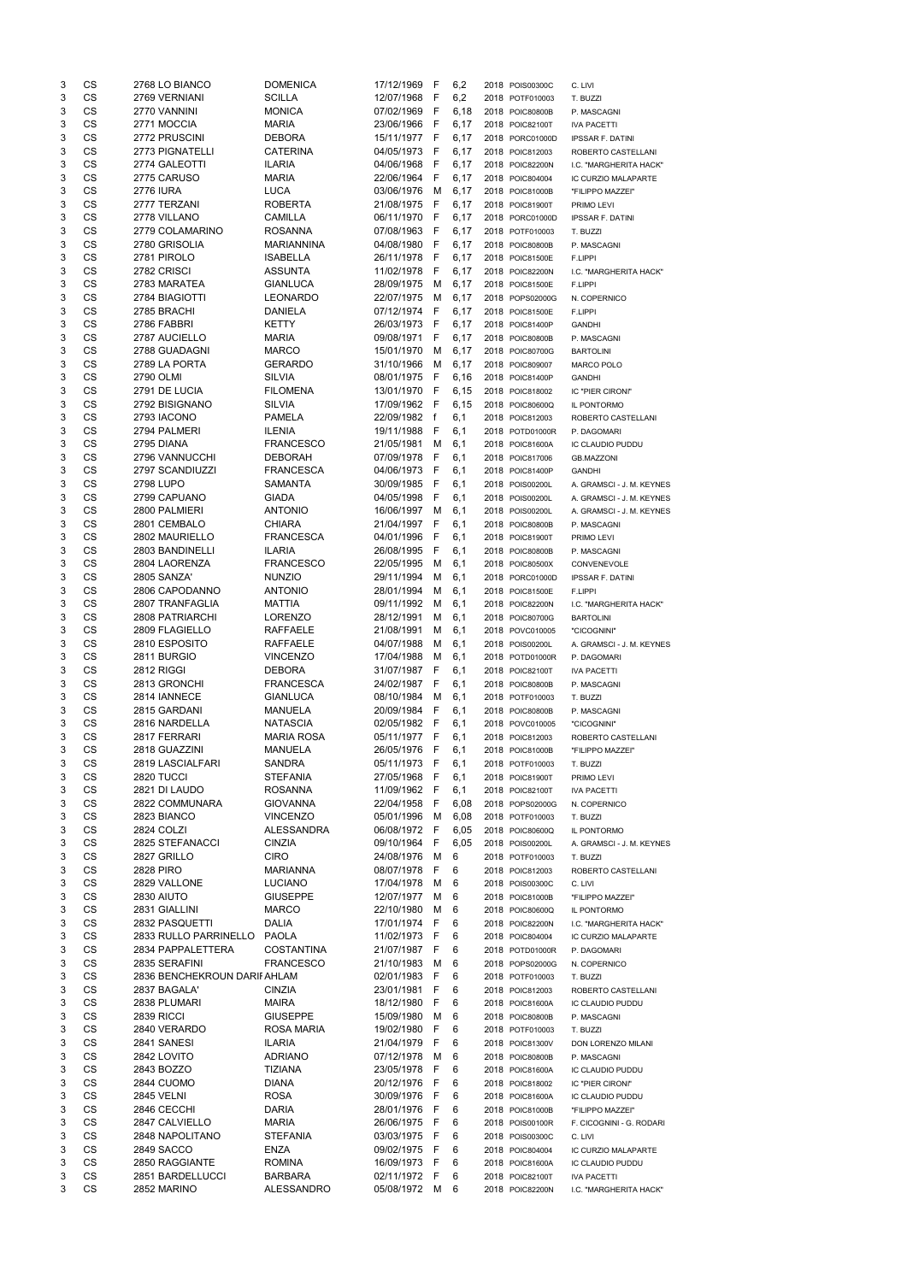| 3 | CS        | 2768 LO BIANCO              | <b>DOMENICA</b>   | 17/12/1969 | -F           | 6,2   | 2018 POIS00300C | C. LIVI                   |
|---|-----------|-----------------------------|-------------------|------------|--------------|-------|-----------------|---------------------------|
| 3 | CS        | 2769 VERNIANI               | <b>SCILLA</b>     | 12/07/1968 | F            | 6,2   | 2018 POTF010003 | T. BUZZI                  |
| 3 | CS        | 2770 VANNINI                | <b>MONICA</b>     | 07/02/1969 | F            | 6,18  | 2018 POIC80800B | P. MASCAGNI               |
| 3 | CS        | 2771 MOCCIA                 | <b>MARIA</b>      | 23/06/1966 | F            | 6,17  | 2018 POIC82100T | <b>IVA PACETTI</b>        |
| 3 | CS        | 2772 PRUSCINI               | <b>DEBORA</b>     | 15/11/1977 | -F           | 6,17  | 2018 PORC01000D | <b>IPSSAR F. DATINI</b>   |
| 3 | CS        | 2773 PIGNATELLI             | <b>CATERINA</b>   | 04/05/1973 | F            | 6,17  | 2018 POIC812003 | ROBERTO CASTELLANI        |
| 3 | CS        | 2774 GALEOTTI               | <b>ILARIA</b>     | 04/06/1968 | F            | 6,17  | 2018 POIC82200N | I.C. "MARGHERITA HACK"    |
| 3 | <b>CS</b> | 2775 CARUSO                 | <b>MARIA</b>      | 22/06/1964 | F            | 6,17  | 2018 POIC804004 | IC CURZIO MALAPARTE       |
| 3 | CS        | <b>2776 IURA</b>            | <b>LUCA</b>       | 03/06/1976 | M            | 6,17  | 2018 POIC81000B | "FILIPPO MAZZEI"          |
| 3 | <b>CS</b> | 2777 TERZANI                | <b>ROBERTA</b>    | 21/08/1975 | F            | 6,17  | 2018 POIC81900T | PRIMO LEVI                |
| 3 | <b>CS</b> | 2778 VILLANO                | <b>CAMILLA</b>    | 06/11/1970 | -F           | 6,17  | 2018 PORC01000D | <b>IPSSAR F. DATINI</b>   |
| 3 | <b>CS</b> | 2779 COLAMARINO             | <b>ROSANNA</b>    | 07/08/1963 | F            | 6,17  | 2018 POTF010003 | T. BUZZI                  |
| 3 | <b>CS</b> | 2780 GRISOLIA               | <b>MARIANNINA</b> | 04/08/1980 | $\mathsf{F}$ | 6,17  | 2018 POIC80800B | P. MASCAGNI               |
| 3 | CS        | 2781 PIROLO                 | <b>ISABELLA</b>   | 26/11/1978 | -F           | 6,17  | 2018 POIC81500E | F.LIPPI                   |
| 3 | CS        | 2782 CRISCI                 | <b>ASSUNTA</b>    | 11/02/1978 | F            | 6,17  | 2018 POIC82200N | I.C. "MARGHERITA HACK"    |
| 3 | CS        | 2783 MARATEA                | <b>GIANLUCA</b>   | 28/09/1975 | M            | 6,17  | 2018 POIC81500E | F.LIPPI                   |
| 3 | CS        | 2784 BIAGIOTTI              | <b>LEONARDO</b>   | 22/07/1975 | M            | 6,17  | 2018 POPS02000G | N. COPERNICO              |
| 3 | CS        | 2785 BRACHI                 | <b>DANIELA</b>    | 07/12/1974 | F            | 6,17  | 2018 POIC81500E |                           |
| 3 | CS        | 2786 FABBRI                 | <b>KETTY</b>      | 26/03/1973 | F            | 6,17  | 2018 POIC81400P | F.LIPPI                   |
| 3 | CS        | 2787 AUCIELLO               | <b>MARIA</b>      | 09/08/1971 | F            |       |                 | <b>GANDHI</b>             |
|   | CS        | 2788 GUADAGNI               |                   |            |              | 6,17  | 2018 POIC80800B | P. MASCAGNI               |
| 3 |           | 2789 LA PORTA               | <b>MARCO</b>      | 15/01/1970 | M            | 6,17  | 2018 POIC80700G | <b>BARTOLINI</b>          |
| 3 | CS        |                             | <b>GERARDO</b>    | 31/10/1966 | M            | 6,17  | 2018 POIC809007 | <b>MARCO POLO</b>         |
| 3 | CS        | 2790 OLMI                   | <b>SILVIA</b>     | 08/01/1975 | F            | 6,16  | 2018 POIC81400P | <b>GANDHI</b>             |
| 3 | CS        | 2791 DE LUCIA               | <b>FILOMENA</b>   | 13/01/1970 | -F           | 6,15  | 2018 POIC818002 | IC "PIER CIRONI"          |
| 3 | CS        | 2792 BISIGNANO              | <b>SILVIA</b>     | 17/09/1962 | - F          | 6, 15 | 2018 POIC80600Q | IL PONTORMO               |
| 3 | CS        | 2793 IACONO                 | <b>PAMELA</b>     | 22/09/1982 | f            | 6,1   | 2018 POIC812003 | ROBERTO CASTELLANI        |
| 3 | CS        | 2794 PALMERI                | <b>ILENIA</b>     | 19/11/1988 | - F          | 6,1   | 2018 POTD01000R | P. DAGOMARI               |
| 3 | CS        | 2795 DIANA                  | <b>FRANCESCO</b>  | 21/05/1981 | м            | 6,1   | 2018 POIC81600A | IC CLAUDIO PUDDU          |
| 3 | CS        | 2796 VANNUCCHI              | <b>DEBORAH</b>    | 07/09/1978 | F            | 6,1   | 2018 POIC817006 | <b>GB.MAZZONI</b>         |
| 3 | CS        | 2797 SCANDIUZZI             | <b>FRANCESCA</b>  | 04/06/1973 | F            | 6,1   | 2018 POIC81400P | <b>GANDHI</b>             |
| 3 | CS        | 2798 LUPO                   | <b>SAMANTA</b>    | 30/09/1985 | F            | 6,1   | 2018 POIS00200L | A. GRAMSCI - J. M. KEYNES |
| 3 | CS        | 2799 CAPUANO                | <b>GIADA</b>      | 04/05/1998 | F            | 6,1   | 2018 POIS00200L | A. GRAMSCI - J. M. KEYNES |
| 3 | <b>CS</b> | 2800 PALMIERI               | <b>ANTONIO</b>    | 16/06/1997 | M            | 6,1   | 2018 POIS00200L | A. GRAMSCI - J. M. KEYNES |
| 3 | CS        | 2801 CEMBALO                | <b>CHIARA</b>     | 21/04/1997 | F            | 6,1   | 2018 POIC80800B | P. MASCAGNI               |
| 3 | CS        | 2802 MAURIELLO              | <b>FRANCESCA</b>  | 04/01/1996 | F            | 6,1   | 2018 POIC81900T | PRIMO LEVI                |
| 3 | CS        | 2803 BANDINELLI             | <b>ILARIA</b>     | 26/08/1995 | - F          | 6,1   | 2018 POIC80800B | P. MASCAGNI               |
| 3 | CS        | 2804 LAORENZA               | <b>FRANCESCO</b>  | 22/05/1995 | M            | 6,1   | 2018 POIC80500X | CONVENEVOLE               |
| 3 | <b>CS</b> | <b>2805 SANZA'</b>          | <b>NUNZIO</b>     | 29/11/1994 | м            | 6,1   | 2018 PORC01000D | <b>IPSSAR F. DATINI</b>   |
| 3 | CS        | 2806 CAPODANNO              | <b>ANTONIO</b>    | 28/01/1994 | м            | 6,1   | 2018 POIC81500E | F.LIPPI                   |
| 3 | CS        | 2807 TRANFAGLIA             | <b>MATTIA</b>     | 09/11/1992 | м            | 6,1   | 2018 POIC82200N | I.C. "MARGHERITA HACK"    |
| 3 | CS        | 2808 PATRIARCHI             | <b>LORENZO</b>    | 28/12/1991 | М            | 6,1   | 2018 POIC80700G | <b>BARTOLINI</b>          |
| 3 | <b>CS</b> | 2809 FLAGIELLO              | <b>RAFFAELE</b>   | 21/08/1991 | м            | 6,1   | 2018 POVC010005 | "CICOGNINI"               |
| 3 | <b>CS</b> | 2810 ESPOSITO               | <b>RAFFAELE</b>   | 04/07/1988 | М            | 6,1   | 2018 POIS00200L | A. GRAMSCI - J. M. KEYNES |
| 3 | CS        | 2811 BURGIO                 | <b>VINCENZO</b>   | 17/04/1988 | М            | 6,1   | 2018 POTD01000R | P. DAGOMARI               |
| 3 | <b>CS</b> | 2812 RIGGI                  | <b>DEBORA</b>     | 31/07/1987 | F            | 6,1   | 2018 POIC82100T | <b>IVA PACETTI</b>        |
| 3 | <b>CS</b> | 2813 GRONCHI                | <b>FRANCESCA</b>  | 24/02/1987 | $\mathsf{F}$ | 6,1   | 2018 POIC80800B | P. MASCAGNI               |
| 3 | CS        | 2814 IANNECE                | <b>GIANLUCA</b>   | 08/10/1984 | M            | 6,1   | 2018 POTF010003 | T. BUZZI                  |
| 3 | CS        | 2815 GARDANI                | <b>MANUELA</b>    | 20/09/1984 | F            | 6,1   | 2018 POIC80800B | P. MASCAGNI               |
| 3 | CS        | 2816 NARDELLA               | <b>NATASCIA</b>   | 02/05/1982 | -F           | 6,1   | 2018 POVC010005 | "CICOGNINI"               |
| 3 | <b>CS</b> | 2817 FERRARI                | <b>MARIA ROSA</b> | 05/11/1977 | -F           | 6,1   | 2018 POIC812003 | ROBERTO CASTELLANI        |
| 3 | CS        | 2818 GUAZZINI               | <b>MANUELA</b>    | 26/05/1976 | F            | 6,1   | 2018 POIC81000B | "FILIPPO MAZZEI"          |
| 3 | CS        | 2819 LASCIALFARI            | <b>SANDRA</b>     | 05/11/1973 | F            | 6,1   | 2018 POTF010003 | T. BUZZI                  |
| 3 | CS        | <b>2820 TUCCI</b>           | <b>STEFANIA</b>   | 27/05/1968 | F            | 6,1   | 2018 POIC81900T | PRIMO LEVI                |
| 3 | CS        | 2821 DI LAUDO               | <b>ROSANNA</b>    | 11/09/1962 | $\mathsf{F}$ | 6,1   | 2018 POIC82100T | <b>IVA PACETTI</b>        |
| 3 | CS        | 2822 COMMUNARA              | <b>GIOVANNA</b>   | 22/04/1958 | F            | 6,08  | 2018 POPS02000G | N. COPERNICO              |
| 3 | <b>CS</b> | 2823 BIANCO                 | <b>VINCENZO</b>   | 05/01/1996 | M            | 6,08  | 2018 POTF010003 | T. BUZZI                  |
| 3 | <b>CS</b> | 2824 COLZI                  | <b>ALESSANDRA</b> | 06/08/1972 | $\mathsf{F}$ | 6,05  | 2018 POIC80600Q | IL PONTORMO               |
| 3 | <b>CS</b> | 2825 STEFANACCI             | <b>CINZIA</b>     | 09/10/1964 | F            | 6,05  | 2018 POIS00200L | A. GRAMSCI - J. M. KEYNES |
| 3 | <b>CS</b> | 2827 GRILLO                 | <b>CIRO</b>       | 24/08/1976 | M            | 6     | 2018 POTF010003 | T. BUZZI                  |
| 3 | <b>CS</b> | <b>2828 PIRO</b>            | <b>MARIANNA</b>   | 08/07/1978 | F            | 6     | 2018 POIC812003 | ROBERTO CASTELLANI        |
| 3 | <b>CS</b> | 2829 VALLONE                | <b>LUCIANO</b>    | 17/04/1978 | м            | 6     | 2018 POIS00300C | C. LIVI                   |
| 3 | <b>CS</b> | <b>2830 AIUTO</b>           | <b>GIUSEPPE</b>   | 12/07/1977 | M            | 6     | 2018 POIC81000B | "FILIPPO MAZZEI"          |
| 3 | <b>CS</b> | 2831 GIALLINI               | <b>MARCO</b>      | 22/10/1980 | м            | 6     | 2018 POIC80600Q | IL PONTORMO               |
| 3 | CS        | 2832 PASQUETTI              | <b>DALIA</b>      | 17/01/1974 | F            | 6     | 2018 POIC82200N | I.C. "MARGHERITA HACK"    |
| 3 | CS        | 2833 RULLO PARRINELLO       | <b>PAOLA</b>      | 11/02/1973 | F            | 6     | 2018 POIC804004 | IC CURZIO MALAPARTE       |
| 3 | <b>CS</b> | 2834 PAPPALETTERA           | <b>COSTANTINA</b> | 21/07/1987 | F            | 6     | 2018 POTD01000R | P. DAGOMARI               |
| 3 | <b>CS</b> | 2835 SERAFINI               | <b>FRANCESCO</b>  | 21/10/1983 | M            | 6     | 2018 POPS02000G | N. COPERNICO              |
| 3 | CS        | 2836 BENCHEKROUN DARIFAHLAM |                   | 02/01/1983 | F            | 6     | 2018 POTF010003 | T. BUZZI                  |
| 3 | CS        | 2837 BAGALA'                | <b>CINZIA</b>     | 23/01/1981 | F            | 6     | 2018 POIC812003 | ROBERTO CASTELLANI        |
| 3 | CS        | 2838 PLUMARI                | <b>MAIRA</b>      | 18/12/1980 | F            | 6     | 2018 POIC81600A | IC CLAUDIO PUDDU          |
| 3 | CS        | <b>2839 RICCI</b>           | <b>GIUSEPPE</b>   | 15/09/1980 | м            | 6     | 2018 POIC80800B | P. MASCAGNI               |
| 3 | CS        | 2840 VERARDO                | <b>ROSA MARIA</b> | 19/02/1980 | F            | 6     | 2018 POTF010003 | T. BUZZI                  |
| 3 | CS        | 2841 SANESI                 | <b>ILARIA</b>     | 21/04/1979 | F            | 6     | 2018 POIC81300V | DON LORENZO MILANI        |
| 3 | CS        | 2842 LOVITO                 | <b>ADRIANO</b>    | 07/12/1978 | M            | 6     | 2018 POIC80800B | P. MASCAGNI               |
| 3 | CS        | 2843 BOZZO                  | <b>TIZIANA</b>    | 23/05/1978 | F            | 6     | 2018 POIC81600A | IC CLAUDIO PUDDU          |
| 3 | CS        | 2844 CUOMO                  | <b>DIANA</b>      | 20/12/1976 | F            | 6     | 2018 POIC818002 | IC "PIER CIRONI"          |
| 3 | CS        | <b>2845 VELNI</b>           | <b>ROSA</b>       | 30/09/1976 | -F           | 6     | 2018 POIC81600A | <b>IC CLAUDIO PUDDU</b>   |
| 3 | CS        | 2846 CECCHI                 | <b>DARIA</b>      | 28/01/1976 | F            | 6     | 2018 POIC81000B | "FILIPPO MAZZEI"          |
| 3 | CS        | 2847 CALVIELLO              | <b>MARIA</b>      | 26/06/1975 | -F           | 6     | 2018 POIS00100R | F. CICOGNINI - G. RODARI  |
| 3 | CS        | 2848 NAPOLITANO             | <b>STEFANIA</b>   | 03/03/1975 | F            | 6     | 2018 POIS00300C | C. LIVI                   |
| 3 | CS        | 2849 SACCO                  | <b>ENZA</b>       | 09/02/1975 | F            | 6     | 2018 POIC804004 | IC CURZIO MALAPARTE       |
| 3 | CS        | 2850 RAGGIANTE              | <b>ROMINA</b>     | 16/09/1973 | F            | 6     | 2018 POIC81600A | IC CLAUDIO PUDDU          |
| 3 | CS        | 2851 BARDELLUCCI            | <b>BARBARA</b>    | 02/11/1972 | - F          | 6     | 2018 POIC82100T | <b>IVA PACETTI</b>        |
| 3 | CS        | 2852 MARINO                 | ALESSANDRO        | 05/08/1972 | M            | 6     | 2018 POIC82200N | I.C. "MARGHERITA HACK"    |
|   |           |                             |                   |            |              |       |                 |                           |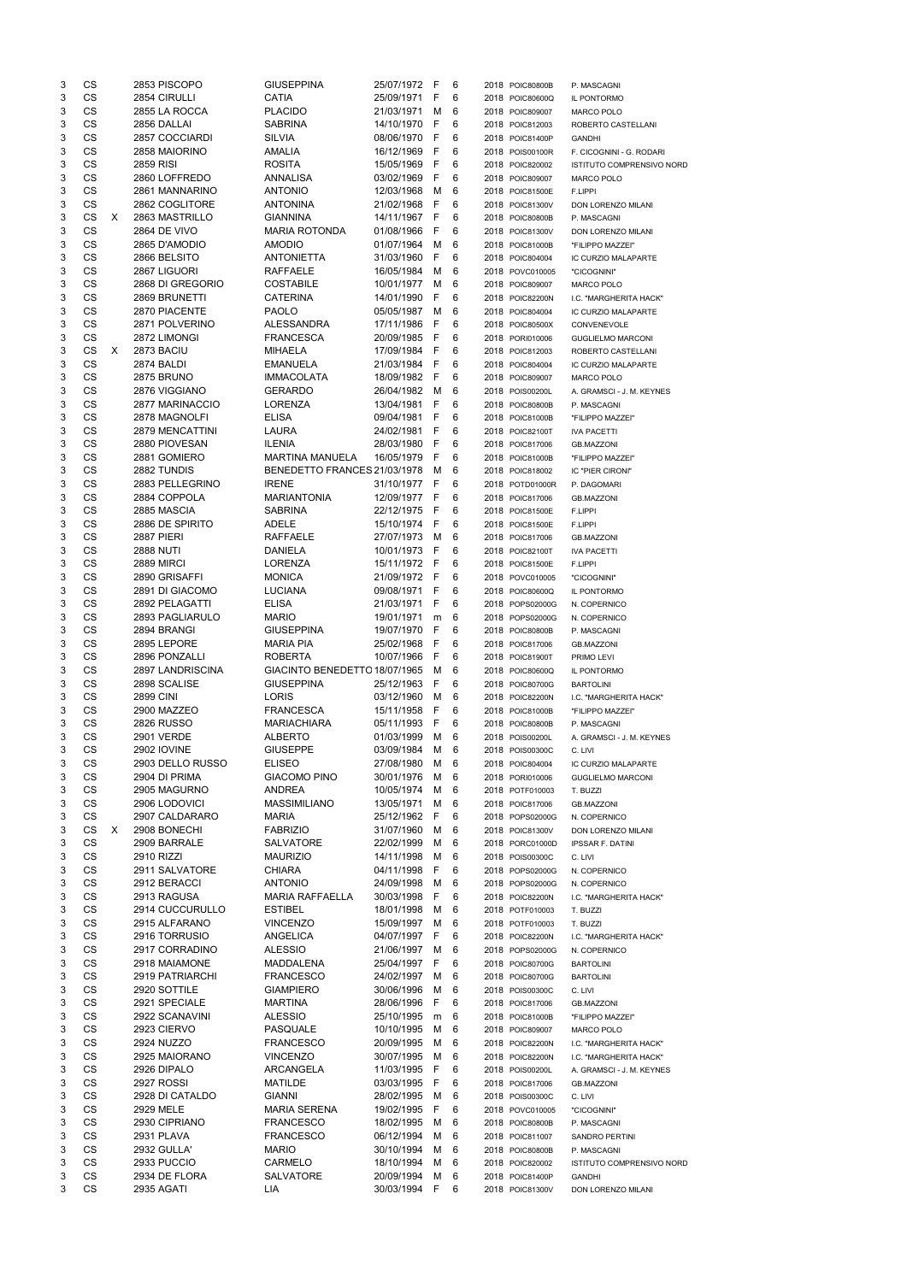| 3 | CS        |    | 2853 PISCOPO           | <b>GIUSEPPINA</b>             | 25/07/1972 F   |     | 6  | 2018 POIC80800B | P. MASCAGNI               |
|---|-----------|----|------------------------|-------------------------------|----------------|-----|----|-----------------|---------------------------|
| 3 | <b>CS</b> |    | 2854 CIRULLI           | <b>CATIA</b>                  | 25/09/1971     | F   | 6  | 2018 POIC80600Q | IL PONTORMO               |
| 3 | <b>CS</b> |    | 2855 LA ROCCA          | <b>PLACIDO</b>                | 21/03/1971     | м   | 6  | 2018 POIC809007 | <b>MARCO POLO</b>         |
| 3 | <b>CS</b> |    | 2856 DALLAI            | <b>SABRINA</b>                | 14/10/1970     | F   | 6  | 2018 POIC812003 | ROBERTO CASTELLANI        |
| 3 | CS        |    | 2857 COCCIARDI         | <b>SILVIA</b>                 | 08/06/1970     | - F | 6  | 2018 POIC81400P | <b>GANDHI</b>             |
| 3 | CS        |    | 2858 MAIORINO          | AMALIA                        | 16/12/1969     | - F | 6  | 2018 POIS00100R | F. CICOGNINI - G. RODARI  |
| 3 | <b>CS</b> |    | 2859 RISI              | <b>ROSITA</b>                 | 15/05/1969     | - F | 6  | 2018 POIC820002 | ISTITUTO COMPRENSIVO NORD |
| 3 | <b>CS</b> |    | 2860 LOFFREDO          | ANNALISA                      | 03/02/1969     | - F | 6  | 2018 POIC809007 | <b>MARCO POLO</b>         |
| 3 | <b>CS</b> |    | 2861 MANNARINO         | <b>ANTONIO</b>                | 12/03/1968     | M   | 6  | 2018 POIC81500E | F.LIPPI                   |
| 3 | <b>CS</b> |    | 2862 COGLITORE         | <b>ANTONINA</b>               | 21/02/1968     | -F  | 6  | 2018 POIC81300V | DON LORENZO MILANI        |
| 3 | CS        | X. | 2863 MASTRILLO         | <b>GIANNINA</b>               | 14/11/1967     | - F | 6  | 2018 POIC80800B | P. MASCAGNI               |
| 3 | <b>CS</b> |    | <b>2864 DE VIVO</b>    | <b>MARIA ROTONDA</b>          | 01/08/1966     | - F | 6  | 2018 POIC81300V | DON LORENZO MILANI        |
| 3 | CS        |    | 2865 D'AMODIO          | <b>AMODIO</b>                 | 01/07/1964     | M   | 6  | 2018 POIC81000B | "FILIPPO MAZZEI"          |
| 3 | CS        |    | 2866 BELSITO           | <b>ANTONIETTA</b>             | 31/03/1960     | -F  | 6  | 2018 POIC804004 | IC CURZIO MALAPARTE       |
| 3 | CS        |    | 2867 LIGUORI           | <b>RAFFAELE</b>               | 16/05/1984     | M   | 6  | 2018 POVC010005 | "CICOGNINI"               |
| 3 | <b>CS</b> |    | 2868 DI GREGORIO       | <b>COSTABILE</b>              | 10/01/1977     | M   | 6  | 2018 POIC809007 | <b>MARCO POLO</b>         |
| 3 | CS        |    | 2869 BRUNETTI          | <b>CATERINA</b>               | 14/01/1990     | -F  | 6  | 2018 POIC82200N | I.C. "MARGHERITA HACK"    |
| 3 | CS        |    | 2870 PIACENTE          | <b>PAOLO</b>                  | 05/05/1987     | M   | 6  | 2018 POIC804004 | IC CURZIO MALAPARTE       |
| 3 | <b>CS</b> |    | 2871 POLVERINO         | <b>ALESSANDRA</b>             | 17/11/1986     | -F  | 6  | 2018 POIC80500X | CONVENEVOLE               |
| 3 | <b>CS</b> |    | 2872 LIMONGI           | <b>FRANCESCA</b>              | 20/09/1985     | -F  | 6  | 2018 PORI010006 | <b>GUGLIELMO MARCONI</b>  |
| 3 | CS        | X. | 2873 BACIU             | <b>MIHAELA</b>                | 17/09/1984     | -F  | 6  | 2018 POIC812003 |                           |
|   | CS        |    |                        |                               |                |     |    |                 | ROBERTO CASTELLANI        |
| 3 |           |    | 2874 BALDI             | <b>EMANUELA</b>               | 21/03/1984     | -F  | 6  | 2018 POIC804004 | IC CURZIO MALAPARTE       |
| 3 | <b>CS</b> |    | <b>2875 BRUNO</b>      | <b>IMMACOLATA</b>             | 18/09/1982     | - F | 6  | 2018 POIC809007 | <b>MARCO POLO</b>         |
| 3 | <b>CS</b> |    | 2876 VIGGIANO          | <b>GERARDO</b>                | 26/04/1982     | M   | 6  | 2018 POIS00200L | A. GRAMSCI - J. M. KEYNES |
| 3 | <b>CS</b> |    | 2877 MARINACCIO        | <b>LORENZA</b>                | 13/04/1981     | -F  | 6  | 2018 POIC80800B | P. MASCAGNI               |
| 3 | CS        |    | 2878 MAGNOLFI          | <b>ELISA</b>                  | 09/04/1981     | F   | 6  | 2018 POIC81000B | "FILIPPO MAZZEI"          |
| 3 | <b>CS</b> |    | <b>2879 MENCATTINI</b> | LAURA                         | 24/02/1981     | F   | 6  | 2018 POIC82100T | <b>IVA PACETTI</b>        |
| 3 | <b>CS</b> |    | 2880 PIOVESAN          | <b>ILENIA</b>                 | 28/03/1980     | -F  | 6  | 2018 POIC817006 | <b>GB.MAZZONI</b>         |
| 3 | CS        |    | 2881 GOMIERO           | <b>MARTINA MANUELA</b>        | 16/05/1979     | -F  | 6  | 2018 POIC81000B | "FILIPPO MAZZEI"          |
| 3 | CS        |    | 2882 TUNDIS            | BENEDETTO FRANCES 21/03/1978  |                | M   | 6  | 2018 POIC818002 | IC "PIER CIRONI"          |
| 3 | CS        |    | 2883 PELLEGRINO        | <b>IRENE</b>                  | 31/10/1977     | F   | 6  | 2018 POTD01000R | P. DAGOMARI               |
| 3 | <b>CS</b> |    | 2884 COPPOLA           | <b>MARIANTONIA</b>            | 12/09/1977     | -F  | 6  | 2018 POIC817006 | <b>GB.MAZZONI</b>         |
| 3 | <b>CS</b> |    | 2885 MASCIA            | <b>SABRINA</b>                | 22/12/1975     | -F  | 6  | 2018 POIC81500E | F.LIPPI                   |
| 3 | CS        |    | 2886 DE SPIRITO        | <b>ADELE</b>                  | 15/10/1974     | -F  | 6  | 2018 POIC81500E | F.LIPPI                   |
| 3 | CS        |    | <b>2887 PIERI</b>      | <b>RAFFAELE</b>               | 27/07/1973     | M   | 6  | 2018 POIC817006 | <b>GB.MAZZONI</b>         |
| 3 | <b>CS</b> |    | <b>2888 NUTI</b>       | <b>DANIELA</b>                | 10/01/1973     | - F | 6  | 2018 POIC82100T | <b>IVA PACETTI</b>        |
| 3 | CS        |    | 2889 MIRCI             | <b>LORENZA</b>                | 15/11/1972 F   |     | 6  | 2018 POIC81500E | F.LIPPI                   |
| 3 | CS        |    | 2890 GRISAFFI          | <b>MONICA</b>                 | 21/09/1972     | - F | 6  | 2018 POVC010005 | "CICOGNINI"               |
| 3 | CS        |    | 2891 DI GIACOMO        | <b>LUCIANA</b>                | 09/08/1971     | - F | 6  | 2018 POIC80600Q | IL PONTORMO               |
| 3 | <b>CS</b> |    | 2892 PELAGATTI         | <b>ELISA</b>                  | 21/03/1971     | -F  | 6  | 2018 POPS02000G | N. COPERNICO              |
| 3 | <b>CS</b> |    | 2893 PAGLIARULO        | <b>MARIO</b>                  | 19/01/1971     |     | 6  |                 | N. COPERNICO              |
|   | <b>CS</b> |    |                        | <b>GIUSEPPINA</b>             |                | m   |    | 2018 POPS02000G |                           |
| 3 |           |    | 2894 BRANGI            |                               | 19/07/1970     | -F  | 6  | 2018 POIC80800B | P. MASCAGNI               |
| 3 | <b>CS</b> |    | 2895 LEPORE            | <b>MARIA PIA</b>              | 25/02/1968     | -F  | 6  | 2018 POIC817006 | <b>GB.MAZZONI</b>         |
| 3 | <b>CS</b> |    | 2896 PONZALLI          | <b>ROBERTA</b>                | 10/07/1966     | -F  | 6  | 2018 POIC81900T | PRIMO LEVI                |
| 3 | <b>CS</b> |    | 2897 LANDRISCINA       | GIACINTO BENEDETTO 18/07/1965 |                | M   | 6  | 2018 POIC80600Q | <b>IL PONTORMO</b>        |
| 3 | CS        |    | 2898 SCALISE           | <b>GIUSEPPINA</b>             | 25/12/1963     | -F  | 6  | 2018 POIC80700G | <b>BARTOLINI</b>          |
| 3 | CS        |    | <b>2899 CINI</b>       | <b>LORIS</b>                  | 03/12/1960     | M   | 6  | 2018 POIC82200N | I.C. "MARGHERITA HACK"    |
| 3 | <b>CS</b> |    | 2900 MAZZEO            | <b>FRANCESCA</b>              | 15/11/1958     | F   | 6  | 2018 POIC81000B | "FILIPPO MAZZEI"          |
| 3 | <b>CS</b> |    | <b>2826 RUSSO</b>      | <b>MARIACHIARA</b>            | 05/11/1993     | E   | 6  | 2018 POIC80800B | P. MASCAGNI               |
| 3 | <b>CS</b> |    | <b>2901 VERDE</b>      | <b>ALBERTO</b>                | 01/03/1999     | M   | 6  | 2018 POIS00200L | A. GRAMSCI - J. M. KEYNES |
| 3 | <b>CS</b> |    | 2902 IOVINE            | <b>GIUSEPPE</b>               | 03/09/1984     | M   | 6  | 2018 POIS00300C | C. LIVI                   |
| 3 | <b>CS</b> |    | 2903 DELLO RUSSO       | <b>ELISEO</b>                 | 27/08/1980     | M   | 6  | 2018 POIC804004 | IC CURZIO MALAPARTE       |
| 3 | <b>CS</b> |    | 2904 DI PRIMA          | <b>GIACOMO PINO</b>           | 30/01/1976     | M   | 6  | 2018 PORI010006 | <b>GUGLIELMO MARCONI</b>  |
| 3 | <b>CS</b> |    | 2905 MAGURNO           | <b>ANDREA</b>                 | 10/05/1974     | M   | 6  | 2018 POTF010003 | T. BUZZI                  |
| 3 | <b>CS</b> |    | 2906 LODOVICI          | <b>MASSIMILIANO</b>           | 13/05/1971     | M   | 6  | 2018 POIC817006 | <b>GB.MAZZONI</b>         |
| 3 | <b>CS</b> |    | 2907 CALDARARO         | <b>MARIA</b>                  | 25/12/1962     | - F | 6  | 2018 POPS02000G | N. COPERNICO              |
| 3 | <b>CS</b> | X. | 2908 BONECHI           | <b>FABRIZIO</b>               | 31/07/1960     | M   | 6  | 2018 POIC81300V | DON LORENZO MILANI        |
| 3 | <b>CS</b> |    | 2909 BARRALE           | <b>SALVATORE</b>              | 22/02/1999     | M   | 6  | 2018 PORC01000D | <b>IPSSAR F. DATINI</b>   |
| 3 | <b>CS</b> |    | 2910 RIZZI             | <b>MAURIZIO</b>               | 14/11/1998     | M   | 6  | 2018 POIS00300C | C. LIVI                   |
| 3 | <b>CS</b> |    | 2911 SALVATORE         | <b>CHIARA</b>                 | 04/11/1998     | -F  | 6  | 2018 POPS02000G | N. COPERNICO              |
| 3 | <b>CS</b> |    | 2912 BERACCI           | <b>ANTONIO</b>                | 24/09/1998     | M   | 6  | 2018 POPS02000G | N. COPERNICO              |
| 3 | <b>CS</b> |    | 2913 RAGUSA            | <b>MARIA RAFFAELLA</b>        | 30/03/1998     | F   | 6  | 2018 POIC82200N | I.C. "MARGHERITA HACK"    |
| 3 | <b>CS</b> |    | 2914 CUCCURULLO        | <b>ESTIBEL</b>                | 18/01/1998     | M   | 6  | 2018 POTF010003 | T. BUZZI                  |
|   | CS        |    | 2915 ALFARANO          | <b>VINCENZO</b>               | 15/09/1997     | M   | 6  |                 |                           |
| 3 | <b>CS</b> |    |                        | ANGELICA                      |                | - F |    | 2018 POTF010003 | T. BUZZI                  |
| 3 |           |    | 2916 TORRUSIO          |                               | 04/07/1997     |     | 6  | 2018 POIC82200N | I.C. "MARGHERITA HACK"    |
| 3 | <b>CS</b> |    | 2917 CORRADINO         | <b>ALESSIO</b>                | 21/06/1997     | M   | 6  | 2018 POPS02000G | N. COPERNICO              |
| 3 | <b>CS</b> |    | 2918 MAIAMONE          | <b>MADDALENA</b>              | 25/04/1997     | -F  | 6  | 2018 POIC80700G | <b>BARTOLINI</b>          |
| 3 | <b>CS</b> |    | 2919 PATRIARCHI        | <b>FRANCESCO</b>              | 24/02/1997     | M   | 6  | 2018 POIC80700G | <b>BARTOLINI</b>          |
| 3 | <b>CS</b> |    | 2920 SOTTILE           | <b>GIAMPIERO</b>              | 30/06/1996     | M   | 6  | 2018 POIS00300C | C. LIVI                   |
| 3 | <b>CS</b> |    | 2921 SPECIALE          | <b>MARTINA</b>                | 28/06/1996     | F   | 6  | 2018 POIC817006 | <b>GB.MAZZONI</b>         |
| 3 | CS        |    | 2922 SCANAVINI         | <b>ALESSIO</b>                | 25/10/1995     | m   | 6  | 2018 POIC81000B | "FILIPPO MAZZEI"          |
| 3 | <b>CS</b> |    | 2923 CIERVO            | <b>PASQUALE</b>               | 10/10/1995     | M   | 6  | 2018 POIC809007 | <b>MARCO POLO</b>         |
| 3 | CS        |    | 2924 NUZZO             | <b>FRANCESCO</b>              | 20/09/1995 M   |     | 6  | 2018 POIC82200N | I.C. "MARGHERITA HACK"    |
| 3 | CS        |    | 2925 MAIORANO          | <b>VINCENZO</b>               | 30/07/1995 M 6 |     |    | 2018 POIC82200N | I.C. "MARGHERITA HACK"    |
| 3 | CS        |    | 2926 DIPALO            | ARCANGELA                     | 11/03/1995     | -F  | 6  | 2018 POIS00200L | A. GRAMSCI - J. M. KEYNES |
| 3 | CS        |    | 2927 ROSSI             | MATILDE                       | 03/03/1995     | - F | 6  | 2018 POIC817006 | <b>GB.MAZZONI</b>         |
| 3 | CS        |    | 2928 DI CATALDO        | <b>GIANNI</b>                 | 28/02/1995     | M   | 6  | 2018 POIS00300C | C. LIVI                   |
| 3 | CS        |    | 2929 MELE              | <b>MARIA SERENA</b>           | 19/02/1995     | F   | 6  | 2018 POVC010005 | "CICOGNINI"               |
| 3 | CS        |    | 2930 CIPRIANO          | <b>FRANCESCO</b>              | 18/02/1995     | M   | -6 | 2018 POIC80800B | P. MASCAGNI               |
| 3 | CS        |    | 2931 PLAVA             | <b>FRANCESCO</b>              | 06/12/1994     | M   | -6 | 2018 POIC811007 | <b>SANDRO PERTINI</b>     |
| 3 | CS        |    | 2932 GULLA'            | <b>MARIO</b>                  | 30/10/1994     | M   | 6  | 2018 POIC80800B | P. MASCAGNI               |
| 3 | CS        |    | 2933 PUCCIO            | CARMELO                       | 18/10/1994     | M   | 6  | 2018 POIC820002 | ISTITUTO COMPRENSIVO NORD |
| 3 | CS        |    | 2934 DE FLORA          | <b>SALVATORE</b>              | 20/09/1994     | M   | 6  | 2018 POIC81400P | <b>GANDHI</b>             |
| 3 | CS        |    | 2935 AGATI             | LIA                           | 30/03/1994 F   |     | 6  | 2018 POIC81300V | DON LORENZO MILANI        |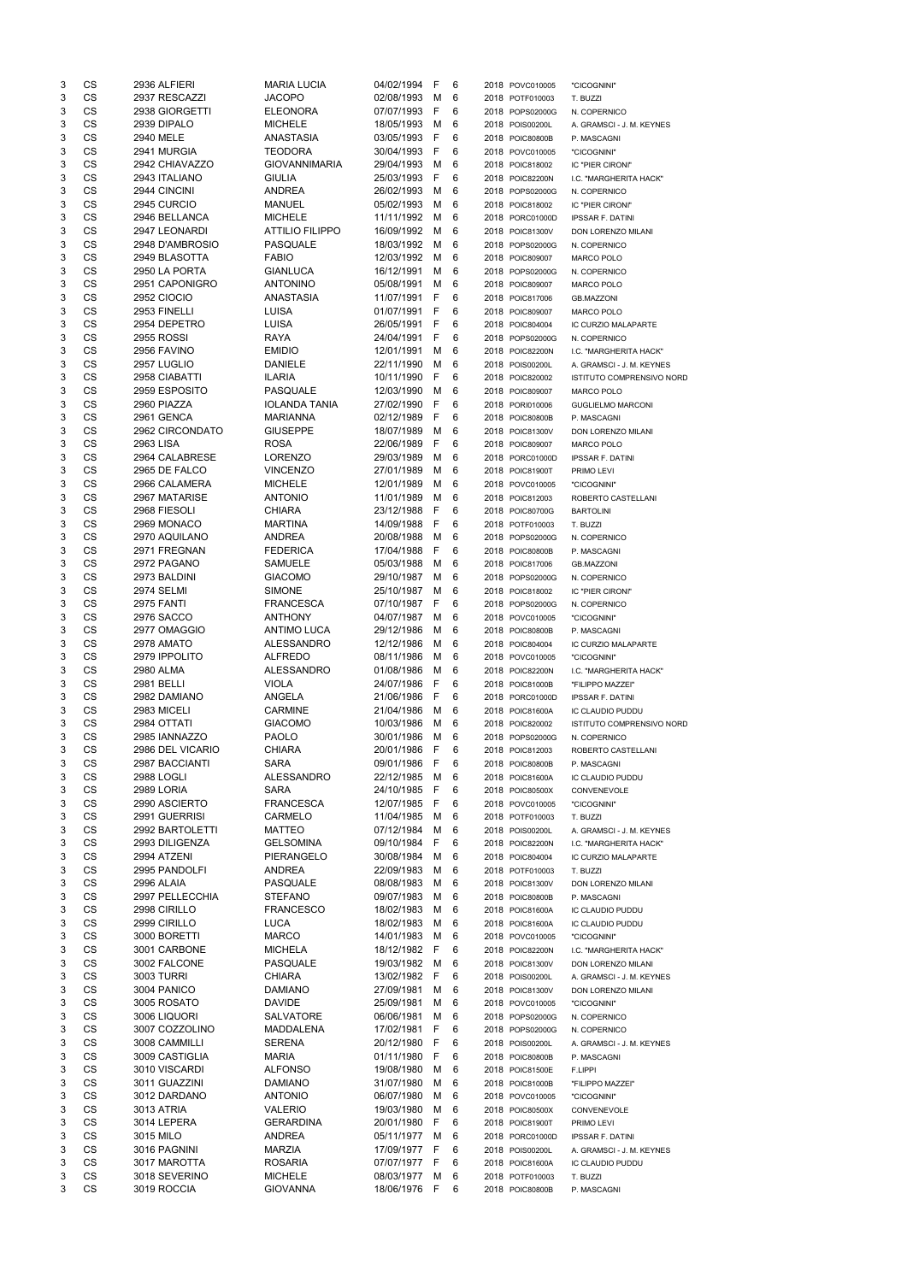| 3      | CS        | 2936 ALFIERI                 | <b>MARIA LUCIA</b>                | 04/02/1994 F             |        | 6      | 2018 POVC010005                    | "CICOGNINI"                      |
|--------|-----------|------------------------------|-----------------------------------|--------------------------|--------|--------|------------------------------------|----------------------------------|
| 3      | <b>CS</b> | 2937 RESCAZZI                | <b>JACOPO</b>                     | 02/08/1993               | M      | 6      | 2018 POTF010003                    | T. BUZZI                         |
| 3      | <b>CS</b> | 2938 GIORGETTI               | <b>ELEONORA</b>                   | 07/07/1993               | F      | 6      | 2018 POPS02000G                    | N. COPERNICO                     |
| 3      | <b>CS</b> | 2939 DIPALO                  | <b>MICHELE</b>                    | 18/05/1993               | м      | 6      | 2018 POIS00200L                    | A. GRAMSCI - J. M. KEYNES        |
| 3      | <b>CS</b> | 2940 MELE                    | ANASTASIA                         | 03/05/1993               | F      | 6      | 2018 POIC80800B                    | P. MASCAGNI                      |
| 3      | <b>CS</b> | 2941 MURGIA                  | TEODORA                           | 30/04/1993               | F      | 6      |                                    |                                  |
|        |           |                              |                                   |                          |        |        | 2018 POVC010005                    | "CICOGNINI"                      |
| 3      | CS        | 2942 CHIAVAZZO               | <b>GIOVANNIMARIA</b>              | 29/04/1993               | M      | 6      | 2018 POIC818002                    | IC "PIER CIRONI"                 |
| 3      | CS        | 2943 ITALIANO                | <b>GIULIA</b>                     | 25/03/1993               | F      | 6      | 2018 POIC82200N                    | I.C. "MARGHERITA HACK"           |
| 3      | <b>CS</b> | 2944 CINCINI                 | <b>ANDREA</b>                     | 26/02/1993               | M      | 6      | 2018 POPS02000G                    | N. COPERNICO                     |
| 3      | <b>CS</b> | 2945 CURCIO                  | <b>MANUEL</b>                     | 05/02/1993               | м      | 6      | 2018 POIC818002                    | IC "PIER CIRONI"                 |
| 3      | CS        | 2946 BELLANCA                | <b>MICHELE</b>                    | 11/11/1992               | м      | 6      | 2018 PORC01000D                    | <b>IPSSAR F. DATINI</b>          |
| 3      | <b>CS</b> | 2947 LEONARDI                | <b>ATTILIO FILIPPO</b>            | 16/09/1992               | М      | 6      | 2018 POIC81300V                    | DON LORENZO MILANI               |
|        | <b>CS</b> |                              |                                   |                          |        |        |                                    |                                  |
| 3      |           | 2948 D'AMBROSIO              | <b>PASQUALE</b>                   | 18/03/1992               | М      | 6      | 2018 POPS02000G                    | N. COPERNICO                     |
| 3      | <b>CS</b> | 2949 BLASOTTA                | <b>FABIO</b>                      | 12/03/1992               | М      | 6      | 2018 POIC809007                    | <b>MARCO POLO</b>                |
| 3      | CS        | 2950 LA PORTA                | <b>GIANLUCA</b>                   | 16/12/1991               | M      | 6      | 2018 POPS02000G                    | N. COPERNICO                     |
| 3      | <b>CS</b> | 2951 CAPONIGRO               | <b>ANTONINO</b>                   | 05/08/1991               | М      | 6      | 2018 POIC809007                    | MARCO POLO                       |
| 3      | <b>CS</b> | <b>2952 CIOCIO</b>           | ANASTASIA                         | 11/07/1991               | - F    | 6      | 2018 POIC817006                    | <b>GB.MAZZONI</b>                |
| 3      | <b>CS</b> | 2953 FINELLI                 | <b>LUISA</b>                      | 01/07/1991               | - F    | 6      | 2018 POIC809007                    | MARCO POLO                       |
|        |           |                              |                                   |                          |        |        |                                    |                                  |
| 3      | CS        | 2954 DEPETRO                 | <b>LUISA</b>                      | 26/05/1991               | F      | 6      | 2018 POIC804004                    | IC CURZIO MALAPARTE              |
| 3      | CS        | <b>2955 ROSSI</b>            | <b>RAYA</b>                       | 24/04/1991               | F      | 6      | 2018 POPS02000G                    | N. COPERNICO                     |
| 3      | <b>CS</b> | 2956 FAVINO                  | <b>EMIDIO</b>                     | 12/01/1991               | М      | 6      | 2018 POIC82200N                    | I.C. "MARGHERITA HACK"           |
| 3      | <b>CS</b> | 2957 LUGLIO                  | <b>DANIELE</b>                    | 22/11/1990               | М      | 6      | 2018 POIS00200L                    | A. GRAMSCI - J. M. KEYNES        |
| 3      | CS        | 2958 CIABATTI                | <b>ILARIA</b>                     | 10/11/1990               | F      | 6      | 2018 POIC820002                    | <b>ISTITUTO COMPRENSIVO NORD</b> |
| 3      | <b>CS</b> | 2959 ESPOSITO                | <b>PASQUALE</b>                   | 12/03/1990               | М      | 6      | 2018 POIC809007                    | <b>MARCO POLO</b>                |
| 3      | <b>CS</b> | 2960 PIAZZA                  | <b>IOLANDA TANIA</b>              | 27/02/1990               |        | 6      |                                    |                                  |
|        |           |                              |                                   |                          | F      |        | 2018 PORI010006                    | <b>GUGLIELMO MARCONI</b>         |
| 3      | <b>CS</b> | 2961 GENCA                   | <b>MARIANNA</b>                   | 02/12/1989               | F      | 6      | 2018 POIC80800B                    | P. MASCAGNI                      |
| 3      | CS        | 2962 CIRCONDATO              | <b>GIUSEPPE</b>                   | 18/07/1989               | M      | 6      | 2018 POIC81300V                    | DON LORENZO MILANI               |
| 3      | <b>CS</b> | 2963 LISA                    | <b>ROSA</b>                       | 22/06/1989               | F      | 6      | 2018 POIC809007                    | <b>MARCO POLO</b>                |
| 3      | <b>CS</b> | 2964 CALABRESE               | <b>LORENZO</b>                    | 29/03/1989               | М      | 6      | 2018 PORC01000D                    | <b>IPSSAR F. DATINI</b>          |
| 3      | <b>CS</b> | 2965 DE FALCO                | <b>VINCENZO</b>                   | 27/01/1989               | М      | 6      |                                    |                                  |
|        |           |                              |                                   |                          |        |        | 2018 POIC81900T                    | PRIMO LEVI                       |
| 3      | <b>CS</b> | 2966 CALAMERA                | <b>MICHELE</b>                    | 12/01/1989               | М      | 6      | 2018 POVC010005                    | "CICOGNINI"                      |
| 3      | CS        | 2967 MATARISE                | <b>ANTONIO</b>                    | 11/01/1989               | М      | 6      | 2018 POIC812003                    | ROBERTO CASTELLANI               |
| 3      | CS        | 2968 FIESOLI                 | <b>CHIARA</b>                     | 23/12/1988               | F      | 6      | 2018 POIC80700G                    | <b>BARTOLINI</b>                 |
| 3      | <b>CS</b> | 2969 MONACO                  | <b>MARTINA</b>                    | 14/09/1988               | -F     | 6      | 2018 POTF010003                    | T. BUZZI                         |
| 3      | CS        | 2970 AQUILANO                | <b>ANDREA</b>                     | 20/08/1988               | M      | 6      | 2018 POPS02000G                    | N. COPERNICO                     |
|        |           |                              |                                   |                          |        |        |                                    |                                  |
| 3      | CS        | 2971 FREGNAN                 | <b>FEDERICA</b>                   | 17/04/1988               | - F    | 6      | 2018 POIC80800B                    | P. MASCAGNI                      |
| 3      | CS        | 2972 PAGANO                  | SAMUELE                           | 05/03/1988 M 6           |        |        | 2018 POIC817006                    | <b>GB.MAZZONI</b>                |
| 3      | CS        | 2973 BALDINI                 | <b>GIACOMO</b>                    | 29/10/1987               | М      | 6      | 2018 POPS02000G                    | N. COPERNICO                     |
| 3      | <b>CS</b> | <b>2974 SELMI</b>            | <b>SIMONE</b>                     | 25/10/1987               | М      | 6      | 2018 POIC818002                    | IC "PIER CIRONI"                 |
| 3      | CS        | 2975 FANTI                   | <b>FRANCESCA</b>                  | 07/10/1987               | -F     | 6      | 2018 POPS02000G                    | N. COPERNICO                     |
| 3      | CS        | 2976 SACCO                   | <b>ANTHONY</b>                    | 04/07/1987               | M      | 6      | 2018 POVC010005                    | "CICOGNINI"                      |
|        |           |                              |                                   |                          |        |        |                                    |                                  |
| 3      | <b>CS</b> | 2977 OMAGGIO                 | <b>ANTIMO LUCA</b>                | 29/12/1986               | М      | 6      | 2018 POIC80800B                    | P. MASCAGNI                      |
| 3      | <b>CS</b> | 2978 AMATO                   | <b>ALESSANDRO</b>                 | 12/12/1986               | М      | 6      | 2018 POIC804004                    | <b>IC CURZIO MALAPARTE</b>       |
| 3      | <b>CS</b> | 2979 IPPOLITO                | <b>ALFREDO</b>                    | 08/11/1986               | М      | 6      | 2018 POVC010005                    | "CICOGNINI"                      |
| 3      | <b>CS</b> | 2980 ALMA                    | <b>ALESSANDRO</b>                 | 01/08/1986               | М      | 6      | 2018 POIC82200N                    | I.C. "MARGHERITA HACK"           |
| 3      | <b>CS</b> | 2981 BELLI                   | <b>VIOLA</b>                      | 24/07/1986               | F      | 6      | 2018 POIC81000B                    | "FILIPPO MAZZEI"                 |
| 3      | <b>CS</b> | 2982 DAMIANO                 | ANGELA                            | 21/06/1986               | F      | 6      | 2018 PORC01000D                    |                                  |
|        |           |                              |                                   |                          |        |        |                                    | <b>IPSSAR F. DATINI</b>          |
| 3      | CS        | 2983 MICELI                  | <b>CARMINE</b>                    | 21/04/1986               | M      | 6      | 2018 POIC81600A                    | IC CLAUDIO PUDDU                 |
| 3      | CS        |                              |                                   | 10/03/1986               | М      | 6      | 2018 POIC820002                    | <b>ISTITUTO COMPRENSIVO NORD</b> |
|        |           | 2984 OTTATI                  | <b>GIACOMO</b>                    |                          |        |        |                                    |                                  |
| 3      | <b>CS</b> | 2985 IANNAZZO                | <b>PAOLO</b>                      | 30/01/1986               | м      | 6      | 2018 POPS02000G                    | N. COPERNICO                     |
|        |           |                              |                                   |                          | F      | 6      |                                    |                                  |
| 3      | <b>CS</b> | 2986 DEL VICARIO             | <b>CHIARA</b>                     | 20/01/1986               |        |        | 2018 POIC812003                    | ROBERTO CASTELLANI               |
| 3      | CS        | 2987 BACCIANTI               | <b>SARA</b>                       | 09/01/1986               | F      | 6      | 2018 POIC80800B                    | P. MASCAGNI                      |
| 3      | CS        | <b>2988 LOGLI</b>            | <b>ALESSANDRO</b>                 | 22/12/1985               | M      | 6      | 2018 POIC81600A                    | IC CLAUDIO PUDDU                 |
| 3      | <b>CS</b> | 2989 LORIA                   | <b>SARA</b>                       | 24/10/1985               | F      | 6      | 2018 POIC80500X                    | CONVENEVOLE                      |
| 3      | <b>CS</b> | 2990 ASCIERTO                | <b>FRANCESCA</b>                  | 12/07/1985               | F      | 6      | 2018 POVC010005                    | "CICOGNINI"                      |
| 3      | CS        | 2991 GUERRISI                | CARMELO                           | 11/04/1985               | м      | 6      | 2018 POTF010003                    | T. BUZZI                         |
| 3      |           |                              | <b>MATTEO</b>                     |                          | м      | 6      | 2018 POIS00200L                    | A. GRAMSCI - J. M. KEYNES        |
|        | <b>CS</b> | 2992 BARTOLETTI              |                                   | 07/12/1984               |        | 6      |                                    |                                  |
| 3      | <b>CS</b> | 2993 DILIGENZA               | <b>GELSOMINA</b>                  | 09/10/1984               | F      |        | 2018 POIC82200N                    | I.C. "MARGHERITA HACK"           |
| 3      | <b>CS</b> | 2994 ATZENI                  | <b>PIERANGELO</b>                 | 30/08/1984               | М      | 6      | 2018 POIC804004                    | IC CURZIO MALAPARTE              |
| 3      | <b>CS</b> | 2995 PANDOLFI                | ANDREA                            | 22/09/1983               | м      | 6      | 2018 POTF010003                    | T. BUZZI                         |
| 3      | CS        | 2996 ALAIA                   | PASQUALE                          | 08/08/1983               | м      | 6      | 2018 POIC81300V                    | DON LORENZO MILANI               |
| 3      | <b>CS</b> | 2997 PELLECCHIA              | <b>STEFANO</b>                    | 09/07/1983               | М      | 6      | 2018 POIC80800B                    | P. MASCAGNI                      |
| 3      | <b>CS</b> | 2998 CIRILLO                 | <b>FRANCESCO</b>                  | 18/02/1983               | М      | 6      | 2018 POIC81600A                    | IC CLAUDIO PUDDU                 |
|        |           |                              |                                   |                          |        |        |                                    |                                  |
| 3      | <b>CS</b> | 2999 CIRILLO                 | <b>LUCA</b>                       | 18/02/1983               | М      | 6      | 2018 POIC81600A                    | IC CLAUDIO PUDDU                 |
| 3      | CS        | 3000 BORETTI                 | <b>MARCO</b>                      | 14/01/1983               | М      | 6      | 2018 POVC010005                    | "CICOGNINI"                      |
| 3      | <b>CS</b> | 3001 CARBONE                 | <b>MICHELA</b>                    | 18/12/1982               | - F    | 6      | 2018 POIC82200N                    | I.C. "MARGHERITA HACK"           |
| 3      | <b>CS</b> | 3002 FALCONE                 | <b>PASQUALE</b>                   | 19/03/1982               | M      | 6      | 2018 POIC81300V                    | <b>DON LORENZO MILANI</b>        |
| 3      | <b>CS</b> | <b>3003 TURRI</b>            | <b>CHIARA</b>                     | 13/02/1982               | -F     | 6      | 2018 POIS00200L                    | A. GRAMSCI - J. M. KEYNES        |
| 3      | CS        | 3004 PANICO                  | <b>DAMIANO</b>                    | 27/09/1981               | М      | 6      | 2018 POIC81300V                    | DON LORENZO MILANI               |
| 3      | CS        | 3005 ROSATO                  | <b>DAVIDE</b>                     | 25/09/1981               | М      | 6      |                                    | "CICOGNINI"                      |
|        |           |                              |                                   |                          |        |        | 2018 POVC010005                    |                                  |
| 3      | <b>CS</b> | 3006 LIQUORI                 | <b>SALVATORE</b>                  | 06/06/1981               | М      | 6      | 2018 POPS02000G                    | N. COPERNICO                     |
| 3      | <b>CS</b> | 3007 COZZOLINO               | MADDALENA                         | 17/02/1981               | F      | 6      | 2018 POPS02000G                    | N. COPERNICO                     |
| 3      | CS        | 3008 CAMMILLI                | <b>SERENA</b>                     | 20/12/1980               | F      | 6      | 2018 POIS00200L                    | A. GRAMSCI - J. M. KEYNES        |
| 3      | CS        | 3009 CASTIGLIA               | <b>MARIA</b>                      | 01/11/1980               | F      | 6      | 2018 POIC80800B                    | P. MASCAGNI                      |
| 3      | CS        | 3010 VISCARDI                | <b>ALFONSO</b>                    | 19/08/1980               | M      | 6      | 2018 POIC81500E                    | F.LIPPI                          |
| 3      |           |                              |                                   |                          | М      | 6      |                                    | "FILIPPO MAZZEI"                 |
|        | CS        | 3011 GUAZZINI                | <b>DAMIANO</b>                    | 31/07/1980               |        |        | 2018 POIC81000B                    |                                  |
| 3      | CS        | 3012 DARDANO                 | <b>ANTONIO</b>                    | 06/07/1980               | M      | 6      | 2018 POVC010005                    | "CICOGNINI"                      |
| 3      | CS        | 3013 ATRIA                   | <b>VALERIO</b>                    | 19/03/1980               | M      | 6      | 2018 POIC80500X                    | CONVENEVOLE                      |
| 3      | CS        | 3014 LEPERA                  | <b>GERARDINA</b>                  | 20/01/1980               | F.     | 6      | 2018 POIC81900T                    | PRIMO LEVI                       |
| 3      | CS        | 3015 MILO                    | <b>ANDREA</b>                     | 05/11/1977               | M      | 6      | 2018 PORC01000D                    | <b>IPSSAR F. DATINI</b>          |
| 3      | CS        | 3016 PAGNINI                 | <b>MARZIA</b>                     | 17/09/1977               | F      | 6      | 2018 POIS00200L                    | A. GRAMSCI - J. M. KEYNES        |
|        |           |                              |                                   |                          |        |        |                                    |                                  |
| 3      | CS        | 3017 MAROTTA                 | <b>ROSARIA</b>                    | 07/07/1977               | -F     | 6      | 2018 POIC81600A                    | IC CLAUDIO PUDDU                 |
| 3<br>3 | CS<br>CS  | 3018 SEVERINO<br>3019 ROCCIA | <b>MICHELE</b><br><b>GIOVANNA</b> | 08/03/1977<br>18/06/1976 | M<br>F | 6<br>6 | 2018 POTF010003<br>2018 POIC80800B | T. BUZZI<br>P. MASCAGNI          |